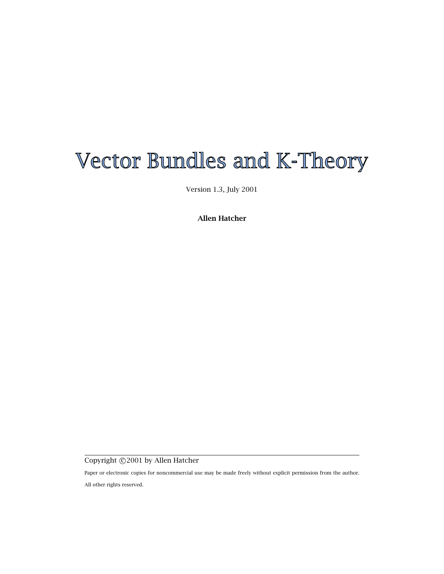# Vector Bundles and K-Theory

Version 1.3, July 2001

**Allen Hatcher**

Copyright ©2001 by Allen Hatcher

Paper or electronic copies for noncommercial use may be made freely without explicit permission from the author.

All other rights reserved.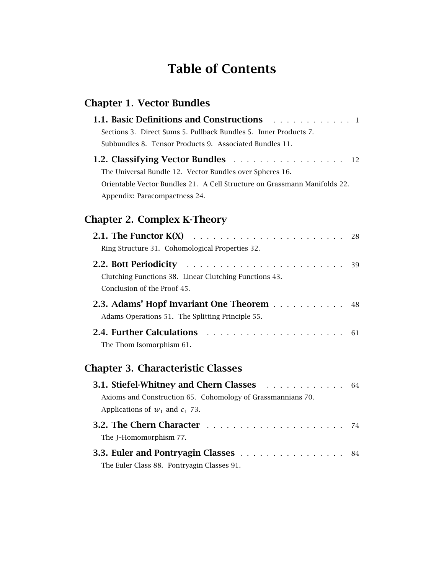## **Table of Contents**

### **Chapter 1. Vector Bundles**

| <b>1.1. Basic Definitions and Constructions</b><br>. 1<br>Sections 3. Direct Sums 5. Pullback Bundles 5. Inner Products 7.                                                                                   |    |
|--------------------------------------------------------------------------------------------------------------------------------------------------------------------------------------------------------------|----|
| Subbundles 8. Tensor Products 9. Associated Bundles 11.                                                                                                                                                      |    |
| 1.2. Classifying Vector Bundles 12<br>The Universal Bundle 12. Vector Bundles over Spheres 16.<br>Orientable Vector Bundles 21. A Cell Structure on Grassmann Manifolds 22.<br>Appendix: Paracompactness 24. |    |
| <b>Chapter 2. Complex K-Theory</b>                                                                                                                                                                           |    |
| 2.1. The Functor $K(X)$<br>Ring Structure 31. Cohomological Properties 32.                                                                                                                                   | 28 |
| Clutching Functions 38. Linear Clutching Functions 43.<br>Conclusion of the Proof 45.                                                                                                                        | 39 |
| 2.3. Adams' Hopf Invariant One Theorem<br>Adams Operations 51. The Splitting Principle 55.                                                                                                                   | 48 |
| 2.4. Further Calculations<br>.<br>The Thom Isomorphism 61.                                                                                                                                                   | 61 |
| <b>Chapter 3. Characteristic Classes</b>                                                                                                                                                                     |    |
| 3.1. Stiefel-Whitney and Chern Classes<br>Axioms and Construction 65. Cohomology of Grassmannians 70.<br>Applications of $w_1$ and $c_1$ 73.                                                                 | 64 |
| The I-Homomornhism 77                                                                                                                                                                                        | 74 |

| $\ldots$ . The mondernitrician $\ldots$     |  |
|---------------------------------------------|--|
| <b>3.3. Euler and Pontryagin Classes</b> 84 |  |
| The Euler Class 88. Pontryagin Classes 91.  |  |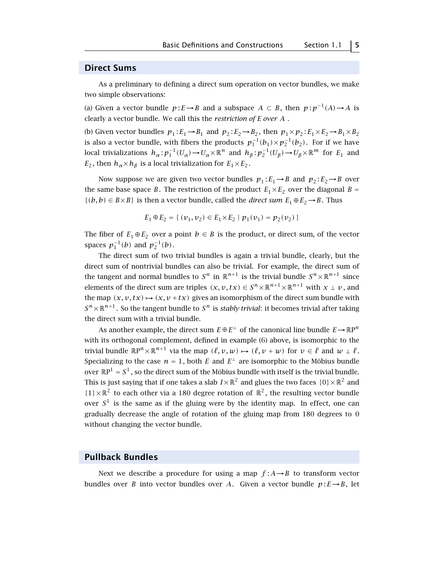#### **Direct Sums**

As a preliminary to defining a direct sum operation on vector bundles, we make two simple observations:

(a) Given a vector bundle  $p: E \to B$  and a subspace  $A \subset B$ , then  $p: p^{-1}(A) \to A$  is clearly a vector bundle. We call this the *restriction of E over A* .

(b) Given vector bundles  $p_1 : E_1 \rightarrow B_1$  and  $p_2 : E_2 \rightarrow B_2$ , then  $p_1 \times p_2 : E_1 \times E_2 \rightarrow B_1 \times B_2$ is also a vector bundle, with fibers the products  $p_1^{-1}(b_1) \!\times\! p_2^{-1}(b_2)$ . For if we have local trivializations  $h_\alpha: p_1^{-1}(U_\alpha) \to U_\alpha \times \mathbb{R}^n$  and  $h_\beta: p_2^{-1}(U_\beta) \to U_\beta \times \mathbb{R}^m$  for  $E_1$  and *E*<sub>2</sub>, then  $h_{\alpha} \times h_{\beta}$  is a local trivialization for  $E_1 \times E_2$ .

Now suppose we are given two vector bundles  $p_1 : E_1 \rightarrow B$  and  $p_2 : E_2 \rightarrow B$  over the same base space *B*. The restriction of the product  $E_1 \times E_2$  over the diagonal *B* = *{*(*b, b*) ∈ *B*×*B*} is then a vector bundle, called the *direct sum*  $E_1 ⊕ E_2 → B$ . Thus

$$
E_1 \oplus E_2 = \{ (v_1, v_2) \in E_1 \times E_2 \mid p_1(v_1) = p_2(v_2) \}
$$

The fiber of  $E_1 \oplus E_2$  over a point  $b \in B$  is the product, or direct sum, of the vector spaces  $p_1^{-1}(b)$  and  $p_2^{-1}(b)$ .

The direct sum of two trivial bundles is again a trivial bundle, clearly, but the direct sum of nontrivial bundles can also be trivial. For example, the direct sum of the tangent and normal bundles to  $S^n$  in  $\mathbb{R}^{n+1}$  is the trivial bundle  $S^n \times \mathbb{R}^{n+1}$  since elements of the direct sum are triples  $(x, v, tx) \in S^n \times \mathbb{R}^{n+1} \times \mathbb{R}^{n+1}$  with  $x \perp v$ , and the map  $(x, v, tx) \mapsto (x, v + tx)$  gives an isomorphism of the direct sum bundle with  $S^{n}\times\mathbb{R}^{n+1}$ . So the tangent bundle to  $S^{n}$  is *stably trivial*: it becomes trivial after taking the direct sum with a trivial bundle.

As another example, the direct sum  $E \oplus E^{\perp}$  of the canonical line bundle  $E \rightarrow \mathbb{R}P^n$ with its orthogonal complement, defined in example (6) above, is isomorphic to the trivial bundle  $\mathbb{R}P^n \times \mathbb{R}^{n+1}$  via the map  $(\ell, v, w) \mapsto (\ell, v + w)$  for  $v \in \ell$  and  $w \perp \ell$ . Specializing to the case  $n = 1$ , both *E* and  $E^{\perp}$  are isomorphic to the Möbius bundle over  $\mathbb{R}P^1 = S^1$ , so the direct sum of the Möbius bundle with itself is the trivial bundle. This is just saying that if one takes a slab  $I \times \mathbb{R}^2$  and glues the two faces  $\{0\} \times \mathbb{R}^2$  and  ${1} \times \mathbb{R}^2$  to each other via a 180 degree rotation of  $\mathbb{R}^2$ , the resulting vector bundle over  $S<sup>1</sup>$  is the same as if the gluing were by the identity map. In effect, one can gradually decrease the angle of rotation of the gluing map from 180 degrees to 0 without changing the vector bundle.

#### **Pullback Bundles**

Next we describe a procedure for using a map  $f : A \rightarrow B$  to transform vector bundles over *B* into vector bundles over *A*. Given a vector bundle  $p: E \rightarrow B$ , let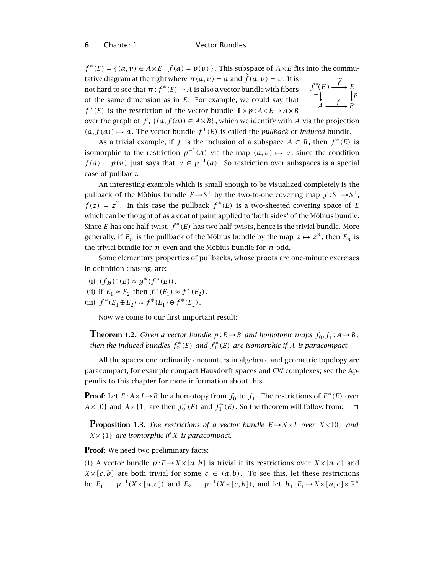$f^*(E) = \{ (a, v) \in A \times E \mid f(a) = p(v) \}$ . This subspace of  $A \times E$  fits into the commu-

tative diagram at the right where  $\pi(a, v) = a$  and  $\tilde{f}(a, v) = v$ . It is not hard to see that  $\pi$  :  $f^*(E) \rightarrow A$  is also a vector bundle with fibers of the same dimension as in *E*. For example, we could say that  $f^*(E)$  is the restriction of the vector bundle  $1 \times p : A \times E \rightarrow A \times B$ 

$$
f^*(E) \xrightarrow{\widetilde{f}} E
$$
  
\n
$$
\pi \downarrow \qquad \qquad \downarrow p
$$
  
\n
$$
A \xrightarrow{f} B
$$

over the graph of  $f$ ,  $\{(a, f(a)) \in A \times B\}$ , which we identify with *A* via the projection  $(a, f(a))$  → a. The vector bundle  $f^*(E)$  is called the *pullback* or *induced* bundle.

As a trivial example, if *f* is the inclusion of a subspace  $A \subset B$ , then  $f^*(E)$  is isomorphic to the restriction  $p^{-1}(A)$  via the map  $(a, v) \mapsto v$ , since the condition *f*(*a*) = *p*(*v*) just says that *v* ∈ *p*<sup>-1</sup>(*a*). So restriction over subspaces is a special case of pullback.

An interesting example which is small enough to be visualized completely is the pullback of the Möbius bundle  $E \rightarrow S^1$  by the two-to-one covering map  $f : S^1 \rightarrow S^1,$  $f(z) = z^2$ . In this case the pullback  $f^*(E)$  is a two-sheeted covering space of *E* which can be thought of as a coat of paint applied to 'both sides' of the Möbius bundle. Since *E* has one half-twist,  $f^*(E)$  has two half-twists, hence is the trivial bundle. More generally, if  $E_n$  is the pullback of the Möbius bundle by the map  $z \mapsto z^n$ , then  $E_n$  is the trivial bundle for  $n$  even and the Möbius bundle for  $n$  odd.

Some elementary properties of pullbacks, whose proofs are one-minute exercises in definition-chasing, are:

- (i)  $(f g)^*(E) \approx g^*(f^*(E)).$
- (ii) If  $E_1 \approx E_2$  then  $f^*(E_1) \approx f^*(E_2)$ .
- $(iii)$   $f^*(E_1 \oplus E_2) \approx f^*(E_1) \oplus f^*(E_2)$ .

Now we come to our first important result:

**Theorem 1.2.** *Given a vector bundle*  $p: E \to B$  *and homotopic maps*  $f_0, f_1: A \to B$ *, then the induced bundles*  $f_0^*(E)$  *and*  $f_1^*(E)$  *are isomorphic if A is paracompact.* 

All the spaces one ordinarily encounters in algebraic and geometric topology are paracompact, for example compact Hausdorff spaces and CW complexes; see the Appendix to this chapter for more information about this.

**Proof:** Let  $F: A \times I \rightarrow B$  be a homotopy from  $f_0$  to  $f_1$ . The restrictions of  $F^*(E)$  over *A*× {0} and *A*× {1} are then  $f_0^*(E)$  and  $f_1^*(E)$ . So the theorem will follow from:  $\Box$ 

**Proposition 1.3.** *The restrictions of a vector bundle*  $E \rightarrow X \times I$  *over*  $X \times \{0\}$  *and*  $\parallel$  *X* × {1} *are isomorphic if X is paracompact.* 

**Proof**: We need two preliminary facts:

(1) A vector bundle  $p: E \to X \times [a, b]$  is trivial if its restrictions over  $X \times [a, c]$  and  $X\times [c, b]$  are both trivial for some  $c \in (a, b)$ . To see this, let these restrictions be *E*<sub>1</sub> =  $p^{-1}(X \times [a, c])$  and *E*<sub>2</sub> =  $p^{-1}(X \times [c, b])$ , and let *h*<sub>1</sub> : *E*<sub>1</sub> → *X* × [*a*, *c*] × ℝ<sup>*n*</sup>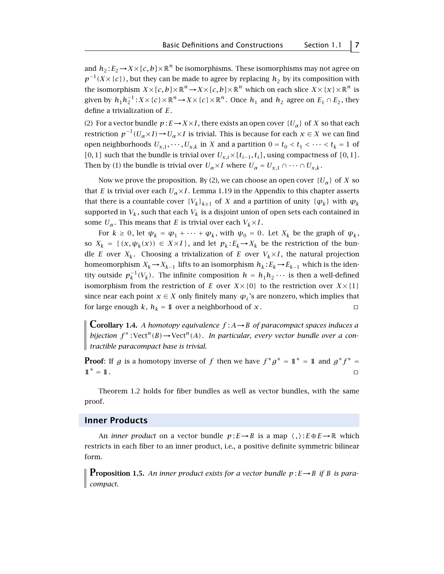and  $h_2: E_2 \to X \times [c, b] \times \mathbb{R}^n$  be isomorphisms. These isomorphisms may not agree on  $p^{-1}(X\times{c})$ , but they can be made to agree by replacing *h*<sub>2</sub> by its composition with the isomorphism  $X \times [c, b] \times \mathbb{R}^n \to X \times [c, b] \times \mathbb{R}^n$  which on each slice  $X \times \{x\} \times \mathbb{R}^n$  is given by  $h_1 h_2^{-1}$ :  $X \times \{c\} \times \mathbb{R}^n \to X \times \{c\} \times \mathbb{R}^n$ . Once  $h_1$  and  $h_2$  agree on  $E_1 \cap E_2$ , they define a trivialization of *E*.

(2) For a vector bundle  $p: E \to X \times I$ , there exists an open cover  $\{U_\alpha\}$  of *X* so that each restriction  $p^{-1}(U_\alpha \times I) \to U_\alpha \times I$  is trivial. This is because for each  $x \in X$  we can find open neighborhoods  $U_{x,1}, \dots, U_{x,k}$  in *X* and a partition  $0 = t_0 < t_1 < \dots < t_k = 1$  of *[*0*,* 1*]* such that the bundle is trivial over  $U_{x,i} \times [t_{i-1}, t_i]$ , using compactness of *[*0*,* 1*]*. Then by (1) the bundle is trivial over  $U_{\alpha} \times I$  where  $U_{\alpha} = U_{\alpha,1} \cap \cdots \cap U_{\alpha,k}$ .

Now we prove the proposition. By (2), we can choose an open cover  $\{U_{\alpha}\}\$  of *X* so that *E* is trivial over each  $U_{\alpha} \times I$ . Lemma 1.19 in the Appendix to this chapter asserts that there is a countable cover  ${V_k}_{k>1}$  of *X* and a partition of unity  ${\varphi_k}$  with  $\varphi_k$ supported in  $V_k$ , such that each  $V_k$  is a disjoint union of open sets each contained in some  $U_{\alpha}$ . This means that *E* is trivial over each  $V_k \times I$ .

For  $k \geq 0$ , let  $\psi_k = \varphi_1 + \cdots + \varphi_k$ , with  $\psi_0 = 0$ . Let  $X_k$  be the graph of  $\psi_k$ , so  $X_k = \{ (x, \psi_k(x)) \in X \times I \}$ , and let  $p_k : E_k \to X_k$  be the restriction of the bundle *E* over  $X_k$ . Choosing a trivialization of *E* over  $V_k \times I$ , the natural projection homeomorphism  $X_k \to X_{k-1}$  lifts to an isomorphism  $h_k : E_k \to E_{k-1}$  which is the identity outside  $p_k^{-1}(V_k)$ . The infinite composition  $h = h_1 h_2 \cdots$  is then a well-defined isomorphism from the restriction of *E* over  $X \times \{0\}$  to the restriction over  $X \times \{1\}$ since near each point  $x \in X$  only finitely many  $\varphi_i$ 's are nonzero, which implies that for large enough *k*,  $h_k = 1$  over a neighborhood of *x*.

**Corollary 1.4.** *A homotopy equivalence*  $f : A \rightarrow B$  *of paracompact spaces induces a bijection*  $f^*$ : Vect<sup>*n*</sup>(*B*)  $\rightarrow$  Vect<sup>*n*</sup>(*A*)*. In particular, every vector bundle over a contractible paracompact base is trivial.*

**Proof:** If *g* is a homotopy inverse of *f* then we have  $f^*g^* = 1^* = 1$  and  $g^*f^* = 1$  $1<sup>*</sup> = 1<sup>1</sup>$ .

Theorem 1.2 holds for fiber bundles as well as vector bundles, with the same proof.

#### **Inner Products**

An *inner product* on a vector bundle  $p: E \rightarrow B$  is a map  $\langle , \rangle: E \oplus E \rightarrow \mathbb{R}$  which restricts in each fiber to an inner product, i.e., a positive definite symmetric bilinear form.

**Proposition 1.5.** An inner product exists for a vector bundle  $p: E \rightarrow B$  if B is para*compact.*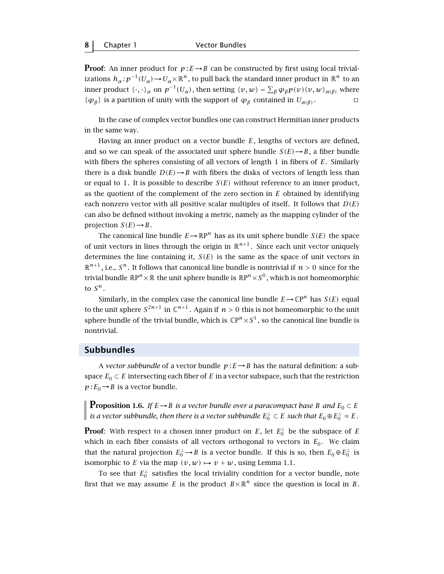**Proof:** An inner product for  $p: E \rightarrow B$  can be constructed by first using local trivializations  $h_\alpha: p^{-1}(U_\alpha) \to U_\alpha \times \mathbb{R}^n$ , to pull back the standard inner product in  $\mathbb{R}^n$  to an inner product  $\langle\cdot,\cdot\rangle_\alpha$  on  $p^{-1}(U_\alpha)$ , then setting  $\langle v,w\rangle=\sum_\beta \phi_\beta p(v)\langle v,w\rangle_{\alpha(\beta)}$  where  ${φ<sub>β</sub>}$  is a partition of unity with the support of  $φ<sub>β</sub>$  contained in  $U<sub>α(β)</sub>$ .  $□$ 

In the case of complex vector bundles one can construct Hermitian inner products in the same way.

Having an inner product on a vector bundle *E*, lengths of vectors are defined, and so we can speak of the associated unit sphere bundle  $S(E) \rightarrow B$ , a fiber bundle with fibers the spheres consisting of all vectors of length 1 in fibers of *E*. Similarly there is a disk bundle  $D(E) \rightarrow B$  with fibers the disks of vectors of length less than or equal to 1. It is possible to describe  $S(E)$  without reference to an inner product, as the quotient of the complement of the zero section in *E* obtained by identifying each nonzero vector with all positive scalar multiples of itself. It follows that *D(E)* can also be defined without invoking a metric, namely as the mapping cylinder of the projection  $S(E) \rightarrow B$ .

The canonical line bundle  $E \rightarrow \mathbb{R}P^n$  has as its unit sphere bundle  $S(E)$  the space of unit vectors in lines through the origin in  $\mathbb{R}^{n+1}$ . Since each unit vector uniquely determines the line containing it,  $S(E)$  is the same as the space of unit vectors in  $\mathbb{R}^{n+1}$ , i.e.,  $S^n$ . It follows that canonical line bundle is nontrivial if  $n > 0$  since for the trivial bundle  $\mathbb{R}P^n \times \mathbb{R}$  the unit sphere bundle is  $\mathbb{R}P^n \times S^0$ , which is not homeomorphic to  $S^n$ .

Similarly, in the complex case the canonical line bundle  $E \to \mathbb{C}P^n$  has  $S(E)$  equal to the unit sphere  $S^{2n+1}$  in  $\mathbb{C}^{n+1}$ . Again if  $n > 0$  this is not homeomorphic to the unit sphere bundle of the trivial bundle, which is  $\mathbb{C}P^n \times S^1$ , so the canonical line bundle is nontrivial.

#### **Subbundles**

A *vector subbundle* of a vector bundle  $p: E \rightarrow B$  has the natural definition: a subspace  $E_0 \subset E$  intersecting each fiber of  $E$  in a vector subspace, such that the restriction  $p: E_0 \rightarrow B$  is a vector bundle.

**Proposition 1.6.** *If*  $E \rightarrow B$  *is a vector bundle over a paracompact base B and*  $E_0 \subset E$ *is a vector subbundle, then there is a vector subbundle*  $E_0^{\perp} \subset E$  *such that*  $E_0 \oplus E_0^{\perp} \approx E$ .

**Proof**: With respect to a chosen inner product on  $E$  , let  $E_0^{\perp}$  be the subspace of  $E$ which in each fiber consists of all vectors orthogonal to vectors in  $E_0$ . We claim that the natural projection  $E_0^{\perp} \to B$  is a vector bundle. If this is so, then  $E_0 \oplus E_0^{\perp}$  is isomorphic to *E* via the map  $(v, w) \mapsto v + w$ , using Lemma 1.1.

To see that  $E_0^{\perp}$  satisfies the local triviality condition for a vector bundle, note first that we may assume *E* is the product  $B \times \mathbb{R}^n$  since the question is local in *B*.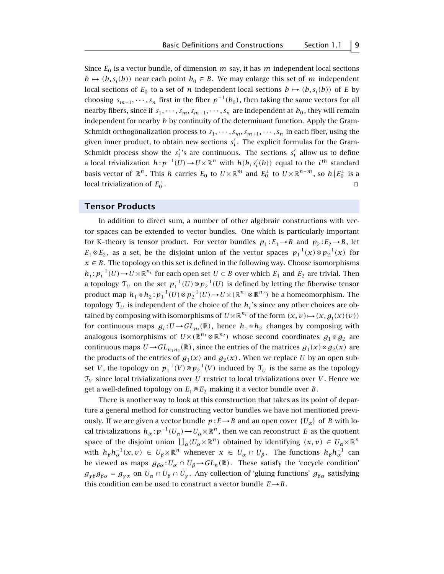Since  $E_0$  is a vector bundle, of dimension  $m$  say, it has  $m$  independent local sections *b*  $\mapsto$  (*b*, *s<sub>i</sub>*(*b*)) near each point *b*<sub>0</sub> ∈ *B*. We may enlarge this set of *m* independent local sections of  $E_0$  to a set of *n* independent local sections  $b \mapsto (b, s_i(b))$  of *E* by choosing  $s_{m+1}, \dots, s_n$  first in the fiber  $p^{-1}(b_0)$ , then taking the same vectors for all nearby fibers, since if  $s_1, \dots, s_m, s_{m+1}, \dots, s_n$  are independent at  $b_0$ , they will remain independent for nearby *b* by continuity of the determinant function. Apply the Gram-Schmidt orthogonalization process to  $s_1, \dots, s_m, s_{m+1}, \dots, s_n$  in each fiber, using the given inner product, to obtain new sections  $s_i'$ . The explicit formulas for the Gram-Schmidt process show the  $s_i'$ 's are continuous. The sections  $s_i'$  allow us to define a local trivialization  $h: p^{-1}(U) \to U \times \mathbb{R}^n$  with  $h(b, s'_i(b))$  equal to the  $i^{th}$  standard basis vector of  $\mathbb{R}^n$ . This  $h$  carries  $E_0$  to  $U\times\mathbb{R}^m$  and  $E_0^\perp$  to  $U\times\mathbb{R}^{n-m}$ , so  $h\,|\,E_0^\perp$  is a local trivialization of  $E_0^{\perp}$ .  $\frac{1}{0}$ .

#### **Tensor Products**

In addition to direct sum, a number of other algebraic constructions with vector spaces can be extended to vector bundles. One which is particularly important for K–theory is tensor product. For vector bundles  $p_1 : E_1 \rightarrow B$  and  $p_2 : E_2 \rightarrow B$ , let *E*<sub>1</sub>⊗*E*<sub>2</sub>, as a set, be the disjoint union of the vector spaces  $p_1^{-1}(x) \otimes p_2^{-1}(x)$  for  $x \in B$ . The topology on this set is defined in the following way. Choose isomorphisms *h*<sub>*i*</sub> :  $p_i^{-1}(U)$  →  $U \times \mathbb{R}^{n_i}$  for each open set  $U \subset B$  over which  $E_1$  and  $E_2$  are trivial. Then a topology  $\mathfrak{T}_U$  on the set  $p_1^{-1}(U) \otimes p_2^{-1}(U)$  is defined by letting the fiberwise tensor product map  $h_1 \otimes h_2$ :  $p_1^{-1}(U) \otimes p_2^{-1}(U) \rightarrow U \times (\mathbb{R}^{n_1} \otimes \mathbb{R}^{n_2})$  be a homeomorphism. The topology  $\mathcal{T}_U$  is independent of the choice of the  $h_i$ 's since any other choices are obtained by composing with isomorphisms of  $U\times\mathbb{R}^{n_i}$  of the form  $(x, v) \mapsto (x, g_i(x)(v))$ for continuous maps  $g_i: U \to GL_{n_i}(\mathbb{R})$ , hence  $h_1 \otimes h_2$  changes by composing with analogous isomorphisms of  $U\times(\mathbb{R}^{n_1}\otimes\mathbb{R}^{n_2})$  whose second coordinates  $g_1\otimes g_2$  are continuous maps  $U \rightarrow GL_{n,n_2}(\mathbb{R})$ , since the entries of the matrices  $g_1(x) \otimes g_2(x)$  are the products of the entries of  $g_1(x)$  and  $g_2(x)$ . When we replace *U* by an open subset *V*, the topology on  $p_1^{-1}(V) \otimes p_2^{-1}(V)$  induced by  $\mathcal{T}_U$  is the same as the topology  $\mathcal{T}_V$  since local trivializations over *U* restrict to local trivializations over *V*. Hence we get a well-defined topology on  $E_1 \otimes E_2$  making it a vector bundle over *B*.

There is another way to look at this construction that takes as its point of departure a general method for constructing vector bundles we have not mentioned previously. If we are given a vector bundle  $p: E \rightarrow B$  and an open cover  $\{U_{\alpha}\}\$  of *B* with local trivializations  $h_{\alpha}: p^{-1}(U_{\alpha}) \to U_{\alpha} \times \mathbb{R}^n$ , then we can reconstruct *E* as the quotient space of the disjoint union  $\coprod_{\alpha} (U_{\alpha} \times \mathbb{R}^n)$  obtained by identifying  $(x, v) \in U_{\alpha} \times \mathbb{R}^n$ with  $h_\beta h_\alpha^{-1}(x,v) \in U_\beta \times \mathbb{R}^n$  whenever  $x \in U_\alpha \cap U_\beta$ . The functions  $h_\beta h_\alpha^{-1}$  can be viewed as maps  $g_{\beta\alpha}$ :  $U_{\alpha} \cap U_{\beta}$   $\rightarrow$   $GL_n(\mathbb{R})$ . These satisfy the 'cocycle condition'  $g_{\gamma\beta}g_{\beta\alpha} = g_{\gamma\alpha}$  on  $U_{\alpha} \cap U_{\beta} \cap U_{\gamma}$ . Any collection of 'gluing functions'  $g_{\beta\alpha}$  satisfying this condition can be used to construct a vector bundle  $E \rightarrow B$ .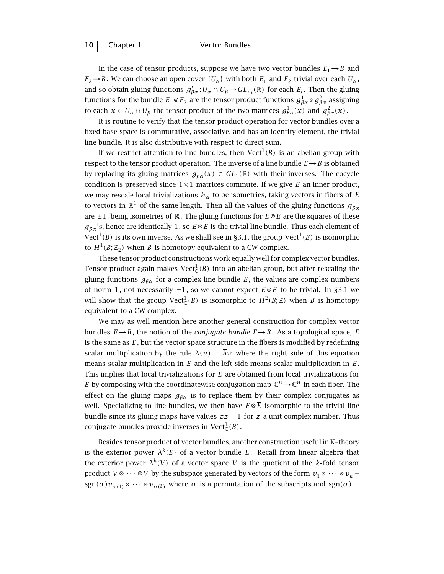In the case of tensor products, suppose we have two vector bundles  $E_1 \rightarrow B$  and  $E_2 \rightarrow B$ . We can choose an open cover  $\{U_\alpha\}$  with both  $E_1$  and  $E_2$  trivial over each  $U_\alpha$ , and so obtain gluing functions  $g_{\beta\alpha}^i: U_\alpha \cap U_\beta \to GL_{n_i}(\mathbb{R})$  for each  $E_i$ . Then the gluing functions for the bundle  $E_1\otimes E_2$  are the tensor product functions  $g_{\beta\alpha}^1\otimes g_{\beta\alpha}^2$  assigning to each  $x \in U_\alpha \cap U_\beta$  the tensor product of the two matrices  $g_{\beta\alpha}^1(x)$  and  $g_{\beta\alpha}^2(x)$ .

It is routine to verify that the tensor product operation for vector bundles over a fixed base space is commutative, associative, and has an identity element, the trivial line bundle. It is also distributive with respect to direct sum.

If we restrict attention to line bundles, then  $Vect^1(B)$  is an abelian group with respect to the tensor product operation. The inverse of a line bundle  $E \rightarrow B$  is obtained by replacing its gluing matrices  $g_{\beta\alpha}(x) \in GL_1(\mathbb{R})$  with their inverses. The cocycle condition is preserved since  $1 \times 1$  matrices commute. If we give *E* an inner product, we may rescale local trivializations  $h_{\alpha}$  to be isometries, taking vectors in fibers of *E* to vectors in  $\mathbb{R}^1$  of the same length. Then all the values of the gluing functions  $g_{\beta\alpha}$ are  $\pm 1$ , being isometries of R. The gluing functions for  $E \otimes E$  are the squares of these *gβα* 's, hence are identically 1, so *E*⊗*E* is the trivial line bundle. Thus each element of Vect<sup>1</sup>(B) is its own inverse. As we shall see in §3.1, the group Vect<sup>1</sup>(B) is isomorphic to  $H^1(B; \mathbb{Z}_2)$  when *B* is homotopy equivalent to a CW complex.

These tensor product constructions work equally well for complex vector bundles. Tensor product again makes  $\mathrm{Vect}_{\mathbb{C}}^1(B)$  into an abelian group, but after rescaling the gluing functions  $g_{\beta\alpha}$  for a complex line bundle *E*, the values are complex numbers of norm 1, not necessarily ±1, so we cannot expect *E*⊗*E* to be trivial. In §3.1 we will show that the group  $\mathrm{Vect}^1_\mathbb{C}(B)$  is isomorphic to  $H^2(B;\mathbb{Z})$  when  $B$  is homotopy equivalent to a CW complex.

We may as well mention here another general construction for complex vector bundles  $E \rightarrow B$ , the notion of the *conjugate bundle*  $\overline{E} \rightarrow B$ . As a topological space,  $\overline{E}$ is the same as *E*, but the vector space structure in the fibers is modified by redefining scalar multiplication by the rule  $\lambda(v) = \overline{\lambda}v$  where the right side of this equation means scalar multiplication in *E* and the left side means scalar multiplication in  $\overline{E}$ . This implies that local trivializations for  $\overline{E}$  are obtained from local trivializations for *E* by composing with the coordinatewise conjugation map  $\mathbb{C}^n \to \mathbb{C}^n$  in each fiber. The effect on the gluing maps  $g_{\beta\alpha}$  is to replace them by their complex conjugates as well. Specializing to line bundles, we then have  $E \otimes \overline{E}$  isomorphic to the trivial line bundle since its gluing maps have values  $z\overline{z} = 1$  for  $z$  a unit complex number. Thus conjugate bundles provide inverses in  $\mathrm{Vect}^1_\mathbb{C}(B)$ .

Besides tensor product of vector bundles, another construction useful in K–theory is the exterior power  $\lambda^{k}(E)$  of a vector bundle *E*. Recall from linear algebra that the exterior power  $\lambda^{k}(V)$  of a vector space V is the quotient of the *k*-fold tensor product *V* ⊗  $\cdots$  ⊗ *V* by the subspace generated by vectors of the form  $v_1 \otimes \cdots \otimes v_k$  – sgn( $\sigma$ ) $v_{\sigma(1)} \otimes \cdots \otimes v_{\sigma(k)}$  where  $\sigma$  is a permutation of the subscripts and sgn( $\sigma$ ) =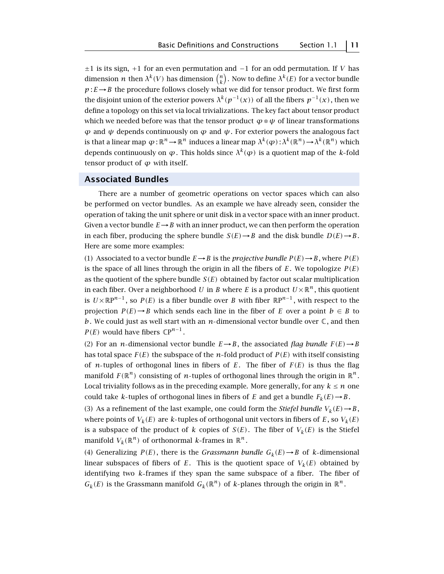±1 is its sign, +1 for an even permutation and −1 for an odd permutation. If *V* has dimension  $n$  then  $\lambda^k(V)$  has dimension  $\binom{n}{k}.$  Now to define  $\lambda^k(E)$  for a vector bundle  $p: E \rightarrow B$  the procedure follows closely what we did for tensor product. We first form the disjoint union of the exterior powers  $\lambda^{k}(p^{-1}(x))$  of all the fibers  $p^{-1}(x)$ , then we define a topology on this set via local trivializations. The key fact about tensor product which we needed before was that the tensor product  $\varphi \otimes \psi$  of linear transformations  $\varphi$  and *ψ* depends continuously on *φ* and *ψ*. For exterior powers the analogous fact is that a linear map  $\varphi : \mathbb{R}^n \to \mathbb{R}^n$  induces a linear map  $\lambda^k(\varphi) : \lambda^k(\mathbb{R}^n) \to \lambda^k(\mathbb{R}^n)$  which depends continuously on  $\varphi$ . This holds since  $\lambda^k(\varphi)$  is a quotient map of the *k*-fold tensor product of  $\varphi$  with itself.

#### **Associated Bundles**

There are a number of geometric operations on vector spaces which can also be performed on vector bundles. As an example we have already seen, consider the operation of taking the unit sphere or unit disk in a vector space with an inner product. Given a vector bundle  $E \rightarrow B$  with an inner product, we can then perform the operation in each fiber, producing the sphere bundle  $S(E) \rightarrow B$  and the disk bundle  $D(E) \rightarrow B$ . Here are some more examples:

(1) Associated to a vector bundle  $E \rightarrow B$  is the *projective bundle*  $P(E) \rightarrow B$ , where  $P(E)$ is the space of all lines through the origin in all the fibers of  $E$ . We topologize  $P(E)$ as the quotient of the sphere bundle  $S(E)$  obtained by factor out scalar multiplication in each fiber. Over a neighborhood *U* in *B* where *E* is a product  $U \times \mathbb{R}^n$ , this quotient is  $U \times \mathbb{R}P^{n-1}$ , so  $P(E)$  is a fiber bundle over *B* with fiber  $\mathbb{R}P^{n-1}$ , with respect to the projection  $P(E) \rightarrow B$  which sends each line in the fiber of *E* over a point  $b \in B$  to *b*. We could just as well start with an *n*-dimensional vector bundle over  $\mathbb{C}$ , and then *P(E)* would have fibers  $\mathbb{C}P^{n-1}$ .

(2) For an *n*-dimensional vector bundle  $E \rightarrow B$ , the associated *flag bundle*  $F(E) \rightarrow B$ has total space  $F(E)$  the subspace of the *n*-fold product of  $P(E)$  with itself consisting of *n*-tuples of orthogonal lines in fibers of  $E$ . The fiber of  $F(E)$  is thus the flag manifold  $F(\mathbb{R}^n)$  consisting of *n*-tuples of orthogonal lines through the origin in  $\mathbb{R}^n$ . Local triviality follows as in the preceding example. More generally, for any  $k \leq n$  one could take *k*-tuples of orthogonal lines in fibers of *E* and get a bundle  $F_k(E) \rightarrow B$ .

(3) As a refinement of the last example, one could form the *Stiefel bundle*  $V_k(E) \rightarrow B$ , where points of  $V_k(E)$  are *k*-tuples of orthogonal unit vectors in fibers of *E*, so  $V_k(E)$ is a subspace of the product of *k* copies of  $S(E)$ . The fiber of  $V_k(E)$  is the Stiefel manifold  $V_k(\mathbb{R}^n)$  of orthonormal *k*-frames in  $\mathbb{R}^n$ .

(4) Generalizing  $P(E)$ , there is the *Grassmann bundle*  $G_k(E) \rightarrow B$  of *k*-dimensional linear subspaces of fibers of  $E$ . This is the quotient space of  $V_k(E)$  obtained by identifying two *k* frames if they span the same subspace of a fiber. The fiber of  $G_k(E)$  is the Grassmann manifold  $G_k(\mathbb{R}^n)$  of *k*-planes through the origin in  $\mathbb{R}^n$ .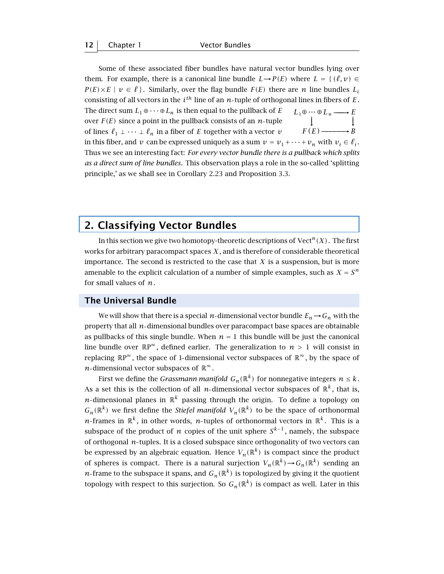**12** Chapter 1 Vector Bundles

Some of these associated fiber bundles have natural vector bundles lying over them. For example, there is a canonical line bundle  $L \rightarrow P(E)$  where  $L = \{ (\ell, v) \in$  $P(E) \times E \mid v \in \ell$ . Similarly, over the flag bundle  $F(E)$  there are *n* line bundles  $L_i$ consisting of all vectors in the *ith* line of an *n* tuple of orthogonal lines in fibers of *E*. The direct sum  $L_1 \oplus \cdots \oplus L_n$  is then equal to the pullback of *E* over  $F(E)$  since a point in the pullback consists of an  $n$ -tuple −−→  $L_1 \oplus \cdots \oplus L_n \longrightarrow E$ <br>  $\downarrow$  $F(E)$  ——*B* of lines  $\ell_1 \perp \cdots \perp \ell_n$  in a fiber of *E* together with a vector *v* in this fiber, and *v* can be expressed uniquely as a sum  $v = v_1 + \cdots + v_n$  with  $v_i \in \ell_i$ . Thus we see an interesting fact: *For every vector bundle there is a pullback which splits as a direct sum of line bundles*. This observation plays a role in the so-called 'splitting principle,' as we shall see in Corollary 2.23 and Proposition 3.3.

#### **2. Classifying Vector Bundles**

In this section we give two homotopy-theoretic descriptions of  $Vect<sup>n</sup>(X)$ . The first works for arbitrary paracompact spaces *X* , and is therefore of considerable theoretical importance. The second is restricted to the case that  $X$  is a suspension, but is more amenable to the explicit calculation of a number of simple examples, such as  $X = S^n$ for small values of *n*.

#### **The Universal Bundle**

We will show that there is a special *n*-dimensional vector bundle  $E_n \to G_n$  with the property that all *n*-dimensional bundles over paracompact base spaces are obtainable as pullbacks of this single bundle. When  $n = 1$  this bundle will be just the canonical line bundle over  $\mathbb{R}P^{\infty}$ , defined earlier. The generalization to  $n > 1$  will consist in replacing  $\mathbb{R}P^{\infty}$ , the space of 1-dimensional vector subspaces of  $\mathbb{R}^{\infty}$ , by the space of *n*-dimensional vector subspaces of  $\mathbb{R}^{\infty}$ .

First we define the *Grassmann manifold*  $G_n(\mathbb{R}^k)$  for nonnegative integers  $n \leq k$ . As a set this is the collection of all *n*-dimensional vector subspaces of  $\mathbb{R}^k$ , that is, *n*-dimensional planes in  $\mathbb{R}^k$  passing through the origin. To define a topology on  $G_n(\mathbb{R}^k)$  we first define the *Stiefel manifold*  $V_n(\mathbb{R}^k)$  to be the space of orthonormal *n*-frames in  $\mathbb{R}^k$ , in other words, *n*-tuples of orthonormal vectors in  $\mathbb{R}^k$ . This is a subspace of the product of *n* copies of the unit sphere  $S^{k-1}$ , namely, the subspace of orthogonal *n* tuples. It is a closed subspace since orthogonality of two vectors can be expressed by an algebraic equation. Hence  $V_n(\mathbb{R}^k)$  is compact since the product of spheres is compact. There is a natural surjection  $V_n(\mathbb{R}^k) \to G_n(\mathbb{R}^k)$  sending an *n*-frame to the subspace it spans, and  $G_n(\mathbb{R}^k)$  is topologized by giving it the quotient topology with respect to this surjection. So  $G_n(\mathbb{R}^k)$  is compact as well. Later in this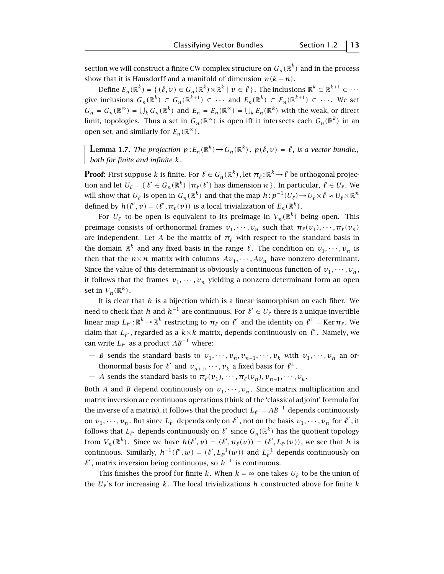section we will construct a finite CW complex structure on  $G_n(\mathbb{R}^k)$  and in the process show that it is Hausdorff and a manifold of dimension  $n(k - n)$ .

Define  $E_n(\mathbb{R}^k) = \{ (\ell, v) \in G_n(\mathbb{R}^k) \times \mathbb{R}^k \mid v \in \ell \}$ . The inclusions  $\mathbb{R}^k \subset \mathbb{R}^{k+1} \subset \cdots$ give inclusions  $G_n(\mathbb{R}^k) \subset G_n(\mathbb{R}^{k+1}) \subset \cdots$  and  $E_n(\mathbb{R}^k) \subset E_n(\mathbb{R}^{k+1}) \subset \cdots$ . We set  $G_n = G_n(\mathbb{R}^{\infty}) = \bigcup_k G_n(\mathbb{R}^k)$  and  $E_n = E_n(\mathbb{R}^{\infty}) = \bigcup_k E_n(\mathbb{R}^k)$  with the weak, or direct limit, topologies. Thus a set in  $G_n(\mathbb{R}^\infty)$  is open iff it intersects each  $G_n(\mathbb{R}^k)$  in an open set, and similarly for  $E_n(\mathbb{R}^\infty)$ .

**Lemma 1.7.** *The projection*  $p: E_n(\mathbb{R}^k) \to G_n(\mathbb{R}^k)$ ,  $p(\ell, v) = \ell$ , is a vector bundle., *both for finite and infinite k.*

**Proof**: First suppose  $k$  is finite. For  $\ell \in G_n(\mathbb{R}^k)$  , let  $\pi_\ell \colon \mathbb{R}^k \to \ell$  be orthogonal projection and let  $U_\ell = \{ \ell' \in G_n(\mathbb{R}^k) \mid \pi_\ell(\ell') \text{ has dimension } n \}.$  In particular,  $\ell \in U_\ell$ . We will show that  $U_\ell$  is open in  $G_n(\mathbb{R}^k)$  and that the map  $h : p^{-1}(U_\ell) \to U_\ell \times \ell \approx U_\ell \times \mathbb{R}^n$ defined by  $h(\ell', v) = (\ell', \pi_{\ell}(v))$  is a local trivialization of  $E_n(\mathbb{R}^k)$ .

For  $U_\ell$  to be open is equivalent to its preimage in  $V_n(\mathbb{R}^k)$  being open. This preimage consists of orthonormal frames  $v_1, \dots, v_n$  such that  $\pi_\ell(v_1), \dots, \pi_\ell(v_n)$ are independent. Let *A* be the matrix of  $\pi$ <sup>*l*</sup> with respect to the standard basis in the domain  $\mathbb{R}^k$  and any fixed basis in the range  $\ell$ . The condition on  $v_1, \dots, v_n$  is then that the  $n \times n$  matrix with columns  $Av_1, \dots, Av_n$  have nonzero determinant. Since the value of this determinant is obviously a continuous function of  $v_1, \dots, v_n$ , it follows that the frames  $v_1, \dots, v_n$  yielding a nonzero determinant form an open set in  $V_n(\mathbb{R}^k)$ .

It is clear that *h* is a bijection which is a linear isomorphism on each fiber. We need to check that *h* and  $h^{-1}$  are continuous. For  $\ell' \in U_\ell$  there is a unique invertible linear map  $L_{\ell'} : \mathbb{R}^k \to \mathbb{R}^k$  restricting to  $\pi_\ell$  on  $\ell'$  and the identity on  $\ell^\perp = \text{Ker} \, \pi_\ell$ . We claim that  $L_{\ell'}$ , regarded as a  $k{\times}k$  matrix, depends continuously on  $\ell'$  . Namely, we can write  $L_{\ell'}$  as a product  $AB^{-1}$  where:

- $-$  *B* sends the standard basis to  $v_1, \dots, v_n, v_{n+1}, \dots, v_k$  with  $v_1, \dots, v_n$  an orthonormal basis for  $\ell'$  and  $v_{n+1}, \dots, v_k$  a fixed basis for  $\ell^{\perp}$ .
- $-$  *A* sends the standard basis to  $\pi_{\ell}(v_1), \dots, \pi_{\ell}(v_n), v_{n+1}, \dots, v_k$ .

Both *A* and *B* depend continuously on  $v_1, \dots, v_n$ . Since matrix multiplication and matrix inversion are continuous operations (think of the 'classical adjoint' formula for the inverse of a matrix), it follows that the product  $L_{\ell'} = AB^{-1}$  depends continuously on  $v_1, \dots, v_n$ . But since  $L_{\ell'}$  depends only on  $\ell'$ , not on the basis  $v_1, \dots, v_n$  for  $\ell'$ , it follows that  $L_{\ell'}$  depends continuously on  $\ell'$  since  $G_n(\mathbb{R}^k)$  has the quotient topology from  $V_n(\mathbb{R}^k)$ . Since we have  $h(\ell', v) = (\ell', \pi_\ell(v)) = (\ell', L_{\ell'}(v))$ , we see that *h* is continuous. Similarly,  $h^{-1}(\ell', w) = (\ell', L_{\ell'}^{-1}(w))$  and  $L_{\ell'}^{-1}$  depends continuously on *`*0 , matrix inversion being continuous, so *h*−<sup>1</sup> is continuous.

This finishes the proof for finite *k*. When  $k = \infty$  one takes  $U_{\ell}$  to be the union of the  $U_{\ell}$ 's for increasing  $k$ . The local trivializations  $h$  constructed above for finite  $k$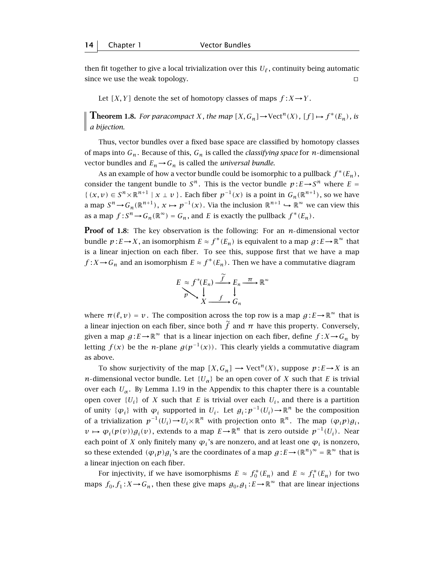then fit together to give a local trivialization over this  $U_{\ell}$ , continuity being automatic since we use the weak topology.  $\Box$ 

Let  $[X, Y]$  denote the set of homotopy classes of maps  $f: X \rightarrow Y$ .

**Theorem 1.8.** *For paracompact X, the map*  $[X, G_n] \to \text{Vect}^n(X)$ *,*  $[f] \mapsto f^*(E_n)$ *, is a bijection.*

Thus, vector bundles over a fixed base space are classified by homotopy classes of maps into  $G_n$ . Because of this,  $G_n$  is called the *classifying space* for *n*-dimensional vector bundles and  $E_n \rightarrow G_n$  is called the *universal bundle*.

As an example of how a vector bundle could be isomorphic to a pullback  $f^*(E_n)$ , consider the tangent bundle to  $S^n$ . This is the vector bundle  $p: E \rightarrow S^n$  where  $E =$  $\{(x, v) \in S^n \times \mathbb{R}^{n+1} \mid x \perp v\}$ . Each fiber  $p^{-1}(x)$  is a point in  $G_n(\mathbb{R}^{n+1})$ , so we have a map  $S^n \to G_n(\mathbb{R}^{n+1})$ ,  $x \mapsto p^{-1}(x)$ . Via the inclusion  $\mathbb{R}^{n+1} \hookrightarrow \mathbb{R}^\infty$  we can view this as a map  $f: S^n \to G_n(\mathbb{R}^\infty) = G_n$ , and *E* is exactly the pullback  $f^*(E_n)$ .

**Proof of 1.8**: The key observation is the following: For an  $n$ -dimensional vector bundle  $p: E \to X$ , an isomorphism  $E \approx f^*(E_n)$  is equivalent to a map  $g: E \to \mathbb{R}^\infty$  that is a linear injection on each fiber. To see this, suppose first that we have a map *f* : *X* → *G*<sub>n</sub> and an isomorphism  $E \approx f^*(E_n)$ . Then we have a commutative diagram

$$
E \underset{p}{\approx} f^*(E_n) \xrightarrow{\widetilde{f}} E_n \xrightarrow{\pi} \mathbb{R}^\infty
$$
  

$$
X \xrightarrow{f} G_n
$$

where  $\pi(\ell, v) = v$ . The composition across the top row is a map  $g : E \to \mathbb{R}^{\infty}$  that is a linear injection on each fiber, since both  $\tilde{f}$  and  $\pi$  have this property. Conversely, given a map  $g: E \to \mathbb{R}^{\infty}$  that is a linear injection on each fiber, define  $f: X \to G_n$  by letting *f*(*x*) be the *n*-plane  $g(p^{-1}(x))$ . This clearly yields a commutative diagram as above.

To show surjectivity of the map  $[X, G_n] \to \mathrm{Vect}^n(X)$ , suppose  $p: E \to X$  is an *n*-dimensional vector bundle. Let  ${U_\alpha}$  be an open cover of *X* such that *E* is trivial over each  $U_{\alpha}$ . By Lemma 1.19 in the Appendix to this chapter there is a countable open cover  $\{U_i\}$  of *X* such that *E* is trivial over each  $U_i$ , and there is a partition of unity  $\{\varphi_i\}$  with  $\varphi_i$  supported in  $U_i$ . Let  $g_i : p^{-1}(U_i) \to \mathbb{R}^n$  be the composition of a trivialization  $p^{-1}(U_i) \to U_i \times \mathbb{R}^n$  with projection onto  $\mathbb{R}^n$ . The map  $(\varphi_i p)g_i$ ,  $v \mapsto \varphi_i(p(v))g_i(v)$ , extends to a map  $E \to \mathbb{R}^n$  that is zero outside  $p^{-1}(U_i)$ . Near each point of *X* only finitely many  $\varphi_i$ 's are nonzero, and at least one  $\varphi_i$  is nonzero, so these extended  $(\varphi_i p)g_i$ 's are the coordinates of a map  $g : E \to (\mathbb{R}^n)^{\infty} = \mathbb{R}^{\infty}$  that is a linear injection on each fiber.

For injectivity, if we have isomorphisms  $E \approx f_0^*(E_n)$  and  $E \approx f_1^*(E_n)$  for two maps  $f_0, f_1: X \to G_n$ , then these give maps  $g_0, g_1: E \to \mathbb{R}^\infty$  that are linear injections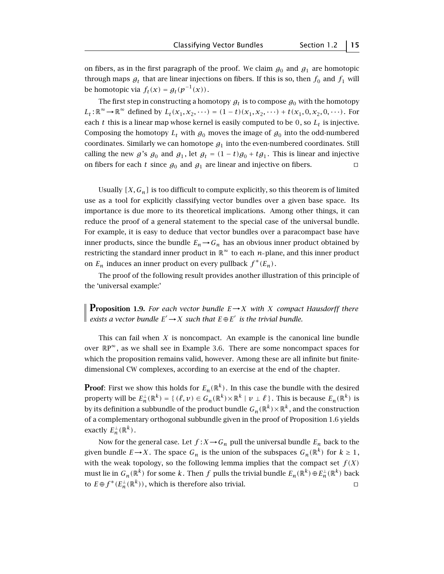on fibers, as in the first paragraph of the proof. We claim  $g_0$  and  $g_1$  are homotopic through maps  $g_t$  that are linear injections on fibers. If this is so, then  $f_0$  and  $f_1$  will be homotopic via  $f_t(x) = g_t(p^{-1}(x))$ .

The first step in constructing a homotopy  $g_t$  is to compose  $g_0$  with the homotopy  $L_t: \mathbb{R}^\infty \to \mathbb{R}^\infty$  defined by  $L_t(x_1, x_2, \dots) = (1-t)(x_1, x_2, \dots) + t(x_1, 0, x_2, 0, \dots)$ . For each  $t$  this is a linear map whose kernel is easily computed to be 0, so  $L_t$  is injective. Composing the homotopy  $L_t$  with  $g_0$  moves the image of  $g_0$  into the odd-numbered coordinates. Similarly we can homotope  $g_1$  into the even-numbered coordinates. Still calling the new *g*'s  $g_0$  and  $g_1$ , let  $g_t = (1 - t)g_0 + tg_1$ . This is linear and injective on fibers for each *t* since  $g_0$  and  $g_1$  are linear and injective on fibers.

Usually  $[X, G_n]$  is too difficult to compute explicitly, so this theorem is of limited use as a tool for explicitly classifying vector bundles over a given base space. Its importance is due more to its theoretical implications. Among other things, it can reduce the proof of a general statement to the special case of the universal bundle. For example, it is easy to deduce that vector bundles over a paracompact base have inner products, since the bundle  $E_n \rightarrow G_n$  has an obvious inner product obtained by restricting the standard inner product in  $\mathbb{R}^{\infty}$  to each *n*-plane, and this inner product on  $E_n$  induces an inner product on every pullback  $f^*(E_n)$ .

The proof of the following result provides another illustration of this principle of the 'universal example:'

**Proposition 1.9.** *For each vector bundle <sup>E</sup>*→*<sup>X</sup> with <sup>X</sup> compact Hausdorff there exists a vector bundle*  $E' \rightarrow X$  *such that*  $E \oplus E'$  *is the trivial bundle.* 

This can fail when *X* is noncompact. An example is the canonical line bundle over  $\mathbb{R}P^{\infty}$ , as we shall see in Example 3.6. There are some noncompact spaces for which the proposition remains valid, however. Among these are all infinite but finitedimensional CW complexes, according to an exercise at the end of the chapter.

**Proof:** First we show this holds for  $E_n(\mathbb{R}^k)$ . In this case the bundle with the desired property will be  $E_n^{\perp}(\mathbb{R}^k) = \{ \, (\ell,\nu) \in G_n(\mathbb{R}^k) \times \mathbb{R}^k \mid \nu \perp \ell \, \}.$  This is because  $E_n(\mathbb{R}^k)$  is by its definition a subbundle of the product bundle  $G_n(\mathbb{R}^k)\times\mathbb{R}^k$ , and the construction of a complementary orthogonal subbundle given in the proof of Proposition 1.6 yields exactly  $E_n^{\perp}(\mathbb{R}^k)$ .

Now for the general case. Let  $f: X \to G_n$  pull the universal bundle  $E_n$  back to the given bundle  $E \rightarrow X$ . The space  $G_n$  is the union of the subspaces  $G_n(\mathbb{R}^k)$  for  $k \geq 1$ , with the weak topology, so the following lemma implies that the compact set  $f(X)$ must lie in  $G_n(\mathbb{R}^k)$  for some  $k$  . Then  $f$  pulls the trivial bundle  $E_n(\mathbb{R}^k) \oplus E_n^\perp(\mathbb{R}^k)$  back to  $E \oplus f^*(E_n^{\perp}(\mathbb{R}^k))$ , which is therefore also trivial.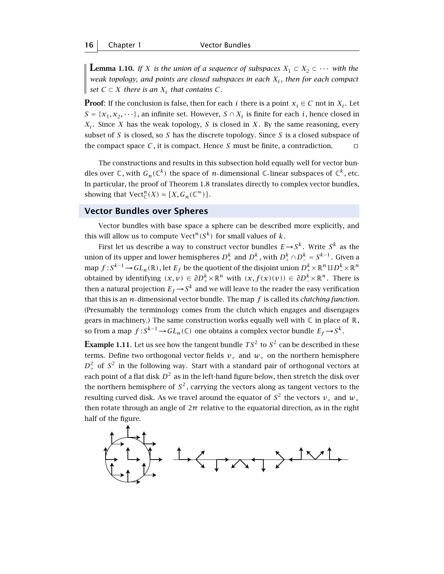**Lemma 1.10.** *If X is the union of a sequence of subspaces*  $X_1 \subset X_2 \subset \cdots$  *with the weak topology, and points are closed subspaces in each*  $X_i$ *, then for each compact*  $\parallel$  *set C* ⊂ *X there is an*  $X_i$  *that contains C*.

**Proof:** If the conclusion is false, then for each *i* there is a point  $x_i \in C$  not in  $X_i$ . Let  $S = \{x_1, x_2, \dots\}$ , an infinite set. However,  $S \cap X_i$  is finite for each *i*, hence closed in  $X_i$ . Since *X* has the weak topology, *S* is closed in *X*. By the same reasoning, every subset of *S* is closed, so *S* has the discrete topology. Since *S* is a closed subspace of the compact space  $C$ , it is compact. Hence  $S$  must be finite, a contradiction.  $\square$ 

The constructions and results in this subsection hold equally well for vector bundles over  $\mathbb{C}$ , with  $G_n(\mathbb{C}^k)$  the space of *n*-dimensional  $\mathbb{C}$ -linear subspaces of  $\mathbb{C}^k$ , etc. In particular, the proof of Theorem 1.8 translates directly to complex vector bundles, showing that  $\mathrm{Vect}_{\mathbb{C}}^n(X) \approx [X, G_n(\mathbb{C}^\infty)]$ .

#### **Vector Bundles over Spheres**

Vector bundles with base space a sphere can be described more explicitly, and this will allow us to compute Vect<sup> $n(S<sup>k</sup>)$ </sup> for small values of  $k$ .

First let us describe a way to construct vector bundles  $E \rightarrow S^k$ . Write  $S^k$  as the union of its upper and lower hemispheres  $D^k_+$  and  $D^k_-$ , with  $D^k_+ \cap D^k_- = S^{k-1}$  . Given a  $\max f: S^{k-1}\to GL_n(\mathbb{R})$  , let  $E_f$  be the quotient of the disjoint union  $D_+^k\times \mathbb{R}^n\amalg D_-^k\times \mathbb{R}^n$ obtained by identifying  $(x, v) \in \partial D^k_+ \times \mathbb{R}^n$  with  $(x, f(x)(v)) \in \partial D^k_- \times \mathbb{R}^n$ . There is then a natural projection  $E_f \rightarrow S^k$  and we will leave to the reader the easy verification that this is an *n* dimensional vector bundle. The map *f* is called its *clutching function*. (Presumably the terminology comes from the clutch which engages and disengages gears in machinery.) The same construction works equally well with  $\mathbb C$  in place of  $\mathbb R$ , so from a map  $f : S^{k-1} \to GL_n(\mathbb{C})$  one obtains a complex vector bundle  $E_f \to S^k$ .

**Example 1.11**. Let us see how the tangent bundle  $TS^2$  to  $S^2$  can be described in these terms. Define two orthogonal vector fields  $v_+$  and  $w_+$  on the northern hemisphere  $D^2_+$  of  $S^2$  in the following way. Start with a standard pair of orthogonal vectors at each point of a flat disk  $D^2$  as in the left-hand figure below, then stretch the disk over the northern hemisphere of  $S^2$ , carrying the vectors along as tangent vectors to the resulting curved disk. As we travel around the equator of  $S^2$  the vectors  $v_+$  and  $w_+$ then rotate through an angle of 2*π* relative to the equatorial direction, as in the right half of the figure.

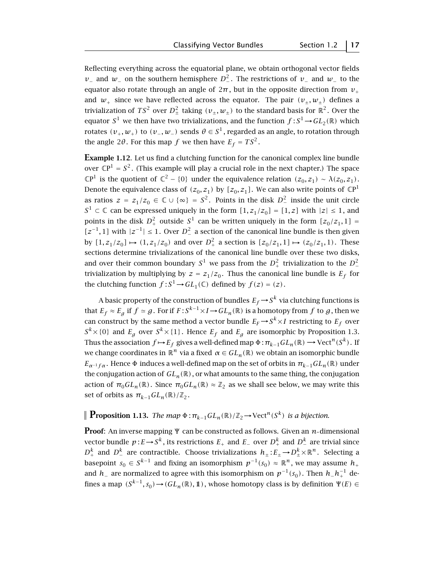Reflecting everything across the equatorial plane, we obtain orthogonal vector fields *v*− and *w*− on the southern hemisphere  $D^2$ . The restrictions of *v*− and *w*− to the equator also rotate through an angle of  $2\pi$ , but in the opposite direction from  $v_+$ and  $w_+$  since we have reflected across the equator. The pair  $(v_+, w_+)$  defines a trivialization of  $TS^2$  over  $D^2_{\pm}$  taking  $(v_{\pm}, w_{\pm})$  to the standard basis for  $\mathbb{R}^2$ . Over the equator  $S^1$  we then have two trivializations, and the function  $f : S^1 {\,\rightarrow\,} GL_2(\mathbb R)$  which rotates  $(v_+, w_+)$  to  $(v_-, w_-)$  sends  $\theta \in S^1$ , regarded as an angle, to rotation through the angle 2 $\theta$ . For this map *f* we then have  $E_f = TS^2$ .

**Example 1.12.** Let us find a clutching function for the canonical complex line bundle over  $\mathbb{C}P^1 = S^2$ . (This example will play a crucial role in the next chapter.) The space  $\mathbb{C}P^1$  is the quotient of  $\mathbb{C}^2 - \{0\}$  under the equivalence relation  $(z_0, z_1) \sim \lambda(z_0, z_1)$ . Denote the equivalence class of  $(z_0, z_1)$  by  $[z_0, z_1]$ . We can also write points of  $\mathbb{C}P^1$ as ratios  $z = z_1/z_0 \in \mathbb{C} \cup \{ \infty \} = S^2$ . Points in the disk  $D^2$  inside the unit circle *S*<sup>1</sup> ⊂ ℂ can be expressed uniquely in the form  $[1, z_1/z_0] = [1, z]$  with  $|z| ≤ 1$ , and points in the disk  $D^2_+$  outside  $S^1$  can be written uniquely in the form  $[z_0/z_1, 1] =$ [ $z^{-1}$ , 1] with  $|z^{-1}|$  ≤ 1. Over  $D^2$  a section of the canonical line bundle is then given by  $[1, z_1/z_0] \mapsto (1, z_1/z_0)$  and over  $D^2_+$  a section is  $[z_0/z_1, 1] \mapsto (z_0/z_1, 1)$ . These sections determine trivializations of the canonical line bundle over these two disks, and over their common boundary  $S^1$  we pass from the  $D^2$  trivialization to the  $D^2$ trivialization by multiplying by  $z = z_1/z_0$ . Thus the canonical line bundle is  $E_f$  for the clutching function  $f: S^1 \to GL_1(\mathbb{C})$  defined by  $f(z) = (z)$ .

A basic property of the construction of bundles  $E_f \rightarrow S^k$  via clutching functions is that  $E_f \approx E_g$  if  $f \approx g$ . For if  $F : S^{k-1} \times I \to GL_n(\mathbb{R})$  is a homotopy from  $f$  to  $g$ , then we can construct by the same method a vector bundle  $E_F \rightarrow S^k \times I$  restricting to  $E_f$  over  $S^k$  × {0} and *E<sub>g</sub>* over  $S^k$  × {1}. Hence *E<sub>f</sub>* and *E<sub>g</sub>* are isomorphic by Proposition 1.3. Thus the association  $f \mapsto E_f$  gives a well-defined map  $\Phi : \pi_{k-1}GL_n(\mathbb{R}) \longrightarrow \text{Vect}^n(S^k)$ . If we change coordinates in  $\mathbb{R}^n$  via a fixed  $\alpha \in GL_n(\mathbb{R})$  we obtain an isomorphic bundle  $E_{\alpha^{-1}f\alpha}$ . Hence  $\Phi$  induces a well-defined map on the set of orbits in  $\pi_{k-1}GL_n(\mathbb{R})$  under the conjugation action of  $GL_n(\mathbb{R})$ , or what amounts to the same thing, the conjugation action of  $\pi_0 GL_n(\mathbb{R})$ . Since  $\pi_0 GL_n(\mathbb{R}) \approx \mathbb{Z}_2$  as we shall see below, we may write this set of orbits as  $\pi_{k-1}GL_n(\mathbb{R})/\mathbb{Z}_2$ .

#### **Proposition 1.13.** *The map*  $\Phi$ :  $\pi_{k-1}GL_n(\mathbb{R})/\mathbb{Z}_2 \rightarrow \text{Vect}^n(S^k)$  *is a bijection.*

**Proof**: An inverse mapping Ψ can be constructed as follows. Given an *n*-dimensional vector bundle  $p$  :  $E$  →  $S^k$  , its restrictions  $E_+$  and  $E_-$  over  $D_+^k$  and  $D_-^k$  are trivial since  $D^k_+$  and  $D^k_-$  are contractible. Choose trivializations  $h_\pm$ : $E_\pm$   $\rightarrow$   $D^k_\pm\times$   $\mathbb{R}^n$ . Selecting a basepoint *s*<sup>0</sup> ∈ *S*<sup>*k*−1</sup> and fixing an isomorphism  $p^{-1}(s_0) \approx \mathbb{R}^n$ , we may assume  $h_+$ and  $h_−$  are normalized to agree with this isomorphism on  $p^{-1}(s_0)$  . Then  $h_-h_+^{-1}$  defines a map  $(S^{k-1}, s_0) \rightarrow (GL_n(\mathbb{R}), \mathbb{1})$ , whose homotopy class is by definition  $\Psi(E) \in$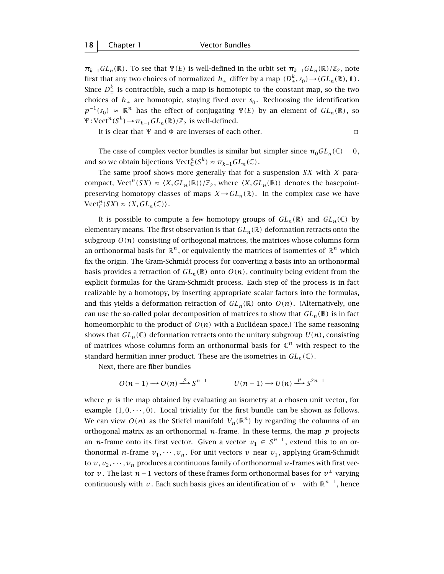$\pi_{k-1}GL_n(\mathbb{R})$ . To see that  $\Psi(E)$  is well-defined in the orbit set  $\pi_{k-1}GL_n(\mathbb{R})/\mathbb{Z}_2$ , note first that any two choices of normalized  $h_{\pm}$  differ by a map  $(D_{\pm}^k, s_0)$   $\rightarrow$   $GL_n(\mathbb{R}), 1)$  . Since  $D_{\pm}^{k}$  is contractible, such a map is homotopic to the constant map, so the two choices of  $h_{+}$  are homotopic, staying fixed over  $s_0$ . Rechoosing the identification  $p^{-1}(s_0) \approx \mathbb{R}^n$  has the effect of conjugating  $\Psi(E)$  by an element of  $GL_n(\mathbb{R})$ , so  $\Psi: \text{Vect}^n(S^k) \to \pi_{k-1}GL_n(\mathbb{R})/\mathbb{Z}_2$  is well-defined.

It is clear that  $\Psi$  and  $\Phi$  are inverses of each other.

$$
\square
$$

The case of complex vector bundles is similar but simpler since  $\pi_0 GL_n(\mathbb{C}) = 0$ , and so we obtain bijections  $\mathrm{Vect}_{\mathbb{C}}^n(S^k) \approx \pi_{k-1}GL_n(\mathbb{C})$ .

The same proof shows more generally that for a suspension *SX* with *X* paracompact, Vect<sup>*n*</sup>(SX)  $\approx \langle X, GL_n(\mathbb{R}) \rangle / \mathbb{Z}_2$ , where  $\langle X, GL_n(\mathbb{R}) \rangle$  denotes the basepointpreserving homotopy classes of maps  $X \rightarrow GL_n(\mathbb{R})$ . In the complex case we have  $\mathrm{Vect}_{\mathbb{C}}^n(SX) \approx \langle X, GL_n(\mathbb{C}) \rangle.$ 

It is possible to compute a few homotopy groups of  $GL_n(\mathbb{R})$  and  $GL_n(\mathbb{C})$  by elementary means. The first observation is that  $GL_n(\mathbb{R})$  deformation retracts onto the subgroup  $O(n)$  consisting of orthogonal matrices, the matrices whose columns form an orthonormal basis for  $\mathbb{R}^n$ , or equivalently the matrices of isometries of  $\mathbb{R}^n$  which fix the origin. The Gram-Schmidt process for converting a basis into an orthonormal basis provides a retraction of  $GL_n(\mathbb{R})$  onto  $O(n)$ , continuity being evident from the explicit formulas for the Gram-Schmidt process. Each step of the process is in fact realizable by a homotopy, by inserting appropriate scalar factors into the formulas, and this yields a deformation retraction of  $GL_n(\mathbb{R})$  onto  $O(n)$ . (Alternatively, one can use the so-called polar decomposition of matrices to show that  $GL_n(\mathbb{R})$  is in fact homeomorphic to the product of  $O(n)$  with a Euclidean space.) The same reasoning shows that  $GL_n(\mathbb{C})$  deformation retracts onto the unitary subgroup  $U(n)$ , consisting of matrices whose columns form an orthonormal basis for  $\mathbb{C}^n$  with respect to the standard hermitian inner product. These are the isometries in  $GL_n(\mathbb{C})$ .

Next, there are fiber bundles

$$
O(n-1) \longrightarrow O(n) \xrightarrow{p} S^{n-1} \qquad U(n-1) \longrightarrow U(n) \xrightarrow{p} S^{2n-1}
$$

where  $p$  is the map obtained by evaluating an isometry at a chosen unit vector, for example  $(1,0,\dots,0)$ . Local triviality for the first bundle can be shown as follows. We can view  $O(n)$  as the Stiefel manifold  $V_n(\mathbb{R}^n)$  by regarding the columns of an orthogonal matrix as an orthonormal  $n$ -frame. In these terms, the map  $p$  projects an *n*-frame onto its first vector. Given a vector  $v_1 \in S^{n-1}$ , extend this to an orthonormal *n*-frame  $v_1, \dots, v_n$ . For unit vectors *v* near  $v_1$ , applying Gram-Schmidt to  $v, v_2, \dots, v_n$  produces a continuous family of orthonormal *n*-frames with first vector *v*. The last *n*−1 vectors of these frames form orthonormal bases for  $v^{\perp}$  varying continuously with *v*. Each such basis gives an identification of  $v^{\perp}$  with  $\mathbb{R}^{n-1}$ , hence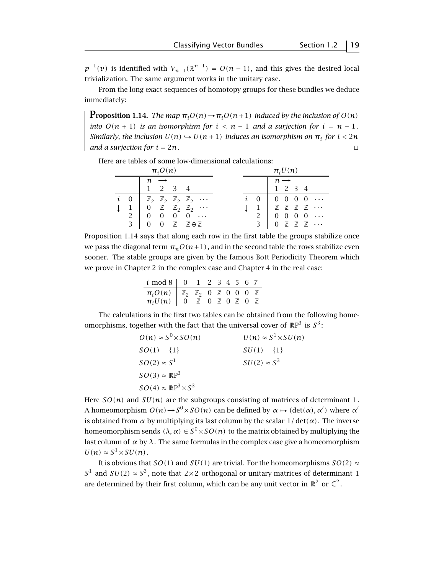$p^{-1}(v)$  is identified with  $V_{n-1}(\mathbb{R}^{n-1}) = O(n-1)$ , and this gives the desired local trivialization. The same argument works in the unitary case.

From the long exact sequences of homotopy groups for these bundles we deduce immediately:

**Proposition 1.14.** *The map*  $\pi_i O(n) \rightarrow \pi_i O(n+1)$  *induced by the inclusion of*  $O(n)$ *into*  $O(n + 1)$  *is an isomorphism for*  $i < n - 1$  *and a surjection for*  $i = n - 1$ *. Similarly, the inclusion*  $U(n) \hookrightarrow U(n + 1)$  *induces an isomorphism on*  $\pi_i$  *for*  $i < 2n$ and a surjection for  $i = 2n$ .

Here are tables of some low-dimensional calculations:

|  |             | $\pi_i O(n)$    |         |                                                                                 |  | $\pi_i U(n)$ |                 |                                                          |  |  |
|--|-------------|-----------------|---------|---------------------------------------------------------------------------------|--|--------------|-----------------|----------------------------------------------------------|--|--|
|  |             | $n \rightarrow$ |         |                                                                                 |  |              | $n \rightarrow$ |                                                          |  |  |
|  |             |                 | 1 2 3 4 |                                                                                 |  |              |                 | 1 2 3 4                                                  |  |  |
|  |             |                 |         | $i \quad 0 \mid \mathbb{Z}_2 \mathbb{Z}_2 \mathbb{Z}_2 \mathbb{Z}_2 \cdots$     |  |              |                 | $i \quad 0 \quad 0 \quad 0 \quad 0 \quad 0 \quad \cdots$ |  |  |
|  |             |                 |         | $1 \quad 0 \quad \mathbb{Z} \quad \mathbb{Z}_2 \quad \mathbb{Z}_2 \quad \cdots$ |  |              |                 | $1$ $\mathbb{Z}$ $\mathbb{Z}$ $\mathbb{Z}$ $\mathbb{Z}$  |  |  |
|  | $2 \mid 0$  |                 |         | $0 \quad 0 \quad 0 \quad \cdots$                                                |  |              |                 | $2 \begin{array}{ccc} 0 & 0 & 0 & 0 \end{array}$         |  |  |
|  | $3 \quad 0$ |                 |         | 0 ℤ ℤ⊕ℤ                                                                         |  |              |                 | $3 \cup 0 \mathbb{Z} \mathbb{Z} \mathbb{Z} \cdots$       |  |  |

Proposition 1.14 says that along each row in the first table the groups stabilize once we pass the diagonal term  $\pi_n O(n+1)$ , and in the second table the rows stabilize even sooner. The stable groups are given by the famous Bott Periodicity Theorem which we prove in Chapter 2 in the complex case and Chapter 4 in the real case:

| $i \mod 8$ 0 1 2 3 4 5 6 7                                                                                                                                                                                   |  |  |  |  |
|--------------------------------------------------------------------------------------------------------------------------------------------------------------------------------------------------------------|--|--|--|--|
| $\begin{array}{c cccccc}\n\pi_i O(n) & \mathbb{Z}_2 & \mathbb{Z}_2 & 0 & \mathbb{Z} & 0 & 0 & 0 & \mathbb{Z} \\ \pi_i U(n) & 0 & \mathbb{Z} & 0 & \mathbb{Z} & 0 & \mathbb{Z} & 0 & \mathbb{Z}\n\end{array}$ |  |  |  |  |
|                                                                                                                                                                                                              |  |  |  |  |

The calculations in the first two tables can be obtained from the following homeomorphisms, together with the fact that the universal cover of  $\mathbb{R}P^3$  is  $S^3$ :

| $O(n) \approx S^0 \times SO(n)$          | $U(n) \approx S^1 \times SU(n)$ |
|------------------------------------------|---------------------------------|
| $SO(1) = \{1\}$                          | $SU(1) = \{1\}$                 |
| $SO(2) \approx S^1$                      | $SU(2) \approx S^3$             |
| $SO(3) \approx \mathbb{R}P^3$            |                                 |
| $SO(4) \approx \mathbb{R}P^3 \times S^3$ |                                 |

Here  $SO(n)$  and  $SU(n)$  are the subgroups consisting of matrices of determinant 1. A homeomorphism  $O(n) \to S^0 \times SO(n)$  can be defined by  $\alpha \mapsto (det(\alpha), \alpha')$  where  $\alpha'$ is obtained from  $\alpha$  by multiplying its last column by the scalar  $1/\det(\alpha)$ . The inverse homeomorphism sends  $(\lambda, \alpha) \in S^0 \times SO(n)$  to the matrix obtained by multiplying the last column of  $\alpha$  by  $\lambda$ . The same formulas in the complex case give a homeomorphism  $U(n) \approx S^1 \times SU(n)$ .

It is obvious that *SO(1)* and *SU(1)* are trivial. For the homeomorphisms *SO(2)*  $\approx$ *S*<sup>1</sup> and *SU(2)*  $\approx S^3$ , note that 2×2 orthogonal or unitary matrices of determinant 1 are determined by their first column, which can be any unit vector in  $\mathbb{R}^2$  or  $\mathbb{C}^2$ .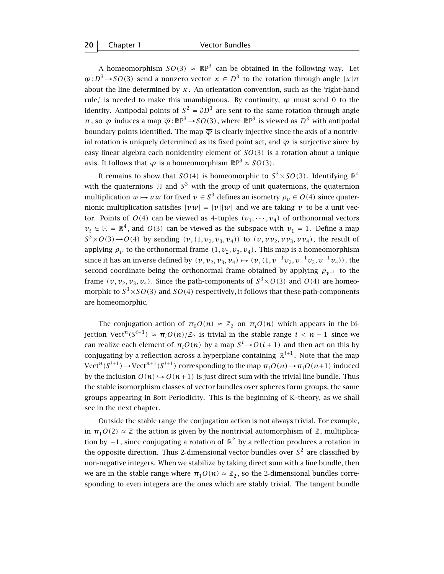A homeomorphism  $SO(3) \approx \mathbb{R}P^3$  can be obtained in the following way. Let  $\varphi$  :  $D^3$   $\rightarrow$  *SO*(3) send a nonzero vector  $x \in D^3$  to the rotation through angle  $|x|\pi$ about the line determined by  $x$ . An orientation convention, such as the 'right-hand rule,' is needed to make this unambiguous. By continuity,  $\varphi$  must send 0 to the identity. Antipodal points of  $S^2 = \partial D^3$  are sent to the same rotation through angle  $\pi$ , so  $\varphi$  induces a map  $\overline{\varphi}$  : RP<sup>3</sup>  $\rightarrow$  SO(3), where RP<sup>3</sup> is viewed as  $D^3$  with antipodal boundary points identified. The map  $\overline{\varphi}$  is clearly injective since the axis of a nontrivial rotation is uniquely determined as its fixed point set, and  $\bar{\varphi}$  is surjective since by easy linear algebra each nonidentity element of *SO(*3*)* is a rotation about a unique axis. It follows that  $\overline{\varphi}$  is a homeomorphism  $\mathbb{R}P^3 \approx SO(3)$ .

It remains to show that *SO(4)* is homeomorphic to  $S^3 \times SO(3)$ . Identifying  $\mathbb{R}^4$ with the quaternions  $H$  and  $S<sup>3</sup>$  with the group of unit quaternions, the quaternion multiplication  $w \mapsto vw$  for fixed  $v \in S^3$  defines an isometry  $\rho_v \in O(4)$  since quaternionic multiplication satisfies  $|vw|=|v||w|$  and we are taking *v* to be a unit vector. Points of  $O(4)$  can be viewed as 4-tuples  $(v_1, \dots, v_4)$  of orthonormal vectors *v*<sub>i</sub> ∈  $\mathbb{H}$  =  $\mathbb{R}^4$ , and *O*(3) can be viewed as the subspace with *v*<sub>1</sub> = 1. Define a map  $S^3 \times O(3) \rightarrow O(4)$  by sending  $(v, (1, v_2, v_3, v_4))$  to  $(v, vv_2, vv_3, vv_4)$ , the result of applying  $\rho_v$  to the orthonormal frame  $(1, v_2, v_3, v_4)$ . This map is a homeomorphism since it has an inverse defined by  $(v, v_2, v_3, v_4) \mapsto (v, (1, v^{-1}v_2, v^{-1}v_3, v^{-1}v_4))$ , the second coordinate being the orthonormal frame obtained by applying  $\rho_{\nu^{-1}}$  to the frame  $(v, v_2, v_3, v_4)$ . Since the path-components of  $S^3 \times O(3)$  and  $O(4)$  are homeomorphic to  $S^3 \times SO(3)$  and  $SO(4)$  respectively, it follows that these path-components are homeomorphic.

The conjugation action of  $\pi_0 O(n) \approx \mathbb{Z}_2$  on  $\pi_i O(n)$  which appears in the bi*jection Vect<sup>n</sup>(S<sup>i+1</sup>)* ≈  $\pi_i$ *O(n)*/ $\mathbb{Z}_2$  *is trivial in the stable range i < n − 1 since we* can realize each element of  $\pi_i O(n)$  by a map  $S^i {\,\rightarrow\,} O(i+1)$  and then act on this by conjugating by a reflection across a hyperplane containing  $\mathbb{R}^{i+1}$ . Note that the map Vect<sup>n</sup>(S<sup>*i*+1</sup>) → Vect<sup>n+1</sup>(S<sup>*i*+1)</sup> corresponding to the map  $\pi_iO(n) \rightarrow \pi_iO(n+1)$  induced by the inclusion  $O(n) \hookrightarrow O(n+1)$  is just direct sum with the trivial line bundle. Thus the stable isomorphism classes of vector bundles over spheres form groups, the same groups appearing in Bott Periodicity. This is the beginning of K–theory, as we shall see in the next chapter.

Outside the stable range the conjugation action is not always trivial. For example, in  $\pi_1 O(2) \approx \mathbb{Z}$  the action is given by the nontrivial automorphism of  $\mathbb{Z}$ , multiplication by  $-1$ , since conjugating a rotation of  $\mathbb{R}^2$  by a reflection produces a rotation in the opposite direction. Thus 2-dimensional vector bundles over  $S<sup>2</sup>$  are classified by non-negative integers. When we stabilize by taking direct sum with a line bundle, then we are in the stable range where  $\pi_1 O(n) \approx \mathbb{Z}_2$ , so the 2-dimensional bundles corresponding to even integers are the ones which are stably trivial. The tangent bundle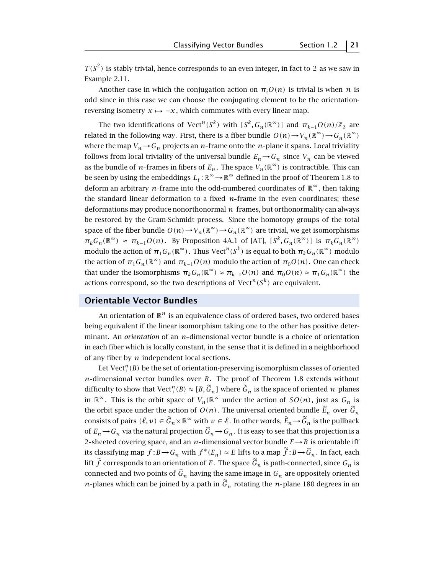$T(S^2)$  is stably trivial, hence corresponds to an even integer, in fact to 2 as we saw in Example 2.11.

Another case in which the conjugation action on  $\pi_i O(n)$  is trivial is when *n* is odd since in this case we can choose the conjugating element to be the orientationreversing isometry  $x \mapsto -x$ , which commutes with every linear map.

The two identifications of Vect<sup>n</sup>(S<sup>k</sup>) with  $[S^k, G_n(\mathbb{R}^\infty)]$  and  $\pi_{k-1}O(n)/\mathbb{Z}_2$  are related in the following way. First, there is a fiber bundle  $O(n) \rightarrow V_n(\mathbb{R}^\infty) \rightarrow G_n(\mathbb{R}^\infty)$ where the map  $V_n \rightarrow G_n$  projects an *n*-frame onto the *n*-plane it spans. Local triviality follows from local triviality of the universal bundle  $E_n \to G_n$  since  $V_n$  can be viewed as the bundle of *n*-frames in fibers of  $E_n$ . The space  $V_n(\mathbb{R}^\infty)$  is contractible. This can be seen by using the embeddings  $L_t : \mathbb{R}^\infty \to \mathbb{R}^\infty$  defined in the proof of Theorem 1.8 to deform an arbitrary *n*-frame into the odd-numbered coordinates of  $\mathbb{R}^{\infty}$ , then taking the standard linear deformation to a fixed *n* frame in the even coordinates; these deformations may produce nonorthonormal *n* frames, but orthonormality can always be restored by the Gram-Schmidt process. Since the homotopy groups of the total space of the fiber bundle  $O(n) \to V_n(\mathbb{R}^\infty) \to G_n(\mathbb{R}^\infty)$  are trivial, we get isomorphisms  $\pi_k G_n(\mathbb{R}^\infty) \approx \pi_{k-1} O(n)$ . By Proposition 4A.1 of [AT],  $[S^k, G_n(\mathbb{R}^\infty)]$  is  $\pi_k G_n(\mathbb{R}^\infty)$ modulo the action of  $\pi_1 G_n(\mathbb{R}^\infty)$ . Thus Vect<sup>n</sup>(S<sup>k</sup>) is equal to both  $\pi_k G_n(\mathbb{R}^\infty)$  modulo the action of  $\pi_1 G_n(\mathbb{R}^{\infty})$  and  $\pi_{k-1}O(n)$  modulo the action of  $\pi_0 O(n)$ . One can check that under the isomorphisms  $\pi_k G_n(\mathbb{R}^\infty) \approx \pi_{k-1} O(n)$  and  $\pi_0 O(n) \approx \pi_1 G_n(\mathbb{R}^\infty)$  the actions correspond, so the two descriptions of  $Vect<sup>n</sup>(S<sup>k</sup>)$  are equivalent.

#### **Orientable Vector Bundles**

An orientation of  $\mathbb{R}^n$  is an equivalence class of ordered bases, two ordered bases being equivalent if the linear isomorphism taking one to the other has positive determinant. An *orientation* of an *n*-dimensional vector bundle is a choice of orientation in each fiber which is locally constant, in the sense that it is defined in a neighborhood of any fiber by *n* independent local sections.

Let Vect $_{+}^{n}(B)$  be the set of orientation-preserving isomorphism classes of oriented *n*-dimensional vector bundles over *B*. The proof of Theorem 1.8 extends without difficulty to show that  $Vect^{n}_{+}(B) \approx [B, \tilde{G}_{n}]$  where  $\tilde{G}_{n}$  is the space of oriented *n*-planes in  $\mathbb{R}^{\infty}$ . This is the orbit space of  $V_n(\mathbb{R}^{\infty})$  under the action of  $SO(n)$ , just as  $G_n$  is the orbit space under the action of  $O(n)$ . The universal oriented bundle  $\widetilde{E}_n$  over  $\widetilde{G}_n$ consists of pairs  $(\ell, v) \in \widetilde{G}_n \times \mathbb{R}^\infty$  with  $v \in \ell$ . In other words,  $\widetilde{E}_n \to \widetilde{G}_n$  is the pullback of  $E_n \to G_n$  via the natural projection  $\widetilde{G}_n \to G_n$ . It is easy to see that this projection is a 2-sheeted covering space, and an  $n$ -dimensional vector bundle  $E \rightarrow B$  is orientable iff its classifying map  $f : B \to G_n$  with  $f^*(E_n) \approx E$  lifts to a map  $\tilde{f} : B \to \tilde{G}_n$ . In fact, each lift  $\widetilde{f}$  corresponds to an orientation of *E*. The space  $\widetilde{G}_n$  is path-connected, since  $G_n$  is connected and two points of  $\tilde{G}_n$  having the same image in  $G_n$  are oppositely oriented *n*-planes which can be joined by a path in  $\widetilde{G}_n$  rotating the *n*-plane 180 degrees in an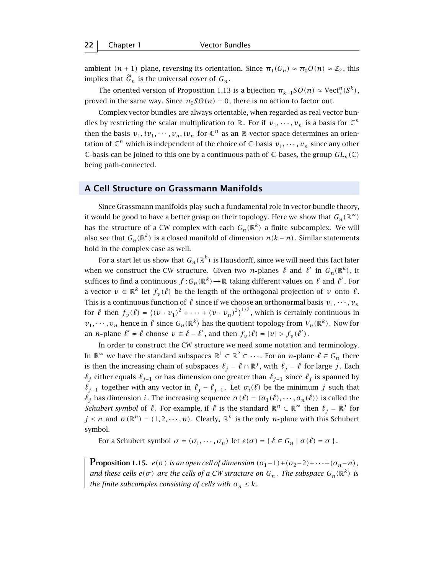ambient  $(n + 1)$ -plane, reversing its orientation. Since  $\pi_1(G_n) \approx \pi_0 O(n) \approx \mathbb{Z}_2$ , this implies that  $\tilde{G}_n$  is the universal cover of  $G_n$ .

The oriented version of Proposition 1.13 is a bijection  $\pi_{k-1}SO(n) \approx \text{Vect}^n_+(S^k)$ , proved in the same way. Since  $\pi_0 SO(n) = 0$ , there is no action to factor out.

Complex vector bundles are always orientable, when regarded as real vector bundles by restricting the scalar multiplication to  $\mathbb{R}$ . For if  $v_1, \dots, v_n$  is a basis for  $\mathbb{C}^n$ then the basis  $v_1, iv_1, \dots, v_n, iv_n$  for  $\mathbb{C}^n$  as an  $\mathbb{R}$ -vector space determines an orientation of  $\mathbb{C}^n$  which is independent of the choice of  $\mathbb{C}$ -basis  $v_1, \dots, v_n$  since any other C-basis can be joined to this one by a continuous path of C-bases, the group  $GL_n(\mathbb{C})$ being path-connected.

#### **A Cell Structure on Grassmann Manifolds**

Since Grassmann manifolds play such a fundamental role in vector bundle theory, it would be good to have a better grasp on their topology. Here we show that  $G_n(\mathbb{R}^\infty)$ has the structure of a CW complex with each  $G_n(\mathbb{R}^k)$  a finite subcomplex. We will also see that  $G_n(\mathbb{R}^k)$  is a closed manifold of dimension  $n(k-n)$ . Similar statements hold in the complex case as well.

For a start let us show that  $G_n(\mathbb{R}^k)$  is Hausdorff, since we will need this fact later when we construct the CW structure. Given two *n*-planes  $\ell$  and  $\ell'$  in  $G_n(\mathbb{R}^k)$ , it suffices to find a continuous  $f: G_n(\mathbb{R}^k) \to \mathbb{R}$  taking different values on  $\ell$  and  $\ell'$ . For a vector  $v \in \mathbb{R}^k$  let  $f_v(\ell)$  be the length of the orthogonal projection of *v* onto  $\ell$ . This is a continuous function of  $\ell$  since if we choose an orthonormal basis  $v_1, \dots, v_n$ for  $\ell$  then  $f_v(\ell) = ((v \cdot v_1)^2 + \cdots + (v \cdot v_n)^2)^{1/2}$ , which is certainly continuous in  $v_1, \dots, v_n$  hence in  $\ell$  since  $G_n(\mathbb{R}^k)$  has the quotient topology from  $V_n(\mathbb{R}^k)$ . Now for an *n*-plane  $\ell' \neq \ell$  choose  $v \in \ell - \ell'$ , and then  $f_v(\ell) = |v| > f_v(\ell')$ .

In order to construct the CW structure we need some notation and terminology. In  $\mathbb{R}^{\infty}$  we have the standard subspaces  $\mathbb{R}^1 \subset \mathbb{R}^2 \subset \cdots$ . For an *n*-plane  $\ell \in G_n$  there is then the increasing chain of subspaces  $\ell_j = \ell \cap \mathbb{R}^j$ , with  $\ell_j = \ell$  for large *j*. Each  $\ell_j$  either equals  $\ell_{j-1}$  or has dimension one greater than  $\ell_{j-1}$  since  $\ell_j$  is spanned by  $\ell_{j-1}$  together with any vector in  $\ell_j - \ell_{j-1}$ . Let  $\sigma_i(\ell)$  be the minimum *j* such that  $\ell_j$  has dimension *i*. The increasing sequence  $\sigma(\ell) = (\sigma_1(\ell), \cdots, \sigma_n(\ell))$  is called the *Schubert symbol* of  $\ell$ . For example, if  $\ell$  is the standard  $\mathbb{R}^n \subset \mathbb{R}^\infty$  then  $\ell_j = \mathbb{R}^j$  for  $j \leq n$  and  $\sigma(\mathbb{R}^n) = (1, 2, \dots, n)$ . Clearly,  $\mathbb{R}^n$  is the only *n*-plane with this Schubert symbol.

For a Schubert symbol  $\sigma = (\sigma_1, \dots, \sigma_n)$  let  $e(\sigma) = \{ \ell \in G_n \mid \sigma(\ell) = \sigma \}.$ 

**Proposition 1.15.**  $e(\sigma)$  *is an open cell of dimension*  $(\sigma_1-1)+(\sigma_2-2)+\cdots+(\sigma_n-n)$ *, and these cells*  $e(\sigma)$  *are the cells of a CW structure on*  $G_n$ . The subspace  $G_n(\mathbb{R}^k)$  is *the finite subcomplex consisting of cells with*  $\sigma_n \leq k$ *.*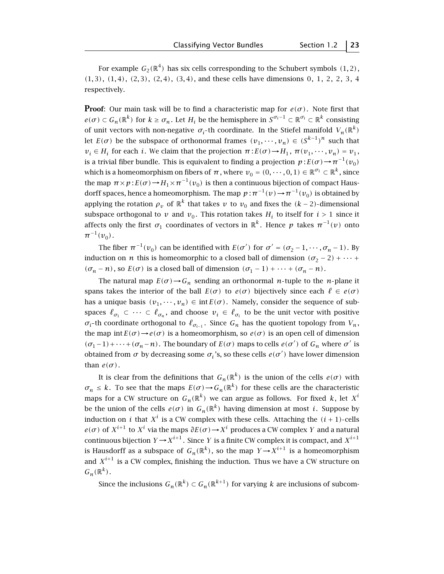For example  $G_2(\mathbb{R}^4)$  has six cells corresponding to the Schubert symbols  $(1, 2)$ , *(*1*,* 3*)*, *(*1*,* 4*)*, *(*2*,* 3*)*, *(*2*,* 4*)*, *(*3*,* 4*)*, and these cells have dimensions 0, 1, 2, 2, 3, 4 respectively.

**Proof**: Our main task will be to find a characteristic map for  $e(\sigma)$ . Note first that  $e(\sigma) \subset G_n(\mathbb{R}^k)$  for  $k \geq \sigma_n$ . Let  $H_i$  be the hemisphere in  $S^{\sigma_i-1} \subset \mathbb{R}^{\sigma_i} \subset \mathbb{R}^k$  consisting of unit vectors with non-negative  $\sigma_i$ -th coordinate. In the Stiefel manifold  $V_n(\mathbb{R}^k)$ let  $E(\sigma)$  be the subspace of orthonormal frames  $(v_1, \dots, v_n) \in (S^{k-1})^n$  such that  $v_i \in H_i$  for each *i*. We claim that the projection  $\pi$ :  $E(\sigma) \rightarrow H_1$ ,  $\pi$  $(v_1, \dots, v_n) = v_1$ , is a trivial fiber bundle. This is equivalent to finding a projection  $p: E(\sigma) \to \pi^{-1}(v_0)$ which is a homeomorphism on fibers of  $\pi$ , where  $v_0 = (0, \dots, 0, 1) \in \mathbb{R}^{\sigma_1} \subset \mathbb{R}^k$ , since the map  $\pi \times p : E(\sigma) \to H_1 \times \pi^{-1}(v_0)$  is then a continuous bijection of compact Hausdorff spaces, hence a homeomorphism. The map  $p : \pi^{-1}(v) \to \pi^{-1}(v_0)$  is obtained by applying the rotation  $\rho_v$  of  $\mathbb{R}^k$  that takes *v* to  $v_0$  and fixes the  $(k-2)$ -dimensional subspace orthogonal to *v* and  $v_0$ . This rotation takes  $H_i$  to itself for  $i > 1$  since it affects only the first  $\sigma_1$  coordinates of vectors in  $\mathbb{R}^k$ . Hence  $p$  takes  $\pi^{-1}(v)$  onto  $\pi^{-1}(v_0)$ .

The fiber  $\pi^{-1}(v_0)$  can be identified with  $E(\sigma')$  for  $\sigma' = (\sigma_2 - 1, \dots, \sigma_n - 1)$ . By induction on *n* this is homeomorphic to a closed ball of dimension  $(\sigma_2 - 2) + \cdots$ *(* $\sigma_n$  − *n*), so *E*( $\sigma$ ) is a closed ball of dimension  $(σ_1 − 1) + ··· + (σ_n − n)$ .

The natural map  $E(\sigma) \rightarrow G_n$  sending an orthonormal *n*-tuple to the *n*-plane it spans takes the interior of the ball  $E(\sigma)$  to  $e(\sigma)$  bijectively since each  $\ell \in e(\sigma)$ has a unique basis  $(v_1, \dots, v_n) \in \text{int } E(\sigma)$ . Namely, consider the sequence of subspaces  $\ell_{\sigma_1} \subset \cdots \subset \ell_{\sigma_n}$ , and choose  $v_i \in \ell_{\sigma_i}$  to be the unit vector with positive  $\sigma_i$ -th coordinate orthogonal to  $\ell_{\sigma_{i-1}}$ . Since  $G_n$  has the quotient topology from  $V_n$ , the map int  $E(\sigma) \rightarrow e(\sigma)$  is a homeomorphism, so  $e(\sigma)$  is an open cell of dimension  $(σ<sub>1</sub> − 1) + ··· + (σ<sub>n</sub> − n)$ . The boundary of *E*(*σ*) maps to cells *e*(*σ*<sup>'</sup>) of *G<sub>n</sub>* where *σ*<sup>'</sup> is obtained from  $\sigma$  by decreasing some  $\sigma_i$ 's, so these cells  $e(\sigma')$  have lower dimension than  $e(\sigma)$ .

It is clear from the definitions that  $G_n(\mathbb{R}^k)$  is the union of the cells  $e(\sigma)$  with  $\sigma_n \leq k$ . To see that the maps  $E(\sigma) \to G_n(\mathbb{R}^k)$  for these cells are the characteristic maps for a CW structure on  $G_n(\mathbb{R}^k)$  we can argue as follows. For fixed *k*, let  $X^i$ be the union of the cells  $e(\sigma)$  in  $G_n(\mathbb{R}^k)$  having dimension at most *i*. Suppose by induction on *i* that  $X^i$  is a CW complex with these cells. Attaching the  $(i + 1)$ -cells *e*( $\sigma$ ) of  $X^{i+1}$  to  $X^i$  via the maps  $\partial E(\sigma)$  →  $X^i$  produces a CW complex *Y* and a natural continuous bijection  $Y \rightarrow X^{i+1}$ . Since *Y* is a finite CW complex it is compact, and  $X^{i+1}$ is Hausdorff as a subspace of  $G_n(\mathbb{R}^k)$ , so the map  $Y \rightarrow X^{i+1}$  is a homeomorphism and  $X^{i+1}$  is a CW complex, finishing the induction. Thus we have a CW structure on  $G_n(\mathbb{R}^k)$ .

Since the inclusions  $G_n(\mathbb{R}^k) \subset G_n(\mathbb{R}^{k+1})$  for varying *k* are inclusions of subcom-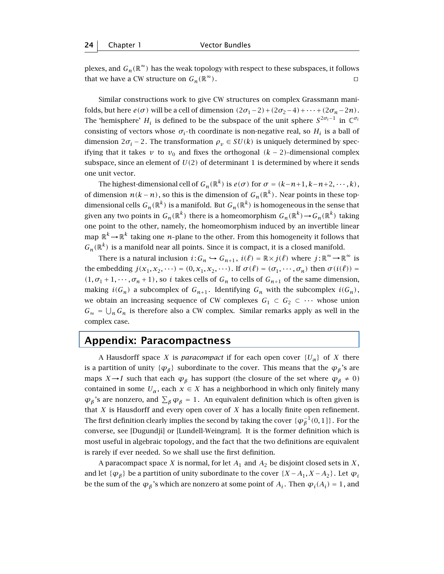plexes, and  $G_n(\mathbb{R}^\infty)$  has the weak topology with respect to these subspaces, it follows that we have a CW structure on  $G_n(\mathbb{R}^\infty)$ .

Similar constructions work to give CW structures on complex Grassmann manifolds, but here  $e(\sigma)$  will be a cell of dimension  $(2\sigma_1-2)+(2\sigma_2-4)+\cdots+(2\sigma_n-2n)$ . The 'hemisphere' *H<sub>i</sub>* is defined to be the subspace of the unit sphere  $S^{2\sigma_i-1}$  in  $\mathbb{C}^{\sigma_i}$ consisting of vectors whose  $\sigma_i$ -th coordinate is non-negative real, so  $H_i$  is a ball of dimension  $2\sigma_i - 2$ . The transformation  $\rho_v \in SU(k)$  is uniquely determined by specifying that it takes  $v$  to  $v_0$  and fixes the orthogonal  $(k-2)$ -dimensional complex subspace, since an element of  $U(2)$  of determinant 1 is determined by where it sends one unit vector.

The highest-dimensional cell of  $G_n(\mathbb{R}^k)$  is  $e(\sigma)$  for  $\sigma = (k-n+1, k-n+2, \dots, k)$ , of dimension  $n(k - n)$ , so this is the dimension of  $G_n(\mathbb{R}^k)$ . Near points in these topdimensional cells  $G_n(\mathbb{R}^k)$  is a manifold. But  $G_n(\mathbb{R}^k)$  is homogeneous in the sense that given any two points in  $G_n(\mathbb{R}^k)$  there is a homeomorphism  $G_n(\mathbb{R}^k) \to G_n(\mathbb{R}^k)$  taking one point to the other, namely, the homeomorphism induced by an invertible linear map  $\mathbb{R}^k\!\rightarrow\!\mathbb{R}^k$  taking one *n*-plane to the other. From this homogeneity it follows that  $G_n(\mathbb{R}^k)$  is a manifold near all points. Since it is compact, it is a closed manifold.

There is a natural inclusion  $i: G_n \hookrightarrow G_{n+1}$ ,  $i(\ell) = \mathbb{R} \times j(\ell)$  where  $j: \mathbb{R}^{\infty} \to \mathbb{R}^{\infty}$  is the embedding  $j(x_1, x_2, \dots) = (0, x_1, x_2, \dots)$ . If  $\sigma(\ell) = (\sigma_1, \dots, \sigma_n)$  then  $\sigma(i(\ell)) =$  $(1, \sigma_1 + 1, \cdots, \sigma_n + 1)$ , so *i* takes cells of  $G_n$  to cells of  $G_{n+1}$  of the same dimension, making  $i(G_n)$  a subcomplex of  $G_{n+1}$ . Identifying  $G_n$  with the subcomplex  $i(G_n)$ , we obtain an increasing sequence of CW complexes  $G_1$  ⊂  $G_2$  ⊂ ··· whose union  $G_{\infty} = \bigcup_{n} G_n$  is therefore also a CW complex. Similar remarks apply as well in the complex case.

#### **Appendix: Paracompactness**

A Hausdorff space *X* is *paracompact* if for each open cover  $\{U_{\alpha}\}\$  of *X* there is a partition of unity  $\{\varphi_{\beta}\}\$  subordinate to the cover. This means that the  $\varphi_{\beta}\$ 's are maps *X* $\rightarrow$ *I* such that each  $\varphi_{\beta}$  has support (the closure of the set where  $\varphi_{\beta} \neq 0$ ) contained in some  $U_\alpha$ , each  $x \in X$  has a neighborhood in which only finitely many  $\varphi_{\beta}$ 's are nonzero, and  $\sum_{\beta} \varphi_{\beta} = 1$ . An equivalent definition which is often given is that *X* is Hausdorff and every open cover of *X* has a locally finite open refinement. The first definition clearly implies the second by taking the cover  $\{\pmb{\varphi}_{\pmb{\beta}}^{-1}(0,1]\}$  . For the converse, see [Dugundji] or [Lundell-Weingram]. It is the former definition which is most useful in algebraic topology, and the fact that the two definitions are equivalent is rarely if ever needed. So we shall use the first definition.

A paracompact space *X* is normal, for let  $A_1$  and  $A_2$  be disjoint closed sets in *X*, and let  $\{\varphi_{\beta}\}\$  be a partition of unity subordinate to the cover  $\{X - A_1, X - A_2\}$ . Let  $\varphi_i$ be the sum of the  $\varphi_{\beta}$ 's which are nonzero at some point of  $A_i$ . Then  $\varphi_i(A_i) = 1$ , and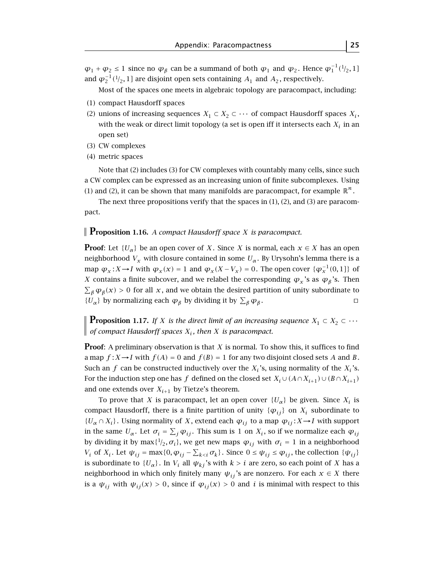$\varphi_1 + \varphi_2 \le 1$  since no  $\varphi_\beta$  can be a summand of both  $\varphi_1$  and  $\varphi_2$ . Hence  $\varphi_1^{-1}({}^1/_2, 1]$ and  $\varphi_2^{-1}({}^1\!/_2, 1]$  are disjoint open sets containing  $A_1$  and  $A_2$ , respectively.

Most of the spaces one meets in algebraic topology are paracompact, including:

- (1) compact Hausdorff spaces
- (2) unions of increasing sequences  $X_1 \subset X_2 \subset \cdots$  of compact Hausdorff spaces  $X_i$ , with the weak or direct limit topology (a set is open iff it intersects each  $X_i$  in an open set)
- (3) CW complexes
- (4) metric spaces

Note that (2) includes (3) for CW complexes with countably many cells, since such a CW complex can be expressed as an increasing union of finite subcomplexes. Using (1) and (2), it can be shown that many manifolds are paracompact, for example  $\mathbb{R}^n$ .

The next three propositions verify that the spaces in  $(1)$ ,  $(2)$ , and  $(3)$  are paracompact.

#### **Proposition 1.16.** *A compact Hausdorff space <sup>X</sup> is paracompact.*

**Proof**: Let  $\{U_{\alpha}\}\$ be an open cover of *X*. Since *X* is normal, each  $x \in X$  has an open neighborhood  $V_x$  with closure contained in some  $U_\alpha$ . By Urysohn's lemma there is a map  $\varphi_x : X \to I$  with  $\varphi_x(x) = 1$  and  $\varphi_x(X - V_x) = 0$ . The open cover  $\{\varphi_x^{-1}(0, 1]\}$  of *X* contains a finite subcover, and we relabel the corresponding  $\varphi_x$ 's as  $\varphi_\beta$ 's. Then  $\sum_{\beta} \varphi_{\beta}(x) > 0$  for all *x*, and we obtain the desired partition of unity subordinate to *{U<sub>α</sub>*} by normalizing each  $\varphi_{\beta}$  by dividing it by  $\sum_{\beta} \varphi_{\beta}$ .  $\Box$ 

**Proposition 1.17.** *If X is the direct limit of an increasing sequence*  $X_1 \subset X_2 \subset \cdots$  $\parallel$  *of compact Hausdorff spaces*  $X_i$ , then X is paracompact.

**Proof**: A preliminary observation is that *X* is normal. To show this, it suffices to find a map  $f: X \rightarrow I$  with  $f(A) = 0$  and  $f(B) = 1$  for any two disjoint closed sets A and B. Such an  $f$  can be constructed inductively over the  $X_i$ 's, using normality of the  $X_i$ 's. For the induction step one has *f* defined on the closed set  $X_i \cup (A \cap X_{i+1}) \cup (B \cap X_{i+1})$ and one extends over  $X_{i+1}$  by Tietze's theorem.

To prove that *X* is paracompact, let an open cover  $\{U_{\alpha}\}\$  be given. Since  $X_i$  is compact Hausdorff, there is a finite partition of unity  $\{\varphi_{ij}\}\$  on  $X_i$  subordinate to  ${U_{\alpha} \cap X_i}$ . Using normality of *X*, extend each  $\varphi_{ij}$  to a map  $\varphi_{ij}: X \rightarrow I$  with support in the same  $U_\alpha$ . Let  $\sigma_i = \sum_j \varphi_{ij}$ . This sum is 1 on  $X_i$ , so if we normalize each  $\varphi_{ij}$ by dividing it by max $\{1/2, \sigma_i\}$ , we get new maps  $\varphi_{ij}$  with  $\sigma_i = 1$  in a neighborhood *V<sub>i</sub>* of *X<sub>i</sub>*. Let  $\psi_{ij} = \max\{0, \varphi_{ij} - \sum_{k < i} \sigma_k\}$ . Since  $0 \leq \psi_{ij} \leq \varphi_{ij}$ , the collection  $\{\psi_{ij}\}$ is subordinate to  ${U_\alpha}$ . In  $V_i$  all  $\psi_{ki}$ 's with  $k>i$  are zero, so each point of *X* has a neighborhood in which only finitely many  $\psi_{ij}$ 's are nonzero. For each  $x \in X$  there is a  $\psi_{ij}$  with  $\psi_{ij}(x) > 0$ , since if  $\varphi_{ij}(x) > 0$  and *i* is minimal with respect to this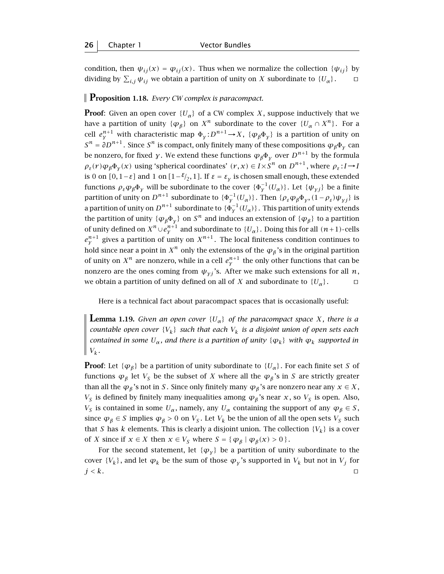condition, then  $\psi_{ij}(x) = \varphi_{ij}(x)$ . Thus when we normalize the collection  $\{\psi_{ij}\}\$  by dividing by  $\sum_{i,j} \psi_{ij}$  we obtain a partition of unity on *X* subordinate to  $\{U_\alpha\}$ .  $\Box$ 

**Proposition 1.18.** *Every CW complex is paracompact.*

**Proof:** Given an open cover  ${U_\alpha}$  of a CW complex *X*, suppose inductively that we have a partition of unity  $\{\varphi_{\beta}\}\$  on  $X^n$  subordinate to the cover  $\{U_{\alpha} \cap X^n\}$ . For a cell  $e^{n+1}$  with characteristic map  $\Phi_y : D^{n+1} \to X$ ,  $\{\varphi_\beta \Phi_y\}$  is a partition of unity on  $\mathbb{R}^n$ .  $S^n = \partial D^{n+1}$ . Since  $S^n$  is compact, only finitely many of these compositions  $\varphi_B \Phi_v$  can be nonzero, for fixed *y*. We extend these functions  $\varphi_{\beta} \Phi_{\gamma}$  over  $D^{n+1}$  by the formula  $\rho_{\varepsilon}(r)\varphi_{\beta}\Phi_{\gamma}(x)$  using 'spherical coordinates'  $(r, x) \in I \times S^n$  on  $D^{n+1}$ , where  $\rho_{\varepsilon}: I \to I$ is 0 on  $[0, 1-\varepsilon]$  and 1 on  $[1-\varepsilon/2, 1]$ . If  $\varepsilon = \varepsilon$ <sub>γ</sub> is chosen small enough, these extended functions  $\rho_{\varepsilon} \varphi_{\beta} \Phi_{\gamma}$  will be subordinate to the cover  $\{\Phi_{\gamma}^{-1}(U_{\alpha})\}$ . Let  $\{\psi_{\gamma j}\}$  be a finite partition of unity on  $D^{n+1}$  subordinate to  ${\{\Phi_y^{-1}(U_\alpha)\}}$ . Then  ${\{\rho_\varepsilon\phi_\beta\Phi_y,(1-\rho_\varepsilon)\psi_{yj}\}}$  is a partition of unity on  $D^{n+1}$  subordinate to  $\{\Phi_y^{-1}(U_\alpha)\}$ . This partition of unity extends the partition of unity  $\{\varphi_{\beta}\Phi_{\gamma}\}\$  on  $S^n$  and induces an extension of  $\{\varphi_{\beta}\}\$  to a partition of unity defined on  $X^n\cup e^{n+1}_y$  and subordinate to  $\{U_\alpha\}.$  Doing this for all  $(n+1)$ -cells  $e_{\gamma}^{n+1}$  gives a partition of unity on  $X^{n+1}$ . The local finiteness condition continues to hold since near a point in  $X^n$  only the extensions of the  $\varphi_\beta$ 's in the original partition of unity on  $X^n$  are nonzero, while in a cell  $e^{n+1}_y$  the only other functions that can be nonzero are the ones coming from  $\psi_{\gamma i}$ 's. After we make such extensions for all *n*, we obtain a partition of unity defined on all of *X* and subordinate to  $\{U_{\alpha}\}\$ .

Here is a technical fact about paracompact spaces that is occasionally useful:

**Lemma 1.19.** *Given an open cover*  $\{U_{\alpha}\}\$  *of the paracompact space X*, *there is a countable open cover*  ${V_k}$  *such that each*  $V_k$  *is a disjoint union of open sets each contained in some*  $U_{\alpha}$ *, and there is a partition of unity*  $\{\varphi_k\}$  *with*  $\varphi_k$  *supported in*  $V_k$ .

**Proof**: Let { $\varphi_{\beta}$ } be a partition of unity subordinate to { $U_{\alpha}$ }. For each finite set *S* of functions  $\varphi_{\beta}$  let  $V_S$  be the subset of *X* where all the  $\varphi_{\beta}$ 's in *S* are strictly greater than all the  $\varphi_{\beta}$ 's not in *S*. Since only finitely many  $\varphi_{\beta}$ 's are nonzero near any  $x \in X$ , *V<sub>S</sub>* is defined by finitely many inequalities among  $\varphi_{\beta}$ 's near *x*, so *V<sub>S</sub>* is open. Also, *V<sub>S</sub>* is contained in some  $U_\alpha$ , namely, any  $U_\alpha$  containing the support of any  $\varphi_\beta \in S$ , since  $\varphi_{\beta} \in S$  implies  $\varphi_{\beta} > 0$  on  $V_S$ . Let  $V_k$  be the union of all the open sets  $V_S$  such that *S* has *k* elements. This is clearly a disjoint union. The collection  $\{V_k\}$  is a cover of *X* since if  $x \in X$  then  $x \in V_S$  where  $S = \{ \varphi_\beta \mid \varphi_\beta(x) > 0 \}$ .

For the second statement, let  $\{\varphi_{\gamma}\}\$  be a partition of unity subordinate to the cover  ${V_k}$ , and let  $\varphi_k$  be the sum of those  $\varphi_\gamma$ 's supported in  $V_k$  but not in  $V_j$  for  $j < k$ . turns the contract of  $j$  and  $k$  and  $k$  and  $k$  and  $k$  and  $k$  and  $k$  and  $k$  and  $k$  and  $k$  and  $k$  and  $k$  and  $k$  and  $k$  and  $k$  and  $k$  and  $k$  and  $k$  and  $k$  and  $k$  and  $k$  and  $k$  and  $k$  and  $k$  and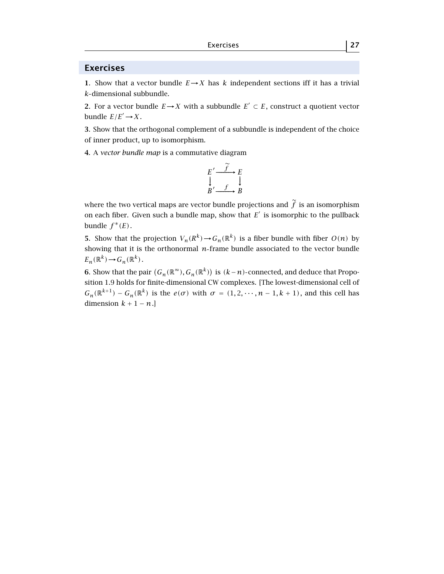#### **Exercises**

**1**. Show that a vector bundle  $E \rightarrow X$  has *k* independent sections iff it has a trivial *k* dimensional subbundle.

**2**. For a vector bundle *E*→*X* with a subbundle *E'* ⊂ *E*, construct a quotient vector bundle  $E/E' \rightarrow X$ .

**3**. Show that the orthogonal complement of a subbundle is independent of the choice of inner product, up to isomorphism.

**4**. A *vector bundle map* is a commutative diagram

$$
E' \xrightarrow{\widetilde{f}} E
$$
  
 
$$
\downarrow_{B' \xrightarrow{f}} E
$$

where the two vertical maps are vector bundle projections and  $\tilde{f}$  is an isomorphism on each fiber. Given such a bundle map, show that  $E'$  is isomorphic to the pullback bundle  $f^*(E)$ .

**5**. Show that the projection  $V_n(R^k) \to G_n(\mathbb{R}^k)$  is a fiber bundle with fiber  $O(n)$  by showing that it is the orthonormal *n* frame bundle associated to the vector bundle  $E_n(\mathbb{R}^k) \to G_n(\mathbb{R}^k)$ .

**6**. Show that the pair  $(G_n(\mathbb{R}^{\infty}), G_n(\mathbb{R}^k))$  is  $(k-n)$ -connected, and deduce that Proposition 1.9 holds for finite-dimensional CW complexes. [The lowest-dimensional cell of  $G_n(\mathbb{R}^{k+1}) - G_n(\mathbb{R}^k)$  is the  $e(\sigma)$  with  $\sigma = (1, 2, \dots, n-1, k+1)$ , and this cell has dimension  $k + 1 - n$ .]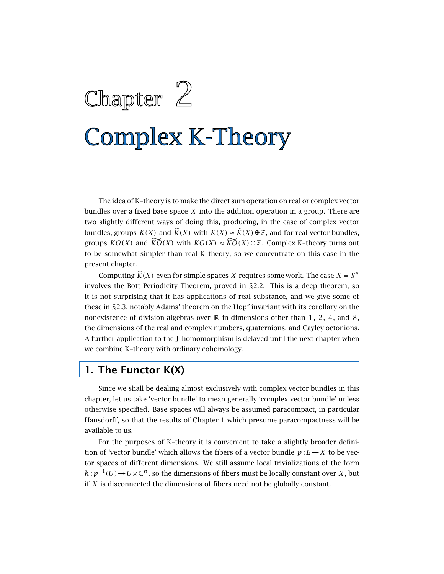# Chapter 2 **Complex K-Theory**

The idea of K–theory is to make the direct sum operation on real or complex vector bundles over a fixed base space *X* into the addition operation in a group. There are two slightly different ways of doing this, producing, in the case of complex vector bundles, groups  $K(X)$  and  $\widetilde{K}(X)$  with  $K(X) \approx \widetilde{K}(X) \oplus \mathbb{Z}$ , and for real vector bundles, groups  $KO(X)$  and  $\widetilde{KO}(X)$  with  $KO(X) \approx \widetilde{KO}(X) \oplus \mathbb{Z}$ . Complex K–theory turns out to be somewhat simpler than real K–theory, so we concentrate on this case in the present chapter.

Computing  $\widetilde{K}(X)$  even for simple spaces *X* requires some work. The case  $X = S^n$ involves the Bott Periodicity Theorem, proved in §2.2. This is a deep theorem, so it is not surprising that it has applications of real substance, and we give some of these in §2.3, notably Adams' theorem on the Hopf invariant with its corollary on the nonexistence of division algebras over  $\mathbb R$  in dimensions other than 1, 2, 4, and 8, the dimensions of the real and complex numbers, quaternions, and Cayley octonions. A further application to the J–homomorphism is delayed until the next chapter when we combine K–theory with ordinary cohomology.

#### **1. The Functor K(X)**

Since we shall be dealing almost exclusively with complex vector bundles in this chapter, let us take 'vector bundle' to mean generally 'complex vector bundle' unless otherwise specified. Base spaces will always be assumed paracompact, in particular Hausdorff, so that the results of Chapter 1 which presume paracompactness will be available to us.

For the purposes of K–theory it is convenient to take a slightly broader definition of 'vector bundle' which allows the fibers of a vector bundle  $p: E \rightarrow X$  to be vector spaces of different dimensions. We still assume local trivializations of the form *h* :  $p^{-1}(U)$  →  $U \times \mathbb{C}^n$ , so the dimensions of fibers must be locally constant over *X*, but if *X* is disconnected the dimensions of fibers need not be globally constant.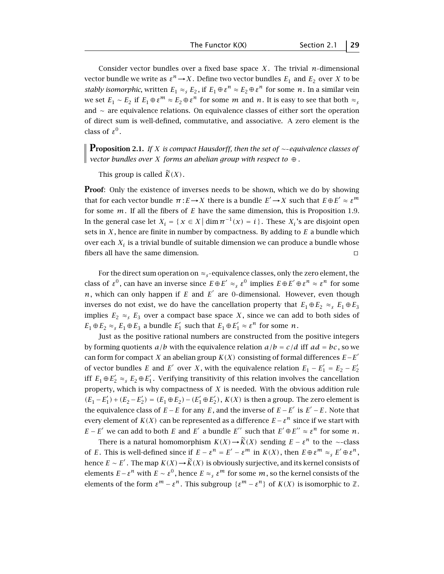Consider vector bundles over a fixed base space  $X$ . The trivial  $n$ -dimensional vector bundle we write as  $\varepsilon^n \to X$ . Define two vector bundles  $E_1$  and  $E_2$  over *X* to be *stably isomorphic*, written  $E_1 \approx_S E_2$ , if  $E_1 \oplus \varepsilon^n \approx E_2 \oplus \varepsilon^n$  for some *n*. In a similar vein we set  $E_1$  ∼  $E_2$  if  $E_1 \oplus \varepsilon^m \approx E_2 \oplus \varepsilon^n$  for some *m* and *n*. It is easy to see that both  $\approx$ <sub>*s*</sub> and ∼ are equivalence relations. On equivalence classes of either sort the operation of direct sum is well-defined, commutative, and associative. A zero element is the class of  $\varepsilon^0$ .

**Proposition 2.1.** *If <sup>X</sup> is compact Hausdorff, then the set of* <sup>∼</sup> *equivalence classes of vector bundles over X forms an abelian group with respect to* ⊕ *.*

This group is called  $\widetilde{K}(X)$ .

**Proof:** Only the existence of inverses needs to be shown, which we do by showing that for each vector bundle  $\pi: E \to X$  there is a bundle  $E' \to X$  such that  $E \oplus E' \approx \varepsilon^m$ for some *m*. If all the fibers of *E* have the same dimension, this is Proposition 1.9. In the general case let  $X_i = \{x \in X | \dim \pi^{-1}(x) = i\}$ . These  $X_i$ 's are disjoint open sets in *X* , hence are finite in number by compactness. By adding to *E* a bundle which over each  $X_i$  is a trivial bundle of suitable dimension we can produce a bundle whose fibers all have the same dimension.  $\square$ 

For the direct sum operation on  $\approx$ <sub>s</sub>-equivalence classes, only the zero element, the class of  $\varepsilon^0$ , can have an inverse since  $E \oplus E' \approx_s \varepsilon^0$  implies  $E \oplus E' \oplus \varepsilon^n \approx \varepsilon^n$  for some  $n$ , which can only happen if  $E$  and  $E'$  are 0-dimensional. However, even though inverses do not exist, we do have the cancellation property that  $E_1 \oplus E_2 \approx_{s} E_1 \oplus E_3$ implies  $E_2 \approx_S E_3$  over a compact base space *X*, since we can add to both sides of  $E_1 \oplus E_2 \approx_s E_1 \oplus E_3$  a bundle  $E'_1$  such that  $E_1 \oplus E'_1 \approx \varepsilon^n$  for some *n*.

Just as the positive rational numbers are constructed from the positive integers by forming quotients  $a/b$  with the equivalence relation  $a/b = c/d$  iff  $ad = bc$ , so we can form for compact *X* an abelian group  $K(X)$  consisting of formal differences  $E-E'$ of vector bundles *E* and *E'* over *X*, with the equivalence relation  $E_1 - E_1' = E_2 - E_2'$ iff  $E_1 \oplus E_2' \approx$ <sub>s</sub>  $E_2 \oplus E_1'$ . Verifying transitivity of this relation involves the cancellation property, which is why compactness of *X* is needed. With the obvious addition rule *(E*<sub>1</sub> −  $E'_1$ ) + ( $E_2$  −  $E'_2$ ) = ( $E_1$  ⊕  $E_2$ ) − ( $E'_1$  ⊕  $E'_2$ ), *K(X)* is then a group. The zero element is the equivalence class of  $E − E$  for any  $E$ , and the inverse of  $E − E'$  is  $E' − E$ . Note that every element of *K(X)* can be represented as a difference  $E - \varepsilon^n$  since if we start with *E* − *E*<sup> $\prime$ </sup> we can add to both *E* and *E*<sup> $\prime$ </sup> a bundle *E*<sup> $\prime$ </sup> such that *E*<sup> $\prime$ </sup> ⊕ *E*<sup> $\prime$ </sup> ≈ *ε*<sup>*n*</sup> for some *n*.

There is a natural homomorphism  $K(X) \rightarrow \widetilde{K}(X)$  sending  $E - \varepsilon^n$  to the ∼-class of *E*. This is well-defined since if  $E - \varepsilon^n = E' - \varepsilon^m$  in  $K(X)$ , then  $E \oplus \varepsilon^m \approx_{s} E' \oplus \varepsilon^n$ , hence  $E \sim E'$ . The map  $K(X) \to \widetilde{K}(X)$  is obviously surjective, and its kernel consists of elements  $E - \varepsilon^n$  with  $E \sim \varepsilon^0$ , hence  $E \approx_{\varepsilon} \varepsilon^m$  for some  $m$ , so the kernel consists of the elements of the form  $\varepsilon^{m} - \varepsilon^{n}$ . This subgroup  $\{\varepsilon^{m} - \varepsilon^{n}\}\$  of  $K(X)$  is isomorphic to  $\mathbb{Z}$ .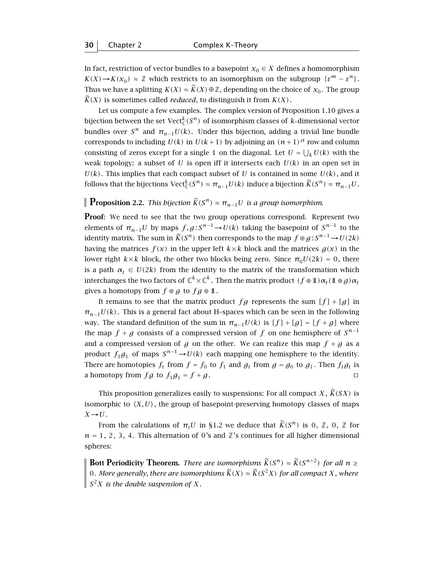In fact, restriction of vector bundles to a basepoint  $x_0 \in X$  defines a homomorphism  $K(X) \rightarrow K(x_0) \approx \mathbb{Z}$  which restricts to an isomorphism on the subgroup  $\{\varepsilon^m - \varepsilon^n\}$ . Thus we have a splitting  $K(X) \approx \widetilde{K}(X) \oplus \mathbb{Z}$ , depending on the choice of  $x_0$ . The group  $\widetilde{K}(X)$  is sometimes called *reduced*, to distinguish it from  $K(X)$ .

Let us compute a few examples. The complex version of Proposition 1.10 gives a bijection between the set  $\mathrm{Vect}^k_\mathbb{C}(S^n)$  of isomorphism classes of  $k$ -dimensional vector bundles over  $S^n$  and  $\pi_{n-1}U(k)$ . Under this bijection, adding a trivial line bundle corresponds to including  $U(k)$  in  $U(k+1)$  by adjoining an  $(n+1)^{st}$  row and column consisting of zeros except for a single 1 on the diagonal. Let  $U = \bigcup_k U(k)$  with the weak topology: a subset of  $U$  is open iff it intersects each  $U(k)$  in an open set in  $U(k)$ . This implies that each compact subset of *U* is contained in some  $U(k)$ , and it follows that the bijections  $\mathrm{Vect}_{\mathbb{C}}^k(S^n) \approx \pi_{n-1}U(k)$  induce a bijection  $\widetilde{K}(S^n) \approx \pi_{n-1}U$ .

#### **Proposition 2.2.** *This bijection*  $\widetilde{K}(S^n) \approx \pi_{n-1}U$  *is a group isomorphism.*

**Proof:** We need to see that the two group operations correspond. Represent two elements of  $\pi_{n-1}U$  by maps  $f,g:S^{n-1}\to U(k)$  taking the basepoint of  $S^{n-1}$  to the identity matrix. The sum in  $\widetilde{K}(S^n)$  then corresponds to the map  $f \oplus g : S^{n-1} \to U(2k)$ having the matrices  $f(x)$  in the upper left  $k \times k$  block and the matrices  $g(x)$  in the lower right  $k \times k$  block, the other two blocks being zero. Since  $\pi_0 U(2k) = 0$ , there is a path  $\alpha_t \in U(2k)$  from the identity to the matrix of the transformation which interchanges the two factors of  $\mathbb{C}^k \times \mathbb{C}^k$ . Then the matrix product  $(f \oplus 1) \alpha_t (1 \oplus g) \alpha_t$ gives a homotopy from  $f \oplus g$  to  $fg \oplus \mathbb{1}$ .

It remains to see that the matrix product  $fg$  represents the sum  $[f] + [g]$  in  $\pi_{n-1}U(k)$ . This is a general fact about H-spaces which can be seen in the following way. The standard definition of the sum in  $\pi_{n-1}U(k)$  is  $[f] + [g] = [f + g]$  where the map  $f + g$  consists of a compressed version of  $f$  on one hemisphere of  $S^{n-1}$ and a compressed version of *g* on the other. We can realize this map  $f + g$  as a product  $f_1g_1$  of maps  $S^{n-1}$   $\rightarrow$   $U(k)$  each mapping one hemisphere to the identity. There are homotopies  $f_t$  from  $f = f_0$  to  $f_1$  and  $g_t$  from  $g = g_0$  to  $g_1$ . Then  $f_t g_t$  is a homotopy from  $fg$  to  $f_1g_1 = f + g$ .

This proposition generalizes easily to suspensions: For all compact *X*,  $\widetilde{K}(SX)$  is isomorphic to  $\langle X, U \rangle$ , the group of basepoint-preserving homotopy classes of maps  $X \rightarrow U$ .

From the calculations of  $\pi_i U$  in §1.2 we deduce that  $\widetilde{K}(S^n)$  is 0,  $\mathbb{Z}$ , 0,  $\mathbb{Z}$  for  $n = 1, 2, 3, 4$ . This alternation of 0's and  $\mathbb{Z}$ 's continues for all higher dimensional spheres:

**Bott Periodicity Theorem.** *There are isomorphisms*  $\widetilde{K}(S^n) \approx \widetilde{K}(S^{n+2})$  *for all*  $n \ge$  $\vert$  0*. More generally, there are isomorphisms*  $\widetilde{K}(X) ≈ \widetilde{K}(S^2X)$  *for all compact X*, where  $\int S^2 X$  *is the double suspension of* X.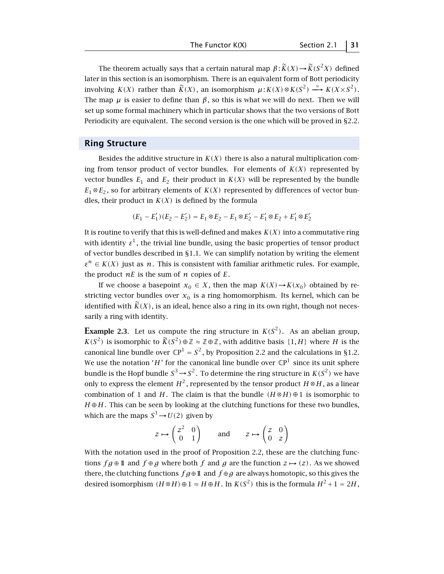The theorem actually says that a certain natural map  $\beta : \widetilde{K}(X) \rightarrow \widetilde{K}(S^2 X)$  defined later in this section is an isomorphism. There is an equivalent form of Bott periodicity involving *K(X)* rather than  $\widetilde{K}(X)$ , an isomorphism  $\mu$ :  $K(X) \otimes K(S^2) \xrightarrow{\approx} K(X \times S^2)$ . The map  $\mu$  is easier to define than  $\beta$ , so this is what we will do next. Then we will set up some formal machinery which in particular shows that the two versions of Bott Periodicity are equivalent. The second version is the one which will be proved in §2.2.

#### **Ring Structure**

Besides the additive structure in  $K(X)$  there is also a natural multiplication coming from tensor product of vector bundles. For elements of  $K(X)$  represented by vector bundles  $E_1$  and  $E_2$  their product in  $K(X)$  will be represented by the bundle  $E_1 \otimes E_2$ , so for arbitrary elements of *K(X)* represented by differences of vector bundles, their product in  $K(X)$  is defined by the formula

$$
(E_1 - E_1')(E_2 - E_2') = E_1 \otimes E_2 - E_1 \otimes E_2' - E_1' \otimes E_2 + E_1' \otimes E_2'
$$

It is routine to verify that this is well-defined and makes  $K(X)$  into a commutative ring with identity  $\varepsilon^1$ , the trivial line bundle, using the basic properties of tensor product of vector bundles described in §1.1. We can simplify notation by writing the element  $\varepsilon^{n} \in K(X)$  just as *n*. This is consistent with familiar arithmetic rules. For example, the product  $nE$  is the sum of  $n$  copies of  $E$ .

If we choose a basepoint  $x_0 \in X$ , then the map  $K(X) \rightarrow K(x_0)$  obtained by restricting vector bundles over  $x_0$  is a ring homomorphism. Its kernel, which can be identified with  $\widetilde{K}(X)$ , is an ideal, hence also a ring in its own right, though not necessarily a ring with identity.

**Example 2.3**. Let us compute the ring structure in  $K(S^2)$ . As an abelian group, *K(S*<sup>2</sup>) is isomorphic to  $\widetilde{K}(S^2) \oplus \mathbb{Z} \approx \mathbb{Z} \oplus \mathbb{Z}$ , with additive basis {1, *H*} where *H* is the canonical line bundle over  $\mathbb{C}P^1 = S^2$ , by Proposition 2.2 and the calculations in §1.2. We use the notation '*H*' for the canonical line bundle over  $\mathbb{C}P^1$  since its unit sphere bundle is the Hopf bundle  $S^3 \!\rightarrow\! S^2$ . To determine the ring structure in  $K(S^2)$  we have only to express the element  $H^2$ , represented by the tensor product  $H \otimes H$ , as a linear combination of 1 and *H*. The claim is that the bundle  $(H \otimes H) \oplus 1$  is isomorphic to  $H \oplus H$ . This can be seen by looking at the clutching functions for these two bundles, which are the maps  $S^1 \rightarrow U(2)$  given by

$$
z \mapsto \begin{pmatrix} z^2 & 0 \\ 0 & 1 \end{pmatrix}
$$
 and  $z \mapsto \begin{pmatrix} z & 0 \\ 0 & z \end{pmatrix}$ 

With the notation used in the proof of Proposition 2.2, these are the clutching functions  $fg \oplus 11$  and  $f \oplus g$  where both  $f$  and  $g$  are the function  $z \mapsto (z)$ . As we showed there, the clutching functions  $fg \oplus \mathbb{1}$  and  $f \oplus g$  are always homotopic, so this gives the desired isomorphism  $(H \otimes H) \oplus 1 \approx H \oplus H$ . In  $K(S^2)$  this is the formula  $H^2 + 1 = 2H$ ,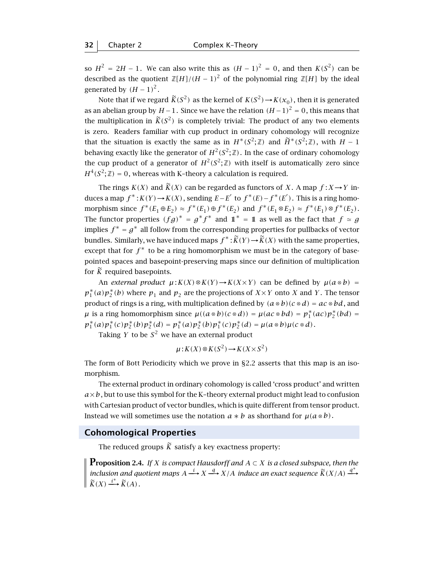so  $H^2 = 2H - 1$ . We can also write this as  $(H - 1)^2 = 0$ , and then  $K(S^2)$  can be described as the quotient  $\mathbb{Z}[H]/(H-1)^2$  of the polynomial ring  $\mathbb{Z}[H]$  by the ideal generated by  $(H-1)^2$ .

Note that if we regard  $\widetilde{K}(S^2)$  as the kernel of  $K(S^2) \rightarrow K(x_0)$ , then it is generated as an abelian group by  $H-1$ . Since we have the relation  $(H-1)^2 = 0$ , this means that the multiplication in  $\widetilde{K}(S^2)$  is completely trivial: The product of any two elements is zero. Readers familiar with cup product in ordinary cohomology will recognize that the situation is exactly the same as in  $H^*(S^2; \mathbb{Z})$  and  $\widetilde{H}^*(S^2; \mathbb{Z})$ , with  $H-1$ behaving exactly like the generator of  $H^2(S^2; \mathbb{Z})$ . In the case of ordinary cohomology the cup product of a generator of  $H^2(S^2; \mathbb{Z})$  with itself is automatically zero since  $H^4(S^2; \mathbb{Z}) = 0$ , whereas with K-theory a calculation is required.

The rings  $K(X)$  and  $\widetilde{K}(X)$  can be regarded as functors of *X*. A map  $f: X \to Y$  induces a map  $f^*$ :  $K(Y)$  →  $K(X)$ , sending  $E - E'$  to  $f^*(E) - f^*(E')$ . This is a ring homomorphism since  $f^*(E_1 \oplus E_2) \approx f^*(E_1) \oplus f^*(E_2)$  and  $f^*(E_1 \otimes E_2) \approx f^*(E_1) \otimes f^*(E_2)$ . The functor properties  $(fg)^* = g^* f^*$  and  $1^* = 1$  as well as the fact that  $f \simeq g$ implies  $f^* = g^*$  all follow from the corresponding properties for pullbacks of vector bundles. Similarly, we have induced maps  $f^* : \widetilde{K}(Y) \to \widetilde{K}(X)$  with the same properties, except that for  $f^*$  to be a ring homomorphism we must be in the category of basepointed spaces and basepoint-preserving maps since our definition of multiplication for  $\tilde{K}$  required basepoints.

An *external product*  $\mu$ :  $K(X) \otimes K(Y) \rightarrow K(X \times Y)$  can be defined by  $\mu(a \otimes b) =$  $p_1^*(a)p_2^*(b)$  where  $p_1$  and  $p_2$  are the projections of  $X\times Y$  onto  $X$  and  $Y$ . The tensor product of rings is a ring, with multiplication defined by  $(a \otimes b)(c \otimes d) = ac \otimes bd$ , and  $\mu$  is a ring homomorphism since  $\mu((a \otimes b)(c \otimes d)) = \mu(ac \otimes bd) = p_1^*(ac)p_2^*(bd) =$  $p_1^*(a)p_1^*(c)p_2^*(b)p_2^*(d) = p_1^*(a)p_2^*(b)p_1^*(c)p_2^*(d) = \mu(a\otimes b)\mu(c\otimes d).$ 

Taking *Y* to be  $S^2$  we have an external product

$$
\mu: K(X) \otimes K(S^2) \to K(X \times S^2)
$$

The form of Bott Periodicity which we prove in §2.2 asserts that this map is an isomorphism.

The external product in ordinary cohomology is called 'cross product' and written  $a \times b$ , but to use this symbol for the K-theory external product might lead to confusion with Cartesian product of vector bundles, which is quite different from tensor product. Instead we will sometimes use the notation  $a * b$  as shorthand for  $\mu(a \otimes b)$ .

#### **Cohomological Properties**

The reduced groups  $\widetilde{K}$  satisfy a key exactness property:

**Proposition 2.4.** *If <sup>X</sup> is compact Hausdorff and <sup>A</sup>* <sup>⊂</sup> *<sup>X</sup> is a closed subspace, then the inclusion and quotient maps*  $A \xrightarrow{i} X \xrightarrow{q} X/A$  *induce an exact sequence*  $\widetilde{K}(X/A) \xrightarrow{q^*} \widetilde{K}(X/A)$  $\widetilde{K}(X) \xrightarrow{i^*} \widetilde{K}(A)$ .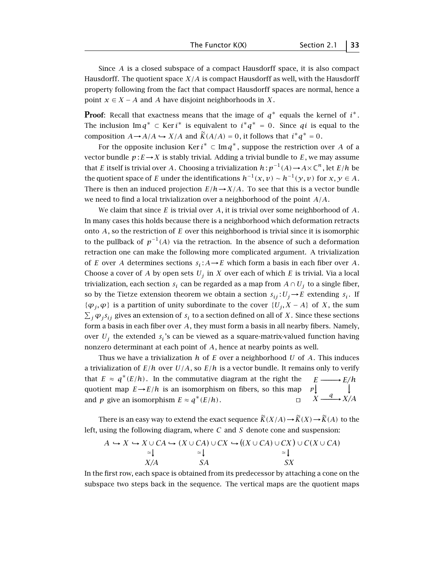Since *A* is a closed subspace of a compact Hausdorff space, it is also compact Hausdorff. The quotient space *X/A* is compact Hausdorff as well, with the Hausdorff property following from the fact that compact Hausdorff spaces are normal, hence a point  $x \in X - A$  and *A* have disjoint neighborhoods in *X*.

**Proof**: Recall that exactness means that the image of  $q^*$  equals the kernel of  $i^*$ . The inclusion Im  $q^* \subset \text{Ker } i^*$  is equivalent to  $i^*q^* = 0$ . Since  $qi$  is equal to the composition  $A \rightarrow A/A \rightarrow X/A$  and  $\widetilde{K}(A/A) = 0$ , it follows that  $i^*q^* = 0$ .

For the opposite inclusion Ker  $i^*$  ⊂ Im $q^*$ , suppose the restriction over  $A$  of a vector bundle  $p: E \rightarrow X$  is stably trivial. Adding a trivial bundle to E, we may assume that *E* itself is trivial over *A*. Choosing a trivialization  $h : p^{-1}(A) \to A \times \mathbb{C}^n$ , let  $E/h$  be the quotient space of *E* under the identifications  $h^{-1}(x, v) \sim h^{-1}(y, v)$  for  $x, y \in A$ . There is then an induced projection  $E/h \rightarrow X/A$ . To see that this is a vector bundle we need to find a local trivialization over a neighborhood of the point *A/A*.

We claim that since *E* is trivial over *A*, it is trivial over some neighborhood of *A*. In many cases this holds because there is a neighborhood which deformation retracts onto *A*, so the restriction of *E* over this neighborhood is trivial since it is isomorphic to the pullback of  $p^{-1}(A)$  via the retraction. In the absence of such a deformation retraction one can make the following more complicated argument. A trivialization of *E* over *A* determines sections  $s_i: A \rightarrow E$  which form a basis in each fiber over *A*. Choose a cover of *A* by open sets  $U_j$  in *X* over each of which *E* is trivial. Via a local trivialization, each section  $s_i$  can be regarded as a map from  $A \cap U_i$  to a single fiber, so by the Tietze extension theorem we obtain a section  $s_{ij}: U_j \rightarrow E$  extending  $s_i$ . If  $\{\varphi_j, \varphi\}$  is a partition of unity subordinate to the cover  $\{U_j, X - A\}$  of *X*, the sum  $\sum_j \varphi_j s_{ij}$  gives an extension of  $s_i$  to a section defined on all of  $X$ . Since these sections form a basis in each fiber over *A*, they must form a basis in all nearby fibers. Namely, over  $U_i$  the extended  $s_i$ 's can be viewed as a square-matrix-valued function having nonzero determinant at each point of *A*, hence at nearby points as well.

Thus we have a trivialization *h* of *E* over a neighborhood *U* of *A*. This induces a trivialization of  $E/h$  over  $U/A$ , so  $E/h$  is a vector bundle. It remains only to verify that  $E \approx q^*(E/h)$ . In the commutative diagram at the right the −−→ *p E* −−−−*E/h*<br>
↓  $\chi \xrightarrow{q} \chi$ <sup>*X*</sup>/*A* quotient map  $E \rightarrow E/h$  is an isomorphism on fibers, so this map and *p* give an isomorphism  $E \approx q^*(E/h)$ .

There is an easy way to extend the exact sequence  $\widetilde{K}(X/A) \rightarrow \widetilde{K}(X) \rightarrow \widetilde{K}(A)$  to the left, using the following diagram, where *C* and *S* denote cone and suspension:

$$
A \hookrightarrow X \hookrightarrow X \cup CA \hookrightarrow (X \cup CA) \cup CX \hookrightarrow ((X \cup CA) \cup CX) \cup C(X \cup CA)
$$
  
\n
$$
\cong \downarrow \cong \downarrow
$$
  
\n
$$
X/A
$$
  
\n
$$
SA
$$
  
\n
$$
SX
$$

In the first row, each space is obtained from its predecessor by attaching a cone on the subspace two steps back in the sequence. The vertical maps are the quotient maps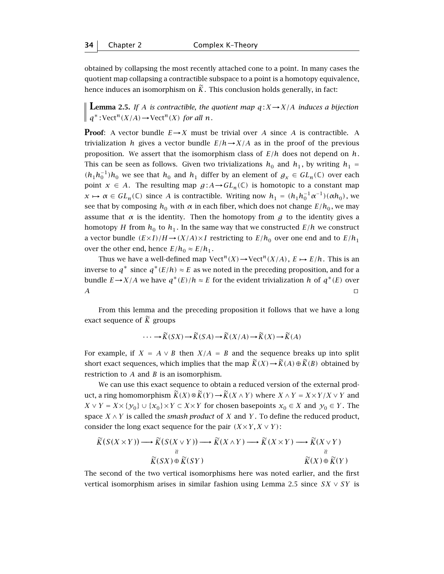obtained by collapsing the most recently attached cone to a point. In many cases the quotient map collapsing a contractible subspace to a point is a homotopy equivalence, hence induces an isomorphism on  $\tilde{K}$ . This conclusion holds generally, in fact:

**Lemma 2.5.** *If A is contractible, the quotient map*  $q: X \rightarrow X/A$  *induces a bijection*  $\parallel$  *q*<sup>\*</sup> : Vect<sup>*n*</sup>(*X*/*A*) → Vect<sup>*n*</sup>(*X*) *for all n.* 

**Proof**: A vector bundle  $E \rightarrow X$  must be trivial over *A* since *A* is contractible. A trivialization *h* gives a vector bundle  $E/h \rightarrow X/A$  as in the proof of the previous proposition. We assert that the isomorphism class of *E/h* does not depend on *h*. This can be seen as follows. Given two trivializations  $h_0$  and  $h_1$ , by writing  $h_1$  =  $(h_1 h_0^{-1})h_0$  we see that  $h_0$  and  $h_1$  differ by an element of  $g_x \text{ ∈ } GL_n(\mathbb{C})$  over each point  $x \in A$ . The resulting map  $g : A \to GL_n(\mathbb{C})$  is homotopic to a constant map *x*  $\mapsto$  *α* ∈ *GL*<sub>*n*</sub></sub>(ℂ) since *A* is contractible. Writing now *h*<sub>1</sub> =  $(h_1h_0^{-1}α^{-1})(αh_0)$ , we see that by composing  $h_0$  with  $\alpha$  in each fiber, which does not change  $E/h_0$ , we may assume that  $\alpha$  is the identity. Then the homotopy from  $g$  to the identity gives a homotopy *H* from  $h_0$  to  $h_1$ . In the same way that we constructed  $E/h$  we construct a vector bundle  $(E \times I)/H \rightarrow (X/A) \times I$  restricting to  $E/h_0$  over one end and to  $E/h_1$ over the other end, hence  $E/h_0 \approx E/h_1$ .

Thus we have a well-defined map  $Vect^n(X) \to \text{Vect}^n(X/A)$ ,  $E \mapsto E/h$ . This is an inverse to  $q^*$  since  $q^*(E/h) \approx E$  as we noted in the preceding proposition, and for a bundle *E*→*X*/*A* we have  $q^*(E)/h \approx E$  for the evident trivialization *h* of  $q^*(E)$  over  $\overline{A}$  turns and  $\overline{A}$  turns are turns and  $\overline{A}$ 

From this lemma and the preceding proposition it follows that we have a long exact sequence of  $\tilde{K}$  groups

$$
\cdots \to \widetilde{K}(SX) \to \widetilde{K}(SA) \to \widetilde{K}(X/A) \to \widetilde{K}(X) \to \widetilde{K}(A)
$$

For example, if  $X = A \vee B$  then  $X/A = B$  and the sequence breaks up into split short exact sequences, which implies that the map  $\widetilde{K}(X) \to \widetilde{K}(A) \oplus \widetilde{K}(B)$  obtained by restriction to *A* and *B* is an isomorphism.

We can use this exact sequence to obtain a reduced version of the external product, a ring homomorphism  $\widetilde{K}(X) \otimes \widetilde{K}(Y) \rightarrow \widetilde{K}(X \wedge Y)$  where  $X \wedge Y = X \times Y/X \vee Y$  and *X* ∨ *Y* = *X* × { $y_0$ } ∪ { $x_0$ } × *Y* ⊂ *X* × *Y* for chosen basepoints  $x_0$  ∈ *X* and  $y_0$  ∈ *Y*. The space  $X \wedge Y$  is called the *smash product* of *X* and *Y*. To define the reduced product, consider the long exact sequence for the pair  $(X \times Y, X \vee Y)$ :

$$
\widetilde{K}(S(X \times Y)) \longrightarrow \widetilde{K}(S(X \vee Y)) \longrightarrow \widetilde{K}(X \wedge Y) \longrightarrow \widetilde{K}(X \times Y) \longrightarrow \widetilde{K}(X \vee Y)
$$
\n
$$
\begin{array}{c}\n \stackrel{\circ}{\times} \\
 \widetilde{K}(SX) \oplus \widetilde{K}(SY) \\
 \end{array}\n\longrightarrow \widetilde{K}(X \wedge Y) \longrightarrow \widetilde{K}(X \times Y) \longrightarrow \widetilde{K}(X \vee Y)
$$

The second of the two vertical isomorphisms here was noted earlier, and the first vertical isomorphism arises in similar fashion using Lemma 2.5 since *SX* ∨ *SY* is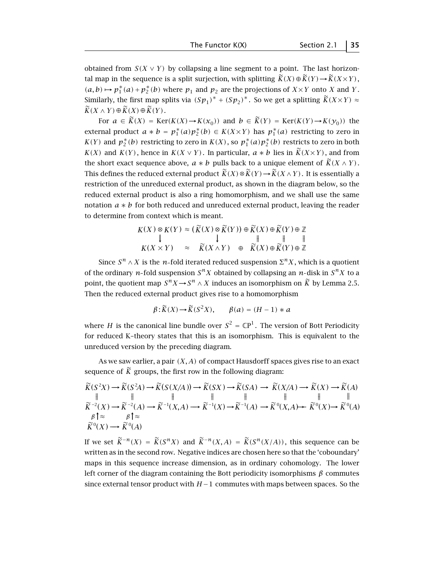obtained from  $S(X \vee Y)$  by collapsing a line segment to a point. The last horizontal map in the sequence is a split surjection, with splitting  $\widetilde{K}(X) \oplus \widetilde{K}(Y) \rightarrow \widetilde{K}(X \times Y)$ ,  $(a, b)$   $\mapsto p_1^*(a) + p_2^*(b)$  where  $p_1$  and  $p_2$  are the projections of *X* × *Y* onto *X* and *Y*. Similarly, the first map splits via  $(Sp_1)^* + (Sp_2)^*$ . So we get a splitting  $\widetilde{K}(X \times Y) \approx$  $\widetilde{K}(X \wedge Y) \oplus \widetilde{K}(X) \oplus \widetilde{K}(Y)$ .

For  $a \in \widetilde{K}(X) = \text{Ker}(K(X) \rightarrow K(x_0))$  and  $b \in \widetilde{K}(Y) = \text{Ker}(K(Y) \rightarrow K(y_0))$  the external product  $a * b = p_1^*(a)p_2^*(b) \in K(X \times Y)$  has  $p_1^*(a)$  restricting to zero in *K(Y)* and  $p_2^*(b)$  restricting to zero in *K(X)*, so  $p_1^*(a)p_2^*(b)$  restricts to zero in both *K(X)* and *K(Y)*, hence in *K(X ∨ Y)*. In particular,  $a * b$  lies in  $\widetilde{K}(X \times Y)$ , and from the short exact sequence above,  $a * b$  pulls back to a unique element of  $\widetilde{K}(X \wedge Y)$ . This defines the reduced external product  $\widetilde{K}(X) \otimes \widetilde{K}(Y) \rightarrow \widetilde{K}(X \wedge Y)$ . It is essentially a restriction of the unreduced external product, as shown in the diagram below, so the reduced external product is also a ring homomorphism, and we shall use the same notation *a* ∗ *b* for both reduced and unreduced external product, leaving the reader to determine from context which is meant.

$$
K(X) \otimes K(Y) \approx (\widetilde{K}(X) \otimes \widetilde{K}(Y)) \oplus \widetilde{K}(X) \oplus \widetilde{K}(Y) \oplus \mathbb{Z}
$$
  
\n
$$
\downarrow \qquad \qquad \downarrow \qquad \qquad \parallel \qquad \parallel \qquad \parallel
$$
  
\n
$$
K(X \times Y) \approx \widetilde{K}(X \wedge Y) \oplus \widetilde{K}(X) \oplus \widetilde{K}(Y) \oplus \mathbb{Z}
$$

Since  $S^n \wedge X$  is the *n*-fold iterated reduced suspension  $\Sigma^n X$ , which is a quotient of the ordinary *n*-fold suspension  $S^n X$  obtained by collapsing an *n*-disk in  $S^n X$  to a point, the quotient map  $S^n X \to S^n \wedge X$  induces an isomorphism on  $\widetilde{K}$  by Lemma 2.5. Then the reduced external product gives rise to a homomorphism

$$
\beta \colon \widetilde{K}(X) \to \widetilde{K}(S^2 X), \qquad \beta(a) = (H - 1) * a
$$

where *H* is the canonical line bundle over  $S^2 = \mathbb{C}P^1$ . The version of Bott Periodicity for reduced K–theory states that this is an isomorphism. This is equivalent to the unreduced version by the preceding diagram.

As we saw earlier, a pair *(X, A)* of compact Hausdorff spaces gives rise to an exact sequence of  $\tilde{K}$  groups, the first row in the following diagram:

$$
\begin{array}{ccc}\n\widetilde{K}(S^2X) \longrightarrow \widetilde{K}(S^2A) \longrightarrow \widetilde{K}(S(X/A)) \longrightarrow \widetilde{K}(SX) \longrightarrow \widetilde{K}(SA) \longrightarrow \widetilde{K}(X/A) \longrightarrow \widetilde{K}(X) \longrightarrow \widetilde{K}(A) \\
\parallel & \parallel & \parallel & \parallel & \parallel & \parallel \\
\widetilde{K}^{-2}(X) \longrightarrow \widetilde{K}^{-2}(A) \longrightarrow \widetilde{K}^{-1}(X,A) \longrightarrow \widetilde{K}^{-1}(X) \longrightarrow \widetilde{K}^{-1}(A) \longrightarrow \widetilde{K}^0(X,A) \longrightarrow \widetilde{K}^0(X) \longrightarrow \widetilde{K}^0(A) \\
\beta \uparrow \approx & \beta \uparrow \approx & \widetilde{K}^0(X) \longrightarrow \widetilde{K}^0(A)\n\end{array}
$$

If we set  $\widetilde{K}^{-n}(X) = \widetilde{K}(S^{n}X)$  and  $\widetilde{K}^{-n}(X,A) = \widetilde{K}(S^{n}(X/A))$ , this sequence can be written as in the second row. Negative indices are chosen here so that the 'coboundary' maps in this sequence increase dimension, as in ordinary cohomology. The lower left corner of the diagram containing the Bott periodicity isomorphisms *β* commutes since external tensor product with *H* −1 commutes with maps between spaces. So the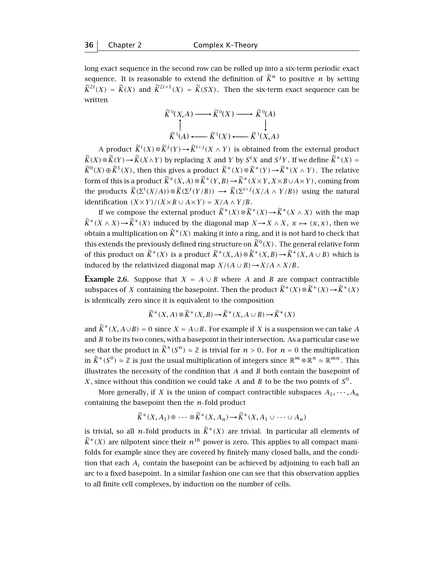long exact sequence in the second row can be rolled up into a six-term periodic exact sequence. It is reasonable to extend the definition of  $\tilde{K}^n$  to positive *n* by setting  $\widetilde{K}^{2i}(X) = \widetilde{K}(X)$  and  $\widetilde{K}^{2i+1}(X) = \widetilde{K}(SX)$ . Then the six-term exact sequence can be written

$$
\widetilde{K}^{0}(X,A) \longrightarrow \widetilde{K}^{0}(X) \longrightarrow \widetilde{K}^{0}(A)
$$
\n
$$
\uparrow \qquad \qquad \downarrow
$$
\n
$$
\widetilde{K}^{1}(A) \longleftarrow \widetilde{K}^{1}(X) \longleftarrow \widetilde{K}^{1}(X,A)
$$

A product  $\widetilde{K}^i(X) \otimes \widetilde{K}^j(Y) \to \widetilde{K}^{i+j}(X \wedge Y)$  is obtained from the external product  $K(X) \otimes K(Y) \rightarrow K(X \wedge Y)$  by replacing *X* and *Y* by *S*<sup>*i*</sup>X and *S<sup>j</sup>Y*. If we define  $K^*(X) =$ <br>  $K^*(X) \otimes K^*(X) =$  $\widetilde{K}^0(X) \oplus \widetilde{K}^1(X)$ , then this gives a product  $\widetilde{K}^*(X) \otimes \widetilde{K}^*(Y) \rightarrow \widetilde{K}^*(X \wedge Y)$ . The relative form of this is a product  $\widetilde{K}^*(X, A) \otimes \widetilde{K}^*(Y, B) \to \widetilde{K}^*(X \times Y, X \times B \cup A \times Y)$ , coming from the products  $\widetilde{K}(\Sigma^{i}(X/A)) \otimes \widetilde{K}(\Sigma^{j}(Y/B)) \longrightarrow \widetilde{K}(\Sigma^{i+j}(X/A \wedge Y/B))$  using the natural identification  $(X \cup X) / (X \cup B \cup A \cup Y)$ *identification*  $(X \times Y)/(X \times B \cup A \times Y) = X/A \wedge Y/B$ .

If we compose the external product  $\widetilde{K}^*(X) \otimes \widetilde{K}^*(X) \rightarrow \widetilde{K}^*(X \wedge X)$  with the map  $\widetilde{K}^*(X \wedge X) \to \widetilde{K}^*(X)$  induced by the diagonal map  $X \to X \wedge X$ ,  $x \mapsto (x, x)$ , then we obtain a multiplication on  $\widetilde{K}^*(X)$  making it into a ring, and it is not hard to check that this extends the previously defined ring structure on  $\widetilde{K}^0(X)$ . The general relative form of this product on  $\widetilde{K}^*(X)$  is a product  $\widetilde{K}^*(X, A) \otimes \widetilde{K}^*(X, B) \to \widetilde{K}^*(X, A \cup B)$  which is induced by the relativized diagonal map  $X/(A \cup B) \rightarrow X/A \wedge X/B$ .

**Example 2.6.** Suppose that  $X = A \cup B$  where *A* and *B* are compact contractible subspaces of *X* containing the basepoint. Then the product  $\widetilde{K}^*(X) \otimes \widetilde{K}^*(X) \rightarrow \widetilde{K}^*(X)$ is identically zero since it is equivalent to the composition

$$
\widetilde{K}^*(X, A) \otimes \widetilde{K}^*(X, B) \to \widetilde{K}^*(X, A \cup B) \to \widetilde{K}^*(X)
$$

and  $\widetilde{K}^*(X, A \cup B) = 0$  since  $X = A \cup B$ . For example if *X* is a suspension we can take *A* and *B* to be its two cones, with a basepoint in their intersection. As a particular case we see that the product in  $\widetilde{K}^*(S^n) \approx \mathbb{Z}$  is trivial for  $n > 0$ . For  $n = 0$  the multiplication in  $\widetilde{K}^*(S^0) \approx \mathbb{Z}$  is just the usual multiplication of integers since  $\mathbb{R}^m \otimes \mathbb{R}^n \approx \mathbb{R}^{mn}$ . This illustrates the necessity of the condition that *A* and *B* both contain the basepoint of *X*, since without this condition we could take *A* and *B* to be the two points of  $S^0$ .

More generally, if *X* is the union of compact contractible subspaces  $A_1, \dots, A_n$ containing the basepoint then the  $n$ -fold product

$$
\widetilde{K}^*(X, A_1) \otimes \cdots \otimes \widetilde{K}^*(X, A_n) \to \widetilde{K}^*(X, A_1 \cup \cdots \cup A_n)
$$

is trivial, so all *n*-fold products in  $\widetilde{K}^*(X)$  are trivial. In particular all elements of  $\widetilde{K}^*(X)$  are nilpotent since their  $n^{th}$  power is zero. This applies to all compact manifolds for example since they are covered by finitely many closed balls, and the condition that each *Ai* contain the basepoint can be achieved by adjoining to each ball an arc to a fixed basepoint. In a similar fashion one can see that this observation applies to all finite cell complexes, by induction on the number of cells.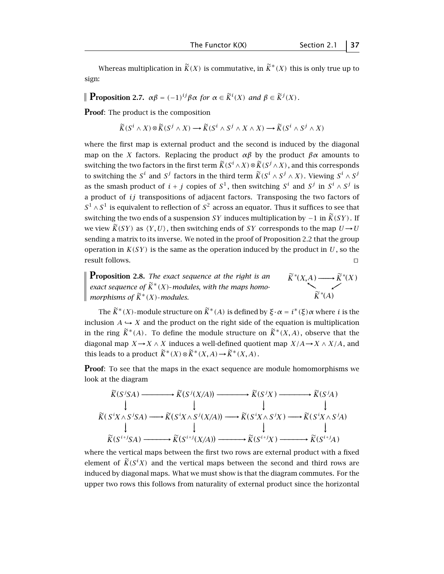**Proposition 2.7.**  $\alpha\beta = (-1)^{ij}\beta\alpha$  for  $\alpha \in \widetilde{K}^i(X)$  and  $\beta \in \widetilde{K}^j(X)$ *.* 

**Proof:** The product is the composition

$$
\widetilde{K}(S^i \wedge X) \otimes \widetilde{K}(S^j \wedge X) \longrightarrow \widetilde{K}(S^i \wedge S^j \wedge X \wedge X) \longrightarrow \widetilde{K}(S^i \wedge S^j \wedge X)
$$

where the first map is external product and the second is induced by the diagonal map on the *X* factors. Replacing the product  $\alpha\beta$  by the product  $\beta\alpha$  amounts to switching the two factors in the first term  $\widetilde{K}(S^i \wedge X) \otimes \widetilde{K}(S^j \wedge X)$ , and this corresponds to switching the  $S^i$  and  $S^j$  factors in the third term  $\widetilde{K}(S^i \wedge S^j \wedge X)$ . Viewing  $S^i \wedge S^j$ as the smash product of  $i + j$  copies of  $S^1$ , then switching  $S^i$  and  $S^j$  in  $S^i \wedge S^j$  is a product of *ij* transpositions of adjacent factors. Transposing the two factors of *S*<sup>1</sup> ∧*S*<sup>1</sup> is equivalent to reflection of *S*<sup>2</sup> across an equator. Thus it suffices to see that switching the two ends of a suspension *SY* induces multiplication by −1 in  $\widetilde{K}(SY)$ . If we view  $\widetilde{K}(SY)$  as  $\langle Y, U \rangle$ , then switching ends of *SY* corresponds to the map  $U \rightarrow U$ sending a matrix to its inverse. We noted in the proof of Proposition 2.2 that the group operation in  $K(SY)$  is the same as the operation induced by the product in  $U$ , so the  $r$ esult follows.  $\Box$ 

**Proposition 2.8.** *The exact sequence at the right is an exact sequence of*  $\widetilde{K}^*(X)$ *-modules, with the maps homomorphisms of*  $\widetilde{K}^*(X)$ -modules.  $\widetilde{K}^*(X)$  $\tilde{K}^*(A)$  $\widetilde{K}^*(X, A) \longrightarrow \widetilde{K}^*$ 

The  $\widetilde{K}^*(X)$ -module structure on  $\widetilde{K}^*(A)$  is defined by  $\xi \cdot \alpha = i^*(\xi) \alpha$  where *i* is the inclusion  $A \hookrightarrow X$  and the product on the right side of the equation is multiplication in the ring  $\widetilde{K}^*(A)$ . To define the module structure on  $\widetilde{K}^*(X,A)$ , observe that the diagonal map *<sup>X</sup>*→*<sup>X</sup>* <sup>∧</sup> *<sup>X</sup>* induces a well-defined quotient map *X/A*→*<sup>X</sup>* <sup>∧</sup> *X/A*, and this leads to a product  $\widetilde{K}^*(X) \otimes \widetilde{K}^*(X, A) \rightarrow \widetilde{K}^*(X, A)$ .

**Proof:** To see that the maps in the exact sequence are module homomorphisms we look at the diagram

$$
\widetilde{K}(S^{i}SA) \longrightarrow \widetilde{K}(S^{j}(X/A)) \longrightarrow \widetilde{K}(S^{j}X) \longrightarrow \widetilde{K}(S^{j}A)
$$
\n
$$
\downarrow \qquad \qquad \downarrow \qquad \qquad \downarrow
$$
\n
$$
\widetilde{K}(S^{i}X \wedge S^{j}SA) \longrightarrow \widetilde{K}(S^{i}X \wedge S^{j}(X/A)) \longrightarrow \widetilde{K}(S^{i}X \wedge S^{j}X) \longrightarrow \widetilde{K}(S^{i}X \wedge S^{j}A)
$$
\n
$$
\downarrow \qquad \qquad \downarrow \qquad \qquad \downarrow
$$
\n
$$
\widetilde{K}(S^{i+j}SA) \longrightarrow \widetilde{K}(S^{i+j}(X/A)) \longrightarrow \widetilde{K}(S^{i+j}X) \longrightarrow \widetilde{K}(S^{i+j}A)
$$

where the vertical maps between the first two rows are external product with a fixed element of  $\widetilde{K}(S^i X)$  and the vertical maps between the second and third rows are induced by diagonal maps. What we must show is that the diagram commutes. For the upper two rows this follows from naturality of external product since the horizontal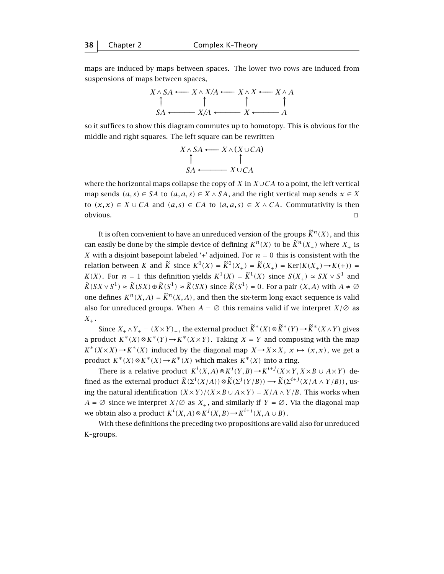maps are induced by maps between spaces. The lower two rows are induced from suspensions of maps between spaces,



so it suffices to show this diagram commutes up to homotopy. This is obvious for the middle and right squares. The left square can be rewritten



where the horizontal maps collapse the copy of *X* in *X*∪*CA* to a point, the left vertical map sends  $(a, s) \in SA$  to  $(a, a, s) \in X \wedge SA$ , and the right vertical map sends  $x \in X$ to  $(x, x)$  ∈ *X* ∪ *CA* and  $(a, s)$  ∈ *CA* to  $(a, a, s)$  ∈ *X* ∧ *CA*. Commutativity is then  $\Box$ obvious.  $\Box$ 

It is often convenient to have an unreduced version of the groups  $\widetilde{K}^n(X)$ , and this can easily be done by the simple device of defining  $K^{n}(X)$  to be  $\widetilde{K}^{n}(X_{+})$  where  $X_{+}$  is *X* with a disjoint basepoint labeled '+' adjoined. For  $n = 0$  this is consistent with the relation between *K* and  $\widetilde{K}$  since  $K^0(X) = \widetilde{K}^0(X_+) = \widetilde{K}(X_+) = \text{Ker}(K(X_+) \rightarrow K(+) ) =$ *K(X)*. For  $n = 1$  this definition yields  $K^1(X) = \widetilde{K}^1(X)$  since  $S(X_+) \simeq SX \vee S^1$  and  $\widetilde{K}(SX\vee S^1)\approx \widetilde{K}(SX)\oplus \widetilde{K}(S^1)\approx \widetilde{K}(SX)$  since  $\widetilde{K}(S^1)=0$ . For a pair  $(X,A)$  with  $A\neq\emptyset$ one defines  $K^n(X, A) = \tilde{K}^n(X, A)$ , and then the six-term long exact sequence is valid also for unreduced groups. When  $A = \emptyset$  this remains valid if we interpret  $X/\emptyset$  as  $X_+$ .

Since  $X_+ \wedge Y_+ = (X \times Y)_+$ , the external product  $\widetilde{K}^*(X) \otimes \widetilde{K}^*(Y) \rightarrow \widetilde{K}^*(X \wedge Y)$  gives a product  $K^*(X) \otimes K^*(Y) \to K^*(X \times Y)$ . Taking  $X = Y$  and composing with the map  $K^*(X\times X) \rightarrow K^*(X)$  induced by the diagonal map  $X \rightarrow X \times X$ ,  $x \mapsto (x, x)$ , we get a product  $K^*(X) \otimes K^*(X) \rightarrow K^*(X)$  which makes  $K^*(X)$  into a ring.

There is a relative product  $K^i(X, A) \otimes K^j(Y, B) \to K^{i+j}(X \times Y, X \times B \cup A \times Y)$  defined as the external product  $\widetilde{K}(\Sigma^i(X/A)) \otimes \widetilde{K}(\Sigma^j(Y/B)) \longrightarrow \widetilde{K}(\Sigma^{i+j}(X/A \wedge Y/B))$ , us-<br>interference and the effective  $(X \cup X) \cup (X \cup B \cup A \cup Y)$ .  $X/A \cup X/B$ , This and a handing the natural identification  $(X \times Y)/(X \times B \cup A \times Y) = X/A \wedge Y/B$ . This works when *A* =  $\emptyset$  since we interpret *X*/ $\emptyset$  as *X*<sub>+</sub>, and similarly if *Y* =  $\emptyset$ . Via the diagonal map we obtain also a product  $K^i(X, A) \otimes K^j(X, B) \to K^{i+j}(X, A \cup B)$ .

With these definitions the preceding two propositions are valid also for unreduced K–groups.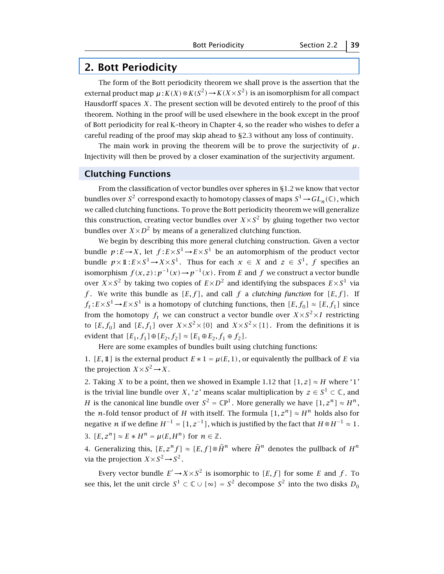## **2. Bott Periodicity**

The form of the Bott periodicity theorem we shall prove is the assertion that the external product map  $\mu$ :  $K(X) \otimes K(S^2) \rightarrow K(X \times S^2)$  is an isomorphism for all compact Hausdorff spaces  $X$ . The present section will be devoted entirely to the proof of this theorem. Nothing in the proof will be used elsewhere in the book except in the proof of Bott periodicity for real K–theory in Chapter 4, so the reader who wishes to defer a careful reading of the proof may skip ahead to §2.3 without any loss of continuity.

The main work in proving the theorem will be to prove the surjectivity of  $\mu$ . Injectivity will then be proved by a closer examination of the surjectivity argument.

## **Clutching Functions**

From the classification of vector bundles over spheres in §1.2 we know that vector bundles over  $S^2$  correspond exactly to homotopy classes of maps  $S^1 {\,\rightarrow\,} GL_n(\mathbb{C})$  , which we called clutching functions. To prove the Bott periodicity theorem we will generalize this construction, creating vector bundles over  $X \times S^2$  by gluing together two vector bundles over  $X \times D^2$  by means of a generalized clutching function.

We begin by describing this more general clutching construction. Given a vector bundle  $p: E \to X$ , let  $f: E \times S^1 \to E \times S^1$  be an automorphism of the product vector bundle  $p \times \mathbb{1}: E \times S^1 \to X \times S^1$ . Thus for each  $x \in X$  and  $z \in S^1$ ,  $f$  specifies an isomorphism  $f(x, z)$ :  $p^{-1}(x) \rightarrow p^{-1}(x)$ . From *E* and *f* we construct a vector bundle over  $X \times S^2$  by taking two copies of  $E \times D^2$  and identifying the subspaces  $E \times S^1$  via *f*. We write this bundle as  $[E, f]$ , and call *f* a *clutching function* for  $[E, f]$ . If  $f_t$ : $E \times S^1 \rightarrow E \times S^1$  is a homotopy of clutching functions, then  $[E, f_0] \approx [E, f_1]$  since from the homotopy  $f_t$  we can construct a vector bundle over  $X \times S^2 \times I$  restricting to  $[E, f_0]$  and  $[E, f_1]$  over  $X \times S^2 \times \{0\}$  and  $X \times S^2 \times \{1\}$ . From the definitions it is evident that  $[E_1, f_1] \oplus [E_2, f_2] \approx [E_1 \oplus E_2, f_1 \oplus f_2]$ .

Here are some examples of bundles built using clutching functions:

1. *[E,* 1] is the external product  $E * 1 = \mu(E, 1)$ , or equivalently the pullback of *E* via the projection  $X \times S^2 \rightarrow X$ .

2. Taking *X* to be a point, then we showed in Example 1.12 that  $[1, z] \approx H$  where '1' is the trivial line bundle over *X*, '*z*' means scalar multiplication by  $z \in S^1 \subset \mathbb{C}$ , and *H* is the canonical line bundle over  $S^2 = \mathbb{C}P^1$ . More generally we have  $[1, z^n] \approx H^n$ , the *n*-fold tensor product of *H* with itself. The formula  $[1, z^n] \approx H^n$  holds also for negative *n* if we define  $H^{-1} = [1, z^{-1}]$ , which is justified by the fact that  $H \otimes H^{-1} \approx 1$ . 3.  $[E, z^n] \approx E * H^n = u(E, H^n)$  for  $n \in \mathbb{Z}$ .

4. Generalizing this,  $[E, z^n f] \approx [E, f] \otimes \hat{H}^n$  where  $\hat{H}^n$  denotes the pullback of  $H^n$ via the projection  $X \times S^2 \rightarrow S^2$ .

Every vector bundle  $E' \rightarrow X \times S^2$  is isomorphic to  $[E, f]$  for some *E* and *f*. To see this, let the unit circle  $S^1 \subset \mathbb{C} \cup \{ \infty \} = S^2$  decompose  $S^2$  into the two disks  $D_0$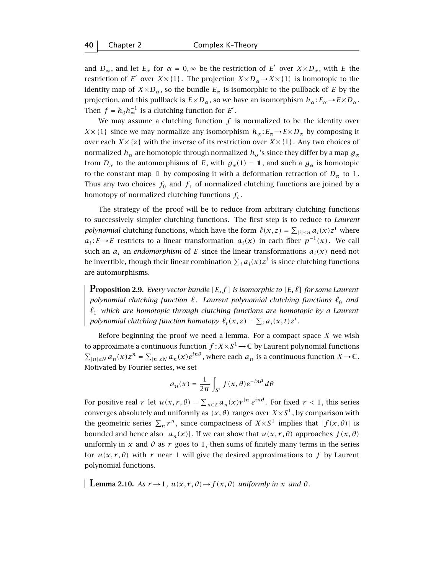and  $D_{\infty}$ , and let  $E_{\alpha}$  for  $\alpha = 0$ ,  $\infty$  be the restriction of  $E'$  over  $X \times D_{\alpha}$ , with *E* the restriction of *E*<sup> $\prime$ </sup> over *X* × {1}. The projection *X* × *D<sub>α</sub>* → *X* × {1} is homotopic to the identity map of  $X \times D_{\alpha}$ , so the bundle  $E_{\alpha}$  is isomorphic to the pullback of *E* by the projection, and this pullback is  $E \times D_{\alpha}$ , so we have an isomorphism  $h_{\alpha} : E_{\alpha} \to E \times D_{\alpha}$ . Then  $f = h_0 h_{\infty}^{-1}$  is a clutching function for  $E'$ .

We may assume a clutching function  $f$  is normalized to be the identity over *X*×{1} since we may normalize any isomorphism  $h_\alpha : E_\alpha \to E \times D_\alpha$  by composing it over each  $X \times \{z\}$  with the inverse of its restriction over  $X \times \{1\}$ . Any two choices of normalized  $h_\alpha$  are homotopic through normalized  $h_\alpha$ 's since they differ by a map  $g_\alpha$ from  $D_{\alpha}$  to the automorphisms of *E*, with  $g_{\alpha}(1) = 1$ , and such a  $g_{\alpha}$  is homotopic to the constant map 1 by composing it with a deformation retraction of  $D_{\alpha}$  to 1. Thus any two choices  $f_0$  and  $f_1$  of normalized clutching functions are joined by a homotopy of normalized clutching functions  $f_t$ .

The strategy of the proof will be to reduce from arbitrary clutching functions to successively simpler clutching functions. The first step is to reduce to *Laurent polynomial* clutching functions, which have the form  $\ell(x, z) = \sum_{|i| \le n} a_i(x) z^i$  where *a<sub>i</sub>*: *E*→*E* restricts to a linear transformation *a<sub>i</sub>*(*x*) in each fiber  $p^{-1}(x)$ . We call such an  $a_i$  an *endomorphism* of *E* since the linear transformations  $a_i(x)$  need not be invertible, though their linear combination  $\sum_i a_i(x) z^i$  is since clutching functions are automorphisms.

**Proposition 2.9.** *Every vector bundle*  $[E, f]$  *is isomorphic to*  $[E, \ell]$  *for some Laurent polynomial clutching function*  $\ell$ *. Laurent polynomial clutching functions*  $\ell_0$  *and*  $\ell_1$  which are homotopic through clutching functions are homotopic by a Laurent *polynomial clutching function homotopy*  $\ell_t(x, z) = \sum_i a_i(x, t) z^i$ .

Before beginning the proof we need a lemma. For a compact space  $X$  we wish to approximate a continuous function  $f$  :  $X \times S^1$   $\rightarrow$   $\mathbb C$  by Laurent polynomial functions  $\sum_{|n| \leq N} a_n(x) z^n = \sum_{|n| \leq N} a_n(x) e^{in\theta}$ , where each  $a_n$  is a continuous function  $X \to \mathbb{C}$ . Motivated by Fourier series, we set

$$
a_n(x) = \frac{1}{2\pi} \int_{S^1} f(x,\theta) e^{-in\theta} d\theta
$$

For positive real  $r$  let  $u(x,r,\theta) = \sum_{n \in \mathbb{Z}} a_n(x) r^{|n|} e^{in\theta}$ . For fixed  $r < 1$ , this series converges absolutely and uniformly as  $(x, \theta)$  ranges over  $X \times S<sup>1</sup>$ , by comparison with the geometric series  $\sum_n r^n$ , since compactness of  $X \times S^1$  implies that  $|f(x, \theta)|$  is bounded and hence also  $|a_n(x)|$ . If we can show that  $u(x, r, \theta)$  approaches  $f(x, \theta)$ uniformly in *x* and  $\theta$  as *r* goes to 1, then sums of finitely many terms in the series for  $u(x, r, \theta)$  with r near 1 will give the desired approximations to f by Laurent polynomial functions.

**Lemma 2.10.** *As*  $r \rightarrow 1$ ,  $u(x, r, \theta) \rightarrow f(x, \theta)$  *uniformly in x and*  $\theta$ *.*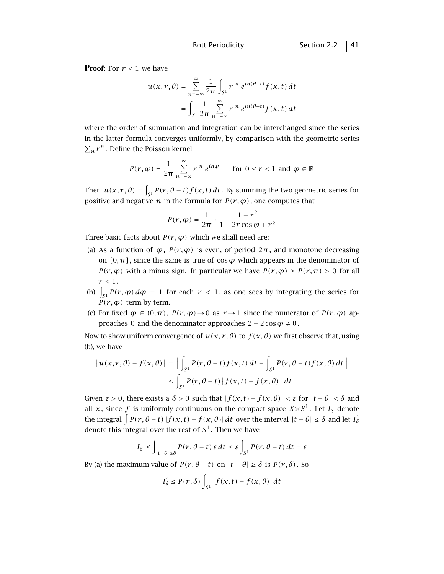**Proof:** For  $r < 1$  we have

$$
u(x,r,\theta) = \sum_{n=-\infty}^{\infty} \frac{1}{2\pi} \int_{S^1} r^{|n|} e^{in(\theta-t)} f(x,t) dt
$$
  
= 
$$
\int_{S^1} \frac{1}{2\pi} \sum_{n=-\infty}^{\infty} r^{|n|} e^{in(\theta-t)} f(x,t) dt
$$

where the order of summation and integration can be interchanged since the series in the latter formula converges uniformly, by comparison with the geometric series  $\sum_{n} r^{n}$ . Define the Poisson kernel

$$
P(r, \varphi) = \frac{1}{2\pi} \sum_{n = -\infty}^{\infty} r^{|n|} e^{in\varphi} \quad \text{for } 0 \le r < 1 \text{ and } \varphi \in \mathbb{R}
$$

Then  $u(x,r,\theta) = \int_{S^1} P(r,\theta-t) f(x,t) dt$ . By summing the two geometric series for positive and negative *n* in the formula for  $P(r, \varphi)$ , one computes that

$$
P(r,\varphi) = \frac{1}{2\pi} \cdot \frac{1 - r^2}{1 - 2r\cos\varphi + r^2}
$$

Three basic facts about  $P(r, \varphi)$  which we shall need are:

- (a) As a function of  $\varphi$ ,  $P(r, \varphi)$  is even, of period  $2\pi$ , and monotone decreasing on  $[0, \pi]$ , since the same is true of cos  $\varphi$  which appears in the denominator of *P*( $r, \varphi$ ) with a minus sign. In particular we have  $P(r, \varphi) \geq P(r, \pi) > 0$  for all  $r < 1$ .
- (b)  $\int_{S^1} P(r, \varphi) d\varphi = 1$  for each  $r < 1$ , as one sees by integrating the series for  $P(r, \varphi)$  term by term.
- (c) For fixed  $\varphi \in (0, \pi)$ ,  $P(r, \varphi) \rightarrow 0$  as  $r \rightarrow 1$  since the numerator of  $P(r, \varphi)$  approaches 0 and the denominator approaches  $2 - 2 \cos \varphi \neq 0$ .

Now to show uniform convergence of  $u(x, r, \theta)$  to  $f(x, \theta)$  we first observe that, using (b), we have

$$
\begin{aligned} \left| \, u(x,r,\theta) - f(x,\theta) \, \right| \, &= \, \left| \, \int_{S^1} P(r,\theta - t) f(x,t) \, dt - \int_{S^1} P(r,\theta - t) f(x,\theta) \, dt \, \right| \\ &\leq \int_{S^1} P(r,\theta - t) \left| \, f(x,t) - f(x,\theta) \, \right| \, dt \end{aligned}
$$

Given  $\varepsilon > 0$ , there exists a  $\delta > 0$  such that  $|f(x, t) - f(x, \theta)| < \varepsilon$  for  $|t - \theta| < \delta$  and all *x*, since *f* is uniformly continuous on the compact space  $X \times S^1$ . Let  $I_\delta$  denote the integral  $\int P(r, \theta - t) |f(x, t) - f(x, \theta)| dt$  over the interval  $|t - \theta| \le \delta$  and let  $I'_\delta$ denote this integral over the rest of  $S<sup>1</sup>$ . Then we have

$$
I_{\delta} \leq \int_{|t-\theta| \leq \delta} P(r, \theta - t) \, \varepsilon \, dt \leq \varepsilon \int_{S^1} P(r, \theta - t) \, dt = \varepsilon
$$

By (a) the maximum value of  $P(r, \theta - t)$  on  $|t - \theta| \ge \delta$  is  $P(r, \delta)$ . So

$$
I'_{\delta} \le P(r,\delta) \int_{S^1} |f(x,t) - f(x,\theta)| dt
$$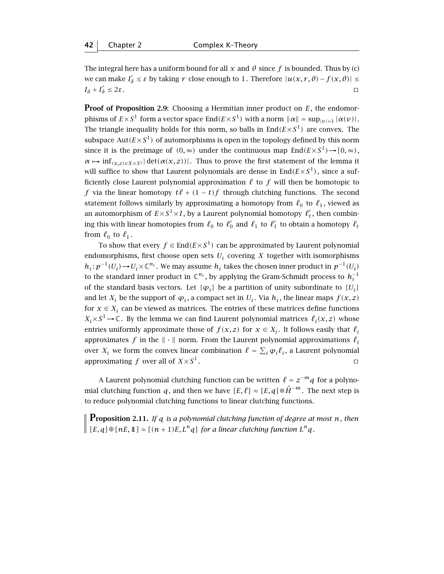The integral here has a uniform bound for all  $x$  and  $\theta$  since  $f$  is bounded. Thus by (c)  $\alpha$  *δ*  $\alpha$  *δ*  $\beta$  ≤ *ε* by taking *r* close enough to 1. Therefore  $|u(x, r, θ) - f(x, θ)|$  ≤  $I_{\delta} + I'_{\delta}$  $\delta$  ≤ 2*ε*.

**Proof of Proposition 2.9:** Choosing a Hermitian inner product on *E*, the endomorphisms of  $E \times S^1$  form a vector space End $(E \times S^1)$  with a norm  $\|\alpha\| = \sup_{|\nu|=1} |\alpha(\nu)|$ . The triangle inequality holds for this norm, so balls in  $End(E \times S^1)$  are convex. The subspace  $Aut(E \times S^1)$  of automorphisms is open in the topology defined by this norm since it is the preimage of  $(0, \infty)$  under the continuous map  $\text{End}(E \times S^1) \rightarrow [0, \infty)$ ,  $\alpha \mapsto \inf_{(x,z)\in X\times S^1} |\det(\alpha(x,z))|$ . Thus to prove the first statement of the lemma it will suffice to show that Laurent polynomials are dense in  $\text{End}(E\times S^1)$ , since a sufficiently close Laurent polynomial approximation  $\ell$  to  $f$  will then be homotopic to *f* via the linear homotopy  $t\ell + (1 - t)f$  through clutching functions. The second statement follows similarly by approximating a homotopy from  $\ell_0$  to  $\ell_1$ , viewed as an automorphism of  $E \times S^1 \times I$ , by a Laurent polynomial homotopy  $\ell'_t$ , then combining this with linear homotopies from  $\ell_0$  to  $\ell'_0$  and  $\ell_1$  to  $\ell'_1$  to obtain a homotopy  $\ell_t$ from  $\ell_0$  to  $\ell_1$ .

To show that every  $f \in End(E \times S^1)$  can be approximated by Laurent polynomial endomorphisms, first choose open sets  $U_i$  covering  $X$  together with isomorphisms *h<sub>i</sub>* :  $p^{-1}(U_i)$  →  $U_i$  ×  $\mathbb{C}^{n_i}$ . We may assume *h<sub>i</sub>* takes the chosen inner product in  $p^{-1}(U_i)$ to the standard inner product in  $\mathbb{C}^{n_i}$ , by applying the Gram-Schmidt process to  $h_i^{-1}$ of the standard basis vectors. Let  $\{\varphi_i\}$  be a partition of unity subordinate to  $\{U_i\}$ and let  $X_i$  be the support of  $\varphi_i$ , a compact set in  $U_i$ . Via  $h_i$ , the linear maps  $f(x, z)$ for  $x \in X_i$  can be viewed as matrices. The entries of these matrices define functions  $X_i \times S^1 \to \mathbb{C}$ . By the lemma we can find Laurent polynomial matrices  $\ell_i(x, z)$  whose entries uniformly approximate those of  $f(x, z)$  for  $x \in X_i$ . It follows easily that  $\ell_i$ approximates *f* in the  $\|\cdot\|$  norm. From the Laurent polynomial approximations  $\ell_i$ over  $X_i$  we form the convex linear combination  $\ell = \sum_i \varphi_i \ell_i$ , a Laurent polynomial approximating *f* over all of  $X \times S^1$ .

A Laurent polynomial clutching function can be written  $\ell = z^{-m}q$  for a polynomial clutching function *q*, and then we have  $[E, \ell] \approx [E, q] \otimes \hat{H}^{-m}$ . The next step is to reduce polynomial clutching functions to linear clutching functions.

**Proposition 2.11.** *If <sup>q</sup> is a polynomial clutching function of degree at most <sup>n</sup>, then*  $\left[ [E, q] \oplus [nE, 1] \right] \approx [(n + 1)E, L^n q]$  *for a linear clutching function*  $L^n q$ *.*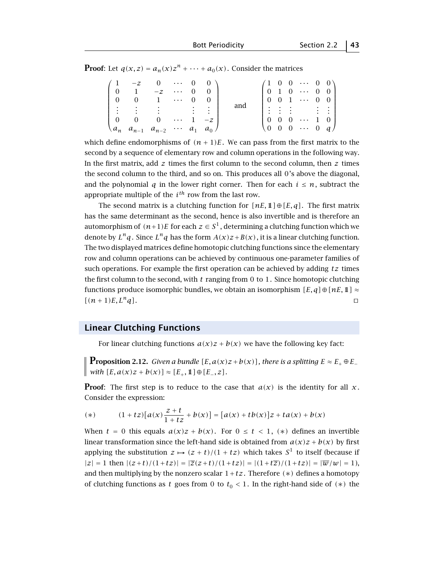**Proof:** Let  $q(x, z) = a_n(x)z^n + \cdots + a_0(x)$ . Consider the matrices

|  | $\begin{pmatrix} 1 & -z & 0 & \cdots & 0 & 0 \end{pmatrix}$                                                                   |  |     |  |                                                                                                                                                                                                                                    |  |
|--|-------------------------------------------------------------------------------------------------------------------------------|--|-----|--|------------------------------------------------------------------------------------------------------------------------------------------------------------------------------------------------------------------------------------|--|
|  | $\begin{bmatrix} 0 & 1 & -z & \cdots & 0 & 0 \end{bmatrix}$                                                                   |  |     |  |                                                                                                                                                                                                                                    |  |
|  | $\begin{bmatrix} 0 & 0 & 1 & \cdots & 0 & 0 \end{bmatrix}$                                                                    |  |     |  |                                                                                                                                                                                                                                    |  |
|  | $\frac{1}{2}$ : $\frac{1}{2}$ : $\frac{1}{2}$ : $\frac{1}{2}$ : $\frac{1}{2}$ : $\frac{1}{2}$ : $\frac{1}{2}$ : $\frac{1}{2}$ |  | and |  |                                                                                                                                                                                                                                    |  |
|  | $\begin{bmatrix} 0 & 0 & 0 & \cdots & 1 & -z \end{bmatrix}$                                                                   |  |     |  |                                                                                                                                                                                                                                    |  |
|  | $\{a_n \ a_{n-1} \ a_{n-2} \ \cdots \ a_1 \ a_0\}$                                                                            |  |     |  | $\begin{pmatrix} 1 & 0 & 0 & \cdots & 0 & 0 \\ 0 & 1 & 0 & \cdots & 0 & 0 \\ 0 & 0 & 1 & \cdots & 0 & 0 \\ \vdots & \vdots & \vdots & & \vdots & \vdots \\ 0 & 0 & 0 & \cdots & 1 & 0 \\ 0 & 0 & 0 & \cdots & 0 & q \end{pmatrix}$ |  |

which define endomorphisms of  $(n + 1)E$ . We can pass from the first matrix to the second by a sequence of elementary row and column operations in the following way. In the first matrix, add *z* times the first column to the second column, then *z* times the second column to the third, and so on. This produces all 0's above the diagonal, and the polynomial *q* in the lower right corner. Then for each  $i \leq n$ , subtract the appropriate multiple of the *ith* row from the last row.

The second matrix is a clutching function for  $[nE, 1] \oplus [E, q]$ . The first matrix has the same determinant as the second, hence is also invertible and is therefore an automorphism of  $(n+1)E$  for each  $z \in S<sup>1</sup>$ , determining a clutching function which we denote by  $L^n q$ . Since  $L^n q$  has the form  $A(x)z+B(x)$ , it is a linear clutching function. The two displayed matrices define homotopic clutching functions since the elementary row and column operations can be achieved by continuous one-parameter families of such operations. For example the first operation can be achieved by adding *tz* times the first column to the second, with *t* ranging from 0 to 1. Since homotopic clutching functions produce isomorphic bundles, we obtain an isomorphism *[E, q]* ⊕ [*nE, 1*] ≈  $[(n+1)E, L^n q]$ .

## **Linear Clutching Functions**

For linear clutching functions  $a(x)z + b(x)$  we have the following key fact:

**Proposition 2.12.** *Given a bundle*  $[E, a(x)z + b(x)]$ *, there is a splitting*  $E \approx E_+ \oplus E_ \left[ \text{with } [E, a(x)z + b(x)] \approx [E_+, 1] \oplus [E_-, z]. \right]$ 

**Proof**: The first step is to reduce to the case that  $a(x)$  is the identity for all x. Consider the expression:

(\*) 
$$
(1 + tz)[a(x)\frac{z+t}{1+tz} + b(x)] = [a(x) + tb(x)]z + ta(x) + b(x)
$$

When  $t = 0$  this equals  $a(x)z + b(x)$ . For  $0 \le t < 1$ ,  $(*)$  defines an invertible linear transformation since the left-hand side is obtained from  $a(x)z + b(x)$  by first applying the substitution  $z \mapsto (z + t)/(1 + tz)$  which takes  $S^1$  to itself (because if  $|z| = 1$  then  $|(z+t)/(1+tz)| = |\overline{z}(z+t)/(1+tz)| = |(1+t\overline{z})/(1+tz)| = |\overline{w}/w| = 1$ ), and then multiplying by the nonzero scalar  $1 + tz$ . Therefore  $(*)$  defines a homotopy of clutching functions as *t* goes from 0 to  $t<sub>0</sub> < 1$ . In the right-hand side of  $(*)$  the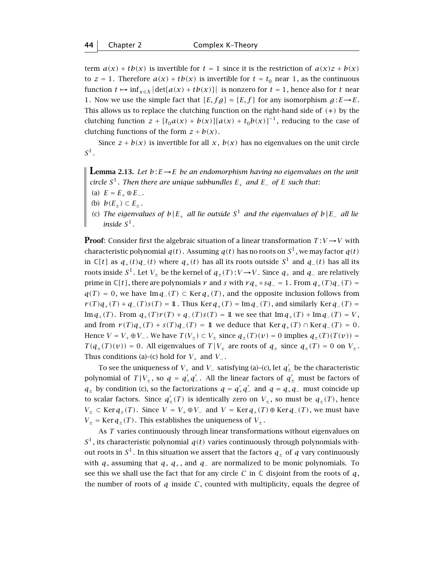term  $a(x) + tb(x)$  is invertible for  $t = 1$  since it is the restriction of  $a(x)z + b(x)$ to  $z = 1$ . Therefore  $a(x) + tb(x)$  is invertible for  $t = t_0$  near 1, as the continuous function  $t \mapsto \inf_{x \in X} |\det[a(x) + tb(x)]|$  is nonzero for  $t = 1$ , hence also for  $t$  near 1. Now we use the simple fact that  $[E, fg] \approx [E, f]$  for any isomorphism  $g: E \rightarrow E$ . This allows us to replace the clutching function on the right-hand side of *(*∗*)* by the clutching function  $z + [t_0 a(x) + b(x)][a(x) + t_0 b(x)]^{-1}$ , reducing to the case of clutching functions of the form  $z + b(x)$ .

Since  $z + b(x)$  is invertible for all  $x$ ,  $b(x)$  has no eigenvalues on the unit circle  $S^1$ .

**Lemma 2.13.** Let  $b: E \to E$  be an endomorphism having no eigenvalues on the unit *circle*  $S^1$ *. Then there are unique subbundles*  $E_+$  *and*  $E_-$  *of*  $E$  *such that:* 

- (a)  $E = E_+ \oplus E_-$ .
- (b)  $b(E_{\pm}) \subset E_{\pm}$ .
- (c) *The eigenvalues of b*||*E*<sup>+</sup> *all lie outside S*<sup>1</sup> *and the eigenvalues of b*||*E*<sup>−</sup> *all lie inside*  $S^1$ .

**Proof**: Consider first the algebraic situation of a linear transformation  $T: V \rightarrow V$  with characteristic polynomial  $q(t)$ . Assuming  $q(t)$  has no roots on  $S^1$ , we may factor  $q(t)$ in  $\mathbb{C}[t]$  as  $q_+(t)q_-(t)$  where  $q_+(t)$  has all its roots outside  $S^1$  and  $q_-(t)$  has all its roots inside  $S^1$ . Let  $V_+$  be the kernel of  $q_+(T): V \to V$ . Since  $q_+$  and  $q_-$  are relatively prime in  $\mathbb{C}[t]$ , there are polynomials *r* and *s* with  $rq_+ + sq_- = 1$ . From  $q_+(T)q_-(T) = 1$ *q*(*T*) = 0, we have Im *q*−*(T*) ⊂ Ker *q*<sub>+</sub>*(T*), and the opposite inclusion follows from *r*(*T*) $q_{+}(T) + q_{-}(T)s(T) = 1$ . Thus Ker  $q_{+}(T) = \text{Im } q_{-}(T)$ , and similarly Ker  $q_{-}(T) =$ Im *q*<sub>+</sub>(*T*). From *q*<sub>+</sub>(*T*)*r*(*T*) + *q*<sub>−</sub>(*T*)*s*(*T*) = 1 we see that Im *q*<sub>+</sub>(*T*) + Im *q*<sub>−</sub>(*T*) = *V*, and from  $r(T)q_+(T) + s(T)q_-(T) = 1$  we deduce that Ker  $q_+(T) \cap \text{Ker } q_-(T) = 0$ . Hence  $V = V_+ \oplus V_-$ . We have  $T(V_+) \subset V_+$  since  $q_+(T)(v) = 0$  implies  $q_+(T)(T(v)) = 0$  $T(q_{\pm}(T)(v)) = 0$ . All eigenvalues of  $T|V_{\pm}$  are roots of  $q_{\pm}$  since  $q_{\pm}(T) = 0$  on  $V_{\pm}$ . Thus conditions (a)–(c) hold for  $V_+$  and  $V_-$ .

To see the uniqueness of  $\,V_+$  and  $\,V_-$  satisfying (a)-(c), let  $\,q_\pm^{'}$  be the characteristic polynomial of  $T|V_{\pm}$ , so  $q = q'_{+}q'_{-}$ . All the linear factors of  $q'_{\pm}$  must be factors of *q*<sub>±</sub> by condition (c), so the factorizations *q* =  $q'_+q'_-$  and *q* =  $q_+q_-$  must coincide up to scalar factors. Since  $q'_{\pm}(T)$  is identically zero on  $V_{\pm}$ , so must be  $q_{\pm}(T)$ , hence *V*<sub>±</sub> ⊂ Ker  $q_{\pm}(T)$ . Since *V* = *V*<sub>+</sub> ⊕ *V*<sub>−</sub> and *V* = Ker  $q_{+}(T)$  ⊕ Ker  $q_{-}(T)$ , we must have  $V_{\pm}$  = Ker  $q_{\pm}(T)$ . This establishes the uniqueness of  $V_{\pm}$ .

As *T* varies continuously through linear transformations without eigenvalues on  $S<sup>1</sup>$ , its characteristic polynomial  $q(t)$  varies continuously through polynomials without roots in  $S^1$ . In this situation we assert that the factors  $q_+$  of  $q$  vary continuously with *q*, assuming that *q*, *q*<sub>+</sub>, and *q*<sub>−</sub> are normalized to be monic polynomials. To see this we shall use the fact that for any circle *C* in  $\mathbb C$  disjoint from the roots of *q*, the number of roots of  $q$  inside  $C$ , counted with multiplicity, equals the degree of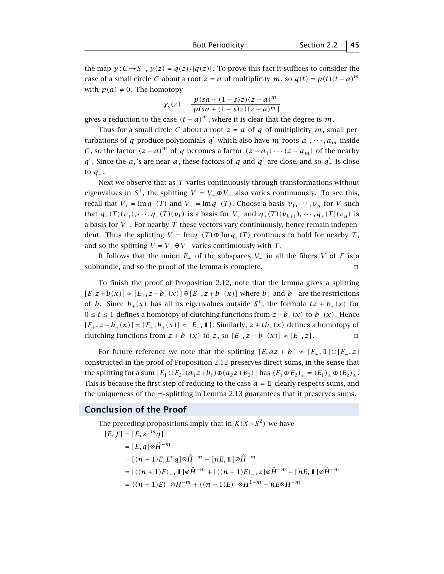the map  $\gamma: C \rightarrow S^1$ ,  $\gamma(z) = q(z)/|q(z)|$ . To prove this fact it suffices to consider the case of a small circle *C* about a root  $z = a$  of multiplicity *m*, so  $q(t) = p(t)(t - a)^m$ with  $p(a) \neq 0$ . The homotopy

$$
\gamma_s(z) = \frac{p(sa + (1-s)z)(z-a)^m}{|p(sa + (1-s)z)(z-a)^m|}
$$

gives a reduction to the case  $(t - a)^m$ , where it is clear that the degree is *m*.

Thus for a small circle *C* about a root  $z = a$  of *q* of multiplicity *m*, small perturbations of *q* produce polynomials *q'* which also have *m* roots  $a_1, \dots, a_m$  inside *C*, so the factor  $(z - a)^m$  of *q* becomes a factor  $(z - a_1) \cdots (z - a_m)$  of the nearby *q*<sup>'</sup>. Since the *a<sub>i</sub>* 's are near *a*, these factors of *q* and *q*<sup>'</sup> are close, and so  $q'_\pm$  is close to  $q_{\pm}$ .

Next we observe that as *T* varies continuously through transformations without eigenvalues in  $S^1$ , the splitting  $V = V_+ \oplus V_-$  also varies continuously. To see this, recall that  $V_+ = \text{Im } q_-(T)$  and  $V_- = \text{Im } q_+(T)$ . Choose a basis  $v_1, \dots, v_n$  for *V* such that  $q_-(T)(v_1), \dots, q_-(T)(v_k)$  is a basis for  $V_+$  and  $q_+(T)(v_{k+1}), \dots, q_+(T)(v_n)$  is a basis for *V*<sup>−</sup> . For nearby *T* these vectors vary continuously, hence remain independent. Thus the splitting  $V = \text{Im } q_-(T) ⊕ \text{Im } q_+(T)$  continues to hold for nearby *T*, and so the splitting  $V = V_+ \oplus V_-$  varies continuously with *T*.

It follows that the union  $E_{\pm}$  of the subspaces  $V_{\pm}$  in all the fibers *V* of *E* is a subbundle, and so the proof of the lemma is complete.  $\Box$ 

To finish the proof of Proposition 2.12, note that the lemma gives a splitting *[E, z* + *b*(*x*)] ≈  $[E_+, z + b_+(x)] ⊕ [E_-, z + b_-(x)]$  where  $b_+$  and  $b_-$  are the restrictions of *b*. Since  $b_+(x)$  has all its eigenvalues outside  $S^1$ , the formula  $tz + b_+(x)$  for  $0 ≤ t ≤ 1$  defines a homotopy of clutching functions from  $z + b_+(x)$  to  $b_+(x)$ . Hence *[E*<sub>+</sub>, *z* + *b*<sub>+</sub>(*x*)] ≈ *[E*<sub>+</sub>, *b*<sub>+</sub>(*x*)] ≈ *[E*<sub>+</sub>, **1**]. Similarly, *z* + *tb*<sub>−</sub>(*x*) defines a homotopy of clutching functions from  $z + b_-(x)$  to  $z$ , so  $[E_-, z + b_-(x)] \approx [E_-, z]$ .

For future reference we note that the splitting  $[F, az + b] \approx [E_+, 1] \oplus [E_-, z]$ constructed in the proof of Proposition 2.12 preserves direct sums, in the sense that the splitting for a sum  $[E_1 \oplus E_2, (a_1 z + b_1) \oplus (a_2 z + b_2)]$  has  $(E_1 \oplus E_2)_\pm = (E_1)_\pm \oplus (E_2)_\pm$ . This is because the first step of reducing to the case  $a = 1$  clearly respects sums, and the uniqueness of the  $\pm$ -splitting in Lemma 2.13 guarantees that it preserves sums.

#### **Conclusion of the Proof**

The preceding propositions imply that in  $K(X \times S^2)$  we have  $[E, f] = [E, z^{-m}q]$  $= [E, a] \otimes \hat{H}^{-m}$  $= [(n+1)E, L^n q] \otimes \hat{H}^{-m} - [nE, 1] \otimes \hat{H}^{-m}$  $=$   $[(n+1)E)_+$ ,  $\mathbb{1}[\otimes \hat{H}^{-m} + [((n+1)E)_-, z] \otimes \hat{H}^{-m} - [nE, \mathbb{1}] \otimes \hat{H}^{-m}]$  $= ((n + 1)E) \otimes H^{-m} + ((n + 1)E) \otimes H^{1-m} - nE \otimes H^{-m}$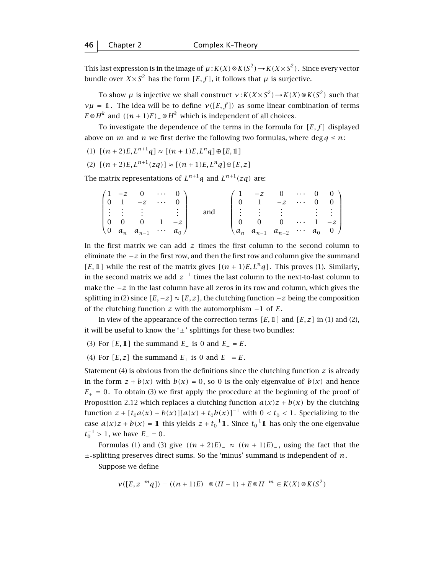This last expression is in the image of  $\mu$ :  $K(X) \otimes K(S^2) \rightarrow K(X \times S^2)$ . Since every vector bundle over  $X \times S^2$  has the form  $[E, f]$ , it follows that  $\mu$  is surjective.

To show *µ* is injective we shall construct  $v: K(X \times S^2) \to K(X) \otimes K(S^2)$  such that *ν* $\mu = \mathbb{1}$ . The idea will be to define *v*([*E, f*]) as some linear combination of terms *E*⊗*H*<sup>*k*</sup> and  $((n + 1)E)_+$ ⊗*H*<sup>*k*</sup> which is independent of all choices.

To investigate the dependence of the terms in the formula for *[E, f ]* displayed above on *m* and *n* we first derive the following two formulas, where deg  $q \le n$ :

(1)  $[(n+2)E, L^{n+1}q] \approx [(n+1)E, L^n q] \oplus [E, 1]$ 

(2) 
$$
[(n+2)E, L^{n+1}(zq)] \approx [(n+1)E, L^n q] \oplus [E, z]
$$

The matrix representations of  $L^{n+1}q$  and  $L^{n+1}(zq)$  are:

|  | $\begin{pmatrix} 1 & -z & 0 & \cdots & 0 \end{pmatrix}$          |  |     |  | $\begin{pmatrix} 1 & -z & 0 & \cdots & 0 & 0 \end{pmatrix}$                                                                                 |  |  |
|--|------------------------------------------------------------------|--|-----|--|---------------------------------------------------------------------------------------------------------------------------------------------|--|--|
|  | $\begin{bmatrix} 0 & 1 & -z & \cdots & 0 \end{bmatrix}$          |  |     |  | $\begin{bmatrix} 0 & 1 & -z & \cdots & 0 & 0 \end{bmatrix}$                                                                                 |  |  |
|  |                                                                  |  | and |  | $\frac{1}{2}$ $\frac{1}{2}$ $\frac{1}{2}$ $\frac{1}{2}$ $\frac{1}{2}$ $\frac{1}{2}$ $\frac{1}{2}$ $\frac{1}{2}$ $\frac{1}{2}$ $\frac{1}{2}$ |  |  |
|  | $\begin{bmatrix} 0 & 0 & 0 & 1 & -z \end{bmatrix}$               |  |     |  | $0 \t 0 \t 0 \t \cdots \t 1 \t -z$                                                                                                          |  |  |
|  | $\begin{pmatrix} 0 & a_n & a_{n-1} & \cdots & a_0 \end{pmatrix}$ |  |     |  | $\begin{pmatrix} a_n & a_{n-1} & a_{n-2} & \cdots & a_0 & 0 \end{pmatrix}$                                                                  |  |  |

In the first matrix we can add *z* times the first column to the second column to eliminate the −*z* in the first row, and then the first row and column give the summand [*E*, 1] while the rest of the matrix gives  $[(n+1)E, L^n q]$ . This proves (1). Similarly, in the second matrix we add  $z^{-1}$  times the last column to the next-to-last column to make the −*z* in the last column have all zeros in its row and column, which gives the splitting in (2) since  $[E, -z] \approx [E, z]$ , the clutching function  $-z$  being the composition of the clutching function *z* with the automorphism −1 of *E*.

In view of the appearance of the correction terms  $[E, 1]$  and  $[E, z]$  in (1) and (2), it will be useful to know the  $' \pm '$  splittings for these two bundles:

(3) For  $[E, 1]$  the summand  $E_$  is 0 and  $E_+ = E$ .

(4) For  $[E, z]$  the summand  $E_+$  is 0 and  $E_- = E$ .

Statement (4) is obvious from the definitions since the clutching function *z* is already in the form  $z + b(x)$  with  $b(x) = 0$ , so 0 is the only eigenvalue of  $b(x)$  and hence  $E_{+}$  = 0. To obtain (3) we first apply the procedure at the beginning of the proof of Proposition 2.12 which replaces a clutching function  $a(x)z + b(x)$  by the clutching function  $z + [t_0 a(x) + b(x)][a(x) + t_0 b(x)]^{-1}$  with  $0 < t_0 < 1$ . Specializing to the case  $a(x)z + b(x) = 1$  this yields  $z + t_0^{-1}1$ . Since  $t_0^{-1}1$  has only the one eigenvalue  $t_0^{-1} > 1$ , we have  $E_-=0$ .

Formulas (1) and (3) give  $((n + 2)E)$ <sub>−</sub> ≈  $((n + 1)E)$ <sub>−</sub>, using the fact that the  $\pm$ -splitting preserves direct sums. So the 'minus' summand is independent of *n*.

Suppose we define

$$
v([E,z^{-m}q]) = ((n+1)E)_{-} \otimes (H-1) + E \otimes H^{-m} \in K(X) \otimes K(S^2)
$$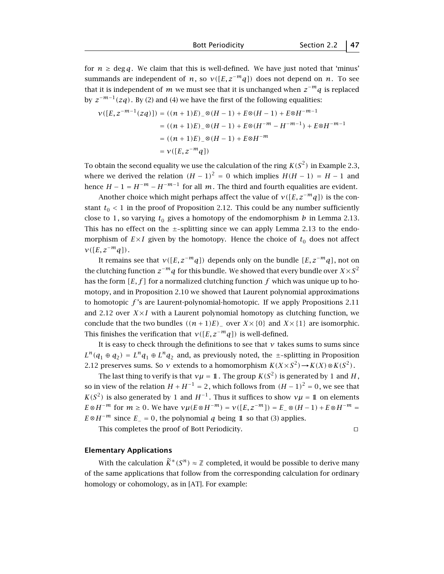for  $n \geq \deg q$ . We claim that this is well-defined. We have just noted that 'minus' summands are independent of *n*, so  $v([E, z^{-m}q])$  does not depend on *n*. To see that it is independent of *m* we must see that it is unchanged when  $z^{-m}q$  is replaced by  $z^{-m-1}(zq)$ . By (2) and (4) we have the first of the following equalities:

$$
\nu([E, z^{-m-1}(zq)]) = ((n+1)E)_{\infty} \otimes (H-1) + E \otimes (H-1) + E \otimes H^{-m-1}
$$
  
= ((n+1)E)\_{\infty} \otimes (H-1) + E \otimes (H^{-m} - H^{-m-1}) + E \otimes H^{-m-1}  
= ((n+1)E)\_{\infty} \otimes (H-1) + E \otimes H^{-m}  
= \nu([E, z^{-m}q])

To obtain the second equality we use the calculation of the ring  $K(S^2)$  in Example 2.3, where we derived the relation  $(H - 1)^2 = 0$  which implies  $H(H - 1) = H - 1$  and hence *H* − 1 =  $H^{-m}$  −  $H^{-m-1}$  for all *m*. The third and fourth equalities are evident.

Another choice which might perhaps affect the value of  $v([E, z^{-m}q])$  is the constant  $t_0$  < 1 in the proof of Proposition 2.12. This could be any number sufficiently close to 1, so varying  $t_0$  gives a homotopy of the endomorphism  $b$  in Lemma 2.13. This has no effect on the  $\pm$ -splitting since we can apply Lemma 2.13 to the endomorphism of  $E \times I$  given by the homotopy. Hence the choice of  $t_0$  does not affect  $v([E, z^{-m}q])$ .

It remains see that  $v([E, z^{-m}q])$  depends only on the bundle  $[E, z^{-m}q]$ , not on the clutching function  $z^{-m}q$  for this bundle. We showed that every bundle over  $X\times S^2$ has the form  $[E, f]$  for a normalized clutching function  $f$  which was unique up to homotopy, and in Proposition 2.10 we showed that Laurent polynomial approximations to homotopic *f* 's are Laurent-polynomial-homotopic. If we apply Propositions 2.11 and 2.12 over  $X \times I$  with a Laurent polynomial homotopy as clutching function, we conclude that the two bundles  $((n + 1)E)$ <sub>−</sub> over  $X \times \{0\}$  and  $X \times \{1\}$  are isomorphic. This finishes the verification that  $v([E, z^{-m}q])$  is well-defined.

It is easy to check through the definitions to see that *ν* takes sums to sums since  $L^n(q_1 \oplus q_2) = L^n q_1 \oplus L^n q_2$  and, as previously noted, the  $\pm$ -splitting in Proposition 2.12 preserves sums. So *ν* extends to a homomorphism  $K(X \times S^2) \to K(X) \otimes K(S^2)$ .

The last thing to verify is that  $v\mu = \mathbb{1}$ . The group  $K(S^2)$  is generated by 1 and *H*, so in view of the relation  $H + H^{-1} = 2$ , which follows from  $(H - 1)^2 = 0$ , we see that *K(S*<sup>2</sup>) is also generated by 1 and  $H^{-1}$ . Thus it suffices to show  $\nu\mu = 1$  on elements  $E \otimes H^{-m}$  for  $m \ge 0$ . We have  $\nu \mu(E \otimes H^{-m}) = \nu([E, z^{-m}]) = E_{-} \otimes (H - 1) + E \otimes H^{-m} =$ *E*⊗*H*<sup>−*m*</sup> since *E*<sub>−</sub> = 0, the polynomial *q* being 1 so that (3) applies.

This completes the proof of Bott Periodicity.  $\Box$ 

#### **Elementary Applications**

With the calculation  $\widetilde{K}^*(S^n) \approx \mathbb{Z}$  completed, it would be possible to derive many of the same applications that follow from the corresponding calculation for ordinary homology or cohomology, as in [AT]. For example: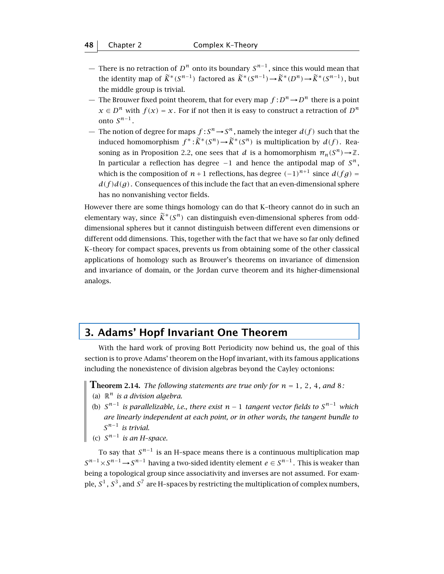- There is no retraction of *D<sup>n</sup>* onto its boundary *Sn*−<sup>1</sup> , since this would mean that the identity map of  $\widetilde{K}^*(S^{n-1})$  factored as  $\widetilde{K}^*(S^{n-1}) \to \widetilde{K}^*(D^n) \to \widetilde{K}^*(S^{n-1})$ , but the middle group is trivial.
- The Brouwer fixed point theorem, that for every map  $f: D^n \to D^n$  there is a point  $x \in D^n$  with  $f(x) = x$ . For if not then it is easy to construct a retraction of  $D^n$ onto  $S^{n-1}$ .
- The notion of degree for maps  $f : S^n \to S^n$ , namely the integer  $d(f)$  such that the induced homomorphism  $f^*$ :  $\widetilde{K}^*(S^n) \to \widetilde{K}^*(S^n)$  is multiplication by  $d(f)$ . Reasoning as in Proposition 2.2, one sees that *d* is a homomorphism  $\pi_n(S^n) \to \mathbb{Z}$ . In particular a reflection has degree −1 and hence the antipodal map of *S<sup>n</sup>* , which is the composition of  $n+1$  reflections, has degree  $(-1)^{n+1}$  since  $d(fg)$  =  $d(f)d(g)$ . Consequences of this include the fact that an even-dimensional sphere has no nonvanishing vector fields.

However there are some things homology can do that K–theory cannot do in such an elementary way, since  $\tilde{K}^*(S^n)$  can distinguish even-dimensional spheres from odddimensional spheres but it cannot distinguish between different even dimensions or different odd dimensions. This, together with the fact that we have so far only defined K–theory for compact spaces, prevents us from obtaining some of the other classical applications of homology such as Brouwer's theorems on invariance of dimension and invariance of domain, or the Jordan curve theorem and its higher-dimensional analogs.

# **3. Adams' Hopf Invariant One Theorem**

With the hard work of proving Bott Periodicity now behind us, the goal of this section is to prove Adams' theorem on the Hopf invariant, with its famous applications including the nonexistence of division algebras beyond the Cayley octonions:

**Theorem 2.14.** *The following statements are true only for <sup>n</sup>* <sup>=</sup> <sup>1</sup>*,* <sup>2</sup>*,* <sup>4</sup>*, and* <sup>8</sup>*:*

- (a)  $\mathbb{R}^n$  *is a division algebra.*
- (b) *Sn*−<sup>1</sup> *is parallelizable, i.e., there exist n* − 1 *tangent vector fields to Sn*−<sup>1</sup> *which are linearly independent at each point, or in other words, the tangent bundle to Sn*−<sup>1</sup> *is trivial.*
- (c) *Sn*−<sup>1</sup> *is an H–space.*

To say that  $S^{n-1}$  is an H–space means there is a continuous multiplication map  $S^{n-1}\times S^{n-1}\to S^{n-1}$  having a two-sided identity element  $e\in S^{n-1}$  . This is weaker than being a topological group since associativity and inverses are not assumed. For example,  $S^1$ ,  $S^3$ , and  $S^7$  are H–spaces by restricting the multiplication of complex numbers,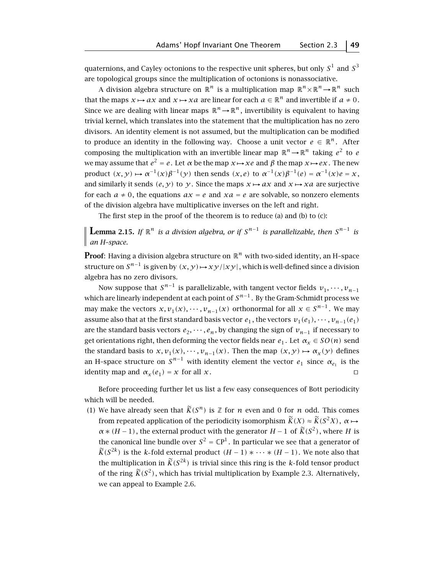quaternions, and Cayley octonions to the respective unit spheres, but only  $S^1$  and  $S^3$ are topological groups since the multiplication of octonions is nonassociative.

A division algebra structure on  $\mathbb{R}^n$  is a multiplication map  $\mathbb{R}^n \times \mathbb{R}^n \to \mathbb{R}^n$  such that the maps  $x \mapsto ax$  and  $x \mapsto xa$  are linear for each  $a \in \mathbb{R}^n$  and invertible if  $a \neq 0$ . Since we are dealing with linear maps  $\mathbb{R}^n \to \mathbb{R}^n$ , invertibility is equivalent to having trivial kernel, which translates into the statement that the multiplication has no zero divisors. An identity element is not assumed, but the multiplication can be modified to produce an identity in the following way. Choose a unit vector  $e \in \mathbb{R}^n$ . After composing the multiplication with an invertible linear map  $\mathbb{R}^n \to \mathbb{R}^n$  taking  $e^2$  to *e* we may assume that  $e^2 = e$ . Let *α* be the map *x* → *xe* and *β* the map *x* → *ex*. The new product  $(x, y) \mapsto \alpha^{-1}(x)\beta^{-1}(y)$  then sends  $(x, e)$  to  $\alpha^{-1}(x)\beta^{-1}(e) = \alpha^{-1}(x)e = x$ , and similarly it sends  $(e, y)$  to  $y$ . Since the maps  $x \mapsto ax$  and  $x \mapsto xa$  are surjective for each  $a \neq 0$ , the equations  $ax = e$  and  $xa = e$  are solvable, so nonzero elements of the division algebra have multiplicative inverses on the left and right.

The first step in the proof of the theorem is to reduce (a) and (b) to (c):

**Lemma 2.15.** *If* <sup>R</sup>*<sup>n</sup> is a division algebra, or if <sup>S</sup>n*−<sup>1</sup> *is parallelizable, then <sup>S</sup>n*−<sup>1</sup> *is an H–space.*

**Proof**: Having a division algebra structure on  $\mathbb{R}^n$  with two-sided identity, an H-space structure on  $S^{n-1}$  is given by  $(x, y) \mapsto xy/|xy|$ , which is well-defined since a division algebra has no zero divisors.

Now suppose that  $S^{n-1}$  is parallelizable, with tangent vector fields  $v_1, \dots, v_{n-1}$ which are linearly independent at each point of  $S^{n-1}$ . By the Gram-Schmidt process we may make the vectors  $x, v_1(x), \dots, v_{n-1}(x)$  orthonormal for all  $x \in S^{n-1}$ . We may assume also that at the first standard basis vector  $e_1$ , the vectors  $v_1(e_1), \dots, v_{n-1}(e_1)$ are the standard basis vectors  $e_2, \dots, e_n$ , by changing the sign of  $v_{n-1}$  if necessary to get orientations right, then deforming the vector fields near  $e_1$ . Let  $\alpha_x \in SO(n)$  send the standard basis to  $x, v_1(x), \dots, v_{n-1}(x)$ . Then the map  $(x, y) \mapsto \alpha_x(y)$  defines an H-space structure on  $S^{n-1}$  with identity element the vector  $e_1$  since  $\alpha_{e_1}$  is the identity map and  $\alpha_x(e_1) = x$  for all *x*.

Before proceeding further let us list a few easy consequences of Bott periodicity which will be needed.

(1) We have already seen that  $\widetilde{K}(S^n)$  is  $\mathbb Z$  for *n* even and 0 for *n* odd. This comes from repeated application of the periodicity isomorphism  $\widetilde{K}(X) \approx \widetilde{K}(S^2 X)$ ,  $\alpha \mapsto$  $\alpha * (H-1)$ , the external product with the generator  $H-1$  of  $\widetilde{K}(S^2)$ , where H is the canonical line bundle over  $S^2 = \mathbb{C}P^1$ . In particular we see that a generator of  $\widetilde{K}(S^{2k})$  is the *k*-fold external product  $(H-1) * \cdots * (H-1)$ . We note also that the multiplication in  $\widetilde{K}(S^{2k})$  is trivial since this ring is the *k*-fold tensor product of the ring  $\widetilde{K}(S^2)$ , which has trivial multiplication by Example 2.3. Alternatively, we can appeal to Example 2.6.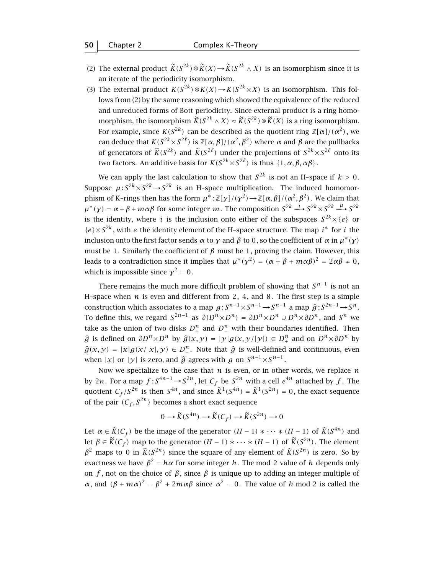- (2) The external product  $\widetilde{K}(S^{2k}) \otimes \widetilde{K}(X) \rightarrow \widetilde{K}(S^{2k} \wedge X)$  is an isomorphism since it is an iterate of the periodicity isomorphism.
- (3) The external product  $K(S^{2k}) \otimes K(X) \rightarrow K(S^{2k} \times X)$  is an isomorphism. This follows from (2) by the same reasoning which showed the equivalence of the reduced and unreduced forms of Bott periodicity. Since external product is a ring homomorphism, the isomorphism  $\widetilde{K}(S^{2k} \wedge X) \approx \widetilde{K}(S^{2k}) \otimes \widetilde{K}(X)$  is a ring isomorphism. For example, since  $K(S^{2k})$  can be described as the quotient ring  $\mathbb{Z}[\alpha]/(\alpha^2)$ , we can deduce that  $K(S^{2k} \times S^{2\ell})$  is  $\mathbb{Z}[\alpha, \beta]/(\alpha^2, \beta^2)$  where  $\alpha$  and  $\beta$  are the pullbacks of generators of  $\widetilde{K}(S^{2k})$  and  $\widetilde{K}(S^{2\ell})$  under the projections of  $S^{2k}\times S^{2\ell}$  onto its two factors. An additive basis for  $K(S^{2k} \times S^{2\ell})$  is thus {1, α, β, αβ}.

We can apply the last calculation to show that  $S^{2k}$  is not an H-space if  $k > 0$ . Suppose  $\mu$ :  $S^{2k} \times S^{2k} \to S^{2k}$  is an H-space multiplication. The induced homomorphism of K–rings then has the form  $\mu^* : \mathbb{Z}[\gamma]/(\gamma^2) \to \mathbb{Z}[\alpha, \beta]/(\alpha^2, \beta^2)$ . We claim that *µ*<sup>\*</sup>(y) = α + β + mαβ for some integer *m*. The composition  $S^{2k} \xrightarrow{i} S^{2k} \times S^{2k} \xrightarrow{\mu} S^{2k}$ is the identity, where *i* is the inclusion onto either of the subspaces  $S^{2k}\times\{e\}$  or  ${e} \times S^{2k}$ , with *e* the identity element of the H-space structure. The map *i*<sup>\*</sup> for *i* the inclusion onto the first factor sends *α* to *γ* and *β* to 0, so the coefficient of *α* in *µ*∗*(γ)* must be 1. Similarly the coefficient of  $\beta$  must be 1, proving the claim. However, this leads to a contradiction since it implies that  $\mu^*(\chi^2) = (\alpha + \beta + m\alpha\beta)^2 = 2\alpha\beta \neq 0$ , which is impossible since  $\chi^2 = 0$ .

There remains the much more difficult problem of showing that  $S^{n-1}$  is not an H-space when  $n$  is even and different from 2, 4, and 8. The first step is a simple construction which associates to a map  $g: S^{n-1} \times S^{n-1} \to S^{n-1}$  a map  $\hat{g}: S^{2n-1} \to S^n$ .<br>To define this suggestered  $S^{2n-1}$  as  $\partial (D^n \cup D^n)$  .  $D^n \cup D^n \cup D^n$  is  $D^n$  and  $S^n$ To define this, we regard  $S^{2n-1}$  as  $\partial(D^n \times D^n) = \partial D^n \times D^n \cup D^n \times \partial D^n$ , and  $S^n$  we take as the union of two disks  $D^n_+$  and  $D^n_-$  with their boundaries identified. Then  $\hat{g}$  is defined on  $\partial D^n \times D^n$  by  $\hat{g}(x, y) = |y| g(x, y/|y|) \in D^n$  and on  $D^n \times \partial D^n$  by  $\hat{g}(x, y) = |x| g(x/|x|, y) \in D^n$ . Note that  $\hat{g}$  is well-defined and continuous, even when |*x*| or |*y*| is zero, and  $\hat{g}$  agrees with *g* on  $S^{n-1} \times S^{n-1}$ .

Now we specialize to the case that *n* is even, or in other words, we replace *n* by 2*n*. For a map  $f: S^{4n-1} \to S^{2n}$ , let  $C_f$  be  $S^{2n}$  with a cell  $e^{4n}$  attached by  $f$ . The quotient  $C_f/S^{2n}$  is then  $S^{4n}$ , and since  $\widetilde{K}^1(S^{4n}) = \widetilde{K}^1(S^{2n}) = 0$ , the exact sequence of the pair  $(C_f, S^{2n})$  becomes a short exact sequence

$$
0 \longrightarrow \widetilde{K}(S^{4n}) \longrightarrow \widetilde{K}(C_f) \longrightarrow \widetilde{K}(S^{2n}) \longrightarrow 0
$$

Let  $\alpha \in \widetilde{K}(C_f)$  be the image of the generator  $(H-1) * \cdots * (H-1)$  of  $\widetilde{K}(S^{4n})$  and let  $\beta \in \widetilde{K}(C_f)$  map to the generator  $(H-1) * \cdots * (H-1)$  of  $\widetilde{K}(S^{2n})$ . The element  $\beta^2$  maps to 0 in  $\widetilde{K}(S^{2n})$  since the square of any element of  $\widetilde{K}(S^{2n})$  is zero. So by exactness we have  $\beta^2 = h\alpha$  for some integer *h*. The mod 2 value of *h* depends only on *f*, not on the choice of  $\beta$ , since  $\beta$  is unique up to adding an integer multiple of *α*, and  $(β + mα)^2 = β^2 + 2mαβ$  since  $α^2 = 0$ . The value of *h* mod 2 is called the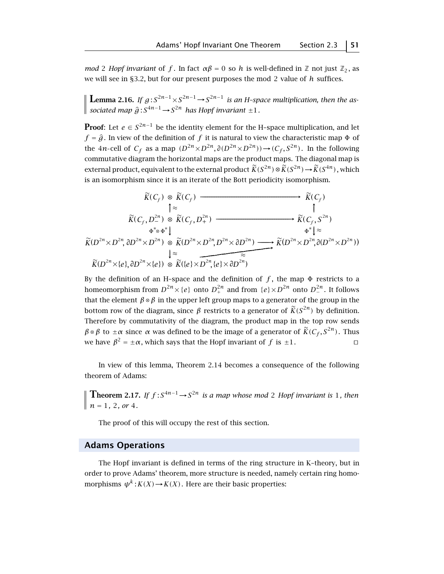*mod* 2 *Hopf invariant* of *f*. In fact  $\alpha\beta = 0$  so *h* is well-defined in  $\mathbb{Z}$  not just  $\mathbb{Z}_2$ , as we will see in §3.2, but for our present purposes the mod 2 value of *h* suffices.

**Lemma 2.16.** If  $g: S^{2n-1} \times S^{2n-1} \to S^{2n-1}$  is an H-space multiplication, then the as $sociated$   $map \hat{g}: S^{4n-1} \rightarrow S^{2n}$  *has Hopf invariant*  $\pm 1$ *.* 

**Proof:** Let  $e \in S^{2n-1}$  be the identity element for the H-space multiplication, and let  $f = \hat{g}$ . In view of the definition of  $f$  it is natural to view the characteristic map  $\Phi$  of the 4*n*-cell of  $C_f$  as a map  $(D^{2n} \times D^{2n}, \partial(D^{2n} \times D^{2n})) \rightarrow (C_f, S^{2n})$ . In the following commutative diagram the horizontal maps are the product maps. The diagonal map is external product, equivalent to the external product  $\widetilde{K}(S^{2n}) \otimes \widetilde{K}(S^{2n}) \to \widetilde{K}(S^{4n})$ , which is an isomorphism since it is an iterate of the Bott periodicity isomorphism.

$$
\widetilde{K}(C_f) \underset{\uparrow \approx}{\otimes} \widetilde{K}(C_f) \longrightarrow \widetilde{K}(C_f)
$$
\n
$$
\uparrow \approx \uparrow
$$
\n
$$
\widetilde{K}(C_f, D^{2n}) \underset{\Phi^* \otimes \Phi^*}{\otimes} \widetilde{K}(C_f, D^{2n}) \longrightarrow \widetilde{K}(C_f, S^{2n})
$$
\n
$$
\widetilde{K}(D^{2n} \times D^{2n}, \partial D^{2n} \times D^{2n}) \underset{\downarrow \approx}{\otimes} \widetilde{K}(D^{2n} \times D^{2n}, D^{2n} \times \partial D^{2n}) \longrightarrow \widetilde{K}(D^{2n} \times D^{2n}, \partial (D^{2n} \times D^{2n}))
$$
\n
$$
\downarrow \approx \widetilde{K}(D^{2n} \times \{e\}, \partial D^{2n} \times \{e\}) \underset{\infty}{\otimes} \widetilde{K}(\{e\} \times \widetilde{D^{2n}, \{e\} \times \partial D^{2n})} \longrightarrow \widetilde{K}(D^{2n} \times D^{2n}, \partial (D^{2n} \times D^{2n}))
$$

By the definition of an H-space and the definition of  $f$ , the map  $\Phi$  restricts to a homeomorphism from  $D^{2n}\times\{e\}$  onto  $D^{2n}_+$  and from  $\{e\}\times D^{2n}$  onto  $D^{2n}_-$ . It follows that the element  $\beta \otimes \beta$  in the upper left group maps to a generator of the group in the bottom row of the diagram, since  $\beta$  restricts to a generator of  $\widetilde{K}(S^{2n})$  by definition. Therefore by commutativity of the diagram, the product map in the top row sends *β* ⊗ *β* to  $\pm \alpha$  since *α* was defined to be the image of a generator of  $\tilde{K}(C_f, S^{2n})$ . Thus we have  $B^2 = +\alpha$ , which says that the Honf invariant of *f* is +1. we have  $\beta^2 = \pm \alpha$ , which says that the Hopf invariant of *f* is  $\pm 1$ .

In view of this lemma, Theorem 2.14 becomes a consequence of the following theorem of Adams:

**Theorem 2.17.** *If*  $f: S^{4n-1} \rightarrow S^{2n}$  *is a map whose mod* 2 *Hopf invariant is* 1, *then n* = 1*,* 2*, or* 4*.*

The proof of this will occupy the rest of this section.

#### **Adams Operations**

The Hopf invariant is defined in terms of the ring structure in K–theory, but in order to prove Adams' theorem, more structure is needed, namely certain ring homomorphisms  $\psi^k$ :  $K(X) \rightarrow K(X)$ . Here are their basic properties: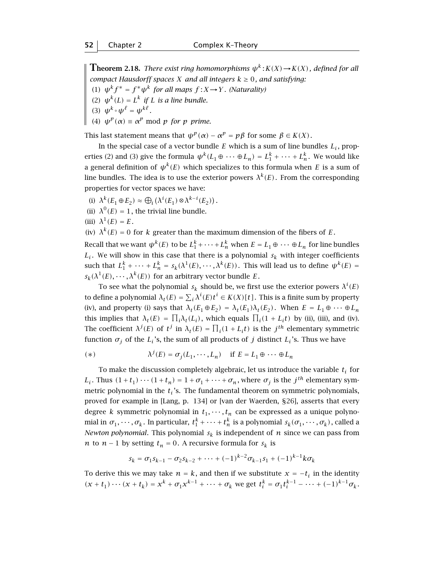**Theorem 2.18.** *There exist ring homomorphisms*  $\psi^k$ : $K(X) \rightarrow K(X)$ , defined for all *compact Hausdorff spaces X and all integers*  $k \geq 0$ *, and satisfying:* 

- (1)  $\psi^k f^* = f^* \psi^k$  *for all maps*  $f : X \rightarrow Y$ *. (Naturality)*
- (2)  $\psi^{k}(L) = L^{k}$  *if L is a line bundle.*
- (3)  $\psi^k \circ \psi^\ell = \psi^{k\ell}$ .
- (4)  $\psi^p(\alpha) \equiv \alpha^p \mod{p}$  *for p prime.*

This last statement means that  $\psi^p(\alpha) - \alpha^p = p\beta$  for some  $\beta \in K(X)$ .

In the special case of a vector bundle  $E$  which is a sum of line bundles  $L_i$ , properties (2) and (3) give the formula  $\psi^{k}(L_1 \oplus \cdots \oplus L_n) = L_1^k + \cdots + L_n^k$ . We would like a general definition of  $\psi^{k}(E)$  which specializes to this formula when *E* is a sum of line bundles. The idea is to use the exterior powers  $\lambda^{k}(E)$ . From the corresponding properties for vector spaces we have:

- (i)  $\lambda^k(E_1 \oplus E_2) \approx \bigoplus_i (\lambda^i(E_1) \otimes \lambda^{k-i}(E_2)).$
- (ii)  $\lambda^{0}(E) = 1$ , the trivial line bundle.
- (iii)  $\lambda^1(E) = E$ .

(iv)  $\lambda^{k}(E) = 0$  for *k* greater than the maximum dimension of the fibers of *E*.

Recall that we want  $\psi^{k}(E)$  to be  $L_1^k + \cdots + L_n^k$  when  $E = L_1 \oplus \cdots \oplus L_n$  for line bundles  $L_i$ . We will show in this case that there is a polynomial  $s_k$  with integer coefficients such that  $L_1^k + \cdots + L_n^k = s_k(\lambda^1(E), \cdots, \lambda^k(E))$ . This will lead us to define  $\psi^k(E) =$  $s_k(\lambda^1(E), \dots, \lambda^k(E))$  for an arbitrary vector bundle *E*.

To see what the polynomial  $s_k$  should be, we first use the exterior powers  $\lambda^i(E)$ to define a polynomial  $\lambda_t(E) = \sum_i \lambda^i(E)t^i \in K(X)[t]$ . This is a finite sum by property (iv), and property (i) says that  $\lambda_t(E_1 \oplus E_2) = \lambda_t(E_1) \lambda_t(E_2)$ . When  $E = L_1 \oplus \cdots \oplus L_n$ this implies that  $\lambda_t(E) = \prod_i \lambda_t(L_i)$ , which equals  $\prod_i(1 + L_i t)$  by (ii), (iii), and (iv). The coefficient  $\lambda^{j}(E)$  of  $t^{j}$  in  $\lambda_{t}(E) = \prod_{i}(1 + L_{i}t)$  is the  $j^{th}$  elementary symmetric function  $\sigma_i$  of the  $L_i$ 's, the sum of all products of *j* distinct  $L_i$ 's. Thus we have

(\*) 
$$
\lambda^{j}(E) = \sigma_{j}(L_{1}, \cdots, L_{n}) \quad \text{if } E = L_{1} \oplus \cdots \oplus L_{n}
$$

To make the discussion completely algebraic, let us introduce the variable  $t_i$  for *L<sub>i</sub>*. Thus  $(1+t_1)\cdots(1+t_n) = 1+\sigma_1+\cdots+\sigma_n$ , where  $\sigma_j$  is the *j*<sup>th</sup> elementary symmetric polynomial in the  $t_i$ 's. The fundamental theorem on symmetric polynomials, proved for example in [Lang, p. 134] or [van der Waerden, §26], asserts that every degree *k* symmetric polynomial in  $t_1, \dots, t_n$  can be expressed as a unique polynomial in  $\sigma_1, \dots, \sigma_k$ . In particular,  $t_1^k + \dots + t_n^k$  is a polynomial  $s_k(\sigma_1, \dots, \sigma_k)$ , called a *Newton polynomial*. This polynomial  $s_k$  is independent of *n* since we can pass from *n* to *n* − 1 by setting  $t_n = 0$ . A recursive formula for  $s_k$  is

$$
s_k = \sigma_1 s_{k-1} - \sigma_2 s_{k-2} + \cdots + (-1)^{k-2} \sigma_{k-1} s_1 + (-1)^{k-1} k \sigma_k
$$

To derive this we may take  $n = k$ , and then if we substitute  $x = -t_i$  in the identity  $(x + t_1) \cdots (x + t_k) = x^k + \sigma_1 x^{k-1} + \cdots + \sigma_k$  we get  $t_i^k = \sigma_1 t_i^{k-1} - \cdots + (-1)^{k-1} \sigma_k$ .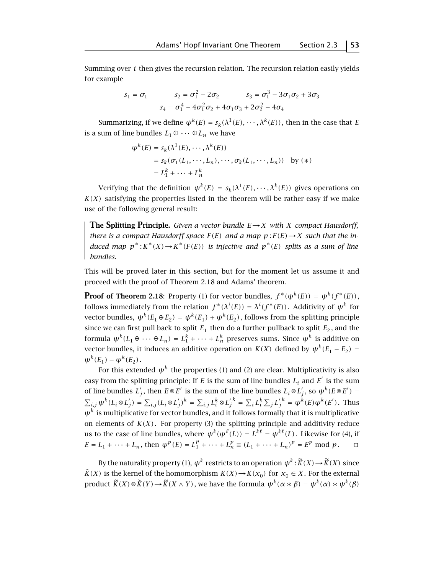Summing over *i* then gives the recursion relation. The recursion relation easily yields for example

$$
s_1 = \sigma_1 \qquad s_2 = \sigma_1^2 - 2\sigma_2 \qquad s_3 = \sigma_1^3 - 3\sigma_1\sigma_2 + 3\sigma_3
$$

$$
s_4 = \sigma_1^4 - 4\sigma_1^2\sigma_2 + 4\sigma_1\sigma_3 + 2\sigma_2^2 - 4\sigma_4
$$

Summarizing, if we define  $\psi^k(E) = s_k(\lambda^1(E), \dots, \lambda^k(E))$ , then in the case that *E* is a sum of line bundles  $L_1 \oplus \cdots \oplus L_n$  we have

$$
\psi^{k}(E) = s_{k}(\lambda^{1}(E), \cdots, \lambda^{k}(E))
$$
  
=  $s_{k}(\sigma_{1}(L_{1}, \cdots, L_{n}), \cdots, \sigma_{k}(L_{1}, \cdots, L_{n}))$  by (\*)  
=  $L_{1}^{k} + \cdots + L_{n}^{k}$ 

Verifying that the definition  $\psi^{k}(E) = s_{k}(\lambda^{1}(E), \cdots, \lambda^{k}(E))$  gives operations on  $K(X)$  satisfying the properties listed in the theorem will be rather easy if we make use of the following general result:

**The Splitting Principle.** *Given a vector bundle*  $E \rightarrow X$  *with X compact Hausdorff, there is a compact Hausdorff space*  $F(E)$  *and a map*  $p: F(E) \rightarrow X$  *such that the induced map*  $p^*$ :  $K^*(X) \to K^*(F(E))$  *is injective and*  $p^*(E)$  *splits as a sum of line bundles.*

This will be proved later in this section, but for the moment let us assume it and proceed with the proof of Theorem 2.18 and Adams' theorem.

**Proof of Theorem 2.18:** Property (1) for vector bundles,  $f^*(\psi^k(E)) = \psi^k(f^*(E))$ , follows immediately from the relation  $f^*(\lambda^i(E)) = \lambda^i(f^*(E))$ . Additivity of  $\psi^k$  for vector bundles,  $\psi^{k}(E_1 \oplus E_2) = \psi^{k}(E_1) + \psi^{k}(E_2)$ , follows from the splitting principle since we can first pull back to split  $E_1$  then do a further pullback to split  $E_2$ , and the formula  $\psi^k(L_1 \oplus \cdots \oplus L_n) = L_1^k + \cdots + L_n^k$  preserves sums. Since  $\psi^k$  is additive on vector bundles, it induces an additive operation on *K(X)* defined by  $\psi^{k}(E_1 - E_2)$  =  $\psi^{k}(E_1) - \psi^{k}(E_2)$ .

For this extended  $\psi^k$  the properties (1) and (2) are clear. Multiplicativity is also easy from the splitting principle: If *E* is the sum of line bundles  $L_i$  and  $E'$  is the sum of line bundles  $L'_j$ , then  $E \otimes E'$  is the sum of the line bundles  $L_i \otimes L'_j$ , so  $\psi^k(E \otimes E') =$  $\sum_{i,j} \psi^k (L_i \otimes L'_j) = \sum_{i,j} (L_i \otimes L'_j)^k = \sum_{i,j} L_i^k \otimes L_j'^k = \sum_i L_i^k \sum_j L_j'^k = \psi^k(E) \psi^k(E').$  Thus  $\psi^k$  is multiplicative for vector bundles, and it follows formally that it is multiplicative on elements of  $K(X)$ . For property (3) the splitting principle and additivity reduce us to the case of line bundles, where  $\psi^k(\psi^\ell(L)) = L^{k\ell} = \psi^{k\ell}(L)$ . Likewise for (4), if  $E = L_1 + \dots + L_n$ , then  $\psi^p(E) = L_1^p + \dots + L_n^p \equiv (L_1 + \dots + L_n)^p = E^p \mod p$ .  $\Box$ 

By the naturality property (1),  $\psi^k$  restricts to an operation  $\psi^k : \widetilde{K}(X) \to \widetilde{K}(X)$  since  $\widetilde{K}(X)$  is the kernel of the homomorphism  $K(X) \to K(x_0)$  for  $x_0 \in X$ . For the external product  $\widetilde{K}(X) \otimes \widetilde{K}(Y) \rightarrow \widetilde{K}(X \wedge Y)$ , we have the formula  $\psi^k(\alpha * \beta) = \psi^k(\alpha) * \psi^k(\beta)$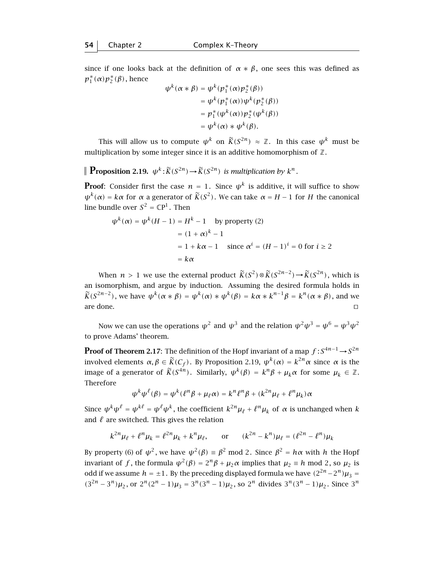since if one looks back at the definition of  $\alpha * \beta$ , one sees this was defined as  $p_1^*(\alpha)p_2^*(\beta)$ , hence

$$
\psi^k(\alpha * \beta) = \psi^k(p_1^*(\alpha)p_2^*(\beta))
$$
  
=  $\psi^k(p_1^*(\alpha))\psi^k(p_2^*(\beta))$   
=  $p_1^*(\psi^k(\alpha))p_2^*(\psi^k(\beta))$   
=  $\psi^k(\alpha) * \psi^k(\beta)$ .

This will allow us to compute  $\psi^k$  on  $\widetilde{K}(S^{2n}) \approx \mathbb{Z}$ . In this case  $\psi^k$  must be multiplication by some integer since it is an additive homomorphism of  $\mathbb{Z}$ .

**Proposition 2.19.**  $\psi^k : \widetilde{K}(S^{2n}) \to \widetilde{K}(S^{2n})$  *is multiplication by*  $k^n$ *.* 

**Proof**: Consider first the case  $n = 1$ . Since  $\psi^k$  is additive, it will suffice to show *ψ*<sup>*k*</sup>(α) = *kα* for *α* a generator of  $\widetilde{K}(S^2)$ . We can take *α* = *H* − 1 for *H* the canonical line bundle over  $S^2 = \mathbb{C}P^1$ . Then

$$
\psi^{k}(\alpha) = \psi^{k}(H - 1) = H^{k} - 1 \quad \text{by property (2)}
$$

$$
= (1 + \alpha)^{k} - 1
$$

$$
= 1 + k\alpha - 1 \quad \text{since } \alpha^{i} = (H - 1)^{i} = 0 \text{ for } i \ge 2
$$

$$
= k\alpha
$$

When *n* > 1 we use the external product  $\widetilde{K}(S^2) \otimes \widetilde{K}(S^{2n-2}) \rightarrow \widetilde{K}(S^{2n})$ , which is an isomorphism, and argue by induction. Assuming the desired formula holds in *K*(*S*<sup>2*n*−2</sup>), we have  $\psi^k(\alpha * \beta) = \psi^k(\alpha) * \psi^k(\beta) = k\alpha * k^{n-1}\beta = k^n(\alpha * \beta)$ , and we are done. are done.  $\Box$ 

Now we can use the operations  $\psi^2$  and  $\psi^3$  and the relation  $\psi^2 \psi^3 = \psi^6 = \psi^3 \psi^2$ to prove Adams' theorem.

**Proof of Theorem 2.17**: The definition of the Hopf invariant of a map  $f$  :  $S^{4n-1}$   $\rightarrow$   $S^{2n}$ involved elements *α*, *β* ∈  $\widetilde{K}(C_f)$ . By Proposition 2.19,  $\psi^k(\alpha) = k^{2n} \alpha$  since *α* is the image of a generator of  $\widetilde{K}(S^{4n})$ . Similarly,  $\psi^k(\beta) = k^n \beta + \mu_k \alpha$  for some  $\mu_k \in \mathbb{Z}$ . Therefore

$$
\psi^k \psi^\ell(\beta) = \psi^k (\ell^n \beta + \mu_\ell \alpha) = k^n \ell^n \beta + (k^{2n} \mu_\ell + \ell^n \mu_k) \alpha
$$

Since  $\psi^k \psi^\ell = \psi^{k\ell} = \psi^{\ell} \psi^k$ , the coefficient  $k^{2n} \mu_\ell + \ell^n \mu_k$  of  $\alpha$  is unchanged when  $k$ and  $\ell$  are switched. This gives the relation

$$
k^{2n}\mu_{\ell} + \ell^{n}\mu_{k} = \ell^{2n}\mu_{k} + k^{n}\mu_{\ell},
$$
 or  $(k^{2n} - k^{n})\mu_{\ell} = (\ell^{2n} - \ell^{n})\mu_{k}$ 

By property (6) of  $\psi^2$ , we have  $\psi^2(\beta) = \beta^2$  mod 2. Since  $\beta^2 = h\alpha$  with *h* the Hopf invariant of *f*, the formula  $\psi^2(\beta) = 2^n \beta + \mu_2 \alpha$  implies that  $\mu_2 \equiv h \mod 2$ , so  $\mu_2$  is odd if we assume  $h = \pm 1$ . By the preceding displayed formula we have  $(2^{2n}-2^n)\mu_3 =$  $(3^{2n} - 3^n)\mu_2$ , or  $2^n(2^n - 1)\mu_3 = 3^n(3^n - 1)\mu_2$ , so  $2^n$  divides  $3^n(3^n - 1)\mu_2$ . Since  $3^n$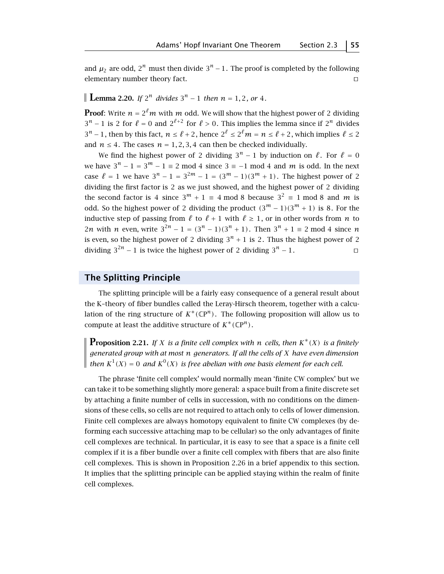and  $\mu_2$  are odd,  $2^n$  must then divide  $3^n - 1$ . The proof is completed by the following  $\Box$  elementary number theory fact.

## **Lemma 2.20.** *If*  $2^n$  *divides*  $3^n - 1$  *then*  $n = 1, 2$ *, or* 4*.*

**Proof:** Write  $n = 2^{\ell}m$  with m odd. We will show that the highest power of 2 dividing  $3^n - 1$  is 2 for  $\ell = 0$  and  $2^{\ell+2}$  for  $\ell > 0$ . This implies the lemma since if  $2^n$  divides  $3^n - 1$ , then by this fact,  $n \leq \ell + 2$ , hence  $2^{\ell} \leq 2^{\ell} m = n \leq \ell + 2$ , which implies  $\ell \leq 2$ and  $n \leq 4$ . The cases  $n = 1, 2, 3, 4$  can then be checked individually.

We find the highest power of 2 dividing  $3^n - 1$  by induction on  $\ell$ . For  $\ell = 0$ we have  $3^n - 1 = 3^m - 1 \equiv 2 \mod 4$  since  $3 \equiv -1 \mod 4$  and *m* is odd. In the next case  $\ell = 1$  we have  $3^n - 1 = 3^{2m} - 1 = (3^m - 1)(3^m + 1)$ . The highest power of 2 dividing the first factor is 2 as we just showed, and the highest power of 2 dividing the second factor is 4 since  $3^m + 1 \equiv 4 \mod 8$  because  $3^2 \equiv 1 \mod 8$  and *m* is odd. So the highest power of 2 dividing the product  $(3^m - 1)(3^m + 1)$  is 8. For the inductive step of passing from  $\ell$  to  $\ell + 1$  with  $\ell \ge 1$ , or in other words from *n* to 2*n* with *n* even, write  $3^{2n} - 1 = (3^n - 1)(3^n + 1)$ . Then  $3^n + 1 \equiv 2 \mod 4$  since *n* is even, so the highest power of 2 dividing  $3^n + 1$  is 2. Thus the highest power of 2 dividing  $3^{2n} - 1$  is twice the highest power of 2 dividing  $3^n - 1$ .  $\Box$ 

## **The Splitting Principle**

The splitting principle will be a fairly easy consequence of a general result about the K–theory of fiber bundles called the Leray-Hirsch theorem, together with a calculation of the ring structure of  $K^*(\mathbb{C}P^n)$ . The following proposition will allow us to compute at least the additive structure of  $K^*(\mathbb{C}P^n)$ .

**Proposition 2.21.** *If X is a finite cell complex with n cells, then*  $K^*(X)$  *is a finitely generated group with at most n generators. If all the cells of X have even dimension then*  $K^1(X) = 0$  and  $K^0(X)$  is free abelian with one basis element for each cell.

The phrase 'finite cell complex' would normally mean 'finite CW complex' but we can take it to be something slightly more general: a space built from a finite discrete set by attaching a finite number of cells in succession, with no conditions on the dimensions of these cells, so cells are not required to attach only to cells of lower dimension. Finite cell complexes are always homotopy equivalent to finite CW complexes (by deforming each successive attaching map to be cellular) so the only advantages of finite cell complexes are technical. In particular, it is easy to see that a space is a finite cell complex if it is a fiber bundle over a finite cell complex with fibers that are also finite cell complexes. This is shown in Proposition 2.26 in a brief appendix to this section. It implies that the splitting principle can be applied staying within the realm of finite cell complexes.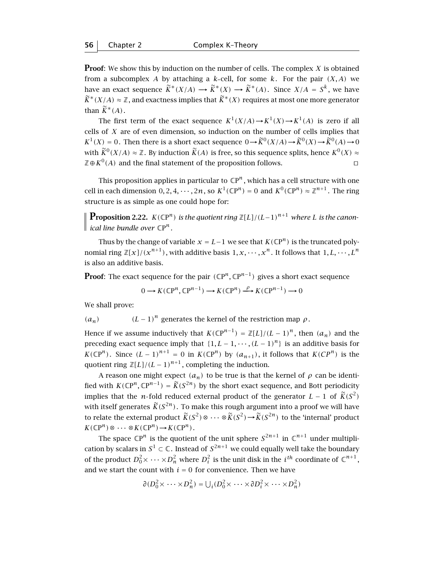**Proof**: We show this by induction on the number of cells. The complex *X* is obtained from a subcomplex *A* by attaching a *k*-cell, for some *k*. For the pair  $(X, A)$  we have an exact sequence  $\widetilde{K}^*(X/A) \longrightarrow \widetilde{K}^*(X) \longrightarrow \widetilde{K}^*(A)$ . Since  $X/A = S^k$ , we have  $\widetilde{K}^*(X/A) \approx \mathbb{Z}$ , and exactness implies that  $\widetilde{K}^*(X)$  requires at most one more generator than  $\widetilde{K}^*(A)$ .

The first term of the exact sequence  $K^1(X/A) \to K^1(X) \to K^1(A)$  is zero if all cells of *X* are of even dimension, so induction on the number of cells implies that  $K^1(X) = 0$ . Then there is a short exact sequence  $0 \rightarrow \widetilde{K}^0(X/A) \rightarrow \widetilde{K}^0(X) \rightarrow \widetilde{K}^0(A) \rightarrow 0$ with  $\widetilde{K}^0(X/A) \approx \mathbb{Z}$ . By induction  $\widetilde{K}(A)$  is free, so this sequence splits, hence  $K^0(X) \approx \mathbb{Z} \oplus K^0(A)$  and the final statement of the proposition follows.  $\mathbb{Z} \oplus K^0(A)$  and the final statement of the proposition follows.

This proposition applies in particular to  $\mathbb{C}P^n$ , which has a cell structure with one cell in each dimension  $0, 2, 4, \dots, 2n$ , so  $K^1(\mathbb{C}P^n) = 0$  and  $K^0(\mathbb{C}P^n) \approx \mathbb{Z}^{n+1}$ . The ring structure is as simple as one could hope for:

**Proposition 2.22.** *K(*CP*n) is the quotient ring* <sup>Z</sup>*[L]/(L*−1*) <sup>n</sup>*+<sup>1</sup> *where L is the canonl ical line bundle over*  $\mathbb{C}P^n$ *.* 

Thus by the change of variable  $x = L - 1$  we see that  $K(\mathbb{C}P^n)$  is the truncated polynomial ring  $\mathbb{Z}[x]/(x^{n+1})$ , with additive basis  $1, x, \dots, x^n$ . It follows that  $1, L, \dots, L^n$ is also an additive basis.

**Proof:** The exact sequence for the pair  $({\mathbb{C}}P^n,{\mathbb{C}}P^{n-1})$  gives a short exact sequence

$$
0 \longrightarrow K(\mathbb{C}P^n, \mathbb{C}P^{n-1}) \longrightarrow K(\mathbb{C}P^n) \xrightarrow{\rho} K(\mathbb{C}P^{n-1}) \longrightarrow 0
$$

We shall prove:

$$
(a_n)
$$
  $(L-1)^n$  generates the kernel of the restriction map  $\rho$ .

Hence if we assume inductively that  $K(\mathbb{CP}^{n-1}) = \mathbb{Z}[L]/(L-1)^n$ , then  $(a_n)$  and the preceding exact sequence imply that  $\{1, L-1, \cdots, (L-1)^n\}$  is an additive basis for *K*( $\mathbb{CP}^n$ ). Since  $(L-1)^{n+1} = 0$  in  $K(\mathbb{CP}^n)$  by  $(a_{n+1})$ , it follows that  $K(CP^n)$  is the quotient ring  $\mathbb{Z}[L]/(L-1)^{n+1}$ , completing the induction.

A reason one might expect  $(a_n)$  to be true is that the kernel of  $\rho$  can be identified with  $K(\mathbb{C}P^n,\mathbb{C}P^{n-1}) = \widetilde{K}(S^{2n})$  by the short exact sequence, and Bott periodicity implies that the *n*-fold reduced external product of the generator  $L - 1$  of  $\widetilde{K}(S^2)$ with itself generates  $\widetilde{K}(S^{2n})$ . To make this rough argument into a proof we will have to relate the external product  $\widetilde{K}(S^2) \otimes \cdots \otimes \widetilde{K}(S^2) \rightarrow \widetilde{K}(S^{2n})$  to the 'internal' product  $K(\mathbb{C}P^n) \otimes \cdots \otimes K(\mathbb{C}P^n) \rightarrow K(\mathbb{C}P^n)$ .

The space  $\mathbb{C}P^n$  is the quotient of the unit sphere  $S^{2n+1}$  in  $\mathbb{C}^{n+1}$  under multiplication by scalars in  $S^1 \subset \mathbb{C}$ . Instead of  $S^{2n+1}$  we could equally well take the boundary of the product  $D_0^2\times\cdots\times D_n^2$  where  $D_i^2$  is the unit disk in the  $i^{th}$  coordinate of  $\mathbb C^{n+1}$  , and we start the count with  $i = 0$  for convenience. Then we have

$$
\partial(D_0^2 \times \cdots \times D_n^2) = \bigcup_i (D_0^2 \times \cdots \times \partial D_i^2 \times \cdots \times D_n^2)
$$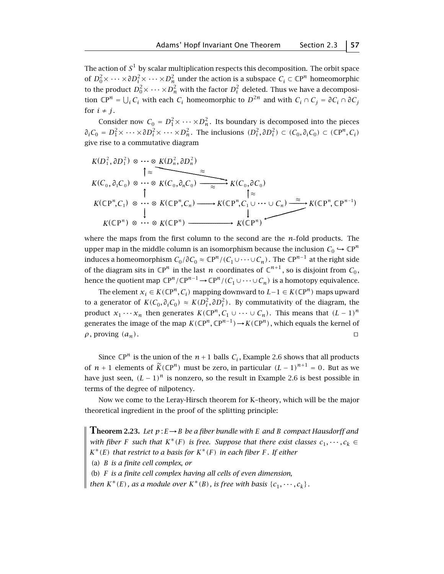The action of  $S<sup>1</sup>$  by scalar multiplication respects this decomposition. The orbit space of  $D_0^2\times\dots\times\partial D_i^2\times\dots\times D_n^2$  under the action is a subspace  $C_i\subset\mathbb{C}\mathrm{P}^n$  homeomorphic to the product  $D_0^2{\times} \cdots {\times} D_n^2$  with the factor  $D_i^2$  deleted. Thus we have a decomposition  $\mathbb{C}P^n = \bigcup_i C_i$  with each  $C_i$  homeomorphic to  $D^{2n}$  and with  $C_i \cap C_j = \partial C_i \cap \partial C_j$ for  $i \neq j$ .

Consider now  $C_0 = D_1^2 \times \cdots \times D_n^2$ . Its boundary is decomposed into the pieces  $\partial_i C_0 = D_1^2 \times \cdots \times \partial D_i^2 \times \cdots \times D_n^2$ . The inclusions  $(D_i^2, \partial D_i^2) \subset (C_0, \partial_i C_0) \subset (\mathbb{C}P^n, C_i)$ give rise to a commutative diagram

$$
K(D_1^2, \partial D_1^2) \otimes \cdots \otimes K(D_n^2, \partial D_n^2)
$$
\n
$$
\uparrow \approx \qquad \qquad K(C_0, \partial_1 C_0) \otimes \cdots \otimes K(C_0, \partial_n C_0) \longrightarrow \qquad \qquad \searrow \qquad K(C_0, \partial C_0)
$$
\n
$$
\uparrow \approx \qquad \qquad \searrow
$$
\n
$$
K(\mathbb{CP}^n, C_1) \otimes \cdots \otimes K(\mathbb{CP}^n, C_n) \longrightarrow K(\mathbb{CP}^n, C_1 \cup \cdots \cup C_n) \xrightarrow{\approx} K(\mathbb{CP}^n, \mathbb{CP}^{n-1})
$$
\n
$$
K(\mathbb{CP}^n) \otimes \cdots \otimes K(\mathbb{CP}^n) \longrightarrow K(\mathbb{CP}^n)
$$

where the maps from the first column to the second are the *n* fold products. The upper map in the middle column is an isomorphism because the inclusion  $C_0 \hookrightarrow \mathbb{C}P^n$ induces a homeomorphism  $C_0$ /∂ $C_0 \approx \mathbb{C}P^n$ /( $C_1 \cup \cdots \cup C_n$ ). The  $\mathbb{C}P^{n-1}$  at the right side of the diagram sits in  $\mathbb{C}P^n$  in the last *n* coordinates of  $\mathbb{C}^{n+1}$ , so is disjoint from  $C_0$ , hence the quotient map  $\mathbb{C}P^n/\mathbb{C}P^{n-1} \to \mathbb{C}P^n/(\mathcal{C}_1 \cup \cdots \cup \mathcal{C}_n)$  is a homotopy equivalence.

The element *x<sub>i</sub>* ∈ *K*( $\mathbb{CP}^n$ , *C<sub>i</sub>*)</sub> mapping downward to *L*-1 ∈ *K*( $\mathbb{CP}^n$ ) maps upward to a generator of  $K(C_0, \partial_i C_0) \approx K(D_i^2, \partial D_i^2)$ . By commutativity of the diagram, the product  $x_1 \cdots x_n$  then generates  $K(\mathbb{C}P^n, C_1 \cup \cdots \cup C_n)$ . This means that  $(L-1)^n$ generates the image of the map  $K(\mathbb{C}P^n, \mathbb{C}P^{n-1}) \to K(\mathbb{C}P^n)$ , which equals the kernel of  $\rho$ , proving  $(a_n)$ .

Since  $\mathbb{C}P^n$  is the union of the  $n+1$  balls  $C_i$ , Example 2.6 shows that all products of *n* + 1 elements of  $\widetilde{K}(\mathbb{C}P^n)$  must be zero, in particular  $(L-1)^{n+1} = 0$ . But as we have just seen,  $(L - 1)^n$  is nonzero, so the result in Example 2.6 is best possible in terms of the degree of nilpotency.

Now we come to the Leray-Hirsch theorem for K–theory, which will be the major theoretical ingredient in the proof of the splitting principle:

**Theorem 2.23.** Let  $p: E \rightarrow B$  be a fiber bundle with E and B compact Hausdorff and *with fiber F such that*  $K^*(F)$  *is free. Suppose that there exist classes*  $c_1, \dots, c_k \in$ *K*∗*(E) that restrict to a basis for K*∗*(F) in each fiber F . If either* (a) *B is a finite cell complex, or* (b) *F is a finite cell complex having all cells of even dimension, then*  $K^*(E)$ *, as a module over*  $K^*(B)$ *, is free with basis*  $\{c_1, \dots, c_k\}$ *.*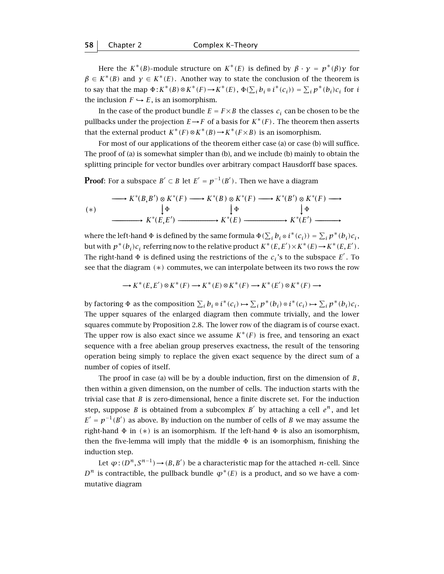Here the  $K^*(B)$ -module structure on  $K^*(E)$  is defined by  $\beta \cdot \gamma = p^*(\beta) \gamma$  for  $\beta \in K^*(B)$  and  $\gamma \in K^*(E)$ . Another way to state the conclusion of the theorem is to say that the map  $\Phi: K^*(B) \otimes K^*(F) \to K^*(E)$ ,  $\Phi(\sum_i b_i \otimes i^*(c_i)) = \sum_i p^*(b_i)c_i$  for *i* the inclusion  $F \hookrightarrow E$ , is an isomorphism.

In the case of the product bundle  $E = F \times B$  the classes  $c_i$  can be chosen to be the pullbacks under the projection  $E \rightarrow F$  of a basis for  $K^*(F)$ . The theorem then asserts that the external product  $K^*(F) \otimes K^*(B) \to K^*(F \times B)$  is an isomorphism.

For most of our applications of the theorem either case (a) or case (b) will suffice. The proof of (a) is somewhat simpler than (b), and we include (b) mainly to obtain the splitting principle for vector bundles over arbitrary compact Hausdorff base spaces.

**Proof**: For a subspace  $B'\subset B$  let  $E'=p^{-1}(B')$  . Then we have a diagram

$$
(\ast) \qquad \longrightarrow K^*(B,B') \otimes K^*(F) \longrightarrow K^*(B) \otimes K^*(F) \longrightarrow K^*(B') \otimes K^*(F) \longrightarrow
$$
  

$$
(\ast) \qquad \downarrow \Phi \qquad \downarrow \Phi \qquad \downarrow \Phi
$$
  

$$
\longrightarrow K^*(E,E') \longrightarrow K^*(E) \longrightarrow K^*(E') \longrightarrow
$$

where the left-hand  $\Phi$  is defined by the same formula  $\Phi(\sum_i b_i \otimes i^*(c_i)) = \sum_i p^*(b_i)c_i$ , but with  $p^*(b_i)c_i$  referring now to the relative product  $K^*(E, E') \times K^*(E) \rightarrow K^*(E, E')$ . The right-hand  $\Phi$  is defined using the restrictions of the  $c_i$ 's to the subspace  $E'$ . To see that the diagram *(*∗*)* commutes, we can interpolate between its two rows the row

$$
\longrightarrow K^*(E, E') \otimes K^*(F) \longrightarrow K^*(E) \otimes K^*(F) \longrightarrow K^*(E') \otimes K^*(F) \longrightarrow
$$

by factoring  $\Phi$  as the composition  $\sum_i b_i \otimes i^*(c_i) \mapsto \sum_i p^*(b_i) \otimes i^*(c_i) \mapsto \sum_i p^*(b_i)c_i$ . The upper squares of the enlarged diagram then commute trivially, and the lower squares commute by Proposition 2.8. The lower row of the diagram is of course exact. The upper row is also exact since we assume  $K^*(F)$  is free, and tensoring an exact sequence with a free abelian group preserves exactness, the result of the tensoring operation being simply to replace the given exact sequence by the direct sum of a number of copies of itself.

The proof in case (a) will be by a double induction, first on the dimension of *B*, then within a given dimension, on the number of cells. The induction starts with the trivial case that *B* is zero-dimensional, hence a finite discrete set. For the induction step, suppose *B* is obtained from a subcomplex *B'* by attaching a cell  $e^n$ , and let  $E' = p^{-1}(B')$  as above. By induction on the number of cells of *B* we may assume the right-hand Φ in *(*∗*)* is an isomorphism. If the left-hand Φ is also an isomorphism, then the five-lemma will imply that the middle  $\Phi$  is an isomorphism, finishing the induction step.

Let  $\varphi$  :  $(D^n, S^{n-1})$   $\rightarrow$   $(B, B')$  be a characteristic map for the attached *n*-cell. Since  $D^n$  is contractible, the pullback bundle  $\varphi^*(E)$  is a product, and so we have a commutative diagram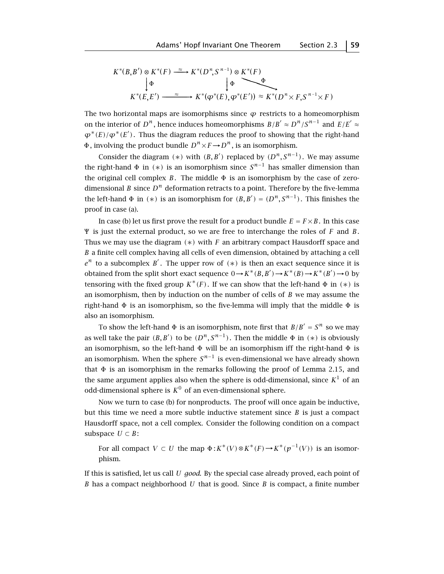$$
K^*(B,B') \otimes K^*(F) \xrightarrow{\approx} K^*(D^n, S^{n-1}) \otimes K^*(F)
$$
  
\n
$$
\downarrow \Phi \qquad \qquad \downarrow \Phi
$$
  
\n
$$
K^*(E,E') \xrightarrow{\approx} K^*(\varphi^*(E),\varphi^*(E')) \approx K^*(D^n \times F, S^{n-1} \times F)
$$

The two horizontal maps are isomorphisms since  $\varphi$  restricts to a homeomorphism on the interior of  $D^n$ , hence induces homeomorphisms  $B/B' \approx D^n/S^{n-1}$  and  $E/E' \approx$  $\varphi^*(E)/\varphi^*(E')$ . Thus the diagram reduces the proof to showing that the right-hand  $Φ$ , involving the product bundle  $D<sup>n</sup> × F → D<sup>n</sup>$ , is an isomorphism.

Consider the diagram  $(*)$  with  $(B, B')$  replaced by  $(D^n, S^{n-1})$ . We may assume the right-hand  $\Phi$  in (\*) is an isomorphism since  $S^{n-1}$  has smaller dimension than the original cell complex *B*. The middle  $\Phi$  is an isomorphism by the case of zerodimensional *B* since  $D^n$  deformation retracts to a point. Therefore by the five-lemma the left-hand  $\Phi$  in (\*) is an isomorphism for  $(B, B') = (D^n, S^{n-1})$ . This finishes the proof in case (a).

In case (b) let us first prove the result for a product bundle  $E = F \times B$ . In this case Ψ is just the external product, so we are free to interchange the roles of *<sup>F</sup>* and *<sup>B</sup>*. Thus we may use the diagram *(*∗*)* with *F* an arbitrary compact Hausdorff space and *B* a finite cell complex having all cells of even dimension, obtained by attaching a cell  $e^{n}$  to a subcomplex *B'*. The upper row of  $(*)$  is then an exact sequence since it is obtained from the split short exact sequence  $0 \rightarrow K^*(B, B') \rightarrow K^*(B) \rightarrow K^*(B') \rightarrow 0$  by tensoring with the fixed group  $K^*(F)$ . If we can show that the left-hand  $\Phi$  in  $(*)$  is an isomorphism, then by induction on the number of cells of *B* we may assume the right-hand  $\Phi$  is an isomorphism, so the five-lemma will imply that the middle  $\Phi$  is also an isomorphism.

To show the left-hand  $\Phi$  is an isomorphism, note first that  $B/B' = S^n$  so we may as well take the pair  $(B, B')$  to be  $(D^n, S^{n-1})$ . Then the middle  $\Phi$  in  $(*)$  is obviously an isomorphism, so the left-hand Φ will be an isomorphism iff the right-hand Φ is an isomorphism. When the sphere  $S^{n-1}$  is even-dimensional we have already shown that Φ is an isomorphism in the remarks following the proof of Lemma 2.15, and the same argument applies also when the sphere is odd-dimensional, since  $K^1$  of an odd-dimensional sphere is  $K^0$  of an even-dimensional sphere.

Now we turn to case (b) for nonproducts. The proof will once again be inductive, but this time we need a more subtle inductive statement since *B* is just a compact Hausdorff space, not a cell complex. Consider the following condition on a compact subspace  $U \subset B$ :

For all compact  $V \subset U$  the map  $\Phi: K^*(V) \otimes K^*(F) \to K^*(p^{-1}(V))$  is an isomorphism.

If this is satisfied, let us call *U good*. By the special case already proved, each point of *B* has a compact neighborhood *U* that is good. Since *B* is compact, a finite number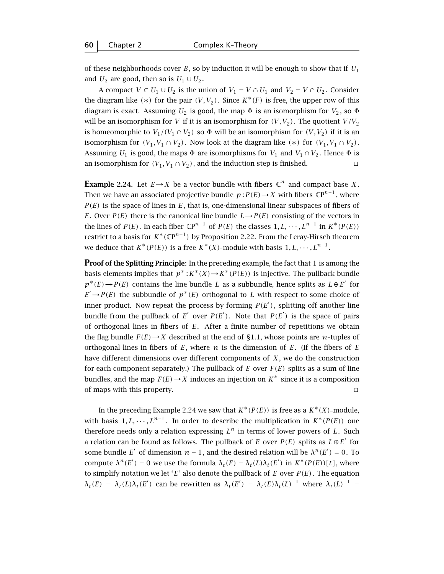of these neighborhoods cover *B*, so by induction it will be enough to show that if  $U_1$ and  $U_2$  are good, then so is  $U_1 \cup U_2$ .

A compact  $V \subset U_1 \cup U_2$  is the union of  $V_1 = V \cap U_1$  and  $V_2 = V \cap U_2$ . Consider the diagram like  $(*)$  for the pair  $(V, V_2)$ . Since  $K^*(F)$  is free, the upper row of this diagram is exact. Assuming  $U_2$  is good, the map  $\Phi$  is an isomorphism for  $V_2$ , so  $\Phi$ will be an isomorphism for *V* if it is an isomorphism for  $(V, V_2)$ . The quotient  $V/V_2$ is homeomorphic to  $V_1/(V_1 \cap V_2)$  so  $\Phi$  will be an isomorphism for  $(V, V_2)$  if it is an isomorphism for  $(V_1, V_1 \cap V_2)$ . Now look at the diagram like  $(*)$  for  $(V_1, V_1 \cap V_2)$ . Assuming *U*<sub>1</sub> is good, the maps  $\Phi$  are isomorphisms for *V*<sub>1</sub> and *V*<sub>1</sub>  $\cap$  *V*<sub>2</sub>. Hence  $\Phi$  is an isomorphism for  $(V_1, V_1 \cap V_2)$ , and the induction step is finished.

**Example 2.24.** Let  $E \rightarrow X$  be a vector bundle with fibers  $\mathbb{C}^n$  and compact base *X*. Then we have an associated projective bundle  $p : P(E) \to X$  with fibers  $\mathbb{C}P^{n-1}$ , where *P (E)* is the space of lines in *E*, that is, one-dimensional linear subspaces of fibers of *E*. Over *P*(*E*) there is the canonical line bundle  $L \rightarrow P(E)$  consisting of the vectors in the lines of *P(E)*. In each fiber  $\mathbb{CP}^{n-1}$  of *P(E)* the classes  $1, L, \dots, L^{n-1}$  in  $K^*(P(E))$ restrict to a basis for  $K^*(\mathbb{C}P^{n-1})$  by Proposition 2.22. From the Leray-Hirsch theorem we deduce that  $K^*(P(E))$  is a free  $K^*(X)$ -module with basis  $1, L, \dots, L^{n-1}$ .

**Proof of the Splitting Principle**: In the preceding example, the fact that 1 is among the basis elements implies that  $p^*$ :  $K^*(X) \to K^*(P(E))$  is injective. The pullback bundle  $p^*(E) \rightarrow P(E)$  contains the line bundle *L* as a subbundle, hence splits as  $L \oplus E'$  for  $E' \rightarrow P(E)$  the subbundle of  $p^*(E)$  orthogonal to *L* with respect to some choice of inner product. Now repeat the process by forming  $P(E')$ , splitting off another line bundle from the pullback of  $E'$  over  $P(E')$ . Note that  $P(E')$  is the space of pairs of orthogonal lines in fibers of *E*. After a finite number of repetitions we obtain the flag bundle  $F(E) \rightarrow X$  described at the end of §1.1, whose points are *n*-tuples of orthogonal lines in fibers of  $E$ , where  $n$  is the dimension of  $E$ . (If the fibers of  $E$ have different dimensions over different components of *X* , we do the construction for each component separately.) The pullback of *E* over *F(E)* splits as a sum of line bundles, and the map  $F(E) \rightarrow X$  induces an injection on  $K^*$  since it is a composition of maps with this property.  $\Box$ 

In the preceding Example 2.24 we saw that  $K^*(P(E))$  is free as a  $K^*(X)$ -module, with basis 1, L,  $\cdots$ , L<sup>n-1</sup>. In order to describe the multiplication in  $K^*(P(E))$  one therefore needs only a relation expressing  $L^n$  in terms of lower powers of L. Such a relation can be found as follows. The pullback of *E* over  $P(E)$  splits as  $L \oplus E'$  for some bundle *E'* of dimension  $n - 1$ , and the desired relation will be  $\lambda^n(E') = 0$ . To compute  $\lambda^n(E') = 0$  we use the formula  $\lambda_t(E) = \lambda_t(L)\lambda_t(E')$  in  $K^*(P(E))[t]$ , where to simplify notation we let '*E*' also denote the pullback of *E* over *P (E)*. The equation  $\lambda_t(E) = \lambda_t(L)\lambda_t(E')$  can be rewritten as  $\lambda_t(E') = \lambda_t(E)\lambda_t(L)^{-1}$  where  $\lambda_t(L)^{-1} =$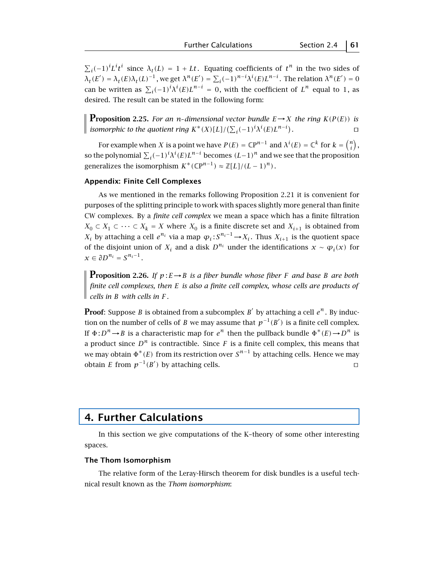$\sum_i (-1)^i L^i t^i$  since  $\lambda_t(L) = 1 + Lt$ . Equating coefficients of  $t^n$  in the two sides of *λ*<sub>t</sub>(*E'*) = *λ*<sub>t</sub>(*E*)*λ*<sub>t</sub>(*L*)<sup>-1</sup>, we get *λ*<sup>n</sup>(*E'*) =  $\sum_i$ (-1)<sup>n-*i*</sup>λ<sup>*i*</sup>(*E*)*L*<sup>n-*i*</sup>. The relation *λ*<sup>n</sup>(*E'*) = 0 can be written as  $\sum_i (-1)^i \lambda^i(E) L^{n-i} = 0$ , with the coefficient of  $L^n$  equal to 1, as desired. The result can be stated in the following form:

**Proposition 2.25.** *For an n-dimensional vector bundle*  $E \rightarrow X$  *the ring*  $K(P(E))$  *is isomorphic to the quotient ring*  $K^*(X)[L]/(\sum_i(-1)^i\lambda^i(E)L^{n-i})$ *.* tu

For example when *X* is a point we have  $P(E) = \mathbb{C}P^{n-1}$  and  $\lambda^{i}(E) = \mathbb{C}^{k}$  for  $k = \binom{n}{i}$ , so the polynomial  $\sum_i (-1)^i \lambda^i(E) L^{n-i}$  becomes  $(L-1)^n$  and we see that the proposition generalizes the isomorphism  $K^*(\mathbb{C}P^{n-1}) \approx \mathbb{Z}[L]/(L-1)^n$ ).

## **Appendix: Finite Cell Complexes**

As we mentioned in the remarks following Proposition 2.21 it is convenient for purposes of the splitting principle to work with spaces slightly more general than finite CW complexes. By a *finite cell complex* we mean a space which has a finite filtration *X*<sub>0</sub> ⊂ *X*<sub>1</sub> ⊂ ··· ⊂ *X*<sub>*k*</sub> = *X* where *X*<sub>0</sub> is a finite discrete set and *X*<sub>*i*+1</sub> is obtained from *X<sub>i</sub>* by attaching a cell *e*<sup>*n<sub>i</sub>*</sup> via a map  $\varphi_i$ : *S*<sup>*n<sub>i</sub>*−1</sup> → *X<sub>i</sub>*. Thus *X*<sub>*i*+1</sub> is the quotient space of the disjoint union of  $X_i$  and a disk  $D^{n_i}$  under the identifications  $x \sim \varphi_i(x)$  for  $x \in \partial D^{n_i} = S^{n_i-1}$ .

**Proposition 2.26.** *If*  $p: E \rightarrow B$  *is a fiber bundle whose fiber F and base B are both finite cell complexes, then E is also a finite cell complex, whose cells are products of cells in B with cells in F .*

**Proof**: Suppose *B* is obtained from a subcomplex *B*<sup> $\prime$ </sup> by attaching a cell  $e^n$ . By induction on the number of cells of *B* we may assume that  $p^{-1}(B')$  is a finite cell complex. If  $\Phi: D^n \to B$  is a characteristic map for  $e^n$  then the pullback bundle  $\Phi^*(E) \to D^n$  is a product since  $D^n$  is contractible. Since *F* is a finite cell complex, this means that we may obtain  $\Phi^*(E)$  from its restriction over  $S^{n-1}$  by attaching cells. Hence we may obtain *E* from  $p^{-1}(B')$  by attaching cells. obtain *E* from  $p^{-1}(B')$  by attaching cells.  $□$ 

# **4. Further Calculations**

In this section we give computations of the K–theory of some other interesting spaces.

#### **The Thom Isomorphism**

The relative form of the Leray-Hirsch theorem for disk bundles is a useful technical result known as the *Thom isomorphism*: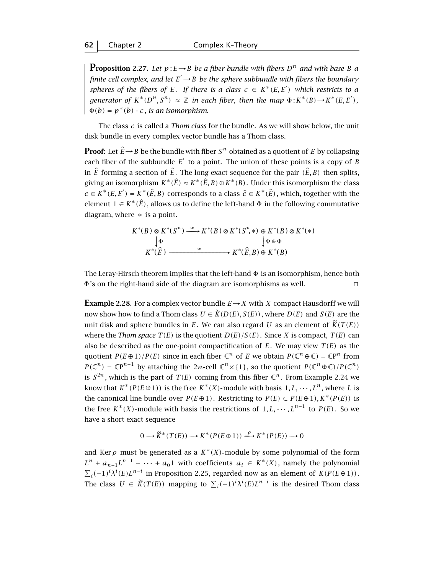**Proposition 2.27.** Let  $p: E \to B$  be a fiber bundle with fibers  $D^n$  and with base B a *finite cell complex, and let*  $E' \rightarrow B$  *be the sphere subbundle with fibers the boundary spheres of the fibers of E.* If there is a class  $c \in K^*(E, E')$  which restricts to a *generator of*  $K^*(D^n, S^n) \approx \mathbb{Z}$  *in each fiber, then the map*  $\Phi: K^*(B) \to K^*(E, E')$ ,<br> $\Phi(h) = \Phi^*(h)$  is an inconscribing  $\Phi(b) = p^*(b) \cdot c$ , *is an isomorphism.* 

The class *c* is called a *Thom class* for the bundle. As we will show below, the unit disk bundle in every complex vector bundle has a Thom class.

**Proof**: Let  $\hat{E} \rightarrow B$  be the bundle with fiber  $S^n$  obtained as a quotient of *E* by collapsing each fiber of the subbundle  $E'$  to a point. The union of these points is a copy of *B* in  $\hat{E}$  forming a section of  $\hat{E}$ . The long exact sequence for the pair  $(\hat{E},B)$  then splits, giving an isomorphism  $K^*(\hat{E}) \approx K^*(\hat{E},B) \oplus K^*(B)$ . Under this isomorphism the class  $c \in K^*(E, E') = K^*(\hat{E}, B)$  corresponds to a class  $\hat{c} \in K^*(\hat{E})$ , which, together with the element  $1 \in K^*(\hat{E})$ , allows us to define the left-hand  $\Phi$  in the following commutative diagram, where  $*$  is a point.

$$
K^*(B) \otimes K^*(S^n) \xrightarrow{\approx} K^*(B) \otimes K^*(S^n, *) \oplus K^*(B) \otimes K^*(*)
$$
  
\n
$$
\downarrow \Phi \qquad \qquad \downarrow \Phi \oplus \Phi
$$
  
\n
$$
K^*(\widehat{E}) \xrightarrow{\approx} K^*(\widehat{E}, B) \oplus K^*(B)
$$

The Leray-Hirsch theorem implies that the left-hand  $\Phi$  is an isomorphism, hence both  $\Phi$ 's on the right-hand side of the diagram are isomorphisms as well.  $\Phi$ 's on the right-hand side of the diagram are isomorphisms as well.

**Example 2.28**. For a complex vector bundle  $E \rightarrow X$  with *X* compact Hausdorff we will now show how to find a Thom class  $U \in \widetilde{K}(D(E), S(E))$ , where  $D(E)$  and  $S(E)$  are the unit disk and sphere bundles in *E*. We can also regard *U* as an element of  $\tilde{K}(T(E))$ where the *Thom space*  $T(E)$  is the quotient  $D(E)/S(E)$ . Since *X* is compact,  $T(E)$  can also be described as the one-point compactification of  $E$ . We may view  $T(E)$  as the quotient  $P(E \oplus 1)/P(E)$  since in each fiber  $\mathbb{C}^n$  of *E* we obtain  $P(\mathbb{C}^n \oplus \mathbb{C}) = \mathbb{C}P^n$  from  $P(\mathbb{C}^n) = \mathbb{C}P^{n-1}$  by attaching the 2*n*-cell  $\mathbb{C}^n \times \{1\}$ , so the quotient  $P(\mathbb{C}^n \oplus \mathbb{C})/P(\mathbb{C}^n)$ is  $S^{2n}$ , which is the part of  $T(E)$  coming from this fiber  $\mathbb{C}^n$ . From Example 2.24 we know that  $K^*(P(E \oplus 1))$  is the free  $K^*(X)$ -module with basis  $1, L, \dots, L^n$ , where *L* is the canonical line bundle over  $P(E \oplus 1)$ . Restricting to  $P(E) \subset P(E \oplus 1)$ ,  $K^*(P(E))$  is the free  $K^*(X)$ -module with basis the restrictions of  $1, L, \dots, L^{n-1}$  to  $P(E)$ . So we have a short exact sequence

$$
0 \longrightarrow \widetilde{K}^*(T(E)) \longrightarrow K^*(P(E \oplus 1)) \xrightarrow{\rho} K^*(P(E)) \longrightarrow 0
$$

and Ker  $\rho$  must be generated as a  $K^*(X)$ -module by some polynomial of the form  $L^{n}$  +  $a_{n-1}L^{n-1}$  +  $\cdots$  +  $a_0$ 1 with coefficients  $a_i \in K^{*}(X)$ , namely the polynomial  $\sum_i (-1)^i \lambda^i(E) L^{n-i}$  in Proposition 2.25, regarded now as an element of *K*(*P*(*E* ⊕ 1)). The class  $U \in \widetilde{K}(T(E))$  mapping to  $\sum_i (-1)^i \lambda^i(E) L^{n-i}$  is the desired Thom class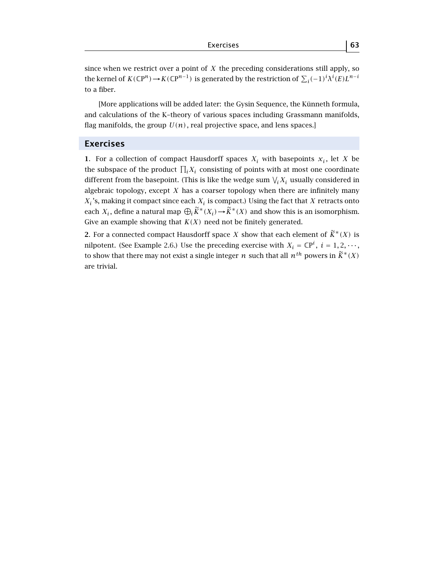since when we restrict over a point of *X* the preceding considerations still apply, so the kernel of  $K(\mathbb{C}P^n) \to K(\mathbb{C}P^{n-1})$  is generated by the restriction of  $\sum_i (-1)^i \lambda^i(E) L^{n-i}$ to a fiber.

[More applications will be added later: the Gysin Sequence, the Künneth formula, and calculations of the K–theory of various spaces including Grassmann manifolds, flag manifolds, the group  $U(n)$ , real projective space, and lens spaces.]

## **Exercises**

**1**. For a collection of compact Hausdorff spaces  $X_i$  with basepoints  $x_i$ , let *X* be the subspace of the product  $\prod_i X_i$  consisting of points with at most one coordinate different from the basepoint. (This is like the wedge sum  $\mathcal{N}_i X_i$  usually considered in algebraic topology, except *X* has a coarser topology when there are infinitely many  $X_i$ 's, making it compact since each  $X_i$  is compact.) Using the fact that  $X$  retracts onto each *X<sub>i</sub>*, define a natural map  $\bigoplus_i \widetilde{K}^*(X_i) \to \widetilde{K}^*(X)$  and show this is an isomorphism. Give an example showing that *K(X)* need not be finitely generated.

**2.** For a connected compact Hausdorff space *X* show that each element of  $\widetilde{K}^*(X)$  is nilpotent. (See Example 2.6.) Use the preceding exercise with  $X_i = \mathbb{C}P^i$ ,  $i = 1, 2, \cdots$ , to show that there may not exist a single integer *n* such that all  $n^{th}$  powers in  $\widetilde{K}^*(X)$ are trivial.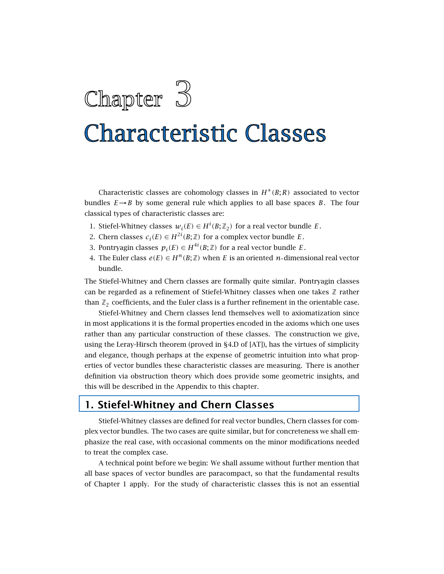

# **Characteristic Classes**

Characteristic classes are cohomology classes in  $H^*(B;R)$  associated to vector bundles  $E \rightarrow B$  by some general rule which applies to all base spaces *B*. The four classical types of characteristic classes are:

- 1. Stiefel-Whitney classes  $w_i(E) \in H^i(B; \mathbb{Z}_2)$  for a real vector bundle *E*.
- 2. Chern classes  $c_i(E) \in H^{2i}(B;\mathbb{Z})$  for a complex vector bundle *E*.
- 3. Pontryagin classes  $p_i(E) \in H^{4i}(B; \mathbb{Z})$  for a real vector bundle *E*.
- 4. The Euler class  $e(E) \in H^n(B; \mathbb{Z})$  when *E* is an oriented *n*-dimensional real vector bundle.

The Stiefel-Whitney and Chern classes are formally quite similar. Pontryagin classes can be regarded as a refinement of Stiefel-Whitney classes when one takes  $\mathbb Z$  rather than  $\mathbb{Z}_2$  coefficients, and the Euler class is a further refinement in the orientable case.

Stiefel-Whitney and Chern classes lend themselves well to axiomatization since in most applications it is the formal properties encoded in the axioms which one uses rather than any particular construction of these classes. The construction we give, using the Leray-Hirsch theorem (proved in §4.D of [AT]), has the virtues of simplicity and elegance, though perhaps at the expense of geometric intuition into what properties of vector bundles these characteristic classes are measuring. There is another definition via obstruction theory which does provide some geometric insights, and this will be described in the Appendix to this chapter.

# **1. Stiefel-Whitney and Chern Classes**

Stiefel-Whitney classes are defined for real vector bundles, Chern classes for complex vector bundles. The two cases are quite similar, but for concreteness we shall emphasize the real case, with occasional comments on the minor modifications needed to treat the complex case.

A technical point before we begin: We shall assume without further mention that all base spaces of vector bundles are paracompact, so that the fundamental results of Chapter 1 apply. For the study of characteristic classes this is not an essential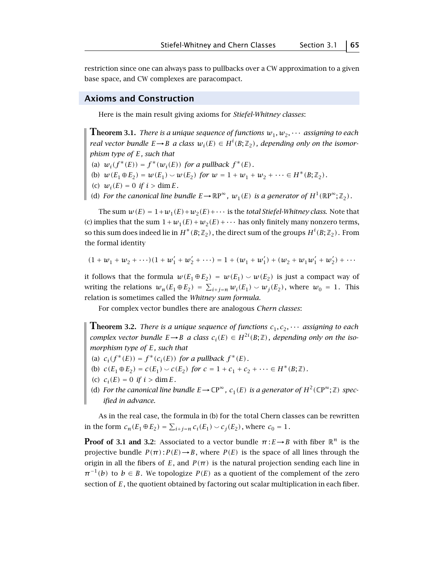restriction since one can always pass to pullbacks over a CW approximation to a given base space, and CW complexes are paracompact.

#### **Axioms and Construction**

Here is the main result giving axioms for *Stiefel-Whitney classes*:

**Theorem 3.1.** *There is a unique sequence of functions*  $w_1, w_2, \cdots$  *assigning to each real vector bundle*  $E \rightarrow B$  *a class*  $w_i(E) \in H^i(B; \mathbb{Z}_2)$ , depending only on the isomor*phism type of E, such that*

- (a)  $w_i(f^*(E)) = f^*(w_i(E))$  *for a pullback*  $f^*(E)$ *.*
- (b)  $w(E_1 \oplus E_2) = w(E_1) \smile w(E_2)$  *for*  $w = 1 + w_1 + w_2 + \cdots \in H^*(B; \mathbb{Z}_2)$ *.*
- (c)  $w_i(E) = 0$  *if*  $i > \dim E$ *.*
- (d) For the canonical line bundle  $E \to \mathbb{R}P^{\infty}$ ,  $w_1(E)$  is a generator of  $H^1(\mathbb{R}P^{\infty}; \mathbb{Z}_2)$ .

The sum  $w(E) = 1 + w_1(E) + w_2(E) + \cdots$  is the *total Stiefel-Whitney class*. Note that (c) implies that the sum  $1 + w_1(E) + w_2(E) + \cdots$  has only finitely many nonzero terms, so this sum does indeed lie in  $H^*(B; \mathbb{Z}_2)$  , the direct sum of the groups  $H^i(B; \mathbb{Z}_2)$  . From the formal identity

$$
(1 + w_1 + w_2 + \cdots)(1 + w_1' + w_2' + \cdots) = 1 + (w_1 + w_1') + (w_2 + w_1w_1' + w_2') + \cdots
$$

it follows that the formula  $w(E_1 \oplus E_2) = w(E_1) \smile w(E_2)$  is just a compact way of writing the relations  $w_n(E_1 \oplus E_2) = \sum_{i+j=n} w_i(E_1) \smile w_j(E_2)$ , where  $w_0 = 1$ . This relation is sometimes called the *Whitney sum formula*.

For complex vector bundles there are analogous *Chern classes*:

**Theorem 3.2.** *There is a unique sequence of functions*  $c_1, c_2, \cdots$  *assigning to each complex vector bundle*  $E \rightarrow B$  *a class*  $c_i(E) \in H^{2i}(B; \mathbb{Z})$ , depending only on the iso*morphism type of E, such that*

- (a)  $c_i(f^*(E)) = f^*(c_i(E))$  *for a pullback*  $f^*(E)$ *.*
- (b)  $c(E_1 \oplus E_2) = c(E_1) \smile c(E_2)$  *for*  $c = 1 + c_1 + c_2 + \cdots \in H^*(B; \mathbb{Z})$ *.*
- (c)  $c_i(E) = 0$  *if*  $i > \dim E$ *.*
- (d) For the canonical line bundle  $E \to \mathbb{C}P^{\infty}$ ,  $c_1(E)$  is a generator of  $H^2(\mathbb{C}P^{\infty};\mathbb{Z})$  spec*ified in advance.*

As in the real case, the formula in (b) for the total Chern classes can be rewritten in the form  $c_n(E_1 \oplus E_2) = \sum_{i+j=n} c_i(E_1) \cup c_j(E_2)$ , where  $c_0 = 1$ .

**Proof of 3.1 and 3.2**: Associated to a vector bundle  $\pi: E \rightarrow B$  with fiber  $\mathbb{R}^n$  is the projective bundle  $P(\pi): P(E) \to B$ , where  $P(E)$  is the space of all lines through the origin in all the fibers of  $E$ , and  $P(\pi)$  is the natural projection sending each line in  $\pi^{-1}(b)$  to  $b \in B$ . We topologize  $P(E)$  as a quotient of the complement of the zero section of *E*, the quotient obtained by factoring out scalar multiplication in each fiber.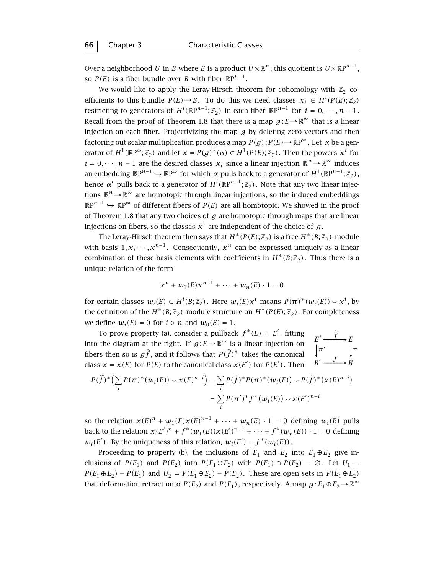Over a neighborhood *U* in *B* where *E* is a product  $U \times \mathbb{R}^n$ , this quotient is  $U \times \mathbb{R}P^{n-1}$ , so *P*(*E*) is a fiber bundle over *B* with fiber  $\mathbb{R}P^{n-1}$ .

We would like to apply the Leray-Hirsch theorem for cohomology with  $\mathbb{Z}_2$  coefficients to this bundle  $P(E) \rightarrow B$ . To do this we need classes  $x_i \in H^i(P(E); \mathbb{Z}_2)$ restricting to generators of  $H^i(\mathbb{R}P^{n-1};\mathbb{Z}_2)$  in each fiber  $\mathbb{R}P^{n-1}$  for  $i=0,\dots,n-1$ . Recall from the proof of Theorem 1.8 that there is a map  $g: E \to \mathbb{R}^\infty$  that is a linear injection on each fiber. Projectivizing the map  $g$  by deleting zero vectors and then factoring out scalar multiplication produces a map  $P(g): P(E) \to \mathbb{R}P^{\infty}$ . Let  $\alpha$  be a generator of  $H^1(\mathbb{R}P^\infty;\mathbb{Z}_2)$  and let  $x = P(g)^*(\alpha) \in H^1(P(E);\mathbb{Z}_2)$ . Then the powers  $x^i$  for  $i = 0, \dots, n-1$  are the desired classes  $x_i$  since a linear injection  $\mathbb{R}^n \to \mathbb{R}^\infty$  induces an embedding  $\mathbb{R}P^{n-1} \hookrightarrow \mathbb{R}P^{\infty}$  for which  $\alpha$  pulls back to a generator of  $H^1(\mathbb{R}P^{n-1};\mathbb{Z}_2)$ , hence  $\alpha^i$  pulls back to a generator of  $H^i(\mathbb{R}P^{n-1};\mathbb{Z}_2)$ . Note that any two linear injections  $\mathbb{R}^n \to \mathbb{R}^\infty$  are homotopic through linear injections, so the induced embeddings  $\mathbb{R}P^{n-1}$   $\hookrightarrow \mathbb{R}P^{\infty}$  of different fibers of *P(E)* are all homotopic. We showed in the proof of Theorem 1.8 that any two choices of *g* are homotopic through maps that are linear injections on fibers, so the classes  $x^i$  are independent of the choice of  $g$ .

The Leray-Hirsch theorem then says that  $H^*(P(E); \mathbb{Z}_2)$  is a free  $H^*(B; \mathbb{Z}_2)$ -module with basis  $1, x, \dots, x^{n-1}$ . Consequently,  $x^n$  can be expressed uniquely as a linear combination of these basis elements with coefficients in  $H^*(B; \mathbb{Z}_2)$ . Thus there is a unique relation of the form

$$
x^{n} + w_{1}(E)x^{n-1} + \cdots + w_{n}(E) \cdot 1 = 0
$$

for certain classes  $w_i(E) \in H^i(B; \mathbb{Z}_2)$ . Here  $w_i(E)x^i$  means  $P(\pi)^*(w_i(E)) \backsim x^i$ , by the definition of the  $H^*(B;\mathbb{Z}_2)$ -module structure on  $H^*(P(E);\mathbb{Z}_2)$ . For completeness we define  $w_i(E) = 0$  for  $i > n$  and  $w_0(E) = 1$ .

To prove property (a), consider a pullback  $f^*(E) = E'$ , fitting into the diagram at the right. If  $g : E \to \mathbb{R}^{\infty}$  is a linear injection on  $\begin{array}{ccc} E & \longrightarrow E \\ \uparrow \pi' & \downarrow \pi \\ E & \downarrow \pi' & \downarrow \pi \end{array}$ <br>fibers then so is  $g\widetilde{f}$ , and it follows that  $P(\widetilde{f})^*$  takes the canonical  $\begin{array}{ccc} E & \down$ −−→  $\sqrt{f}$  →  $\overline{a}$  $E' \longrightarrow E$  $B' \xrightarrow{f} B$ *f* ∼ class  $x = x(E)$  for  $P(E)$  to the canonical class  $x(E')$  for  $P(E')$ . Then

$$
P(\widetilde{f})^* \Big( \sum_i P(\pi)^* (w_i(E)) \smile \chi(E)^{n-i} \Big) = \sum_i P(\widetilde{f})^* P(\pi)^* (w_i(E)) \smile P(\widetilde{f})^* (\chi(E)^{n-i})
$$
  
= 
$$
\sum_i P(\pi')^* f^* (w_i(E)) \smile \chi(E')^{n-i}
$$

so the relation  $x(E)^n + w_1(E)x(E)^{n-1} + \cdots + w_n(E) \cdot 1 = 0$  defining  $w_i(E)$  pulls back to the relation  $x(E')^n + f^*(w_1(E))x(E')^{n-1} + \cdots + f^*(w_n(E)) \cdot 1 = 0$  defining  $w_i(E')$ . By the uniqueness of this relation,  $w_i(E') = f^*(w_i(E))$ .

Proceeding to property (b), the inclusions of  $E_1$  and  $E_2$  into  $E_1 \oplus E_2$  give inclusions of  $P(E_1)$  and  $P(E_2)$  into  $P(E_1 \oplus E_2)$  with  $P(E_1) \cap P(E_2) = \emptyset$ . Let  $U_1 =$ *P*(*E*<sub>1</sub>⊕*E*<sub>2</sub>) − *P*(*E*<sub>1</sub>) and *U*<sub>2</sub> = *P*(*E*<sub>1</sub>⊕*E*<sub>2</sub>) − *P*(*E*<sub>2</sub>). These are open sets in *P*(*E*<sub>1</sub>⊕*E*<sub>2</sub>) that deformation retract onto  $P(E_2)$  and  $P(E_1)$ , respectively. A map  $g: E_1 \oplus E_2 \to \mathbb{R}^{\infty}$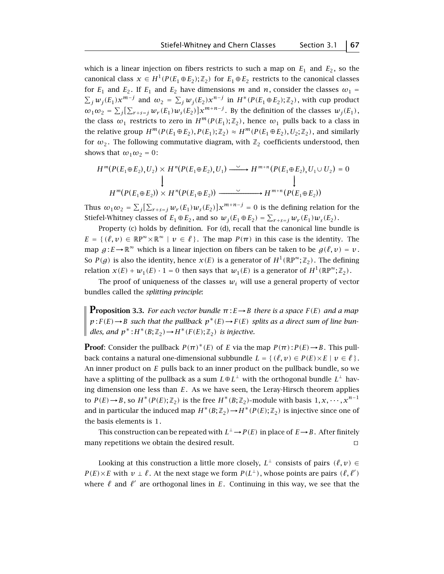which is a linear injection on fibers restricts to such a map on  $E_1$  and  $E_2$ , so the canonical class  $x \in H^1(P(E_1 \oplus E_2); \mathbb{Z}_2)$  for  $E_1 \oplus E_2$  restricts to the canonical classes for  $E_1$  and  $E_2$ . If  $E_1$  and  $E_2$  have dimensions *m* and *n*, consider the classes  $\omega_1$  =  $\sum_j w_j(E_1) x^{m-j}$  and  $\omega_2 = \sum_j w_j(E_2) x^{n-j}$  in  $H^*(P(E_1 \oplus E_2); \mathbb{Z}_2)$ , with cup product  $\omega_1 \omega_2 = \sum_j [\sum_{r+s=j} w_r(E_1) w_s(E_2)] x^{m+n-j}$ . By the definition of the classes  $w_j(E_1)$ , the class  $\omega_1$  restricts to zero in  $H^m(P(E_1); \mathbb{Z}_2)$ , hence  $\omega_1$  pulls back to a class in the relative group  $H^m(P(E_1 \oplus E_2), P(E_1); \mathbb{Z}_2) \approx H^m(P(E_1 \oplus E_2), U_2; \mathbb{Z}_2)$ , and similarly for  $\omega_2$ . The following commutative diagram, with  $\mathbb{Z}_2$  coefficients understood, then shows that  $\omega_1 \omega_2 = 0$ :

$$
H^m(P(E_1 \oplus E_2), U_2) \times H^n(P(E_1 \oplus E_2), U_1) \xrightarrow{\smile} H^{m+n}(P(E_1 \oplus E_2), U_1 \cup U_2) = 0
$$
\n
$$
\downarrow
$$
\n
$$
H^m(P(E_1 \oplus E_2)) \times H^n(P(E_1 \oplus E_2)) \xrightarrow{\smile} H^{m+n}(P(E_1 \oplus E_2))
$$

Thus  $\omega_1\omega_2 = \sum_j [\sum_{r+s=j} w_r(E_1)w_s(E_2)]x^{m+n-j} = 0$  is the defining relation for the Stiefel-Whitney classes of  $E_1 \oplus E_2$ , and so  $w_j(E_1 \oplus E_2) = \sum_{r+s=j} w_r(E_1)w_s(E_2)$ .

Property (c) holds by definition. For (d), recall that the canonical line bundle is  $E = \{ (\ell, v) \in \mathbb{R}P^{\infty} \times \mathbb{R}^{\infty} \mid v \in \ell \}.$  The map  $P(\pi)$  in this case is the identity. The map  $g: E \to \mathbb{R}^{\infty}$  which is a linear injection on fibers can be taken to be  $g(\ell, v) = v$ . So *P*(*g*) is also the identity, hence *x*(*E*) is a generator of  $H^1(\mathbb{R}P^\infty;\mathbb{Z}_2)$ . The defining relation  $x(E) + w_1(E) \cdot 1 = 0$  then says that  $w_1(E)$  is a generator of  $H^1(\mathbb{R}P^\infty; \mathbb{Z}_2)$ .

The proof of uniqueness of the classes  $w_i$  will use a general property of vector bundles called the *splitting principle*:

**Proposition 3.3.** *For each vector bundle*  $\pi: E \to B$  *there is a space*  $F(E)$  *and a map*  $p: F(E) \rightarrow B$  *such that the pullback*  $p^*(E) \rightarrow F(E)$  *splits as a direct sum of line bundles, and*  $p^*$ :  $H^*(B; \mathbb{Z}_2) \rightarrow H^*(F(E); \mathbb{Z}_2)$  *is injective.* 

**Proof**: Consider the pullback  $P(\pi)^*(E)$  of *E* via the map  $P(\pi): P(E) \to B$ . This pullback contains a natural one-dimensional subbundle  $L = \{(\ell, v) \in P(E) \times E \mid v \in \ell\}$ . An inner product on *E* pulls back to an inner product on the pullback bundle, so we have a splitting of the pullback as a sum  $L \oplus L^{\perp}$  with the orthogonal bundle  $L^{\perp}$  having dimension one less than *E*. As we have seen, the Leray-Hirsch theorem applies to  $P(E) \rightarrow B$ , so  $H^*(P(E); \mathbb{Z}_2)$  is the free  $H^*(B; \mathbb{Z}_2)$ -module with basis  $1, x, \dots, x^{n-1}$ and in particular the induced map  $H^*(B; \mathbb{Z}_2) \to H^*(P(E); \mathbb{Z}_2)$  is injective since one of the basis elements is 1.

This construction can be repeated with  $L^{\perp} \rightarrow P(E)$  in place of  $E \rightarrow B$ . After finitely many repetitions we obtain the desired result.  $\Box$ 

Looking at this construction a little more closely,  $L^{\perp}$  consists of pairs  $(\ell, v) \in$ *P*(*E*)×*E* with  $v ⊥ ∄$ . At the next stage we form  $P(L<sup>⊥</sup>)$ , whose points are pairs  $(ℓ, ℓ')$ where  $\ell$  and  $\ell'$  are orthogonal lines in *E*. Continuing in this way, we see that the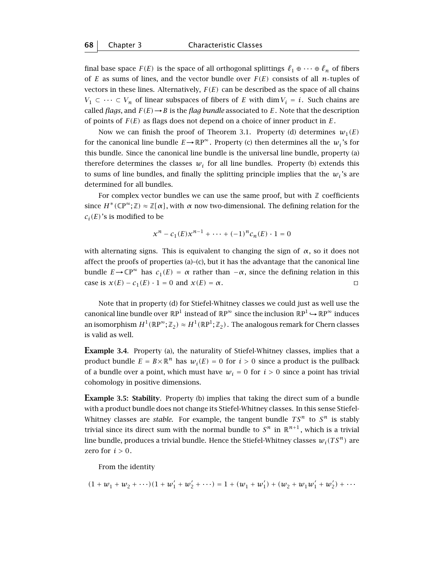final base space  $F(E)$  is the space of all orthogonal splittings  $\ell_1 \oplus \cdots \oplus \ell_n$  of fibers of *E* as sums of lines, and the vector bundle over  $F(E)$  consists of all *n*-tuples of vectors in these lines. Alternatively,  $F(E)$  can be described as the space of all chains *V*<sub>1</sub> ⊂ ··· ⊂ *V<sub>n</sub>* of linear subspaces of fibers of *E* with dim *V<sub>i</sub>* = *i*. Such chains are called *flags*, and  $F(E) \rightarrow B$  is the *flag bundle* associated to *E*. Note that the description of points of *F(E)* as flags does not depend on a choice of inner product in *E*.

Now we can finish the proof of Theorem 3.1. Property (d) determines  $w_1(E)$ for the canonical line bundle  $E \rightarrow \mathbb{R}P^{\infty}$ . Property (c) then determines all the  $w_i$ 's for this bundle. Since the canonical line bundle is the universal line bundle, property (a) therefore determines the classes  $w_i$  for all line bundles. Property (b) extends this to sums of line bundles, and finally the splitting principle implies that the  $w_i$ 's are determined for all bundles.

For complex vector bundles we can use the same proof, but with  $\mathbb Z$  coefficients since  $H^*(\mathbb{CP}^\infty;\mathbb{Z}) \approx \mathbb{Z}[\alpha]$ , with  $\alpha$  now two-dimensional. The defining relation for the  $c_i(E)$ 's is modified to be

$$
x^{n} - c_{1}(E)x^{n-1} + \dots + (-1)^{n}c_{n}(E) \cdot 1 = 0
$$

with alternating signs. This is equivalent to changing the sign of  $\alpha$ , so it does not affect the proofs of properties (a)–(c), but it has the advantage that the canonical line bundle *E*→CP<sup>∞</sup> has  $c_1(E) = \alpha$  rather than  $-\alpha$ , since the defining relation in this case is  $x(E) - c_1(E) \cdot 1 = 0$  and  $x(E) = \alpha$ .

Note that in property (d) for Stiefel-Whitney classes we could just as well use the canonical line bundle over  $\mathbb{R}P^1$  instead of  $\mathbb{R}P^\infty$  since the inclusion  $\mathbb{R}P^1\hookrightarrow \mathbb{R}P^\infty$  induces an isomorphism  $H^1(\mathbb{R}P^{\infty};\mathbb{Z}_2) \approx H^1(\mathbb{R}P^1;\mathbb{Z}_2)$ . The analogous remark for Chern classes is valid as well.

**Example 3.4.** Property (a), the naturality of Stiefel-Whitney classes, implies that a product bundle  $E = B \times \mathbb{R}^n$  has  $w_i(E) = 0$  for  $i > 0$  since a product is the pullback of a bundle over a point, which must have  $w_i = 0$  for  $i > 0$  since a point has trivial cohomology in positive dimensions.

**Example 3.5: Stability**. Property (b) implies that taking the direct sum of a bundle with a product bundle does not change its Stiefel-Whitney classes. In this sense Stiefel-Whitney classes are *stable*. For example, the tangent bundle  $TS^n$  to  $S^n$  is stably trivial since its direct sum with the normal bundle to  $S^n$  in  $\mathbb{R}^{n+1}$ , which is a trivial line bundle, produces a trivial bundle. Hence the Stiefel-Whitney classes  $w_i(TS^n)$  are zero for  $i > 0$ .

From the identity

$$
(1 + w_1 + w_2 + \cdots)(1 + w_1' + w_2' + \cdots) = 1 + (w_1 + w_1') + (w_2 + w_1w_1' + w_2') + \cdots
$$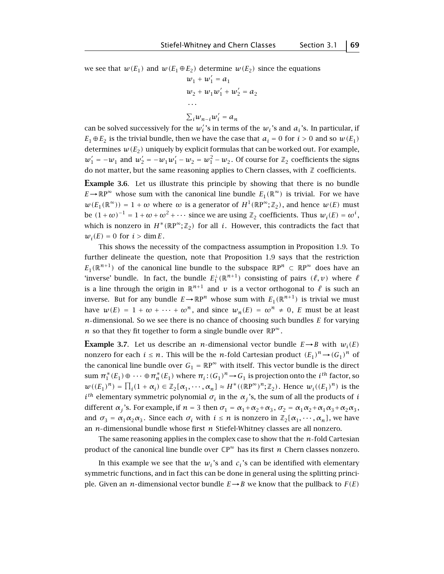we see that  $w(E_1)$  and  $w(E_1 \oplus E_2)$  determine  $w(E_2)$  since the equations

$$
w_1 + w'_1 = a_1
$$
  
\n
$$
w_2 + w_1 w'_1 + w'_2 = a_2
$$
  
\n...  
\n
$$
\sum_i w_{n-i} w'_i = a_n
$$

can be solved successively for the  $w'_i$ 's in terms of the  $w_i$ 's and  $a_i$ 's. In particular, if  $E_1 \oplus E_2$  is the trivial bundle, then we have the case that  $a_i = 0$  for  $i > 0$  and so  $w(E_1)$ determines  $w(E_2)$  uniquely by explicit formulas that can be worked out. For example,  $w_1' = -w_1$  and  $w_2' = -w_1w_1' - w_2 = w_1^2 - w_2$ . Of course for  $\mathbb{Z}_2$  coefficients the signs do not matter, but the same reasoning applies to Chern classes, with  $\mathbb Z$  coefficients.

**Example 3.6**. Let us illustrate this principle by showing that there is no bundle  $E \rightarrow \mathbb{R}P^{\infty}$  whose sum with the canonical line bundle  $E_1(\mathbb{R}^{\infty})$  is trivial. For we have  $w(E_1(\mathbb{R}^{\infty})) = 1 + \omega$  where  $\omega$  is a generator of  $H^1(\mathbb{R}P^{\infty}; \mathbb{Z}_2)$ , and hence  $w(E)$  must be  $(1+\omega)^{-1} = 1+\omega+\omega^2+\cdots$  since we are using  $\mathbb{Z}_2$  coefficients. Thus  $w_i(E) = \omega^i$ , which is nonzero in  $H^*(\mathbb{R}P^{\infty};\mathbb{Z}_2)$  for all *i*. However, this contradicts the fact that  $w_i(E) = 0$  for  $i > \dim E$ .

This shows the necessity of the compactness assumption in Proposition 1.9. To further delineate the question, note that Proposition 1.9 says that the restriction  $E_1(\mathbb{R}^{n+1})$  of the canonical line bundle to the subspace  $\mathbb{R}P^n \subset \mathbb{R}P^\infty$  does have an 'inverse' bundle. In fact, the bundle  $E_1^{\perp}(\mathbb{R}^{n+1})$  consisting of pairs  $(\ell, \nu)$  where  $\ell$ is a line through the origin in  $\mathbb{R}^{n+1}$  and  $\nu$  is a vector orthogonal to  $\ell$  is such an inverse. But for any bundle  $E \rightarrow \mathbb{R}P^n$  whose sum with  $E_1(\mathbb{R}^{n+1})$  is trivial we must have  $w(E) = 1 + \omega + \cdots + \omega^n$ , and since  $w_n(E) = \omega^n \neq 0$ , *E* must be at least  $n$ -dimensional. So we see there is no chance of choosing such bundles  $E$  for varying *n* so that they fit together to form a single bundle over  $\mathbb{R}P^{\infty}$ .

**Example 3.7.** Let us describe an *n*-dimensional vector bundle  $E \rightarrow B$  with  $w_i(E)$ nonzero for each  $i \leq n$ . This will be the *n*-fold Cartesian product  $(E_1)^n \rightarrow (G_1)^n$  of the canonical line bundle over  $G_1 = \mathbb{R}P^{\infty}$  with itself. This vector bundle is the direct sum  $\pi_1^*(E_1) \oplus \cdots \oplus \pi_n^*(E_1)$  where  $\pi_i : (G_1)^n \to G_1$  is projection onto the *i*<sup>th</sup> factor, so  $w((E_1)^n) = \prod_i (1 + \alpha_i) \in \mathbb{Z}_2[\alpha_1, \dots, \alpha_n] \approx H^*((\mathbb{R}P^{\infty})^n; \mathbb{Z}_2)$ . Hence  $w_i((E_1)^n)$  is the  $i^{th}$  elementary symmetric polynomial  $\sigma_i$  in the  $\alpha_j$ 's, the sum of all the products of *i* different  $\alpha_j$ 's. For example, if  $n = 3$  then  $\sigma_1 = \alpha_1 + \alpha_2 + \alpha_3$ ,  $\sigma_2 = \alpha_1 \alpha_2 + \alpha_1 \alpha_3 + \alpha_2 \alpha_3$ , and  $\sigma_3 = \alpha_1 \alpha_2 \alpha_3$ . Since each  $\sigma_i$  with  $i \leq n$  is nonzero in  $\mathbb{Z}_2[\alpha_1, \cdots, \alpha_n]$ , we have an *n*-dimensional bundle whose first *n* Stiefel-Whitney classes are all nonzero.

The same reasoning applies in the complex case to show that the *n*-fold Cartesian product of the canonical line bundle over  $\mathbb{CP}^{\infty}$  has its first *n* Chern classes nonzero.

In this example we see that the  $w_i$ 's and  $c_i$ 's can be identified with elementary symmetric functions, and in fact this can be done in general using the splitting principle. Given an *n*-dimensional vector bundle  $E \rightarrow B$  we know that the pullback to  $F(E)$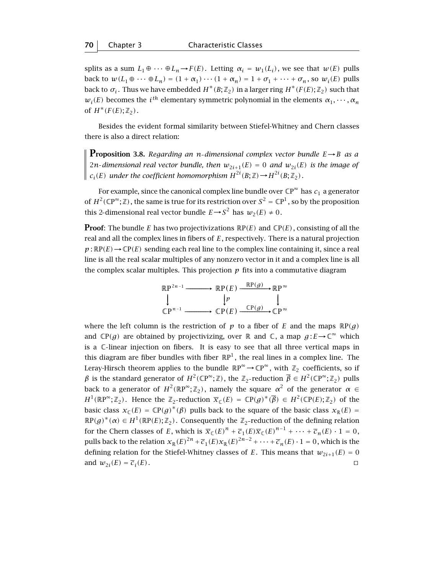splits as a sum  $L_1 \oplus \cdots \oplus L_n \rightarrow F(E)$ . Letting  $\alpha_i = w_1(L_i)$ , we see that  $w(E)$  pulls back to  $w(L_1 \oplus \cdots \oplus L_n) = (1 + \alpha_1) \cdots (1 + \alpha_n) = 1 + \sigma_1 + \cdots + \sigma_n$ , so  $w_i(E)$  pulls back to  $\sigma_i$ . Thus we have embedded  $H^*(B;\mathbb{Z}_2)$  in a larger ring  $H^*(F(E);\mathbb{Z}_2)$  such that  $w_i(E)$  becomes the *i*<sup>th</sup> elementary symmetric polynomial in the elements  $\alpha_1, \dots, \alpha_n$ of  $H^*(F(E); \mathbb{Z}_2)$ .

Besides the evident formal similarity between Stiefel-Whitney and Chern classes there is also a direct relation:

**Proposition 3.8.** Regarding an *n*-dimensional complex vector bundle  $E \rightarrow B$  as a 2*n*-dimensional real vector bundle, then  $w_{2i+1}(E) = 0$  and  $w_{2i}(E)$  is the image of  $c_i(E)$  *under the coefficient homomorphism*  $H^{2i}(B;\mathbb{Z}) \rightarrow H^{2i}(B;\mathbb{Z}_2)$ *.* 

For example, since the canonical complex line bundle over  $\mathbb{CP}^{\infty}$  has  $c_1$  a generator of  $H^2(\mathbb{CP}^\infty;\mathbb{Z})$ , the same is true for its restriction over  $S^2 = \mathbb{CP}^1$ , so by the proposition this 2-dimensional real vector bundle  $E \rightarrow S^2$  has  $w_2(E) \neq 0$ .

**Proof:** The bundle E has two projectivizations  $\mathbb{R}P(E)$  and  $\mathbb{C}P(E)$ , consisting of all the real and all the complex lines in fibers of *E*, respectively. There is a natural projection  $p : \mathbb{R}P(E) \rightarrow \mathbb{C}P(E)$  sending each real line to the complex line containing it, since a real line is all the real scalar multiples of any nonzero vector in it and a complex line is all the complex scalar multiples. This projection  $p$  fits into a commutative diagram



where the left column is the restriction of  $p$  to a fiber of  $E$  and the maps  $\mathbb{R}P(g)$ and  $\mathbb{CP}(q)$  are obtained by projectivizing, over R and C, a map  $q: E \to \mathbb{C}^{\infty}$  which is a C linear injection on fibers. It is easy to see that all three vertical maps in this diagram are fiber bundles with fiber  $\mathbb{R}P^{1}$ , the real lines in a complex line. The Leray-Hirsch theorem applies to the bundle  $\mathbb{R}P^{\infty} \to \mathbb{C}P^{\infty}$ , with  $\mathbb{Z}_2$  coefficients, so if *β* is the standard generator of  $H^2(\mathbb{CP}^\infty;\mathbb{Z})$ , the  $\mathbb{Z}_2$ -reduction  $\overline{\beta} \in H^2(\mathbb{CP}^\infty;\mathbb{Z}_2)$  pulls back to a generator of  $H^2(\mathbb{R}P^{\infty};\mathbb{Z}_2)$ , namely the square  $\alpha^2$  of the generator  $\alpha \in$  $H^1(\mathbb{R}P^\infty;\mathbb{Z}_2)$ . Hence the  $\mathbb{Z}_2$ -reduction  $\overline{x}_\mathbb{C}(E) = \mathbb{C}P(g)^*(\overline{\beta}) \in H^2(\mathbb{C}P(E);\mathbb{Z}_2)$  of the basic class  $x_C(E) = \mathbb{C}P(g)^*(\beta)$  pulls back to the square of the basic class  $x_R(E) =$  $\mathbb{R}P(g)^*(\alpha) \in H^1(\mathbb{R}P(E);\mathbb{Z}_2)$ . Consequently the  $\mathbb{Z}_2$ -reduction of the defining relation for the Chern classes of *E*, which is  $\overline{x}_{\mathbb{C}}(E)^n + \overline{c}_1(E)\overline{x}_{\mathbb{C}}(E)^{n-1} + \cdots + \overline{c}_n(E) \cdot 1 = 0$ , pulls back to the relation  $x_{\mathbb{R}}(E)^{2n} + \overline{c}_1(E)x_{\mathbb{R}}(E)^{2n-2} + \cdots + \overline{c}_n(E) \cdot 1 = 0$ , which is the defining relation for the Stiefel-Whitney classes of *E*. This means that  $w_{2i+1}(E) = 0$ and  $w_{2i}(E) = \overline{c_i}(E)$ .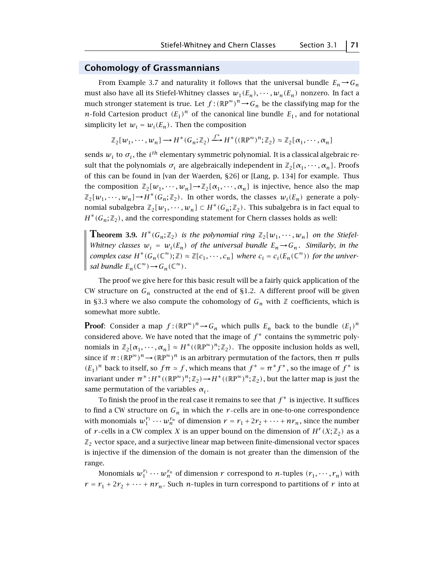## **Cohomology of Grassmannians**

From Example 3.7 and naturality it follows that the universal bundle  $E_n \rightarrow G_n$ must also have all its Stiefel-Whitney classes  $w_1(E_n), \dots, w_n(E_n)$  nonzero. In fact a much stronger statement is true. Let  $f$  :  $(\mathbb{R}P^{\infty})^n {\,\rightarrow\,} G_n$  be the classifying map for the *n*-fold Cartesion product  $(E_1)^n$  of the canonical line bundle  $E_1$ , and for notational simplicity let  $w_i = w_i(E_n)$ . Then the composition

$$
\mathbb{Z}_2[w_1, \cdots, w_n] \longrightarrow H^*(G_n; \mathbb{Z}_2) \xrightarrow{f^*} H^*((\mathbb{R}P^{\infty})^n; \mathbb{Z}_2) \approx \mathbb{Z}_2[\alpha_1, \cdots, \alpha_n]
$$

sends  $w_i$  to  $\sigma_i$ , the *i*<sup>th</sup> elementary symmetric polynomial. It is a classical algebraic result that the polynomials  $\sigma_i$  are algebraically independent in  $\mathbb{Z}_2[\alpha_1, \cdots, \alpha_n]$ . Proofs of this can be found in [van der Waerden, §26] or [Lang, p. 134] for example. Thus the composition  $\mathbb{Z}_2[w_1, \dots, w_n] \to \mathbb{Z}_2[\alpha_1, \dots, \alpha_n]$  is injective, hence also the map  $\mathbb{Z}_2[w_1,\dots,w_n] \to H^*(G_n;\mathbb{Z}_2)$ . In other words, the classes  $w_i(E_n)$  generate a polynomial subalgebra  $\mathbb{Z}_2[w_1, \dots, w_n] \subset H^*(G_n; \mathbb{Z}_2)$ . This subalgebra is in fact equal to  $H^*(G_n; \mathbb{Z}_2)$ , and the corresponding statement for Chern classes holds as well:

**Theorem 3.9.**  $H^*(G_n; \mathbb{Z}_2)$  is the polynomial ring  $\mathbb{Z}_2[w_1, \dots, w_n]$  on the Stiefel-*Whitney classes*  $w_i = w_i(E_n)$  *of the universal bundle*  $E_n \rightarrow G_n$ *. Similarly, in the complex case*  $H^*(G_n(\mathbb{C}^\infty);\mathbb{Z}) \approx \mathbb{Z}[c_1, \cdots, c_n]$  where  $c_i = c_i(E_n(\mathbb{C}^\infty))$  for the univer*sal bundle*  $E_n(\mathbb{C}^\infty) \to G_n(\mathbb{C}^\infty)$ *.* 

The proof we give here for this basic result will be a fairly quick application of the CW structure on  $G_n$  constructed at the end of §1.2. A different proof will be given in §3.3 where we also compute the cohomology of  $G_n$  with  $\mathbb Z$  coefficients, which is somewhat more subtle.

**Proof**: Consider a map  $f: (\mathbb{R}P^{\infty})^n \to G_n$  which pulls  $E_n$  back to the bundle  $(E_1)^n$ considered above. We have noted that the image of  $f^*$  contains the symmetric polynomials in  $\mathbb{Z}_2[\alpha_1,\dots,\alpha_n] \approx H^*((\mathbb{R}P^{\infty})^n;\mathbb{Z}_2)$ . The opposite inclusion holds as well, since if  $\pi$ :  $(\mathbb{R}P^{\infty})^n \to (\mathbb{R}P^{\infty})^n$  is an arbitrary permutation of the factors, then  $\pi$  pulls  $(E_1)^n$  back to itself, so  $f\pi \simeq f$ , which means that  $f^* = \pi^* f^*$ , so the image of  $f^*$  is invariant under  $\pi^*: H^*((\mathbb{R}P^\infty)^n; \mathbb{Z}_2) \to H^*((\mathbb{R}P^\infty)^n; \mathbb{Z}_2)$  , but the latter map is just the same permutation of the variables  $\alpha_i$ .

To finish the proof in the real case it remains to see that *f* <sup>∗</sup> is injective. It suffices to find a CW structure on  $G_n$  in which the  $r$ -cells are in one-to-one correspondence with monomials  $w_1^{r_1} \cdots w_n^{r_n}$  of dimension  $r = r_1 + 2r_2 + \cdots + nr_n$ , since the number of *r*-cells in a CW complex *X* is an upper bound on the dimension of  $H^r(X; \mathbb{Z}_2)$  as a  $\mathbb{Z}_2$  vector space, and a surjective linear map between finite-dimensional vector spaces is injective if the dimension of the domain is not greater than the dimension of the range.

Monomials  $w_1^{r_1} \cdots w_n^{r_n}$  of dimension  $r$  correspond to  $n$ -tuples  $(r_1, \cdots, r_n)$  with  $r = r_1 + 2r_2 + \cdots + nr_n$ . Such *n*-tuples in turn correspond to partitions of *r* into at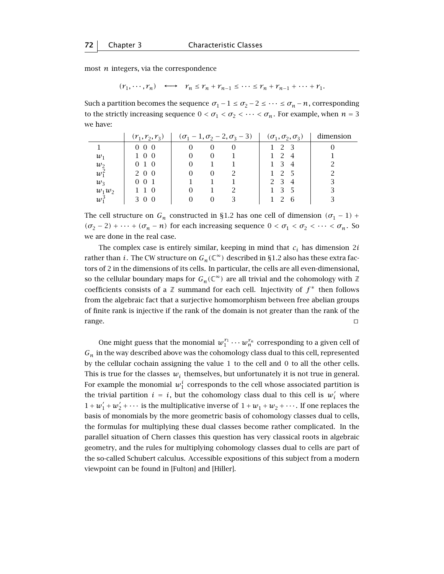most *n* integers, via the correspondence

$$
(r_1, \cdots, r_n) \longleftrightarrow r_n \le r_n + r_{n-1} \le \cdots \le r_n + r_{n-1} + \cdots + r_1.
$$

Such a partition becomes the sequence  $\sigma_1 - 1 \le \sigma_2 - 2 \le \cdots \le \sigma_n - n$ , corresponding to the strictly increasing sequence  $0 < \sigma_1 < \sigma_2 < \cdots < \sigma_n$ . For example, when  $n = 3$ we have:

|          | $(r_1, r_2, r_3)$ |          |          | $(\sigma_1 - 1, \sigma_2 - 2, \sigma_3 - 3)$ | $(\sigma_1, \sigma_2, \sigma_3)$ | dimension |
|----------|-------------------|----------|----------|----------------------------------------------|----------------------------------|-----------|
|          | $0\;\;0\;\;0$     | $\Omega$ | $\Omega$ | $\theta$                                     | 2 3                              |           |
| $w_1$    | 100               |          | $\Omega$ |                                              | $1 \t2 \t4$                      |           |
| $w_2$    | 0 1 0             |          |          |                                              | 1 3 4                            |           |
| $w_1^2$  | 2 0 0             |          | $\Omega$ |                                              | 2 5                              |           |
| $w_3$    | 001               |          |          |                                              | 2 3 4                            |           |
| $w_1w_2$ | 110               |          |          |                                              |                                  |           |
| $w_1^3$  | 3 0 0             |          | $\theta$ |                                              | - 6                              |           |

The cell structure on  $G_n$  constructed in §1.2 has one cell of dimension  $(\sigma_1 - 1)$  +  $(\sigma_2 - 2) + \cdots + (\sigma_n - n)$  for each increasing sequence  $0 < \sigma_1 < \sigma_2 < \cdots < \sigma_n$ . So we are done in the real case.

The complex case is entirely similar, keeping in mind that  $c_i$  has dimension 2*i* rather than *i*. The CW structure on  $G_n(\mathbb{C}^\infty)$  described in §1.2 also has these extra factors of 2 in the dimensions of its cells. In particular, the cells are all even-dimensional, so the cellular boundary maps for  $G_n(\mathbb{C}^\infty)$  are all trivial and the cohomology with  $\mathbb Z$ coefficients consists of a Z summand for each cell. Injectivity of *f* <sup>∗</sup> then follows from the algebraic fact that a surjective homomorphism between free abelian groups of finite rank is injective if the rank of the domain is not greater than the rank of the  $\Box$  range.  $\Box$ 

One might guess that the monomial  $w_1^{r_1} \cdots w_n^{r_n}$  corresponding to a given cell of  $G_n$  in the way described above was the cohomology class dual to this cell, represented by the cellular cochain assigning the value 1 to the cell and 0 to all the other cells. This is true for the classes  $w_i$  themselves, but unfortunately it is not true in general. For example the monomial  $w_1^i$  corresponds to the cell whose associated partition is the trivial partition  $i = i$ , but the cohomology class dual to this cell is  $w'_i$  where  $1 + w_1' + w_2' + \cdots$  is the multiplicative inverse of  $1 + w_1 + w_2 + \cdots$ . If one replaces the basis of monomials by the more geometric basis of cohomology classes dual to cells, the formulas for multiplying these dual classes become rather complicated. In the parallel situation of Chern classes this question has very classical roots in algebraic geometry, and the rules for multiplying cohomology classes dual to cells are part of the so-called Schubert calculus. Accessible expositions of this subject from a modern viewpoint can be found in [Fulton] and [Hiller].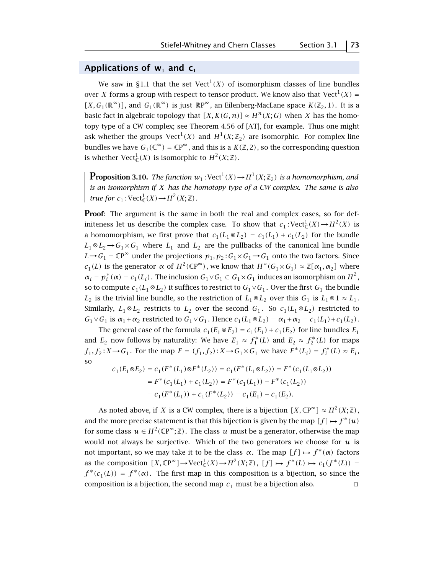## **Applications of w<sup>1</sup> and c<sup>1</sup>**

We saw in §1.1 that the set Vect<sup>1</sup>(*X*) of isomorphism classes of line bundles over *X* forms a group with respect to tensor product. We know also that Vect<sup>1</sup> $(X)$  =  $[X, G_1(\mathbb{R}^{\infty})]$ , and  $G_1(\mathbb{R}^{\infty})$  is just  $\mathbb{R}P^{\infty}$ , an Eilenberg-MacLane space  $K(\mathbb{Z}_2, 1)$ . It is a basic fact in algebraic topology that  $[X, K(G, n)] \approx H^{n}(X; G)$  when *X* has the homotopy type of a CW complex; see Theorem 4.56 of [AT], for example. Thus one might ask whether the groups  $Vect^1(X)$  and  $H^1(X;\mathbb{Z}_2)$  are isomorphic. For complex line bundles we have  $G_1(\mathbb{C}^\infty) = \mathbb{C}P^\infty$ , and this is a  $K(\mathbb{Z}, 2)$ , so the corresponding question is whether  $Vect^1_{\mathbb{C}}(X)$  is isomorphic to  $H^2(X;\mathbb{Z})$ .

**Proposition 3.10.** *The function*  $w_1$ : Vect<sup>1</sup>(*X*)  $\rightarrow$  *H*<sup>1</sup>(*X*; Z<sub>2</sub>) *is a homomorphism, and is an isomorphism if X has the homotopy type of a CW complex. The same is also true for*  $c_1$ :  $Vect^1_{\mathbb{C}}(X) \rightarrow H^2(X; \mathbb{Z})$ *.* 

**Proof**: The argument is the same in both the real and complex cases, so for definiteness let us describe the complex case. To show that  $c_1$ : Vect $_C^1(X) \rightarrow H^2(X)$  is a homomorphism, we first prove that  $c_1(L_1 \otimes L_2) = c_1(L_1) + c_1(L_2)$  for the bundle  $L_1 \otimes L_2 \rightarrow G_1 \times G_1$  where  $L_1$  and  $L_2$  are the pullbacks of the canonical line bundle *L*→*G*<sub>1</sub> =  $\mathbb{C}P^{\infty}$  under the projections  $p_1, p_2$ :  $G_1 \times G_1$  →  $G_1$  onto the two factors. Since *c*<sub>1</sub>(*L*) is the generator *α* of  $H^2(\mathbb{CP}^\infty)$ , we know that  $H^*(G_1 \times G_1) \approx \mathbb{Z}[\alpha_1, \alpha_2]$  where  $\alpha_i = p_i^*(\alpha) = c_1(L_i)$ . The inclusion  $G_1 \vee G_1 \subset G_1 \times G_1$  induces an isomorphism on  $H^2$ , so to compute  $c_1(L_1 \otimes L_2)$  it suffices to restrict to  $G_1 \vee G_1$ . Over the first  $G_1$  the bundle *L*<sub>2</sub> is the trivial line bundle, so the restriction of  $L_1 \otimes L_2$  over this  $G_1$  is  $L_1 \otimes 1 \approx L_1$ . Similarly,  $L_1 \otimes L_2$  restricts to  $L_2$  over the second  $G_1$ . So  $c_1(L_1 \otimes L_2)$  restricted to  $G_1 \vee G_1$  is  $\alpha_1 + \alpha_2$  restricted to  $G_1 \vee G_1$ . Hence  $c_1(L_1 \otimes L_2) = \alpha_1 + \alpha_2 = c_1(L_1) + c_1(L_2)$ .

The general case of the formula  $c_1(E_1 \otimes E_2) = c_1(E_1) + c_1(E_2)$  for line bundles  $E_1$ and  $E_2$  now follows by naturality: We have  $E_1 \approx f_1^*(L)$  and  $E_2 \approx f_2^*(L)$  for maps *f*<sub>1</sub>*, f*<sub>2</sub> : *X* → *G*<sub>1</sub>. For the map *F* =  $(f_1, f_2)$  : *X* → *G*<sub>1</sub> × *G*<sub>1</sub> we have  $F^*(L_i) = f_i^*(L) \approx E_i$ , so

$$
\begin{aligned} c_1(E_1\otimes E_2)&=c_1(F^*(L_1)\otimes F^*(L_2))=c_1(F^*(L_1\otimes L_2))=F^*(c_1(L_1\otimes L_2))\\ &=F^*(c_1(L_1)+c_1(L_2))=F^*(c_1(L_1))+F^*(c_1(L_2))\\ &=c_1(F^*(L_1))+c_1(F^*(L_2))=c_1(E_1)+c_1(E_2). \end{aligned}
$$

As noted above, if *X* is a CW complex, there is a bijection  $[X, \mathbb{CP}^{\infty}] \approx H^2(X; \mathbb{Z})$ , and the more precise statement is that this bijection is given by the map  $[f] \mapsto f^*(u)$ for some class  $u \in H^2(\mathbb{C}P^\infty;\mathbb{Z})$ . The class *u* must be a generator, otherwise the map would not always be surjective. Which of the two generators we choose for *u* is not important, so we may take it to be the class *α*. The map  $[f] \mapsto f^*(\alpha)$  factors as the composition  $[X, \mathbb{CP}^{\infty}] \to \mathrm{Vect}_{\mathbb{C}}^1(X) \to H^2(X; \mathbb{Z})$ ,  $[f] \mapsto f^*(L) \mapsto c_1(f^*(L)) =$  $f^*(c_1(L)) = f^*(\alpha)$ . The first map in this composition is a bijection, so since the composition is a bijection, the second map  $c_1$  must be a bijection also.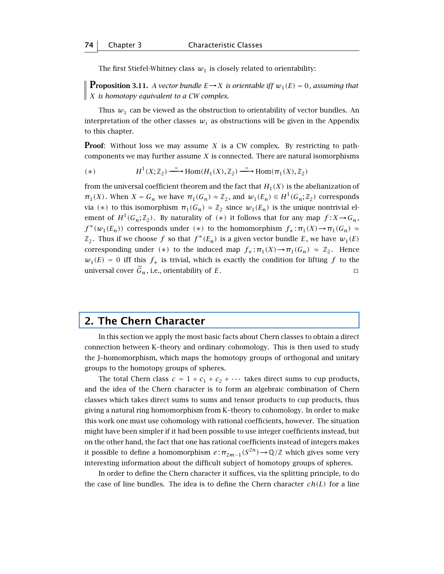The first Stiefel-Whitney class  $w_1$  is closely related to orientability:

**Proposition 3.11.** *A vector bundle*  $E \rightarrow X$  *is orientable iff*  $w_1(E) = 0$ *, assuming that X is homotopy equivalent to a CW complex.*

Thus  $w_1$  can be viewed as the obstruction to orientability of vector bundles. An interpretation of the other classes  $w_i$  as obstructions will be given in the Appendix to this chapter.

**Proof**: Without loss we may assume *X* is a CW complex. By restricting to pathcomponents we may further assume *X* is connected. There are natural isomorphisms

$$
(*) \qquad H^1(X;\mathbb{Z}_2) \xrightarrow{\sim} \text{Hom}(H_1(X),\mathbb{Z}_2) \xrightarrow{\sim} \text{Hom}(\pi_1(X),\mathbb{Z}_2)
$$

from the universal coefficient theorem and the fact that  $H_1(X)$  is the abelianization of  $\pi_1(X)$ . When  $X = G_n$  we have  $\pi_1(G_n) \approx \mathbb{Z}_2$ , and  $w_1(E_n) \in H^1(G_n; \mathbb{Z}_2)$  corresponds via (\*) to this isomorphism  $\pi_1(G_n) \approx \mathbb{Z}_2$  since  $w_1(E_n)$  is the unique nontrivial element of  $H^1(G_n; \mathbb{Z}_2)$ . By naturality of  $(*)$  it follows that for any map  $f: X \to G_n$ ,  $f^*(w_1(E_n))$  corresponds under (\*) to the homomorphism  $f_* : \pi_1(X) \to \pi_1(G_n) \approx$  $\mathbb{Z}_2$ . Thus if we choose *f* so that  $f^*(E_n)$  is a given vector bundle *E*, we have  $w_1(E)$ corresponding under (\*) to the induced map  $f_* : \pi_1(X) \to \pi_1(G_n) \approx \mathbb{Z}_2$ . Hence  $w_1(E) = 0$  iff this  $f_*$  is trivial, which is exactly the condition for lifting f to the universal cover  $\tilde{G}_n$ , i.e., orientability of *E*.

## **2. The Chern Character**

In this section we apply the most basic facts about Chern classes to obtain a direct connection between K–theory and ordinary cohomology. This is then used to study the J–homomorphism, which maps the homotopy groups of orthogonal and unitary groups to the homotopy groups of spheres.

The total Chern class  $c = 1 + c_1 + c_2 + \cdots$  takes direct sums to cup products, and the idea of the Chern character is to form an algebraic combination of Chern classes which takes direct sums to sums and tensor products to cup products, thus giving a natural ring homomorphism from K–theory to cohomology. In order to make this work one must use cohomology with rational coefficients, however. The situation might have been simpler if it had been possible to use integer coefficients instead, but on the other hand, the fact that one has rational coefficients instead of integers makes it possible to define a homomorphism  $e : \pi_{2m-1}(S^{2n}) \to \mathbb{Q}/\mathbb{Z}$  which gives some very interesting information about the difficult subject of homotopy groups of spheres.

In order to define the Chern character it suffices, via the splitting principle, to do the case of line bundles. The idea is to define the Chern character *ch(L)* for a line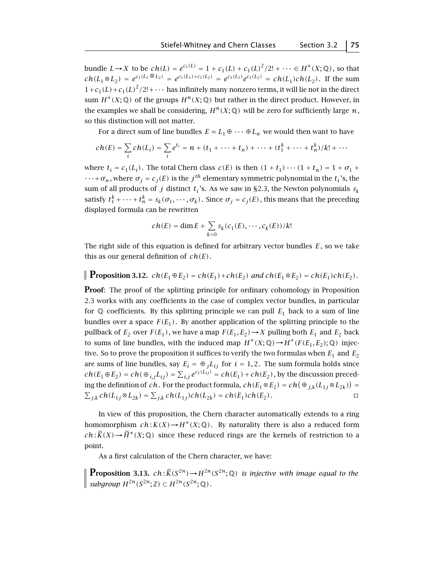bundle *L*→*X* to be *ch*(*L*) =  $e^{c_1(L)} = 1 + c_1(L) + c_1(L)^2/2! + \cdots \in H^*(X; \mathbb{Q})$ , so that  $ch(L_1 \otimes L_2) = e^{c_1(L_1 \otimes L_2)} = e^{c_1(L_1) + c_1(L_2)} = e^{c_1(L_1)} e^{c_1(L_2)} = ch(L_1) ch(L_2)$ . If the sum  $1+c_1(L)+c_1(L)^2/2!+\cdots$  has infinitely many nonzero terms, it will lie not in the direct sum  $H^*(X; \mathbb{Q})$  of the groups  $H^n(X; \mathbb{Q})$  but rather in the direct product. However, in the examples we shall be considering,  $H^n(X; \mathbb{Q})$  will be zero for sufficiently large *n*, so this distinction will not matter.

For a direct sum of line bundles  $E \approx L_1 \oplus \cdots \oplus L_n$  we would then want to have

$$
ch(E) = \sum_{i} ch(L_{i}) = \sum_{i} e^{t_{i}} = n + (t_{1} + \dots + t_{n}) + \dots + (t_{1}^{k} + \dots + t_{n}^{k})/k! + \dots
$$

where  $t_i = c_1(L_i)$ . The total Chern class  $c(E)$  is then  $(1 + t_1) \cdots (1 + t_n) = 1 + \sigma_1 +$  $\cdots + \sigma_n$ , where  $\sigma_j = c_j(E)$  is the *j*<sup>th</sup> elementary symmetric polynomial in the  $t_i$ 's, the sum of all products of *j* distinct  $t_i$ 's. As we saw in §2.3, the Newton polynomials  $s_k$ satisfy  $t_1^k + \cdots + t_n^k = s_k(\sigma_1, \cdots, \sigma_k)$ . Since  $\sigma_j = c_j(E)$ , this means that the preceding displayed formula can be rewritten

$$
ch(E) = \dim E + \sum_{k>0} s_k(c_1(E), \cdots, c_k(E))/k!
$$

The right side of this equation is defined for arbitrary vector bundles *E*, so we take this as our general definition of *ch(E)*.

# **Proposition 3.12.**  $ch(E_1 \oplus E_2) = ch(E_1) + ch(E_2)$  and  $ch(E_1 \otimes E_2) = ch(E_1)ch(E_2)$ .

**Proof:** The proof of the splitting principle for ordinary cohomology in Proposition 2.3 works with any coefficients in the case of complex vector bundles, in particular for  $\mathbb Q$  coefficients. By this splitting principle we can pull  $E_1$  back to a sum of line bundles over a space  $F(E_1)$ . By another application of the splitting principle to the pullback of  $E_2$  over  $F(E_1)$ , we have a map  $F(E_1, E_2) \rightarrow X$  pulling both  $E_1$  and  $E_2$  back to sums of line bundles, with the induced map  $H^*(X; \mathbb{Q}) \to H^*(F(E_1, E_2); \mathbb{Q})$  injective. So to prove the proposition it suffices to verify the two formulas when  $E_1$  and  $E_2$ are sums of line bundles, say  $E_i = \bigoplus_j L_{ij}$  for  $i = 1, 2$ . The sum formula holds since  $ch(E_1\oplus E_2)=ch(\oplus_{i,j} L_{ij})=\sum_{i,j}e^{c_1(L_{ij})}=ch(E_1)+ch(E_2)$  , by the discussion preceding the definition of *ch*. For the product formula,  $ch(E_1 \otimes E_2) = ch(\bigoplus_{j,k} (L_{1j} \otimes L_{2k})) =$  $\sum_{j,k} ch(L_{1j} ⊗ L_{2k}) = \sum_{j,k} ch(L_{1j})ch(L_{2k}) = ch(E_1)ch(E_2)$ . □

In view of this proposition, the Chern character automatically extends to a ring homomorphism  $ch: K(X) \to H^*(X; \mathbb{Q})$ . By naturality there is also a reduced form  $ch: \widetilde{K}(X) \to \widetilde{H}^*(X; \mathbb{Q})$  since these reduced rings are the kernels of restriction to a point.

As a first calculation of the Chern character, we have:

**Proposition 3.13.**  $ch: \widetilde{K}(S^{2n}) \to H^{2n}(S^{2n}; \mathbb{Q})$  *is injective with image equal to the*  $\|$  *subgroup H*<sup>2*n*</sup>(S<sup>2*n*</sup>; ℤ) ⊂ *H*<sup>2*n*</sup>(S<sup>2*n*</sup>; ①).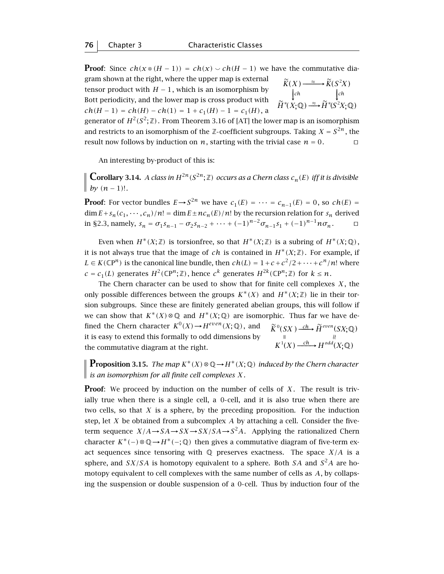**Proof**: Since  $ch(x \otimes (H-1)) = ch(x) \vee ch(H-1)$  we have the commutative diagram shown at the right, where the upper map is external  $K(X)$ ≈

tensor product with 
$$
H - 1
$$
, which is an isomorphism by  
Bott periodicity, and the lower map is cross product with  
 $ch(H - 1) = ch(H) - ch(1) = 1 + c_1(H) - 1 = c_1(H)$ , a

$$
\widetilde{K}(X) \xrightarrow{\approx} \widetilde{K}(S^2 X)
$$
\n
$$
\downarrow{ch} \qquad \qquad \downarrow{ch}
$$
\n
$$
\widetilde{H}^*(X; \mathbb{Q}) \xrightarrow{\approx} \widetilde{H}^*(S^2 X; \mathbb{Q})
$$

generator of  $H^2(S^2; \mathbb{Z})$ . From Theorem 3.16 of [AT] the lower map is an isomorphism and restricts to an isomorphism of the  $\mathbb{Z}$ -coefficient subgroups. Taking  $X = S^{2n}$ , the result now follows by induction on *n*, starting with the trivial case  $n = 0$ .

An interesting by-product of this is:

**Corollary 3.14.** *A class in*  $H^{2n}(S^{2n}; \mathbb{Z})$  *occurs as a Chern class*  $c_n(E)$  *iff it is divisible by*  $(n-1)!$ .

**Proof:** For vector bundles  $E \rightarrow S^{2n}$  we have  $c_1(E) = \cdots = c_{n-1}(E) = 0$ , so  $ch(E) =$  $\dim E + s_n(c_1, \dots, c_n)/n! = \dim E \pm nc_n(E)/n!$  by the recursion relation for  $s_n$  derived in §2.3, namely,  $s_n = \sigma_1 s_{n-1} - \sigma_2 s_{n-2} + \cdots + (-1)^{n-2} \sigma_{n-1} s_1 + (-1)^{n-1} n \sigma_n$ .  $\Box$ 

Even when  $H^*(X;\mathbb{Z})$  is torsionfree, so that  $H^*(X;\mathbb{Z})$  is a subring of  $H^*(X;\mathbb{Q})$ , it is not always true that the image of *ch* is contained in  $H^*(X;\mathbb{Z})$ . For example, if *L* ∈ *K*( $\mathbb{CP}^n$ ) is the canonical line bundle, then *ch*(*L*) = 1+*c* +  $c^2/2$ +···+ $c^n/n!$  where  $c = c_1(L)$  generates  $H^2(\mathbb{C}P^n;\mathbb{Z})$ , hence  $c^k$  generates  $H^{2k}(\mathbb{C}P^n;\mathbb{Z})$  for  $k \leq n$ .

The Chern character can be used to show that for finite cell complexes *X* , the only possible differences between the groups  $K^*(X)$  and  $H^*(X;\mathbb{Z})$  lie in their torsion subgroups. Since these are finitely generated abelian groups, this will follow if we can show that  $K^*(X) \otimes \mathbb{Q}$  and  $H^*(X; \mathbb{Q})$  are isomorphic. Thus far we have defined the Chern character  $K^0(X) \rightarrow H^{even}(X; \mathbb{Q})$ , and it is easy to extend this formally to odd dimensions by the commutative diagram at the right.  $\widetilde{K}^0(SX) \xrightarrow{\text{ch}} \widetilde{H}^{even}(SX;\mathbb{Q})$  $K^1(X) \xrightarrow{ch} H^{odd}(X; \mathbb{Q})$  $\mathbb{R}$  and  $\mathbb{R}$  and  $\mathbb{R}$  and  $\mathbb{R}$  and  $\mathbb{R}$  and  $\mathbb{R}$  and  $\mathbb{R}$  and  $\mathbb{R}$  and  $\mathbb{R}$  and  $\mathbb{R}$  and  $\mathbb{R}$  and  $\mathbb{R}$  and  $\mathbb{R}$  and  $\mathbb{R}$  and  $\mathbb{R}$  and  $\mathbb{R}$  and  $\mathbb{R}$  and

**Proposition 3.15.** *The map*  $K^*(X) \otimes \mathbb{Q} \rightarrow H^*(X; \mathbb{Q})$  *induced by the Chern character is an isomorphism for all finite cell complexes X .*

**Proof**: We proceed by induction on the number of cells of X. The result is trivially true when there is a single cell, a 0-cell, and it is also true when there are two cells, so that *X* is a sphere, by the preceding proposition. For the induction step, let *X* be obtained from a subcomplex *A* by attaching a cell. Consider the fiveterm sequence  $X/A \rightarrow SA \rightarrow SX/SA \rightarrow S^2A$ . Applying the rationalized Chern character  $K^*(-) \otimes \mathbb{Q} \rightarrow H^*(-; \mathbb{Q})$  then gives a commutative diagram of five-term exact sequences since tensoring with  $\mathbb Q$  preserves exactness. The space  $X/A$  is a sphere, and *SX/SA* is homotopy equivalent to a sphere. Both *SA* and  $S^2A$  are homotopy equivalent to cell complexes with the same number of cells as *A*, by collapsing the suspension or double suspension of a 0 cell. Thus by induction four of the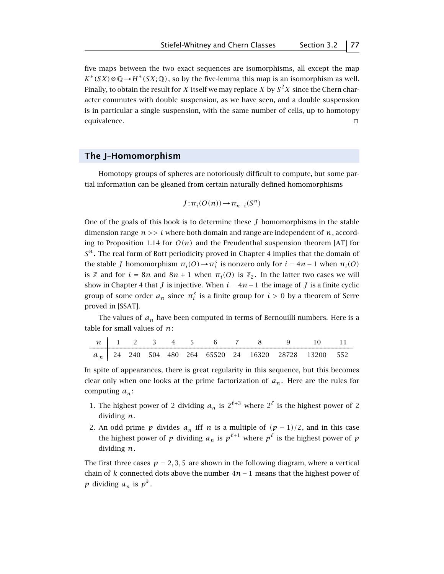five maps between the two exact sequences are isomorphisms, all except the map  $K^*(SX) \otimes \mathbb{Q} \rightarrow H^*(SX; \mathbb{Q})$ , so by the five-lemma this map is an isomorphism as well. Finally, to obtain the result for *X* itself we may replace *X* by  $S^2X$  since the Chern character commutes with double suspension, as we have seen, and a double suspension is in particular a single suspension, with the same number of cells, up to homotopy equivalence.  $\Box$ 

# **The J–Homomorphism**

Homotopy groups of spheres are notoriously difficult to compute, but some partial information can be gleaned from certain naturally defined homomorphisms

$$
J: \pi_i(O(n)) \to \pi_{n+i}(S^n)
$$

One of the goals of this book is to determine these *J* homomorphisms in the stable dimension range *n >> i* where both domain and range are independent of *n*, according to Proposition 1.14 for  $O(n)$  and the Freudenthal suspension theorem [AT] for *S<sup>n</sup>* . The real form of Bott periodicity proved in Chapter 4 implies that the domain of the stable *J*-homomorphism  $\pi_i(O) \to \pi_i^s$  is nonzero only for  $i = 4n - 1$  when  $\pi_i(O)$ is Z and for  $i = 8n$  and  $8n + 1$  when  $\pi_i(0)$  is  $\mathbb{Z}_2$ . In the latter two cases we will show in Chapter 4 that *J* is injective. When  $i = 4n - 1$  the image of *J* is a finite cyclic group of some order  $a_n$  since  $\pi_i^s$  is a finite group for  $i > 0$  by a theorem of Serre proved in [SSAT].

The values of  $a_n$  have been computed in terms of Bernouilli numbers. Here is a table for small values of *n*:

|  |  |  |  |  | n 1 2 3 4 5 6 7 8 9 10 11                               |  |
|--|--|--|--|--|---------------------------------------------------------|--|
|  |  |  |  |  | $a_n$ 24 240 504 480 264 65520 24 16320 28728 13200 552 |  |

In spite of appearances, there is great regularity in this sequence, but this becomes clear only when one looks at the prime factorization of  $a_n$ . Here are the rules for computing *an* :

- 1. The highest power of 2 dividing  $a_n$  is  $2^{\ell+3}$  where  $2^{\ell}$  is the highest power of 2 dividing *n*.
- 2. An odd prime *p* divides  $a_n$  iff *n* is a multiple of  $(p-1)/2$ , and in this case the highest power of *p* dividing  $a_n$  is  $p^{\ell+1}$  where  $p^{\ell}$  is the highest power of *p* dividing *n*.

The first three cases  $p = 2, 3, 5$  are shown in the following diagram, where a vertical chain of *k* connected dots above the number 4*n* − 1 means that the highest power of *p* dividing  $a_n$  is  $p^k$ .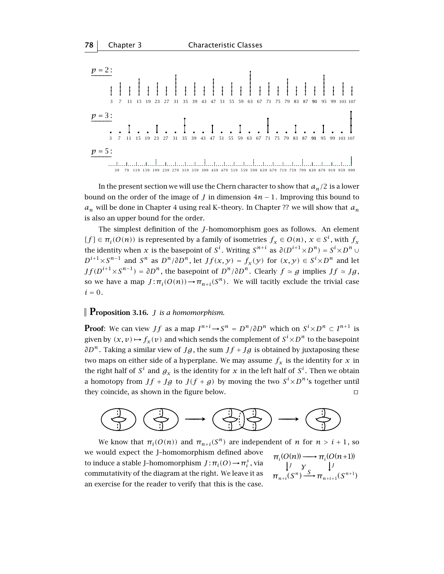

In the present section we will use the Chern character to show that  $a_n/2$  is a lower bound on the order of the image of *J* in dimension  $4n - 1$ . Improving this bound to  $a_n$  will be done in Chapter 4 using real K-theory. In Chapter ?? we will show that  $a_n$ is also an upper bound for the order.

The simplest definition of the *J* homomorphism goes as follows. An element  $[f] \in \pi_i(O(n))$  is represented by a family of isometries  $f_x \in O(n)$ ,  $x \in S^i$ , with  $f_x$ the identity when  $x$  is the basepoint of  $S^i$ . Writing  $S^{n+i}$  as  $\partial(D^{i+1} \times D^n) = S^i \times D^n \cup D^n$ *D*<sup>*i*+1</sup>×*S*<sup>*n*−1</sup> and *S*<sup>*n*</sup> as *D*<sup>*n*</sup>/∂*D*<sup>*n*</sup>, let *Jf*(*x, y*) = *f<sub>x</sub>*(*y*) for (*x, y*) ∈ *S*<sup>*i*</sup>×*D*<sup>*n*</sup> and let  $Jf(D^{i+1}\times S^{n-1}) = \partial D^n$ , the basepoint of  $D^n/\partial D^n$ . Clearly  $f \simeq g$  implies  $Jf \simeq Jg$ , so we have a map  $J : \pi_i(O(n)) \to \pi_{n+i}(S^n)$ . We will tacitly exclude the trivial case  $i = 0$ .

# **Proposition 3.16.** *<sup>J</sup> is a homomorphism.*

**Proof**: We can view  $Jf$  as a map  $I^{n+i} \to S^n = D^n / \partial D^n$  which on  $S^i \times D^n \subset I^{n+1}$  is given by  $(x, v) \mapsto f_x(v)$  and which sends the complement of  $S^i \times D^n$  to the basepoint *∂D<sup>n</sup>*. Taking a similar view of *Jg*, the sum *Jf* + *Jg* is obtained by juxtaposing these two maps on either side of a hyperplane. We may assume  $f_x$  is the identity for  $x$  in the right half of  $S^i$  and  $g_x$  is the identity for  $x$  in the left half of  $S^i$ . Then we obtain a homotopy from  $Jf + Jg$  to  $J(f + g)$  by moving the two  $S^i \times D^n$ 's together until they coincide, as shown in the figure below.  $\Box$ 



We know that  $\pi_i(O(n))$  and  $\pi_{n+i}(S^n)$  are independent of *n* for  $n > i + 1$ , so we would expect the J–homomorphism defined above to induce a stable *J*-homomorphism  $J : \pi_i(O) \rightarrow \pi_i^s$ , via  $\int_{i}^{3}$ , via  $\qquad \qquad \downarrow$  $\pi_i(O(n)) \longrightarrow \pi_i(O(n+1))$  $(S^n) \xrightarrow{S}$  $\frac{J}{S^{n}} \frac{\gamma}{S}$   $\downarrow$ *J π γ n i* + *commutativity of the diagram at the right. We leave it as* an exercise for the reader to verify that this is the case.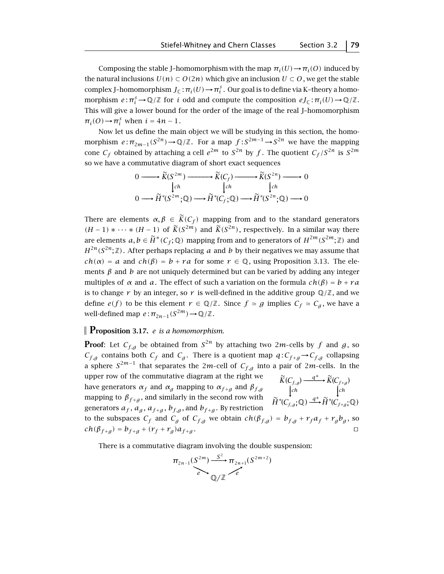Composing the stable J-homomorphism with the map  $\pi_i(U) \to \pi_i(O)$  induced by the natural inclusions  $U(n) \subset O(2n)$  which give an inclusion  $U \subset O$ , we get the stable complex J-homomorphism  $J_{\mathbb{C}}$ :  $\pi_i(U) \rightarrow \pi_i^s$ . Our goal is to define via K-theory a homomorphism  $e: \pi_i^s \to \mathbb{Q}/\mathbb{Z}$  for *i* odd and compute the composition  $eJ_{\mathbb{C}}: \pi_i(U) \to \mathbb{Q}/\mathbb{Z}$ . This will give a lower bound for the order of the image of the real J–homomorphism  $\pi_i(O) \rightarrow \pi_i^s$  when  $i = 4n - 1$ .

Now let us define the main object we will be studying in this section, the homomorphism  $e: \pi_{2m-1}(S^{2n}) \to \mathbb{Q}/\mathbb{Z}$ . For a map  $f: S^{2m-1} \to S^{2n}$  we have the mapping cone  $C_f$  obtained by attaching a cell  $e^{2m}$  to  $S^{2n}$  by  $f$ . The quotient  $C_f/S^{2n}$  is  $S^{2m}$ so we have a commutative diagram of short exact sequences

$$
0 \longrightarrow \widetilde{K}(S^{2m}) \longrightarrow \widetilde{K}(C_f) \longrightarrow \widetilde{K}(S^{2n}) \longrightarrow 0
$$
  
\n
$$
\downarrow ch \qquad \qquad \downarrow ch \qquad \qquad \downarrow ch
$$
  
\n
$$
0 \longrightarrow \widetilde{H}^*(S^{2m}; \mathbb{Q}) \longrightarrow \widetilde{H}^*(C_f; \mathbb{Q}) \longrightarrow \widetilde{H}^*(S^{2n}; \mathbb{Q}) \longrightarrow 0
$$

There are elements  $\alpha, \beta \in \widetilde{K}(C_f)$  mapping from and to the standard generators *(H* − 1*)* ∗  $\cdots$  ∗ *(H* − 1*)* of  $\widetilde{K}(S^{2m})$  and  $\widetilde{K}(S^{2n})$ , respectively. In a similar way there are elements  $a, b \in \widetilde{H}^*(C_f; \mathbb{Q})$  mapping from and to generators of  $H^{2m}(S^{2m}; \mathbb{Z})$  and  $H^{2n}(S^{2n};\mathbb{Z})$ . After perhaps replacing *a* and *b* by their negatives we may assume that  $ch(\alpha) = a$  and  $ch(\beta) = b + ra$  for some  $r \in \mathbb{Q}$ , using Proposition 3.13. The elements  $\beta$  and  $\dot{b}$  are not uniquely determined but can be varied by adding any integer multiples of  $\alpha$  and  $\alpha$ . The effect of such a variation on the formula  $ch(\beta) = b + ra$ is to change  $r$  by an integer, so  $r$  is well-defined in the additive group  $\mathbb{Q}/\mathbb{Z}$ , and we define  $e(f)$  to be this element  $r \in \mathbb{Q}/\mathbb{Z}$ . Since  $f \simeq g$  implies  $C_f \simeq C_g$ , we have a well-defined map  $e : \pi_{2n-1}(S^{2m}) \to \mathbb{Q}/\mathbb{Z}$ .

# **Proposition 3.17.** *<sup>e</sup> is a homomorphism.*

**Proof:** Let  $C_{f,q}$  be obtained from  $S^{2n}$  by attaching two 2*m*-cells by *f* and *g*, so  $C_{f,g}$  contains both  $C_f$  and  $C_g$ . There is a quotient map  $q:C_{f+g}\to C_{f,g}$  collapsing a sphere  $S^{2m-1}$  that separates the 2*m*-cell of  $C_{f,g}$  into a pair of 2*m*-cells. In the upper row of the commutative diagram at the right we −−−−−→  $\xrightarrow{q^*}$  $\stackrel{q^*}{\longrightarrow}$  $K(C_{f,g})$  $H^{*}(C_{f, g}; \mathbb{Q})$ e  $\widetilde{H}^{*}(C_{f,g};\mathbb{Q}% )\cong\widetilde{H}^{*}(C_{f,g};\mathbb{Q})\otimes\widetilde{H}^{*}(\mathbb{Q})$ ∗ *ch q q*<sup>∗</sup>  $f, g'$  **f**  $\mathbf{K} \setminus f + g$ *f*, −−−−−→ *K C C*  $(C_{f+a})$  $H^{*}(C_{f+g};\mathbb{Q})$ e  $\widetilde{H}^* (C_{f+g}; {\mathbb Q})$ *ch* +  $g$ ,  $\mathcal{L}$   $\mathcal{L}$   $\mathcal{L}$   $\mathcal{L}$   $\mathcal{L}$   $\mathcal{L}$   $\mathcal{L}$   $\mathcal{L}$   $\mathcal{L}$ have generators  $\alpha_f$  and  $\alpha_g$  mapping to  $\alpha_{f+g}$  and  $\beta_{f,g}$ mapping to  $\beta_{f+g}$ , and similarly in the second row with generators  $a_f$ ,  $a_g$ ,  $a_{f+g}$ ,  $b_{f,g}$ , and  $b_{f+g}$ . By restriction to the subspaces  $C_f$  and  $C_g$  of  $C_{f,g}$  we obtain  $ch(\beta_{f,g}) = b_{f,g} + r_f a_f + r_g b_g$ , so  $ch(\beta_{f+g}) = b_{f+g} + (r_f + r_g)a_{f+g}$ .

There is a commutative diagram involving the double suspension:

$$
\pi_{2n-1}(S^{2m}) \xrightarrow{S^2} \pi_{2n+1}(S^{2m+2})
$$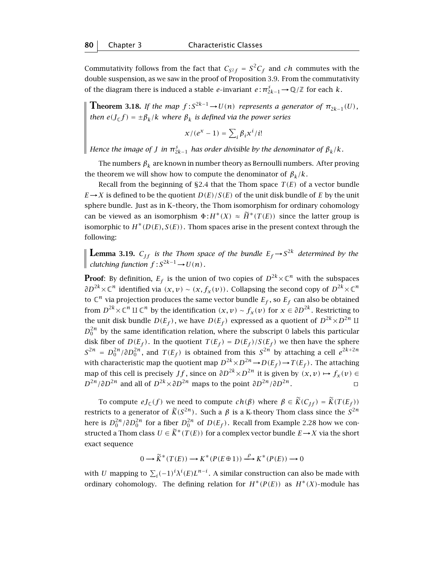Commutativity follows from the fact that  $C_{S^2f} = S^2C_f$  and *ch* commutes with the double suspension, as we saw in the proof of Proposition 3.9. From the commutativity of the diagram there is induced a stable *e*-invariant  $e:\pi_{2k-1}^{s} \rightarrow \mathbb{Q}/\mathbb{Z}$  for each *k*.

**Theorem 3.18.** If the map  $f: S^{2k-1} \to U(n)$  represents a generator of  $\pi_{2k-1}(U)$ , *then*  $e(J_{\mathbb{C}}f) = \pm \beta_k / k$  *where*  $\beta_k$  *is defined via the power series* 

$$
x/(e^x-1)=\sum_i \beta_i x^i/i!
$$

*Hence the image of J in*  $\pi_{2k-1}^s$  *has order divisible by the denominator of*  $\beta_k/k$ *.* 

The numbers  $\beta_k$  are known in number theory as Bernoulli numbers. After proving the theorem we will show how to compute the denominator of  $\beta_k/k$ .

Recall from the beginning of  $\S 2.4$  that the Thom space  $T(E)$  of a vector bundle  $E \rightarrow X$  is defined to be the quotient  $D(E)/S(E)$  of the unit disk bundle of *E* by the unit sphere bundle. Just as in K–theory, the Thom isomorphism for ordinary cohomology can be viewed as an isomorphism  $\Phi: H^*(X) \approx \widetilde{H}^*(T(E))$  since the latter group is isomorphic to  $H^*(D(E), S(E))$ . Thom spaces arise in the present context through the following:

**Lemma 3.19.**  $C_{ff}$  is the Thom space of the bundle  $E_f \rightarrow S^{2k}$  determined by the *clutching function*  $f: S^{2k-1} \to U(n)$ *.* 

**Proof:** By definition,  $E_f$  is the union of two copies of  $D^{2k}\times\mathbb{C}^n$  with the subspaces *∂D*<sup>2*k*</sup>× $\mathbb{C}^n$  identified via  $(x, v) \sim (x, f_x(v))$ . Collapsing the second copy of  $D^{2k} \times \mathbb{C}^n$ to  $\mathbb{C}^n$  via projection produces the same vector bundle  $E_f,$  so  $E_f$  can also be obtained from  $D^{2k} \times \mathbb{C}^n$  II  $\mathbb{C}^n$  by the identification  $(x, v) \sim f_x(v)$  for  $x \in \partial D^{2k}$ . Restricting to the unit disk bundle  $D(E_f)$ , we have  $D(E_f)$  expressed as a quotient of  $D^{2k} \times D^{2n}$  II  $D_0^{2n}$  by the same identification relation, where the subscript 0 labels this particular disk fiber of  $D(E_f)$ . In the quotient  $T(E_f) = D(E_f)/S(E_f)$  we then have the sphere  $S^{2n} = D_0^{2n}/\partial D_0^{2n}$ , and  $T(E_f)$  is obtained from this  $S^{2n}$  by attaching a cell  $e^{2k+2n}$ with characteristic map the quotient map  $D^{2k} \times D^{2n} \to D(E_f) \to T(E_f)$ . The attaching map of this cell is precisely *Jf*, since on  $\partial D^{2k} \times D^{2n}$  it is given by  $(x, v) \mapsto f_x(v) \in$  $D^{2n}/\partial D^{2n}$  and all of  $D^{2k} \times \partial D^{2n}$  maps to the point  $\partial D^{2n}/\partial D^{2n}$ . □

To compute  $eJ_{\mathbb{C}}(f)$  we need to compute  $ch(\beta)$  where  $\beta \in \widetilde{K}(C_{If}) = \widetilde{K}(T(E_f))$ restricts to a generator of  $\widetilde{K}(S^{2n})$ . Such a  $\beta$  is a K-theory Thom class since the  $S^{2n}$ here is  $D_0^{2n}/\partial D_0^{2n}$  for a fiber  $D_0^{2n}$  of  $D(E_f)$ . Recall from Example 2.28 how we constructed a Thom class  $U \in \widetilde{K}^*(T(E))$  for a complex vector bundle  $E \to X$  via the short exact sequence

$$
0 \longrightarrow \widetilde{K}^*(T(E)) \longrightarrow K^*(P(E \oplus 1)) \xrightarrow{\rho} K^*(P(E)) \longrightarrow 0
$$

with  $U$  mapping to  $\sum_i(-1)^i\lambda^i(E)L^{n-i}$ . A similar construction can also be made with ordinary cohomology. The defining relation for  $H^*(P(E))$  as  $H^*(X)$ -module has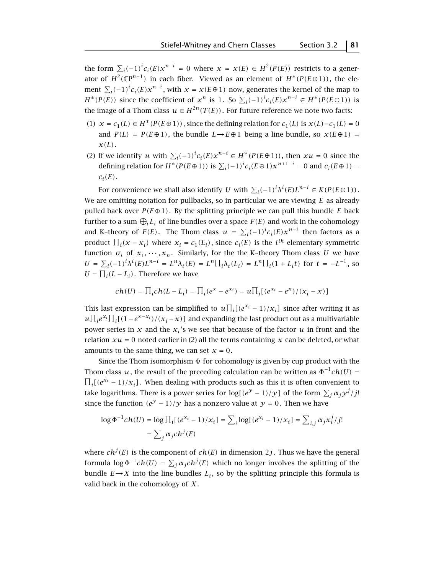the form  $\sum_i (-1)^i c_i(E) x^{n-i} = 0$  where  $x = x(E) \in H^2(P(E))$  restricts to a generator of  $H^2(\mathbb{C}P^{n-1})$  in each fiber. Viewed as an element of  $H^*(P(E\oplus 1))$ , the element  $\sum_i (-1)^i c_i(E) x^{n-i}$ , with  $x = x(E \oplus 1)$  now, generates the kernel of the map to *H*<sup>∗</sup>(*P*(*E*)) since the coefficient of  $x^n$  is 1. So  $\sum_i(-1)^ic_i(E)x^{n-i} \in H^*(P(E \oplus 1))$  is the image of a Thom class  $u \in H^{2n}(T(E))$ . For future reference we note two facts:

- (1)  $x = c_1(L) ∈ H^*(P(E ⊕ 1))$ , since the defining relation for  $c_1(L)$  is  $x(L) c_1(L) = 0$ and  $P(L) = P(E \oplus 1)$ , the bundle  $L \rightarrow E \oplus 1$  being a line bundle, so  $x(E \oplus 1) =$ *x(L)*.
- (2) If we identify *u* with  $\sum_i(-1)^ic_i(E)x^{n-i} \in H^*(P(E \oplus 1))$ , then  $xu = 0$  since the defining relation for  $H^*(P(E \oplus 1))$  is  $\sum_i(-1)^ic_i(E \oplus 1)x^{n+1-i} = 0$  and  $c_i(E \oplus 1) = 0$  $c_i(E)$ .

For convenience we shall also identify *U* with  $\sum_i(-1)^i\lambda^i(E)L^{n-i}\in K(P(E\oplus 1))$ . We are omitting notation for pullbacks, so in particular we are viewing *E* as already pulled back over  $P(E \oplus 1)$ . By the splitting principle we can pull this bundle *E* back further to a sum  $\bigoplus_i L_i$  of line bundles over a space  $F(E)$  and work in the cohomology and K-theory of  $F(E)$ . The Thom class  $u = \sum_i (-1)^i c_i(E) x^{n-i}$  then factors as a product  $\prod_i(x - x_i)$  where  $x_i = c_1(L_i)$ , since  $c_i(E)$  is the *i*<sup>th</sup> elementary symmetric function  $\sigma_i$  of  $x_1, \dots, x_n$ . Similarly, for the the K-theory Thom class *U* we have  $U = \sum_i (-1)^i \lambda^i(E) L^{n-i} = L^n \lambda_t(E) = L^n \prod_i \lambda_t(L_i) = L^n \prod_i (1 + L_i t)$  for  $t = -L^{-1}$ , so  $U = \prod_i (L - L_i)$ . Therefore we have

$$
ch(U) = \prod_i ch(L - L_i) = \prod_i (e^{x} - e^{x_i}) = u \prod_i [(e^{x_i} - e^{x})/(x_i - x)]
$$

This last expression can be simplified to  $u\prod_i(e^{x_i}-1)/x_i]$  since after writing it as  $u\prod_i e^{x_i}\prod_i[(1-e^{x-x_i})/(x_i-x)]$  and expanding the last product out as a multivariable power series in  $x$  and the  $x_i$ 's we see that because of the factor  $u$  in front and the relation  $xu = 0$  noted earlier in (2) all the terms containing x can be deleted, or what amounts to the same thing, we can set  $x = 0$ .

Since the Thom isomorphism  $\Phi$  for cohomology is given by cup product with the Thom class  $u$ , the result of the preceding calculation can be written as  $\Phi^{-1}c h(U)$  = Thom class *u*, the result of the preceding calculation can be written as  $\Phi^{-1}ch(U) = \prod_i [e^{x_i} - 1)/x_i]$ . When dealing with products such as this it is often convenient to take logarithms. There is a power series for  $\log[(e^y-1)/y]$  of the form  $\sum_j \alpha_j y^j/j!$ since the function  $(e^{y} - 1)/y$  has a nonzero value at  $y = 0$ . Then we have

$$
\log \Phi^{-1} ch(U) = \log \prod_i [(e^{x_i} - 1)/x_i] = \sum_i \log [(e^{x_i} - 1)/x_i] = \sum_{i,j} \alpha_j x_i^j / j!
$$
  
= 
$$
\sum_j \alpha_j ch^j(E)
$$

where  $ch^j(E)$  is the component of  $ch(E)$  in dimension  $2j$  . Thus we have the general formula  $\log \Phi^{-1}ch(U) = \sum_j \alpha_j ch^j(E)$  which no longer involves the splitting of the bundle  $E \rightarrow X$  into the line bundles  $L_i$ , so by the splitting principle this formula is valid back in the cohomology of *X* .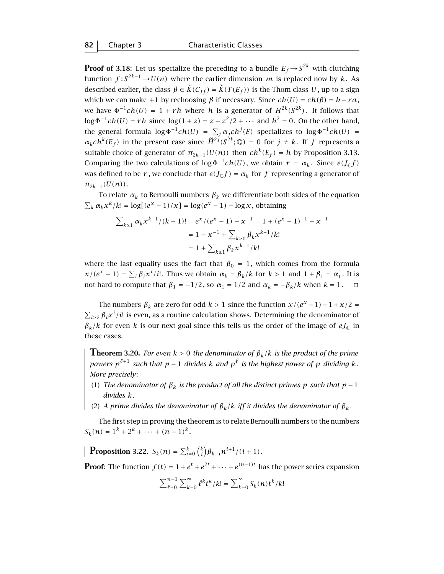**Proof of 3.18**: Let us specialize the preceding to a bundle  $E_f \rightarrow S^{2k}$  with clutching function  $f: S^{2k-1} \to U(n)$  where the earlier dimension *m* is replaced now by *k*. As described earlier, the class  $\beta \in \widetilde{K}(C_{If}) = \widetilde{K}(T(E_f))$  is the Thom class U, up to a sign which we can make +1 by rechoosing  $\beta$  if necessary. Since  $ch(U) = ch(\beta) = b + ra$ , we have  $\Phi^{-1}ch(U) = 1 + rh$  where *h* is a generator of  $H^{2k}(S^{2k})$ . It follows that log  $\Phi^{-1}c h(U) = rh$  since log(1 + *z*) = *z* − *z*<sup>2</sup>/2 + · · · and  $h^2 = 0$ . On the other hand, the general formula  $\log \Phi^{-1}ch(U) = \sum_j \alpha_j ch^j(E)$  specializes to  $\log \Phi^{-1}ch(U) =$  $\alpha_k ch^k(E_f)$  in the present case since  $\widetilde{H}^{2j}(S^{2k};\mathbb{Q}) = 0$  for  $j \neq k$ . If *f* represents a suitable choice of generator of  $\pi_{2k-1}(U(n))$  then  $ch^k(E_f) = h$  by Proposition 3.13. Comparing the two calculations of  $\log \Phi^{-1}ch(U)$ , we obtain  $r = \alpha_k$ . Since  $e(J_{\mathbb{C}}f)$ was defined to be *r*, we conclude that  $e(J<sub>C</sub>f) = \alpha<sub>k</sub>$  for *f* representing a generator of  $\pi_{2k-1}(U(n))$ .

To relate  $\alpha_k$  to Bernoulli numbers  $\beta_k$  we differentiate both sides of the equation  $\sum_{k} \alpha_{k} x^{k}/k! = \log[(e^{x} - 1)/x] = \log(e^{x} - 1) - \log x$ , obtaining

$$
\sum_{k\geq 1} \alpha_k x^{k-1} / (k-1)! = e^x / (e^x - 1) - x^{-1} = 1 + (e^x - 1)^{-1} - x^{-1}
$$

$$
= 1 - x^{-1} + \sum_{k\geq 0} \beta_k x^{k-1} / k!
$$

$$
= 1 + \sum_{k\geq 1} \beta_k x^{k-1} / k!
$$

where the last equality uses the fact that  $\beta_0 = 1$ , which comes from the formula  $x/(e^x - 1) = \sum_i \beta_i x^i / i!$ . Thus we obtain  $\alpha_k = \beta_k / k$  for  $k > 1$  and  $1 + \beta_1 = \alpha_1$ . It is not hard to compute that  $\beta_1 = -1/2$ , so  $\alpha_1 = 1/2$  and  $\alpha_k = -\beta_k/k$  when  $k = 1$ .  $\Box$ 

The numbers  $\beta_k$  are zero for odd  $k > 1$  since the function  $x/(e^x - 1) - 1 + x/2 =$  $\sum_{i\geq 2} \beta_i x^i / i!$  is even, as a routine calculation shows. Determining the denominator of  $\beta_k/k$  for even *k* is our next goal since this tells us the order of the image of  $eJ_{\mathbb{C}}$  in these cases.

**Theorem 3.20.** *For even*  $k > 0$  *the denominator of*  $\beta_k/k$  *is the product of the prime powers*  $p^{\ell+1}$  *such that*  $p-1$  *divides*  $k$  *and*  $p^{\ell}$  *is the highest power of*  $p$  *dividing*  $k$ *. More precisely*:

- (1) *The denominator of*  $\beta_k$  *is the product of all the distinct primes p such that*  $p-1$ *divides k.*
- $\parallel$  (2) *A prime divides the denominator of*  $\beta_k/k$  *iff it divides the denominator of*  $\beta_k$ *.*

The first step in proving the theorem is to relate Bernoulli numbers to the numbers  $S_k(n) = 1^k + 2^k + \cdots + (n-1)^k$ .

**Proposition 3.22.**  $S_k(n) = \sum_{i=0}^k {k \choose i} \beta_{k-i} n^{i+1} / (i+1)$ *.* 

**Proof:** The function  $f(t) = 1 + e^t + e^{2t} + \cdots + e^{(n-1)t}$  has the power series expansion

$$
\sum_{\ell=0}^{n-1} \sum_{k=0}^{\infty} {\ell^k t^k / k!} = \sum_{k=0}^{\infty} S_k(n) t^k / k!
$$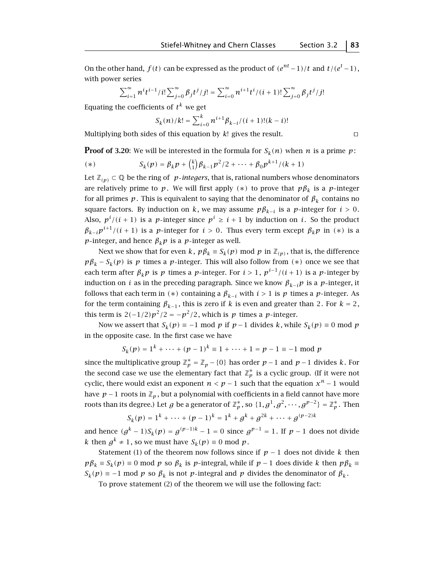On the other hand,  $f(t)$  can be expressed as the product of  $(e^{nt} - 1)/t$  and  $t/(e^t - 1)$ , with power series

$$
\sum_{i=1}^{\infty} n^{i} t^{i-1} / i! \sum_{j=0}^{\infty} \beta_{j} t^{j} / j! = \sum_{i=0}^{\infty} n^{i+1} t^{i} / (i+1)! \sum_{j=0}^{\infty} \beta_{j} t^{j} / j!
$$

Equating the coefficients of  $t^k$  we get

$$
S_k(n)/k! = \sum_{i=0}^k n^{i+1} \beta_{k-i}/(i+1)!(k-i)!
$$

Multiplying both sides of this equation by  $k!$  gives the result.  $\Box$ 

**Proof of 3.20:** We will be interested in the formula for 
$$
S_k(n)
$$
 when *n* is a prime *p*:

(\*) 
$$
S_k(p) = \beta_k p + {k \choose 1} \beta_{k-1} p^2 / 2 + \dots + \beta_0 p^{k+1} / (k+1)
$$

Let  $\mathbb{Z}_{(p)}$  ⊂ ℚ be the ring of *p*-integers, that is, rational numbers whose denominators are relatively prime to *p*. We will first apply  $(*)$  to prove that  $p\beta_k$  is a *p*-integer for all primes  $p$ . This is equivalent to saying that the denominator of  $\beta_k$  contains no square factors. By induction on *k*, we may assume  $p\beta_{k-i}$  is a *p*-integer for  $i > 0$ . Also,  $p^{i}/(i + 1)$  is a *p*-integer since  $p^{i} \geq i + 1$  by induction on *i*. So the product  $\beta_{k-i} p^{i+1} / (i+1)$  is a *p*-integer for  $i > 0$ . Thus every term except  $\beta_k p$  in (\*) is a *p*-integer, and hence  $\beta_k p$  is a *p*-integer as well.

Next we show that for even *k*,  $p\beta_k \equiv S_k(p) \mod p$  in  $\mathbb{Z}_{(p)}$ , that is, the difference  $p\beta_k - S_k(p)$  is *p* times a *p*-integer. This will also follow from  $(*)$  once we see that each term after  $\beta_k p$  is p times a p-integer. For  $i > 1$ ,  $p^{i-1}/(i+1)$  is a p-integer by induction on *i* as in the preceding paragraph. Since we know  $\beta_{k-i}p$  is a *p*-integer, it follows that each term in  $(*)$  containing a  $\beta_{k-i}$  with  $i > 1$  is  $p$  times a  $p$ -integer. As for the term containing  $\beta_{k-1}$ , this is zero if *k* is even and greater than 2. For  $k = 2$ , this term is  $2(-1/2)p^2/2 = -p^2/2$ , which is *p* times a *p*-integer.

Now we assert that  $S_k(p) \equiv -1 \mod p$  if  $p-1$  divides  $k$ , while  $S_k(p) \equiv 0 \mod p$ in the opposite case. In the first case we have

$$
S_k(p) = 1^k + \dots + (p-1)^k \equiv 1 + \dots + 1 = p-1 \equiv -1 \mod p
$$

since the multiplicative group  $\mathbb{Z}_p^* = \mathbb{Z}_p - \{0\}$  has order  $p-1$  and  $p-1$  divides *k*. For the second case we use the elementary fact that  $\mathbb{Z}_p^*$  is a cyclic group. (If it were not cyclic, there would exist an exponent  $n < p - 1$  such that the equation  $x^n - 1$  would have  $p-1$  roots in  $\mathbb{Z}_p$ , but a polynomial with coefficients in a field cannot have more roots than its degree.) Let  $g$  be a generator of  $\mathbb{Z}_p^*$ , so  $\{1, g^1, g^2, \cdots, g^{p-2}\} = \mathbb{Z}_p^*$ . Then

$$
S_k(p) = 1^k + \dots + (p-1)^k = 1^k + g^k + g^{2k} + \dots + g^{(p-2)k}
$$

and hence  $(g^{k} - 1)S_{k}(p) = g^{(p-1)k} - 1 = 0$  since  $g^{p-1} = 1$ . If  $p - 1$  does not divide *k* then  $g^k \neq 1$ , so we must have  $S_k(p) \equiv 0 \text{ mod } p$ .

Statement (1) of the theorem now follows since if  $p - 1$  does not divide k then  $p\beta_k \equiv S_k(p) \equiv 0 \mod p$  so  $\beta_k$  is *p*-integral, while if  $p-1$  does divide *k* then  $p\beta_k \equiv$  $S_k(p) \equiv -1 \mod p$  so  $\beta_k$  is not *p*-integral and *p* divides the denominator of  $\beta_k$ .

To prove statement (2) of the theorem we will use the following fact: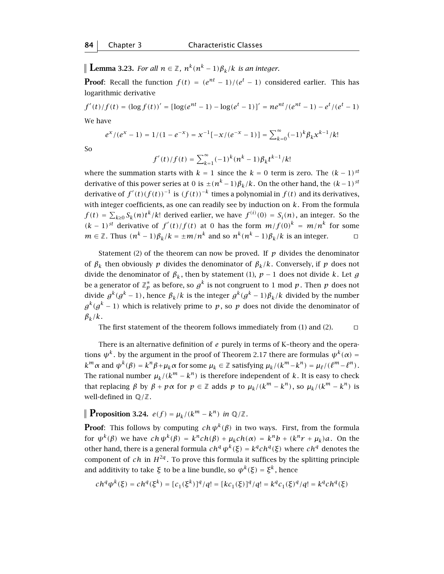**Lemma 3.23.** *For all*  $n \in \mathbb{Z}$ ,  $n^k(n^k-1)\beta_k/k$  *is an integer.* 

**Proof:** Recall the function  $f(t) = (e^{nt} - 1)/(e^t - 1)$  considered earlier. This has logarithmic derivative

 $f'(t)/f(t) = (\log f(t))' = [\log(e^{nt} - 1) - \log(e^t - 1)]' = n e^{nt}/(e^{nt} - 1) - e^t/(e^t - 1)$ We have

$$
e^x/(e^x-1) = 1/(1-e^{-x}) = x^{-1}[-x/(e^{-x}-1)] = \sum_{k=0}^{\infty} (-1)^k \beta_k x^{k-1}/k!
$$

So

$$
f'(t)/f(t) = \sum_{k=1}^{\infty} (-1)^k (n^k - 1) \beta_k t^{k-1} / k!
$$

where the summation starts with  $k = 1$  since the  $k = 0$  term is zero. The  $(k - 1)^{st}$ derivative of this power series at 0 is  $\pm (n^k - 1)\beta_k/k$ . On the other hand, the  $(k-1)^{st}$ derivative of  $f'(t)(f(t))^{-1}$  is  $(f(t))^{-k}$  times a polynomial in  $f(t)$  and its derivatives, with integer coefficients, as one can readily see by induction on *k*. From the formula  $f(t) = \sum_{k\geq 0} S_k(n)t^k/k!$  derived earlier, we have  $f^{(i)}(0) = S_i(n)$ , an integer. So the  $(k-1)^{st}$  derivative of  $f'(t)/f(t)$  at 0 has the form  $m/f(0)^k = m/n^k$  for some *m* ∈ ℤ. Thus  $(n^k - 1)\beta_k/k = \pm m/n^k$  and so  $n^k(n^k - 1)\beta_k/k$  is an integer.  $\Box$ 

Statement (2) of the theorem can now be proved. If *p* divides the denominator of  $\beta_k$  then obviously *p* divides the denominator of  $\beta_k/k$ . Conversely, if *p* does not divide the denominator of  $\beta_k$ , then by statement (1),  $p-1$  does not divide *k*. Let *g* be a generator of  $\mathbb{Z}_p^*$  as before, so  $g^k$  is not congruent to  $1$  mod  $p$  . Then  $p$  does not divide  $g^k(g^k - 1)$ , hence  $\beta_k/k$  is the integer  $g^k(g^k - 1)\beta_k/k$  divided by the number  $g^{k}(g^{k}-1)$  which is relatively prime to *p*, so *p* does not divide the denominator of  $\beta_k/k$ .

The first statement of the theorem follows immediately from  $(1)$  and  $(2)$ .  $\Box$ 

There is an alternative definition of *e* purely in terms of K–theory and the operations  $\psi^k$ . by the argument in the proof of Theorem 2.17 there are formulas  $\psi^k(\alpha)$  =  $k^m \alpha$  and  $\psi^k(\beta) = k^n \beta + \mu_k \alpha$  for some  $\mu_k \in \mathbb{Z}$  satisfying  $\mu_k/(k^m - k^n) = \mu_k/(\ell^m - \ell^n)$ . The rational number  $\mu_k/(k^m - k^n)$  is therefore independent of *k*. It is easy to check that replacing  $\beta$  by  $\beta + p\alpha$  for  $p \in \mathbb{Z}$  adds  $p$  to  $\mu_k/(k^m - k^n)$ , so  $\mu_k/(k^m - k^n)$  is well-defined in Q*/*Z.

$$
\parallel Proposition 3.24. e(f) = \mu_k/(k^m - k^n) \text{ in } \mathbb{Q}/\mathbb{Z}.
$$

**Proof:** This follows by computing  $ch \psi^k(\beta)$  in two ways. First, from the formula for  $\psi^k(\beta)$  we have  $ch \psi^k(\beta) = k^n ch(\beta) + \mu_k ch(\alpha) = k^n b + (k^n r + \mu_k) a$ . On the other hand, there is a general formula  $ch<sup>q</sup> ψ<sup>k</sup>(ξ) = k<sup>q</sup> ch<sup>q</sup>(ξ)$  where  $ch<sup>q</sup>$  denotes the component of *ch* in  $H^{2q}$ . To prove this formula it suffices by the splitting principle and additivity to take *ξ* to be a line bundle, so  $\psi^k(\xi) = \xi^k$ , hence

$$
ch^q \psi^k(\xi) = ch^q(\xi^k) = [c_1(\xi^k)]^q / q! = [kc_1(\xi)]^q / q! = k^q c_1(\xi)^q / q! = k^q ch^q(\xi)
$$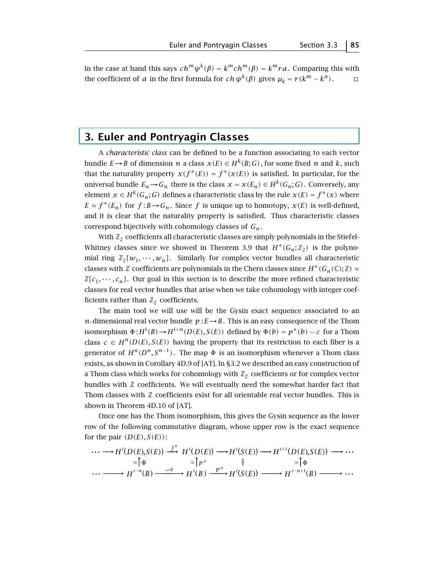In the case at hand this says  $ch^m \psi^k(\beta) = k^m ch^m(\beta) = k^m ra$ . Comparing this with the coefficient of *a* in the first formula for *ch*  $\psi^k(\beta)$  gives  $\mu_k = r(k^m - k^n)$ .  $\Box$ 

# **3. Euler and Pontryagin Classes**

A *characteristic class* can be defined to be a function associating to each vector bundle *E*→*B* of dimension *n* a class  $x(E) \in H^k(B; G)$ , for some fixed *n* and *k*, such that the naturality property  $x(f^*(E)) = f^*(x(E))$  is satisfied. In particular, for the universal bundle  $E_n \to G_n$  there is the class  $x = x(E_n) \in H^k(G_n; G)$ . Conversely, any element  $x \in H^k(G_n; G)$  defines a characteristic class by the rule  $x(E) = f^*(x)$  where  $E \approx f^*(E_n)$  for  $f : B \to G_n$ . Since f is unique up to homotopy,  $x(E)$  is well-defined, and it is clear that the naturality property is satisfied. Thus characteristic classes correspond bijectively with cohomology classes of *Gn* .

With  $\mathbb{Z}_2$  coefficients all characteristic classes are simply polynomials in the Stiefel-Whitney classes since we showed in Theorem 3.9 that  $H^*(G_n;\mathbb{Z}_2)$  is the polynomial ring  $\mathbb{Z}_2[w_1, \dots, w_n]$ . Similarly for complex vector bundles all characteristic classes with Z coefficients are polynomials in the Chern classes since  $H^*(G_n(\mathbb{C});\mathbb{Z}) \approx$  $\mathbb{Z}[c_1, \dots, c_n]$ . Our goal in this section is to describe the more refined characteristic classes for real vector bundles that arise when we take cohomology with integer coefficients rather than  $\mathbb{Z}_2$  coefficients.

The main tool we will use will be the Gysin exact sequence associated to an *n*-dimensional real vector bundle  $p: E \rightarrow B$ . This is an easy consequence of the Thom isomorphism  $\Phi: H^i(B) \to H^{i+n}(D(E), S(E))$  defined by  $\Phi(b) = p^*(b) \smile c$  for a Thom class  $c \in H^n(D(E), S(E))$  having the property that its restriction to each fiber is a generator of  $H^n(D^n, S^{n-1})$ . The map  $\Phi$  is an isomorphism whenever a Thom class exists, as shown in Corollary 4D.9 of [AT]. In §3.2 we described an easy construction of a Thom class which works for cohomology with  $\mathbb{Z}_2$  coefficients or for complex vector bundles with  $\mathbb Z$  coefficients. We will eventually need the somewhat harder fact that Thom classes with  $\mathbb Z$  coefficients exist for all orientable real vector bundles. This is shown in Theorem 4D.10 of [AT].

Once one has the Thom isomorphism, this gives the Gysin sequence as the lower row of the following commutative diagram, whose upper row is the exact sequence for the pair  $(D(E), S(E))$ :

$$
\cdots \longrightarrow H^{i}(D(E), S(E)) \stackrel{j^{*}}{\longrightarrow} H^{i}(D(E)) \longrightarrow H^{i}(S(E)) \longrightarrow H^{i+1}(D(E), S(E)) \longrightarrow \cdots
$$
  
\n
$$
\qquad \qquad \approx \uparrow_{\Phi} \qquad \qquad \approx \uparrow_{P^{*}} \qquad \parallel \qquad \qquad \approx \uparrow_{\Phi}
$$
  
\n
$$
\cdots \longrightarrow H^{i-n}(B) \stackrel{\vee e}{\longrightarrow} H^{i}(B) \stackrel{p^{*}}{\longrightarrow} H^{i}(S(E)) \longrightarrow H^{i-n+1}(B) \longrightarrow \cdots
$$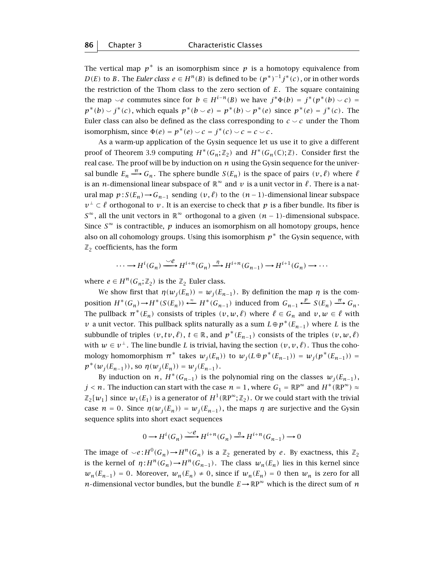The vertical map  $p^*$  is an isomorphism since  $p$  is a homotopy equivalence from *D(E)* to *B*. The *Euler class e* ∈ *H*<sup>n</sup>(*B*) is defined to be  $(p^*)^{-1}j^*(c)$  , or in other words the restriction of the Thom class to the zero section of *E*. The square containing the map  $\smile e$  commutes since for  $b \in H^{i-n}(B)$  we have  $j^*\Phi(b) = j^*(p^*(b) \smile c)$  $p^*(b) \smile j^*(c)$ , which equals  $p^*(b \smile e) = p^*(b) \smile p^*(e)$  since  $p^*(e) = j^*(c)$ . The Euler class can also be defined as the class corresponding to  $c \sim c$  under the Thom isomorphism, since  $\Phi(e) = p^*(e) \smile c = j^*(c) \smile c = c \smile c$ .

As a warm-up application of the Gysin sequence let us use it to give a different proof of Theorem 3.9 computing  $H^*(G_n;\mathbb{Z}_2)$  and  $H^*(G_n(\mathbb{C});\mathbb{Z})$ . Consider first the real case. The proof will be by induction on *n* using the Gysin sequence for the universal bundle  $E_n \stackrel{\pi}{\longrightarrow} G_n$ . The sphere bundle  $S(E_n)$  is the space of pairs  $(v, \ell)$  where  $\ell$ is an *n*-dimensional linear subspace of  $\mathbb{R}^{\infty}$  and  $\nu$  is a unit vector in  $\ell$ . There is a natural map  $p: S(E_n) \rightarrow G_{n-1}$  sending  $(v, l)$  to the  $(n-1)$ -dimensional linear subspace *v*<sup>⊥</sup> ⊂ *ℓ* orthogonal to *v*. It is an exercise to check that *p* is a fiber bundle. Its fiber is *S*<sup>∞</sup>, all the unit vectors in  $\mathbb{R}^\infty$  orthogonal to a given  $(n-1)$ -dimensional subspace. Since  $S^{\infty}$  is contractible, *p* induces an isomorphism on all homotopy groups, hence also on all cohomology groups. Using this isomorphism *p*<sup>∗</sup> the Gysin sequence, with  $\mathbb{Z}_2$  coefficients, has the form

$$
\cdots \longrightarrow H^i(G_n) \xrightarrow{\smile e} H^{i+n}(G_n) \xrightarrow{\eta} H^{i+n}(G_{n-1}) \longrightarrow H^{i+1}(G_n) \longrightarrow \cdots
$$

where  $e \in H^n(G_n; \mathbb{Z}_2)$  is the  $\mathbb{Z}_2$  Euler class.

We show first that  $\eta(w_j(E_n)) = w_j(E_{n-1})$ . By definition the map  $\eta$  is the composition  $H^*(G_n) \to H^*(S(E_n)) \xleftarrow{\approx} H^*(G_{n-1})$  induced from  $G_{n-1} \xleftarrow{p} S(E_n) \xrightarrow{\pi} G_n$ . The pullback  $\pi^*(E_n)$  consists of triples  $(v, w, \ell)$  where  $\ell \in G_n$  and  $v, w \in \ell$  with *v* a unit vector. This pullback splits naturally as a sum  $L \oplus p^*(E_{n-1})$  where L is the subbundle of triples  $(v, tv, \ell)$ ,  $t \in \mathbb{R}$ , and  $p^*(E_{n-1})$  consists of the triples  $(v, w, \ell)$ with  $w \in v^{\perp}$ . The line bundle *L* is trivial, having the section  $(v, v, \ell)$ . Thus the cohomology homomorphism  $\pi^*$  takes  $w_i(E_n)$  to  $w_i(L \oplus p^*(E_{n-1})) = w_i(p^*(E_{n-1}))$  $p^*(w_i(E_{n-1}))$ , so  $\eta(w_i(E_n)) = w_i(E_{n-1})$ .

By induction on *n*,  $H^*(G_{n-1})$  is the polynomial ring on the classes  $w_i(E_{n-1})$ , *j* < *n*. The induction can start with the case  $n = 1$ , where  $G_1 = \mathbb{R}P^{\infty}$  and  $H^*(\mathbb{R}P^{\infty}) \approx$  $\mathbb{Z}_2[w_1]$  since  $w_1(E_1)$  is a generator of  $H^1(\mathbb{R}P^{\infty};\mathbb{Z}_2)$ . Or we could start with the trivial case  $n = 0$ . Since  $\eta(w_i(E_n)) = w_i(E_{n-1})$ , the maps  $\eta$  are surjective and the Gysin sequence splits into short exact sequences

$$
0 \longrightarrow H^i(G_n) \xrightarrow{\smile e} H^{i+n}(G_n) \xrightarrow{\eta} H^{i+n}(G_{n-1}) \longrightarrow 0
$$

The image of  $\vee e$ :  $H^0(G_n) \to H^n(G_n)$  is a  $\mathbb{Z}_2$  generated by *e*. By exactness, this  $\mathbb{Z}_2$ is the kernel of  $\eta: H^n(G_n) \to H^n(G_{n-1})$ . The class  $w_n(E_n)$  lies in this kernel since  $w_n(E_{n-1}) = 0$ . Moreover,  $w_n(E_n) \neq 0$ , since if  $w_n(E_n) = 0$  then  $w_n$  is zero for all *n*-dimensional vector bundles, but the bundle  $E \rightarrow \mathbb{R}P^{\infty}$  which is the direct sum of *n*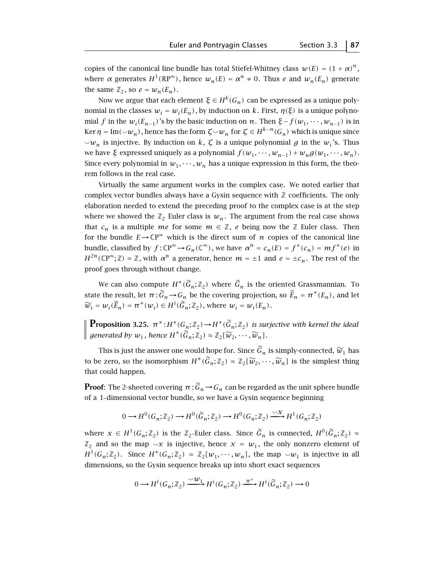copies of the canonical line bundle has total Stiefel-Whitney class  $w(E) = (1 + \alpha)^n$ , where  $\alpha$  generates  $H^1(\mathbb{R}P^\infty)$ , hence  $w_n(E) = \alpha^n \neq 0$ . Thus *e* and  $w_n(E_n)$  generate the same  $\mathbb{Z}_2$ , so  $e = w_n(E_n)$ .

Now we argue that each element  $\xi \in H^k(G_n)$  can be expressed as a unique polynomial in the classes  $w_i = w_i(E_n)$ , by induction on *k*. First,  $\eta(\xi)$  is a unique polynomial *f* in the  $w_i(E_{n-1})$ 's by the basic induction on *n*. Then  $\xi - f(w_1, \dots, w_{n-1})$  is in Ker  $\eta = \text{Im}(\vee w_n)$ , hence has the form  $\zeta \sim w_n$  for  $\zeta \in H^{k-n}(G_n)$  which is unique since  $\vee w_n$  is injective. By induction on *k*,  $\zeta$  is a unique polynomial *g* in the  $w_i$ 's. Thus we have  $\xi$  expressed uniquely as a polynomial  $f(w_1, \dots, w_{n-1}) + w_n g(w_1, \dots, w_n)$ . Since every polynomial in  $w_1, \dots, w_n$  has a unique expression in this form, the theorem follows in the real case.

Virtually the same argument works in the complex case. We noted earlier that complex vector bundles always have a Gysin sequence with  $\mathbb Z$  coefficients. The only elaboration needed to extend the preceding proof to the complex case is at the step where we showed the  $\mathbb{Z}_2$  Euler class is  $w_n$ . The argument from the real case shows that  $c_n$  is a multiple *me* for some  $m \in \mathbb{Z}$ , *e* being now the  $\mathbb{Z}$  Euler class. Then for the bundle  $E \to \mathbb{CP}^{\infty}$  which is the direct sum of *n* copies of the canonical line bundle, classified by  $f: \mathbb{CP}^{\infty} \to G_n(\mathbb{C}^{\infty})$ , we have  $\alpha^n = c_n(E) = f^*(c_n) = mf^*(e)$  in  $H^{2n}(\mathbb{C}P^{\infty};\mathbb{Z}) \approx \mathbb{Z}$ , with  $\alpha^{n}$  a generator, hence  $m = \pm 1$  and  $e = \pm c_n$ . The rest of the proof goes through without change.

We can also compute  $H^*(\widetilde{G}_n;\mathbb{Z}_2)$  where  $\widetilde{G}_n$  is the oriented Grassmannian. To state the result, let  $\pi : \widetilde{G}_n \to G_n$  be the covering projection, so  $\widetilde{E}_n = \pi^*(E_n)$ , and let  $\widetilde{w}_i = w_i(\widetilde{E}_n) = \pi^*(w_i) \in H^i(\widetilde{G}_n; \mathbb{Z}_2)$ , where  $w_i = w_i(E_n)$ .

**Proposition 3.25.**  $\pi^*: H^*(G_n; \mathbb{Z}_2) \to H^*(\widetilde{G}_n; \mathbb{Z}_2)$  *is surjective with kernel the ideal generated by*  $w_1$ , hence  $H^*(\widetilde{G}_n;\mathbb{Z}_2) \approx \mathbb{Z}_2[\widetilde{w}_2,\cdots,\widetilde{w}_n].$ 

This is just the answer one would hope for. Since  $\tilde{G}_n$  is simply-connected,  $\tilde{w}_1$  has to be zero, so the isomorphism  $H^*(\widetilde{G}_n;\mathbb{Z}_2) \approx \mathbb{Z}_2[\widetilde{w}_2,\cdots,\widetilde{w}_n]$  is the simplest thing that could happen.

**Proof**: The 2-sheeted covering  $\pi : \widetilde{G}_n \to G_n$  can be regarded as the unit sphere bundle of a 1 dimensional vector bundle, so we have a Gysin sequence beginning

$$
0 \longrightarrow H^0(G_n; \mathbb{Z}_2) \longrightarrow H^0(\widetilde{G}_n; \mathbb{Z}_2) \longrightarrow H^0(G_n; \mathbb{Z}_2) \xrightarrow{\smile \chi} H^1(G_n; \mathbb{Z}_2)
$$

where  $x \in H^1(G_n; \mathbb{Z}_2)$  is the  $\mathbb{Z}_2$ -Euler class. Since  $\widetilde{G}_n$  is connected,  $H^0(\widetilde{G}_n; \mathbb{Z}_2) \approx$  $\mathbb{Z}_2$  and so the map  $\smile x$  is injective, hence  $x = w_1$ , the only nonzero element of  $H^1(G_n;\mathbb{Z}_2)$ . Since  $H^*(G_n;\mathbb{Z}_2) \approx \mathbb{Z}_2[w_1,\cdots,w_n]$ , the map  $\sim w_1$  is injective in all dimensions, so the Gysin sequence breaks up into short exact sequences

$$
0 \longrightarrow H^i(G_n; \mathbb{Z}_2) \xrightarrow{\smile W_1} H^i(G_n; \mathbb{Z}_2) \xrightarrow{\pi^*} H^i(\widetilde{G}_n; \mathbb{Z}_2) \longrightarrow 0
$$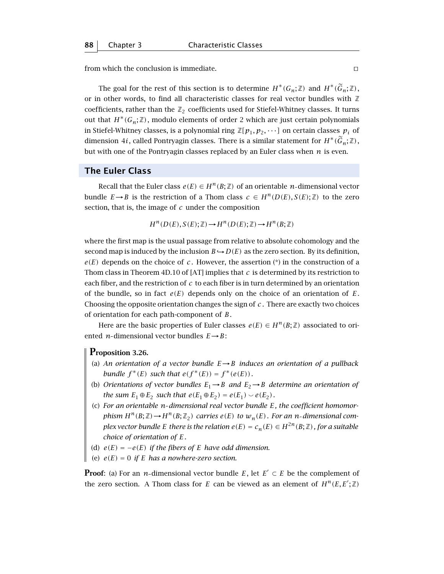from which the conclusion is immediate.  $\Box$ 

The goal for the rest of this section is to determine  $H^*(G_n; \mathbb{Z})$  and  $H^*(\widetilde{G}_n; \mathbb{Z})$ , or in other words, to find all characteristic classes for real vector bundles with  $\mathbb Z$ coefficients, rather than the  $\mathbb{Z}_2$  coefficients used for Stiefel-Whitney classes. It turns out that  $H^*(G_n; \mathbb{Z})$ , modulo elements of order 2 which are just certain polynomials in Stiefel-Whitney classes, is a polynomial ring  $\mathbb{Z}[p_1, p_2, \cdots]$  on certain classes  $p_i$  of dimension 4*i*, called Pontryagin classes. There is a similar statement for  $H^*(\tilde{G}_n;\mathbb{Z})$ , but with one of the Pontryagin classes replaced by an Euler class when *n* is even.

# **The Euler Class**

Recall that the Euler class  $e(E) \in H^n(B;\mathbb{Z})$  of an orientable *n*-dimensional vector bundle  $E \rightarrow B$  is the restriction of a Thom class  $c \in H^n(D(E), S(E); \mathbb{Z})$  to the zero section, that is, the image of *c* under the composition

$$
H^n(D(E), S(E); \mathbb{Z}) \longrightarrow H^n(D(E); \mathbb{Z}) \longrightarrow H^n(B; \mathbb{Z})
$$

where the first map is the usual passage from relative to absolute cohomology and the second map is induced by the inclusion  $B \hookrightarrow D(E)$  as the zero section. By its definition,  $e(E)$  depends on the choice of *c*. However, the assertion  $(*)$  in the construction of a Thom class in Theorem 4D.10 of [AT] implies that *c* is determined by its restriction to each fiber, and the restriction of *c* to each fiber is in turn determined by an orientation of the bundle, so in fact  $e(E)$  depends only on the choice of an orientation of  $E$ . Choosing the opposite orientation changes the sign of *c* . There are exactly two choices of orientation for each path-component of *B*.

Here are the basic properties of Euler classes  $e(E) \in H^n(B; \mathbb{Z})$  associated to oriented *n*-dimensional vector bundles  $E \rightarrow B$ :

### **Proposition 3.26.**

- (a) *An orientation of a vector bundle <sup>E</sup>*→*<sup>B</sup> induces an orientation of a pullback bundle*  $f^*(E)$  *such that*  $e(f^*(E)) = f^*(e(E))$ *.*
- (b) *Orientations of vector bundles*  $E_1 \rightarrow B$  *and*  $E_2 \rightarrow B$  *determine an orientation of the sum*  $E_1 \oplus E_2$  *such that*  $e(E_1 \oplus E_2) = e(E_1) \smile e(E_2)$ *.*
- (c) *For an orientable n dimensional real vector bundle E, the coefficient homomorphism*  $H^n(B; \mathbb{Z}) \rightarrow H^n(B; \mathbb{Z}_2)$  *carries*  $e(E)$  *to*  $w_n(E)$ *. For an n-dimensional complex vector bundle E there is the relation*  $e(E) = c_n(E) \in H^{2n}(B;\mathbb{Z})$ *, for a suitable choice of orientation of E.*
- (d)  $e(E) = -e(E)$  *if the fibers of E have odd dimension.*
- (e)  $e(E) = 0$  *if E has a nowhere-zero section.*

**Proof**: (a) For an *n*-dimensional vector bundle *E*, let  $E' \subset E$  be the complement of the zero section. A Thom class for *E* can be viewed as an element of  $H^n(E, E'; \mathbb{Z})$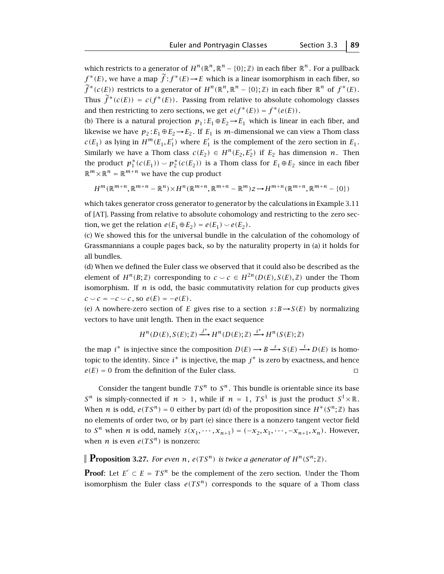which restricts to a generator of  $H^n(\mathbb{R}^n, \mathbb{R}^n - \{0\}; \mathbb{Z})$  in each fiber  $\mathbb{R}^n$ . For a pullback  $f^*(E)$ , we have a map  $\tilde{f}: f^*(E) \to E$  which is a linear isomorphism in each fiber, so  $\widetilde{f}^*(c(E))$  restricts to a generator of  $H^n(\mathbb{R}^n, \mathbb{R}^n - \{0\}; \mathbb{Z})$  in each fiber  $\mathbb{R}^n$  of  $f^*(E)$ . Thus  $\widetilde{f}^*(c(E)) = c(f^*(E))$ . Passing from relative to absolute cohomology classes and then restricting to zero sections, we get  $e(f^*(E)) = f^*(e(E))$ .

(b) There is a natural projection  $p_1$ :  $E_1 \oplus E_2 \rightarrow E_1$  which is linear in each fiber, and likewise we have  $p_2 : E_1 \oplus E_2 \rightarrow E_2$ . If  $E_1$  is *m*-dimensional we can view a Thom class  $c(E_1)$  as lying in  $H^m(E_1, E'_1)$  where  $E'_1$  is the complement of the zero section in  $E_1$ . Similarly we have a Thom class  $c(E_2) \in H^n(E_2, E'_2)$  if  $E_2$  has dimension *n*. Then the product  $p_1^*(c(E_1)) \smile p_2^*(c(E_2))$  is a Thom class for  $E_1 \oplus E_2$  since in each fiber  $\mathbb{R}^m \times \mathbb{R}^n = \mathbb{R}^{m+n}$  we have the cup product

$$
H^m(\mathbb{R}^{m+n}, \mathbb{R}^{m+n} - \mathbb{R}^n) \times H^n(\mathbb{R}^{m+n}, \mathbb{R}^{m+n} - \mathbb{R}^m) \times H^{m+n}(\mathbb{R}^{m+n}, \mathbb{R}^{m+n} - \{0\})
$$

which takes generator cross generator to generator by the calculations in Example 3.11 of [AT]. Passing from relative to absolute cohomology and restricting to the zero section, we get the relation  $e(E_1 \oplus E_2) = e(E_1) \smile e(E_2)$ .

(c) We showed this for the universal bundle in the calculation of the cohomology of Grassmannians a couple pages back, so by the naturality property in (a) it holds for all bundles.

(d) When we defined the Euler class we observed that it could also be described as the element of  $H^n(B;\mathbb{Z})$  corresponding to  $c \smile c \in H^{2n}(D(E), S(E), \mathbb{Z})$  under the Thom isomorphism. If  $n$  is odd, the basic commutativity relation for cup products gives  $c \sim c = -c \sim c$ , so  $e(E) = -e(E)$ .

(e) A nowhere-zero section of *E* gives rise to a section  $s : B \rightarrow S(E)$  by normalizing vectors to have unit length. Then in the exact sequence

$$
H^n(D(E), S(E); \mathbb{Z}) \xrightarrow{j^*} H^n(D(E); \mathbb{Z}) \xrightarrow{i^*} H^n(S(E); \mathbb{Z})
$$

the map  $i^*$  is injective since the composition  $D(E) \longrightarrow B \stackrel{s}{\longrightarrow} S(E) \stackrel{i}{\longrightarrow} D(E)$  is homotopic to the identity. Since  $i^*$  is injective, the map  $j^*$  is zero by exactness, and hence  $e(E) = 0$  from the definition of the Euler class.

Consider the tangent bundle  $TS^n$  to  $S^n$ . This bundle is orientable since its base  $S^n$  is simply-connected if  $n > 1$ , while if  $n = 1$ ,  $TS^1$  is just the product  $S^1 \times \mathbb{R}$ . When *n* is odd,  $e(TS^n) = 0$  either by part (d) of the proposition since  $H^*(S^n; \mathbb{Z})$  has no elements of order two, or by part (e) since there is a nonzero tangent vector field to *S*<sup>*n*</sup> when *n* is odd, namely  $s(x_1, \dots, x_{n+1}) = (-x_2, x_1, \dots, -x_{n+1}, x_n)$ . However, when *n* is even  $e(TS^n)$  is nonzero:

**Proposition 3.27.** *For even n*,  $e(TS^n)$  *is twice a generator of*  $H^n(S^n; \mathbb{Z})$ *.* 

**Proof:** Let  $E' \subset E = TS^n$  be the complement of the zero section. Under the Thom isomorphism the Euler class  $e(TS^n)$  corresponds to the square of a Thom class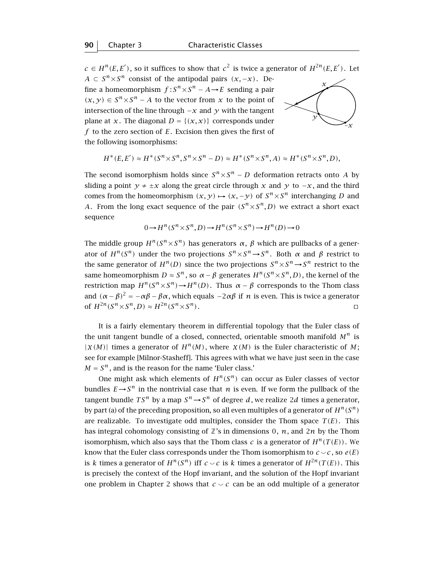$c \in H^n(E, E')$ , so it suffices to show that  $c^2$  is twice a generator of  $H^{2n}(E, E')$ . Let  $A \subset S^n \times S^n$  consist of the antipodal pairs  $(x, -x)$ . Define a homeomorphism  $f: S^n \times S^n - A \rightarrow E$  sending a pair *(x, y)* ∈  $S<sup>n</sup> × S<sup>n</sup> − A$  to the vector from *x* to the point of intersection of the line through −*x* and *y* with the tangent plane at *x*. The diagonal  $D = \{(x, x)\}\)$  corresponds under *y f* to the zero section of *E*. Excision then gives the first of the following isomorphisms:



$$
H^*(E, E') \approx H^*(S^n \times S^n, S^n \times S^n - D) \approx H^*(S^n \times S^n, A) \approx H^*(S^n \times S^n, D),
$$

The second isomorphism holds since  $S<sup>n</sup> \times S<sup>n</sup> - D$  deformation retracts onto *A* by sliding a point  $y \neq \pm x$  along the great circle through *x* and *y* to  $-x$ , and the third comes from the homeomorphism  $(x, y) \mapsto (x, -y)$  of  $S<sup>n</sup> \times S<sup>n</sup>$  interchanging *D* and *A*. From the long exact sequence of the pair  $(S^n \times S^n, D)$  we extract a short exact sequence

$$
0 \to H^n(S^n \times S^n, D) \to H^n(S^n \times S^n) \to H^n(D) \to 0
$$

The middle group  $H^n(S^n \times S^n)$  has generators  $\alpha$ ,  $\beta$  which are pullbacks of a generator of  $H^n(S^n)$  under the two projections  $S^n \times S^n \to S^n$ . Both  $\alpha$  and  $\beta$  restrict to the same generator of  $H^n(D)$  since the two projections  $S^n \times S^n \rightarrow S^n$  restrict to the same homeomorphism  $D \approx S^n$ , so  $\alpha - \beta$  generates  $H^n(S^n \times S^n, D)$ , the kernel of the restriction map *<sup>H</sup>n(Sn*×*Sn)*→*Hn(D)*. Thus *<sup>α</sup>* <sup>−</sup> *<sup>β</sup>* corresponds to the Thom class and  $(α – β)<sup>2</sup> = −αβ – βα$ , which equals  $-2αβ$  if *n* is even. This is twice a generator of  $H^{2n}(S^n \times S^n, D) \approx H^{2n}(S^n \times S^n)$ .

It is a fairly elementary theorem in differential topology that the Euler class of the unit tangent bundle of a closed, connected, orientable smooth manifold *M<sup>n</sup>* is  $|\chi(M)|$  times a generator of  $H^n(M)$ , where  $\chi(M)$  is the Euler characteristic of M; see for example [Milnor-Stasheff]. This agrees with what we have just seen in the case  $M = S<sup>n</sup>$ , and is the reason for the name 'Euler class.'

One might ask which elements of  $H^n(S^n)$  can occur as Euler classes of vector bundles  $E \rightarrow S^n$  in the nontrivial case that *n* is even. If we form the pullback of the tangent bundle  $TS^n$  by a map  $S^n \rightarrow S^n$  of degree *d*, we realize 2*d* times a generator, by part (a) of the preceding proposition, so all even multiples of a generator of  $H^n(S^n)$ are realizable. To investigate odd multiples, consider the Thom space  $T(E)$ . This has integral cohomology consisting of  $\mathbb{Z}$ 's in dimensions 0,  $n$ , and 2*n* by the Thom isomorphism, which also says that the Thom class *c* is a generator of  $H^n(T(E))$ . We know that the Euler class corresponds under the Thom isomorphism to  $c \sim c$ , so  $e(E)$ is *k* times a generator of  $H^n(S^n)$  iff  $c \smile c$  is *k* times a generator of  $H^{2n}(T(E))$ . This is precisely the context of the Hopf invariant, and the solution of the Hopf invariant one problem in Chapter 2 shows that  $c \sim c$  can be an odd multiple of a generator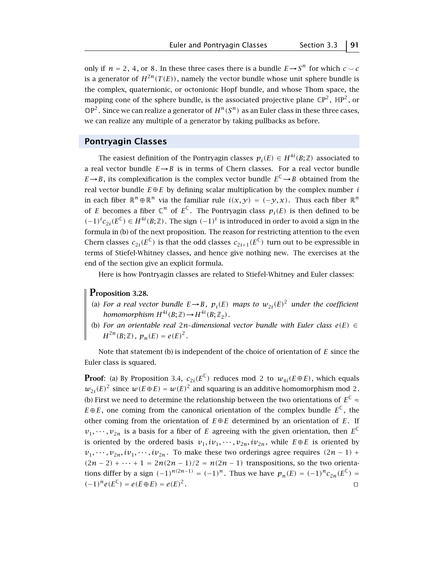only if  $n = 2, 4$ , or 8. In these three cases there is a bundle  $E \rightarrow S^n$  for which  $c \sim c$ is a generator of  $H^{2n}(T(E))$ , namely the vector bundle whose unit sphere bundle is the complex, quaternionic, or octonionic Hopf bundle, and whose Thom space, the mapping cone of the sphere bundle, is the associated projective plane  $\mathbb{CP}^2$ ,  $\mathbb{HP}^2$ , or  $\mathbb{O}P^2$ . Since we can realize a generator of  $H^n(S^n)$  as an Euler class in these three cases, we can realize any multiple of a generator by taking pullbacks as before.

#### **Pontryagin Classes**

The easiest definition of the Pontryagin classes  $p_i(E) \in H^{4i}(B;\mathbb{Z})$  associated to a real vector bundle  $E \rightarrow B$  is in terms of Chern classes. For a real vector bundle *E*→*B*, its complexification is the complex vector bundle  $E^{\mathbb{C}} \rightarrow B$  obtained from the real vector bundle  $E \oplus E$  by defining scalar multiplication by the complex number *i* in each fiber  $\mathbb{R}^n \oplus \mathbb{R}^n$  via the familiar rule  $i(x, y) = (-y, x)$ . Thus each fiber  $\mathbb{R}^n$ of *E* becomes a fiber  $\mathbb{C}^n$  of  $E^{\mathbb{C}}$ . The Pontryagin class  $p_i(E)$  is then defined to be  $(-1)^i c_{2i}(E^{\mathbb{C}})$  ∈ *H*<sup>4*i*</sup>(*B*; ℤ). The sign  $(-1)^i$  is introduced in order to avoid a sign in the formula in (b) of the next proposition. The reason for restricting attention to the even Chern classes  $c_{2i}(E^{\mathbb{C}})$  is that the odd classes  $c_{2i+1}(E^{\mathbb{C}})$  turn out to be expressible in terms of Stiefel-Whitney classes, and hence give nothing new. The exercises at the end of the section give an explicit formula.

Here is how Pontryagin classes are related to Stiefel-Whitney and Euler classes:

# **Proposition 3.28.**

- (a) *For a real vector bundle*  $E \rightarrow B$ *,*  $p_i(E)$  *maps to*  $w_{2i}(E)^2$  *under the coefficient homomorphism*  $H^{4i}(B; \mathbb{Z}) \rightarrow H^{4i}(B; \mathbb{Z}_2)$ .
- (b) *For an orientable real* 2*n dimensional vector bundle with Euler class e(E)* ∈  $H^{2n}(B;\mathbb{Z})$ *,*  $p_n(E) = e(E)^2$ *.*

Note that statement (b) is independent of the choice of orientation of *E* since the Euler class is squared.

**Proof**: (a) By Proposition 3.4,  $c_{2i}(E^{\mathbb{C}})$  reduces mod 2 to  $w_{4i}(E \oplus E)$ , which equals  $w_{2i}(E)^2$  since  $w(E \oplus E) = w(E)^2$  and squaring is an additive homomorphism mod 2. (b) First we need to determine the relationship between the two orientations of  $E^{\mathbb{C}} \approx$ *E*⊕*E*, one coming from the canonical orientation of the complex bundle  $E^C$ , the other coming from the orientation of  $E \oplus E$  determined by an orientation of  $E$ . If  $v_1, \dots, v_{2n}$  is a basis for a fiber of *E* agreeing with the given orientation, then  $E^{\mathbb{C}}$ is oriented by the ordered basis  $v_1, iv_1, \dots, v_{2n}, iv_{2n}$ , while  $E \oplus E$  is oriented by  $v_1, \dots, v_{2n}, iv_1, \dots, iv_{2n}$ . To make these two orderings agree requires  $(2n - 1)$  +  $(2n-2) + \cdots + 1 = 2n(2n-1)/2 = n(2n-1)$  transpositions, so the two orientations differ by a sign  $(-1)^{n(2n-1)} = (-1)^n$ . Thus we have  $p_n(E) = (-1)^n c_{2n}(E^{\mathbb{C}}) =$  $(-1)^n e(E^{\mathbb{C}}) = e(E \oplus E) = e(E)^2$ .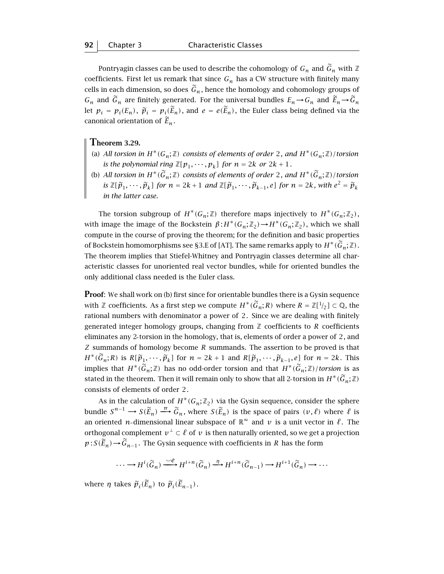Pontryagin classes can be used to describe the cohomology of  $G_n$  and  $\widetilde{G}_n$  with  $\mathbb Z$ coefficients. First let us remark that since  $G_n$  has a CW structure with finitely many cells in each dimension, so does  $\tilde{G}_n$ , hence the homology and cohomology groups of  $G_n$  and  $\widetilde{G}_n$  are finitely generated. For the universal bundles  $E_n \to G_n$  and  $\widetilde{E}_n \to \widetilde{G}_n$ let  $p_i = p_i(E_n)$ ,  $\tilde{p}_i = p_i(\tilde{E}_n)$ , and  $e = e(\tilde{E}_n)$ , the Euler class being defined via the canonical orientation of  $\widetilde{E}_n$ .

#### **Theorem 3.29.**

- (a) All torsion in  $H^*(G_n;\mathbb{Z})$  consists of elements of order 2, and  $H^*(G_n;\mathbb{Z})$ /torsion *is the polynomial ring*  $\mathbb{Z}[p_1, \cdots, p_k]$  *for*  $n = 2k$  *or*  $2k + 1$ *.*
- (b) *All torsion in*  $H^*(\widetilde{G}_n;\mathbb{Z})$  *consists of elements of order* 2*, and*  $H^*(\widetilde{G}_n;\mathbb{Z})$ /*torsion* is  $\mathbb{Z}[\widetilde{p}_1,\cdots,\widetilde{p}_k]$  for  $n=2k+1$  and  $\mathbb{Z}[\widetilde{p}_1,\cdots,\widetilde{p}_{k-1},e]$  for  $n=2k$ , with  $e^2=\widetilde{p}_k$ *in the latter case.*

The torsion subgroup of  $H^*(G_n;\mathbb{Z})$  therefore maps injectively to  $H^*(G_n;\mathbb{Z}_2)$ , with image the image of the Bockstein  $β: H^*(G_n; \mathbb{Z}_2) \rightarrow H^*(G_n; \mathbb{Z}_2)$ , which we shall compute in the course of proving the theorem; for the definition and basic properties of Bockstein homomorphisms see §3.E of [AT]. The same remarks apply to  $H^*(\widetilde{G}_n;\mathbb{Z})$ . The theorem implies that Stiefel-Whitney and Pontryagin classes determine all characteristic classes for unoriented real vector bundles, while for oriented bundles the only additional class needed is the Euler class.

**Proof**: We shall work on (b) first since for orientable bundles there is a Gysin sequence with *ℤ* coefficients. As a first step we compute  $H^*(\widetilde{G}_n; R)$  where  $R = \mathbb{Z}[1/2] \subset \mathbb{Q}$ , the rational numbers with denominator a power of 2. Since we are dealing with finitely generated integer homology groups, changing from  $\mathbb Z$  coefficients to  $R$  coefficients eliminates any 2 torsion in the homology, that is, elements of order a power of 2, and *Z* summands of homology become *R* summands. The assertion to be proved is that  $H^*(\widetilde{G}_n; R)$  is  $R[\widetilde{p}_1, \cdots, \widetilde{p}_k]$  for  $n = 2k + 1$  and  $R[\widetilde{p}_1, \cdots, \widetilde{p}_{k-1}, e]$  for  $n = 2k$ . This implies that  $H^*(\widetilde{G}_n;\mathbb{Z})$  has no odd-order torsion and that  $H^*(\widetilde{G}_n;\mathbb{Z})$ /*torsion* is as stated in the theorem. Then it will remain only to show that all 2-torsion in  $H^*(\widetilde{G}_n;\mathbb{Z})$ consists of elements of order 2.

As in the calculation of  $H^*(G_n;\mathbb{Z}_2)$  via the Gysin sequence, consider the sphere bundle  $S^{n-1} \to S(\widetilde{E}_n) \xrightarrow{\pi} \widetilde{G}_n$ , where  $S(\widetilde{E}_n)$  is the space of pairs  $(v, \ell)$  where  $\ell$  is an oriented *n*-dimensional linear subspace of  $\mathbb{R}^{\infty}$  and *v* is a unit vector in  $\ell$ . The orthogonal complement  $v^\perp \subset \ell$  of v is then naturally oriented, so we get a projection  $p: S(\widetilde{E}_n)$  →  $\widetilde{G}_{n-1}$ . The Gysin sequence with coefficients in *R* has the form

$$
\cdots \longrightarrow H^{i}(\widetilde{G}_{n}) \xrightarrow{\smile e} H^{i+n}(\widetilde{G}_{n}) \xrightarrow{\eta} H^{i+n}(\widetilde{G}_{n-1}) \longrightarrow H^{i+1}(\widetilde{G}_{n}) \longrightarrow \cdots
$$

where  $\eta$  takes  $\ddot{p}_i(E_n)$  to  $\ddot{p}_i(E_{n-1})$ .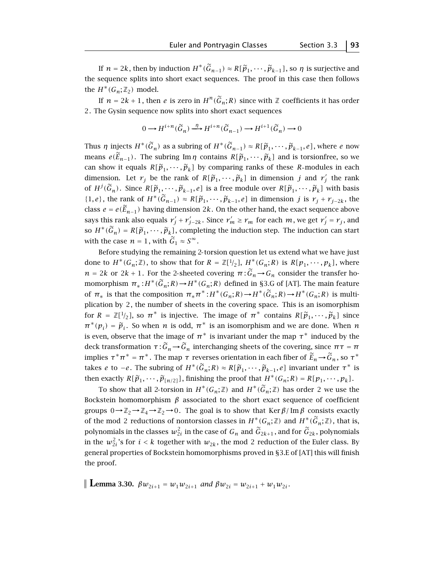If  $n = 2k$ , then by induction  $H^*(\widetilde{G}_{n-1}) \approx R[\widetilde{p}_1, \cdots, \widetilde{p}_{k-1}]$ , so  $\eta$  is surjective and the sequence splits into short exact sequences. The proof in this case then follows the  $H^*(G_n; \mathbb{Z}_2)$  model.

If  $n = 2k + 1$ , then *e* is zero in  $H^n(\widetilde{G}_n; R)$  since with Z coefficients it has order 2. The Gysin sequence now splits into short exact sequences

$$
0 \longrightarrow H^{i+n}(\widetilde{G}_n) \stackrel{\eta}{\longrightarrow} H^{i+n}(\widetilde{G}_{n-1}) \longrightarrow H^{i+1}(\widetilde{G}_n) \longrightarrow 0
$$

Thus *η* injects  $H^*(\widetilde{G}_n)$  as a subring of  $H^*(\widetilde{G}_{n-1}) \approx R[\widetilde{p}_1,\cdots,\widetilde{p}_{k-1},e]$ , where *e* now means  $e(\widetilde{E}_{n-1})$ . The subring Im *η* contains  $R[\widetilde{p}_1, \cdots, \widetilde{p}_k]$  and is torsionfree, so we can show it equals  $R[\tilde{p}_1, \cdots, \tilde{p}_k]$  by comparing ranks of these *R*-modules in each dimension. Let  $r_j$  be the rank of  $R[\widetilde{p}_1, \dots, \widetilde{p}_k]$  in dimension *j* and  $r'_j$  the rank of  $H^j(\widetilde{G}_n)$ . Since  $R[\widetilde{p}_1, \cdots, \widetilde{p}_{k-1}, e]$  is a free module over  $R[\widetilde{p}_1, \cdots, \widetilde{p}_k]$  with basis  $[1, 2]$  where  $[1, 2]$  with  $[1, 2]$ {1*, e*}, the rank of  $H^*(\widetilde{G}_{n-1}) \approx R[\widetilde{p}_1, \cdots, \widetilde{p}_{k-1}, e]$  in dimension *j* is  $r_j + r_{j-2k}$ , the class  $e = e(\widetilde{E}_{n-1})$  having dimension 2*k*. On the other hand, the exact sequence above says this rank also equals  $r'_j + r'_{j-2k}$ . Since  $r'_m \ge r_m$  for each  $m$ , we get  $r'_j = r_j$ , and so  $H^*(\widetilde{G}_n) = R[\widetilde{p}_1, \cdots, \widetilde{p}_k]$ , completing the induction step. The induction can start with the case  $n = 1$ , with  $\tilde{G}_1 \approx S^{\infty}$ .

Before studying the remaining 2 torsion question let us extend what we have just done to  $H^*(G_n; \mathbb{Z})$ , to show that for  $R = \mathbb{Z}[1/2]$ ,  $H^*(G_n; R)$  is  $R[p_1, \dots, p_k]$ , where  $n = 2k$  or  $2k + 1$ . For the 2-sheeted covering  $\pi : \widetilde{G}_n \to G_n$  consider the transfer homomorphism  $\pi_* : H^*(\widetilde{G}_n; R) \to H^*(G_n; R)$  defined in §3.G of [AT]. The main feature of  $\pi_*$  is that the composition  $\pi_* \pi^* : H^*(G_n; R) \to H^*(\widetilde{G}_n; R) \to H^*(G_n; R)$  is multiplication by 2, the number of sheets in the covering space. This is an isomorphism for  $R = \mathbb{Z}[1/2]$ , so  $\pi^*$  is injective. The image of  $\pi^*$  contains  $R[\tilde{p}_1, \cdots, \tilde{p}_k]$  since  $\pi^*(p_i) = \tilde{p}_i$ . So when *n* is odd,  $\pi^*$  is an isomorphism and we are done. When *n* is even, observe that the image of  $\pi^*$  is invariant under the map  $\tau^*$  induced by the deck transformation  $\tau : \widetilde{G}_n \to \widetilde{G}_n$  interchanging sheets of the covering, since  $\pi \tau = \pi$ implies  $τ^*π^* = π^*$ . The map *τ* reverses orientation in each fiber of  $E_n → G_n$ , so  $τ^*$ takes *e* to −*e*. The subring of  $H^*(\widetilde{G}_n; R) \approx R[\widetilde{p}_1, \cdots, \widetilde{p}_{k-1}, e]$  invariant under  $\tau^*$  is then exactly  $R[\tilde{p}_1, \cdots, \tilde{p}_{n/2}]$ , finishing the proof that  $H^*(G_n; R) = R[p_1, \cdots, p_k]$ .

To show that all 2-torsion in  $H^*(G_n;\mathbb{Z})$  and  $H^*(\widetilde{G}_n;\mathbb{Z})$  has order 2 we use the Bockstein homomorphism  $\beta$  associated to the short exact sequence of coefficient groups  $0 \rightarrow \mathbb{Z}_2 \rightarrow \mathbb{Z}_4 \rightarrow \mathbb{Z}_2 \rightarrow 0$ . The goal is to show that Ker  $\beta$ / Im  $\beta$  consists exactly of the mod 2 reductions of nontorsion classes in  $H^*(G_n;\mathbb{Z})$  and  $H^*(\widetilde{G}_n;\mathbb{Z})$ , that is, polynomials in the classes  $w_{2i}^2$  in the case of  $G_n$  and  $\widetilde{G}_{2k+1}$ , and for  $\widetilde{G}_{2k}$ , polynomials in the  $w_{2i}^2$ 's for  $i < k$  together with  $w_{2k}$ , the mod 2 reduction of the Euler class. By general properties of Bockstein homomorphisms proved in §3.E of [AT] this will finish the proof.

**Lemma 3.30.**  $\beta w_{2i+1} = w_1 w_{2i+1}$  *and*  $\beta w_{2i} = w_{2i+1} + w_1 w_{2i}$ .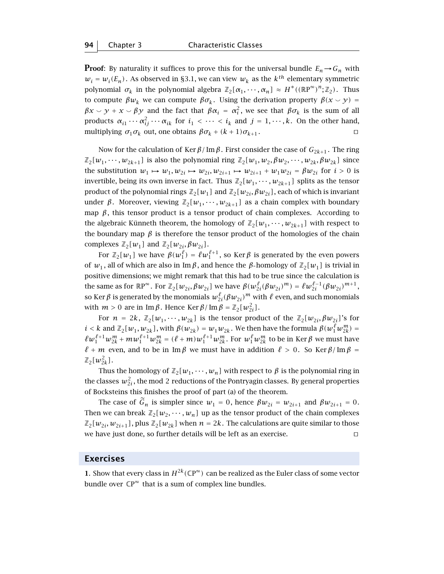**Proof**: By naturality it suffices to prove this for the universal bundle  $E_n \to G_n$  with  $w_i = w_i(E_n)$ . As observed in §3.1, we can view  $w_k$  as the  $k^{th}$  elementary symmetric polynomial  $\sigma_k$  in the polynomial algebra  $\mathbb{Z}_2[\alpha_1, \dots, \alpha_n] \approx H^*((\mathbb{R}P^{\infty})^n; \mathbb{Z}_2)$ . Thus to compute  $\beta w_k$  we can compute  $\beta \sigma_k$ . Using the derivation property  $\beta(x \smile y)$  = *βx*  $\sim$  *y* + *x*  $\sim$  *βy* and the fact that *βα<sub>i</sub>* = *α*<sup>2</sup><sub>i</sub></sub>, we see that *βσ<sub>k</sub>* is the sum of all products  $\alpha_{i1} \cdots \alpha_{ij}^2 \cdots \alpha_{ik}$  for  $i_1 < \cdots < i_k$  and  $j = 1, \cdots, k$ . On the other hand, multiplying  $\sigma_1 \sigma_k$  out, one obtains  $\beta \sigma_k + (k+1) \sigma_{k+1}$ .

Now for the calculation of Ker  $β$ / Im  $β$ . First consider the case of  $G_{2k+1}$ . The ring  $\mathbb{Z}_2[w_1,\dots,w_{2k+1}]$  is also the polynomial ring  $\mathbb{Z}_2[w_1,w_2,\beta w_2,\dots,w_{2k},\beta w_{2k}]$  since the substitution  $w_1 \mapsto w_1, w_{2i} \mapsto w_{2i}, w_{2i+1} \mapsto w_{2i+1} + w_1 w_{2i} = \beta w_{2i}$  for  $i > 0$  is invertible, being its own inverse in fact. Thus  $\mathbb{Z}_2[w_1, \dots, w_{2k+1}]$  splits as the tensor product of the polynomial rings  $\mathbb{Z}_2[w_1]$  and  $\mathbb{Z}_2[w_{2i}, \beta w_{2i}]$ , each of which is invariant under *β*. Moreover, viewing  $\mathbb{Z}_2[w_1, \dots, w_{2k+1}]$  as a chain complex with boundary map  $\beta$ , this tensor product is a tensor product of chain complexes. According to the algebraic Künneth theorem, the homology of  $\mathbb{Z}_2[w_1, \dots, w_{2k+1}]$  with respect to the boundary map  $\beta$  is therefore the tensor product of the homologies of the chain complexes  $\mathbb{Z}_2[w_1]$  and  $\mathbb{Z}_2[w_{2i}, \beta w_{2i}]$ .

For  $\mathbb{Z}_2[w_1]$  we have  $\beta(w_1^{\ell}) = \ell w_1^{\ell+1}$ , so Ker $\beta$  is generated by the even powers of  $w_1$ , all of which are also in Im  $\beta$ , and hence the  $\beta$ -homology of  $\mathbb{Z}_2[w_1]$  is trivial in positive dimensions; we might remark that this had to be true since the calculation is the same as for  $\mathbb{R}P^{\infty}$ . For  $\mathbb{Z}_2[w_{2i}, \beta w_{2i}]$  we have  $\beta(w_{2i}^{\ell}(\beta w_{2i})^m) = \ell w_{2i}^{\ell-1}(\beta w_{2i})^{m+1}$ , so Ker  $\beta$  is generated by the monomials  $w_{2i}^{\ell}(\beta w_{2i})^m$  with  $\ell$  even, and such monomials with  $m > 0$  are in Im  $\beta$ . Hence Ker  $\beta$  / Im  $\beta = \mathbb{Z}_2[w_{2i}^2]$ .

For  $n = 2k$ ,  $\mathbb{Z}_2[w_1, \dots, w_{2k}]$  is the tensor product of the  $\mathbb{Z}_2[w_{2i}, \beta w_{2i}]$ 's for  $i < k$  and  $\mathbb{Z}_2[w_1, w_{2k}]$ , with  $\beta(w_{2k}) = w_1w_{2k}$ . We then have the formula  $\beta(w_1^{\ell}w_{2k}^m) =$  $\ell w_1^{\ell+1}w_{2k}^m +m w_1^{\ell+1}w_{2k}^m =(\ell+m)w_1^{\ell+1}w_{2k}^m$ . For  $w_1^\ell w_{2k}^m$  to be in Ker  $\beta$  we must have  $\ell + m$  even, and to be in Im *β* we must have in addition  $\ell > 0$ . So Ker *β*/ Im *β* =  $\mathbb{Z}_2[w_{2k}^2]$ .

Thus the homology of  $\mathbb{Z}_2[w_1, \dots, w_n]$  with respect to  $\beta$  is the polynomial ring in the classes  $w_{2i}^2$ , the mod 2 reductions of the Pontryagin classes. By general properties of Bocksteins this finishes the proof of part (a) of the theorem.

The case of  $\tilde{G}_n$  is simpler since  $w_1 = 0$ , hence  $\beta w_{2i} = w_{2i+1}$  and  $\beta w_{2i+1} = 0$ . Then we can break  $\mathbb{Z}_2[w_2, \dots, w_n]$  up as the tensor product of the chain complexes  $\mathbb{Z}_2[w_{2i}, w_{2i+1}]$ , plus  $\mathbb{Z}_2[w_{2k}]$  when  $n = 2k$ . The calculations are quite similar to those we have just done, so further details will be left as an exercise.  $\Box$ 

# **Exercises**

**1**. Show that every class in  $H^{2k}(\mathbb{C}P^{\infty})$  can be realized as the Euler class of some vector bundle over  $\mathbb{C}P^{\infty}$  that is a sum of complex line bundles.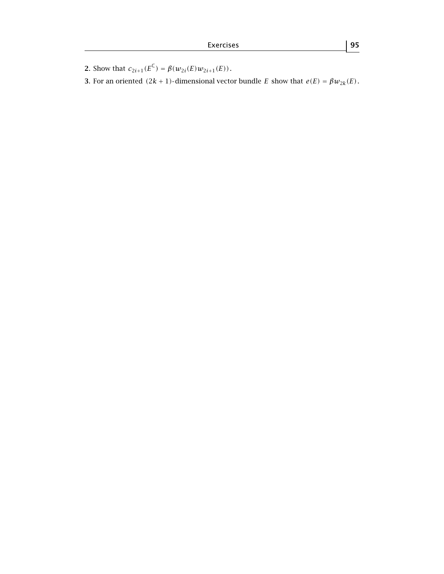**2**. Show that  $c_{2i+1}(E^{\mathbb{C}}) = \beta(w_{2i}(E)w_{2i+1}(E))$ .

**3**. For an oriented  $(2k + 1)$ -dimensional vector bundle *E* show that  $e(E) = \beta w_{2k}(E)$ .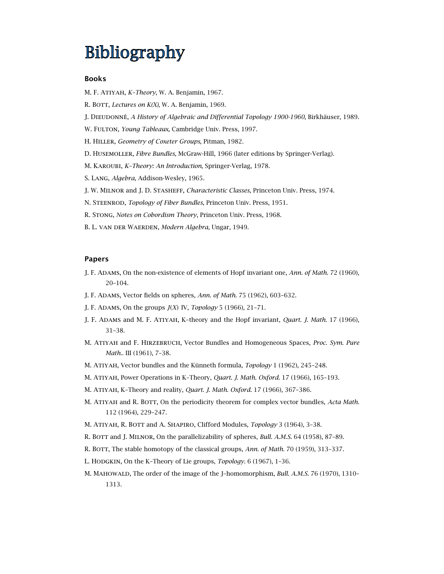# **Bibliography**

#### **Books**

M. F. Atiyah, *K–Theory*, W. A. Benjamin, 1967.

- R. BOTT, *Lectures on K(X)*, W. A. Benjamin, 1969.
- J. DIEUDONNÉ, *A History of Algebraic and Differential Topology 1900-1960*, Birkhäuser, 1989.
- W. FULTON, *Young Tableaux*, Cambridge Univ. Press, 1997.
- H. Hiller, *Geometry of Coxeter Groups*, Pitman, 1982.
- D. Husemoller, *Fibre Bundles*, McGraw-Hill, 1966 (later editions by Springer-Verlag).
- M. Karoubi, *K–Theory: An Introduction*, Springer-Verlag, 1978.
- S. Lang, *Algebra*, Addison-Wesley, 1965.
- J. W. Milnor and J. D. Stasheff, *Characteristic Classes*, Princeton Univ. Press, 1974.
- N. Steenrod, *Topology of Fiber Bundles*, Princeton Univ. Press, 1951.
- R. Stong, *Notes on Cobordism Theory*, Princeton Univ. Press, 1968.
- B. L. van der Waerden, *Modern Algebra*, Ungar, 1949.

#### **Papers**

- J. F. Adams, On the non-existence of elements of Hopf invariant one, *Ann. of Math.* 72 (1960), 20–104.
- J. F. Adams, Vector fields on spheres, *Ann. of Math.* 75 (1962), 603–632.
- J. F. Adams, On the groups *J*(*X*) IV, *Topology* 5 (1966), 21–71.
- J. F. Adams and M. F. Atiyah, K–theory and the Hopf invariant, *Quart. J. Math.* 17 (1966), 31–38.
- M. Atiyah and F. Hirzebruch, Vector Bundles and Homogeneous Spaces, *Proc. Sym. Pure Math..* III (1961), 7–38.
- M. ATIYAH, Vector bundles and the Künneth formula, *Topology* 1 (1962), 245-248.
- M. Atiyah, Power Operations in K–Theory, *Quart. J. Math. Oxford.* 17 (1966), 165–193.
- M. Atiyah, K–Theory and reality, *Quart. J. Math. Oxford.* 17 (1966), 367–386.
- M. ATIYAH and R. BOTT, On the periodicity theorem for complex vector bundles, *Acta Math.* 112 (1964), 229–247.
- M. Atiyah, R. Bott and A. Shapiro, Clifford Modules, *Topology* 3 (1964), 3–38.
- R. BOTT and J. MILNOR, On the parallelizability of spheres, *Bull. A.M.S.* 64 (1958), 87-89.
- R. BOTT, The stable homotopy of the classical groups, *Ann. of Math.* 70 (1959), 313-337.
- L. HODGKIN, On the K-Theory of Lie groups, *Topology.* 6 (1967), 1-36.
- M. Mahowald, The order of the image of the J–homomorphism, *Bull. A.M.S.* 76 (1970), 1310– 1313.